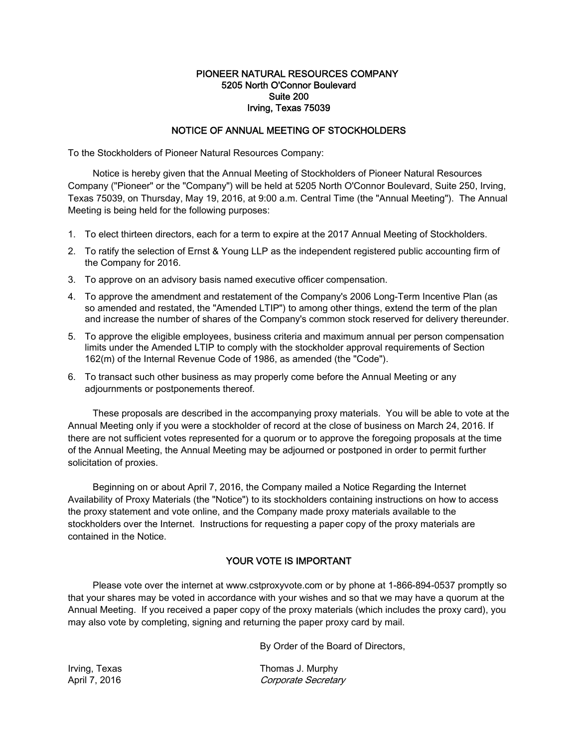#### PIONEER NATURAL RESOURCES COMPANY 5205 North O'Connor Boulevard Suite 200 Irving, Texas 75039

## NOTICE OF ANNUAL MEETING OF STOCKHOLDERS

To the Stockholders of Pioneer Natural Resources Company:

 Notice is hereby given that the Annual Meeting of Stockholders of Pioneer Natural Resources Company ("Pioneer" or the "Company") will be held at 5205 North O'Connor Boulevard, Suite 250, Irving, Texas 75039, on Thursday, May 19, 2016, at 9:00 a.m. Central Time (the "Annual Meeting"). The Annual Meeting is being held for the following purposes:

- 1. To elect thirteen directors, each for a term to expire at the 2017 Annual Meeting of Stockholders.
- 2. To ratify the selection of Ernst & Young LLP as the independent registered public accounting firm of the Company for 2016.
- 3. To approve on an advisory basis named executive officer compensation.
- 4. To approve the amendment and restatement of the Company's 2006 Long-Term Incentive Plan (as so amended and restated, the "Amended LTIP") to among other things, extend the term of the plan and increase the number of shares of the Company's common stock reserved for delivery thereunder.
- 5. To approve the eligible employees, business criteria and maximum annual per person compensation limits under the Amended LTIP to comply with the stockholder approval requirements of Section 162(m) of the Internal Revenue Code of 1986, as amended (the "Code").
- 6. To transact such other business as may properly come before the Annual Meeting or any adjournments or postponements thereof.

 These proposals are described in the accompanying proxy materials. You will be able to vote at the Annual Meeting only if you were a stockholder of record at the close of business on March 24, 2016. If there are not sufficient votes represented for a quorum or to approve the foregoing proposals at the time of the Annual Meeting, the Annual Meeting may be adjourned or postponed in order to permit further solicitation of proxies.

 Beginning on or about April 7, 2016, the Company mailed a Notice Regarding the Internet Availability of Proxy Materials (the "Notice") to its stockholders containing instructions on how to access the proxy statement and vote online, and the Company made proxy materials available to the stockholders over the Internet. Instructions for requesting a paper copy of the proxy materials are contained in the Notice.

## YOUR VOTE IS IMPORTANT

 Please vote over the internet at www.cstproxyvote.com or by phone at 1-866-894-0537 promptly so that your shares may be voted in accordance with your wishes and so that we may have a quorum at the Annual Meeting. If you received a paper copy of the proxy materials (which includes the proxy card), you may also vote by completing, signing and returning the paper proxy card by mail.

By Order of the Board of Directors,

Irving, Texas April 7, 2016

Thomas J. Murphy Corporate Secretary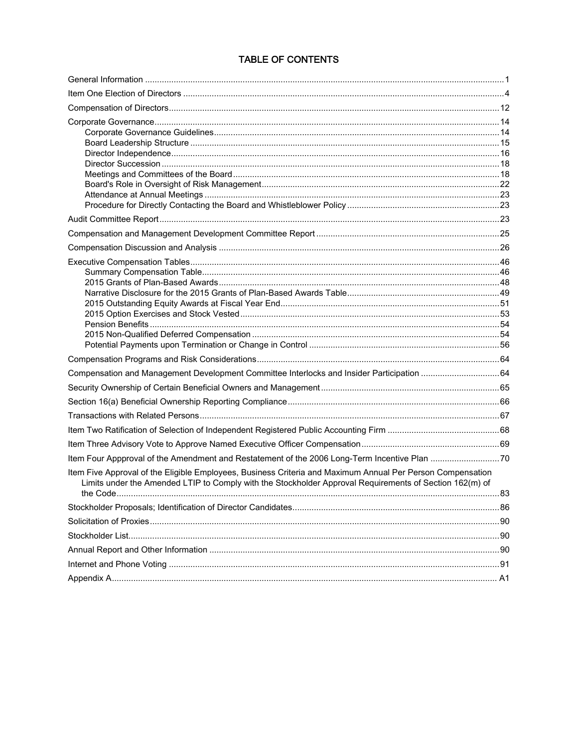## TABLE OF CONTENTS

| Compensation and Management Development Committee Interlocks and Insider Participation  64                                                                                                                            |  |
|-----------------------------------------------------------------------------------------------------------------------------------------------------------------------------------------------------------------------|--|
|                                                                                                                                                                                                                       |  |
|                                                                                                                                                                                                                       |  |
|                                                                                                                                                                                                                       |  |
|                                                                                                                                                                                                                       |  |
|                                                                                                                                                                                                                       |  |
|                                                                                                                                                                                                                       |  |
| Item Five Approval of the Eligible Employees, Business Criteria and Maximum Annual Per Person Compensation<br>Limits under the Amended LTIP to Comply with the Stockholder Approval Requirements of Section 162(m) of |  |
|                                                                                                                                                                                                                       |  |
|                                                                                                                                                                                                                       |  |
|                                                                                                                                                                                                                       |  |
|                                                                                                                                                                                                                       |  |
|                                                                                                                                                                                                                       |  |
|                                                                                                                                                                                                                       |  |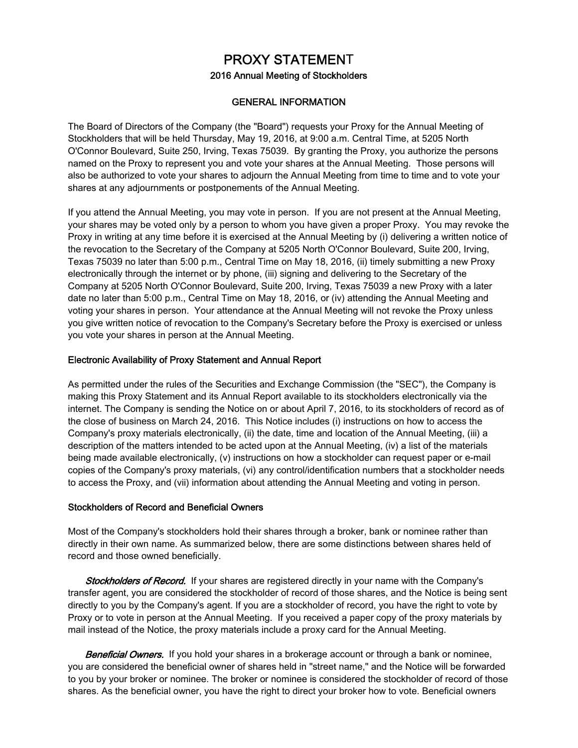# PROXY STATEMENT 2016 Annual Meeting of Stockholders

#### GENERAL INFORMATION

The Board of Directors of the Company (the "Board") requests your Proxy for the Annual Meeting of Stockholders that will be held Thursday, May 19, 2016, at 9:00 a.m. Central Time, at 5205 North O'Connor Boulevard, Suite 250, Irving, Texas 75039. By granting the Proxy, you authorize the persons named on the Proxy to represent you and vote your shares at the Annual Meeting. Those persons will also be authorized to vote your shares to adjourn the Annual Meeting from time to time and to vote your shares at any adjournments or postponements of the Annual Meeting.

If you attend the Annual Meeting, you may vote in person. If you are not present at the Annual Meeting, your shares may be voted only by a person to whom you have given a proper Proxy. You may revoke the Proxy in writing at any time before it is exercised at the Annual Meeting by (i) delivering a written notice of the revocation to the Secretary of the Company at 5205 North O'Connor Boulevard, Suite 200, Irving, Texas 75039 no later than 5:00 p.m., Central Time on May 18, 2016, (ii) timely submitting a new Proxy electronically through the internet or by phone, (iii) signing and delivering to the Secretary of the Company at 5205 North O'Connor Boulevard, Suite 200, Irving, Texas 75039 a new Proxy with a later date no later than 5:00 p.m., Central Time on May 18, 2016, or (iv) attending the Annual Meeting and voting your shares in person. Your attendance at the Annual Meeting will not revoke the Proxy unless you give written notice of revocation to the Company's Secretary before the Proxy is exercised or unless you vote your shares in person at the Annual Meeting.

#### Electronic Availability of Proxy Statement and Annual Report

As permitted under the rules of the Securities and Exchange Commission (the "SEC"), the Company is making this Proxy Statement and its Annual Report available to its stockholders electronically via the internet. The Company is sending the Notice on or about April 7, 2016, to its stockholders of record as of the close of business on March 24, 2016. This Notice includes (i) instructions on how to access the Company's proxy materials electronically, (ii) the date, time and location of the Annual Meeting, (iii) a description of the matters intended to be acted upon at the Annual Meeting, (iv) a list of the materials being made available electronically, (v) instructions on how a stockholder can request paper or e-mail copies of the Company's proxy materials, (vi) any control/identification numbers that a stockholder needs to access the Proxy, and (vii) information about attending the Annual Meeting and voting in person.

## Stockholders of Record and Beneficial Owners

Most of the Company's stockholders hold their shares through a broker, bank or nominee rather than directly in their own name. As summarized below, there are some distinctions between shares held of record and those owned beneficially.

Stockholders of Record. If your shares are registered directly in your name with the Company's transfer agent, you are considered the stockholder of record of those shares, and the Notice is being sent directly to you by the Company's agent. If you are a stockholder of record, you have the right to vote by Proxy or to vote in person at the Annual Meeting. If you received a paper copy of the proxy materials by mail instead of the Notice, the proxy materials include a proxy card for the Annual Meeting.

Beneficial Owners. If you hold your shares in a brokerage account or through a bank or nominee, you are considered the beneficial owner of shares held in "street name," and the Notice will be forwarded to you by your broker or nominee. The broker or nominee is considered the stockholder of record of those shares. As the beneficial owner, you have the right to direct your broker how to vote. Beneficial owners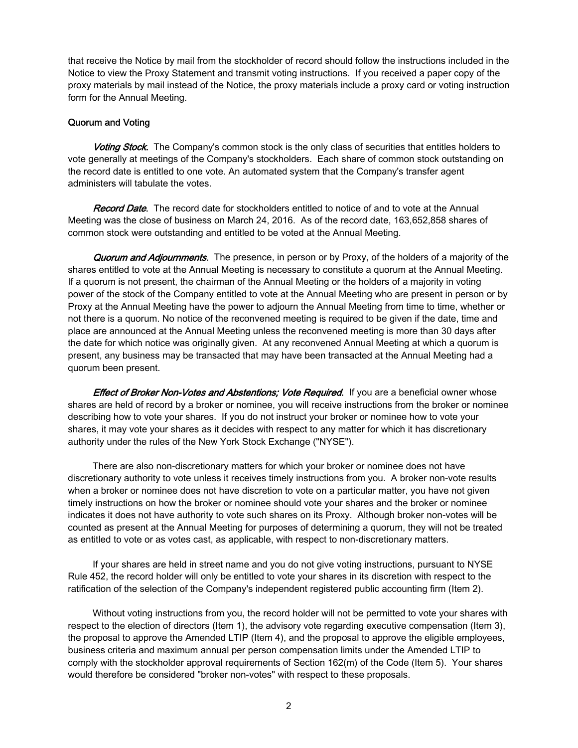that receive the Notice by mail from the stockholder of record should follow the instructions included in the Notice to view the Proxy Statement and transmit voting instructions. If you received a paper copy of the proxy materials by mail instead of the Notice, the proxy materials include a proxy card or voting instruction form for the Annual Meeting.

#### Quorum and Voting

Voting Stock. The Company's common stock is the only class of securities that entitles holders to vote generally at meetings of the Company's stockholders. Each share of common stock outstanding on the record date is entitled to one vote. An automated system that the Company's transfer agent administers will tabulate the votes.

Record Date. The record date for stockholders entitled to notice of and to vote at the Annual Meeting was the close of business on March 24, 2016. As of the record date, 163,652,858 shares of common stock were outstanding and entitled to be voted at the Annual Meeting.

**Quorum and Adjournments.** The presence, in person or by Proxy, of the holders of a majority of the shares entitled to vote at the Annual Meeting is necessary to constitute a quorum at the Annual Meeting. If a quorum is not present, the chairman of the Annual Meeting or the holders of a majority in voting power of the stock of the Company entitled to vote at the Annual Meeting who are present in person or by Proxy at the Annual Meeting have the power to adjourn the Annual Meeting from time to time, whether or not there is a quorum. No notice of the reconvened meeting is required to be given if the date, time and place are announced at the Annual Meeting unless the reconvened meeting is more than 30 days after the date for which notice was originally given. At any reconvened Annual Meeting at which a quorum is present, any business may be transacted that may have been transacted at the Annual Meeting had a quorum been present.

**Effect of Broker Non-Votes and Abstentions; Vote Required.** If you are a beneficial owner whose shares are held of record by a broker or nominee, you will receive instructions from the broker or nominee describing how to vote your shares. If you do not instruct your broker or nominee how to vote your shares, it may vote your shares as it decides with respect to any matter for which it has discretionary authority under the rules of the New York Stock Exchange ("NYSE").

 There are also non-discretionary matters for which your broker or nominee does not have discretionary authority to vote unless it receives timely instructions from you. A broker non-vote results when a broker or nominee does not have discretion to vote on a particular matter, you have not given timely instructions on how the broker or nominee should vote your shares and the broker or nominee indicates it does not have authority to vote such shares on its Proxy. Although broker non-votes will be counted as present at the Annual Meeting for purposes of determining a quorum, they will not be treated as entitled to vote or as votes cast, as applicable, with respect to non-discretionary matters.

 If your shares are held in street name and you do not give voting instructions, pursuant to NYSE Rule 452, the record holder will only be entitled to vote your shares in its discretion with respect to the ratification of the selection of the Company's independent registered public accounting firm (Item 2).

 Without voting instructions from you, the record holder will not be permitted to vote your shares with respect to the election of directors (Item 1), the advisory vote regarding executive compensation (Item 3), the proposal to approve the Amended LTIP (Item 4), and the proposal to approve the eligible employees, business criteria and maximum annual per person compensation limits under the Amended LTIP to comply with the stockholder approval requirements of Section 162(m) of the Code (Item 5). Your shares would therefore be considered "broker non-votes" with respect to these proposals.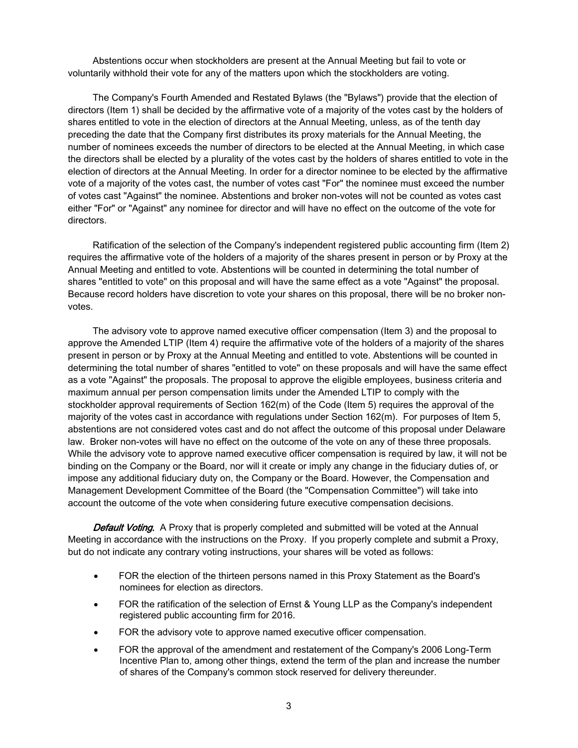Abstentions occur when stockholders are present at the Annual Meeting but fail to vote or voluntarily withhold their vote for any of the matters upon which the stockholders are voting.

 The Company's Fourth Amended and Restated Bylaws (the "Bylaws") provide that the election of directors (Item 1) shall be decided by the affirmative vote of a majority of the votes cast by the holders of shares entitled to vote in the election of directors at the Annual Meeting, unless, as of the tenth day preceding the date that the Company first distributes its proxy materials for the Annual Meeting, the number of nominees exceeds the number of directors to be elected at the Annual Meeting, in which case the directors shall be elected by a plurality of the votes cast by the holders of shares entitled to vote in the election of directors at the Annual Meeting. In order for a director nominee to be elected by the affirmative vote of a majority of the votes cast, the number of votes cast "For" the nominee must exceed the number of votes cast "Against" the nominee. Abstentions and broker non-votes will not be counted as votes cast either "For" or "Against" any nominee for director and will have no effect on the outcome of the vote for directors.

 Ratification of the selection of the Company's independent registered public accounting firm (Item 2) requires the affirmative vote of the holders of a majority of the shares present in person or by Proxy at the Annual Meeting and entitled to vote. Abstentions will be counted in determining the total number of shares "entitled to vote" on this proposal and will have the same effect as a vote "Against" the proposal. Because record holders have discretion to vote your shares on this proposal, there will be no broker nonvotes.

 The advisory vote to approve named executive officer compensation (Item 3) and the proposal to approve the Amended LTIP (Item 4) require the affirmative vote of the holders of a majority of the shares present in person or by Proxy at the Annual Meeting and entitled to vote. Abstentions will be counted in determining the total number of shares "entitled to vote" on these proposals and will have the same effect as a vote "Against" the proposals. The proposal to approve the eligible employees, business criteria and maximum annual per person compensation limits under the Amended LTIP to comply with the stockholder approval requirements of Section 162(m) of the Code (Item 5) requires the approval of the majority of the votes cast in accordance with regulations under Section 162(m). For purposes of Item 5, abstentions are not considered votes cast and do not affect the outcome of this proposal under Delaware law. Broker non-votes will have no effect on the outcome of the vote on any of these three proposals. While the advisory vote to approve named executive officer compensation is required by law, it will not be binding on the Company or the Board, nor will it create or imply any change in the fiduciary duties of, or impose any additional fiduciary duty on, the Company or the Board. However, the Compensation and Management Development Committee of the Board (the "Compensation Committee") will take into account the outcome of the vote when considering future executive compensation decisions.

**Default Voting.** A Proxy that is properly completed and submitted will be voted at the Annual Meeting in accordance with the instructions on the Proxy. If you properly complete and submit a Proxy, but do not indicate any contrary voting instructions, your shares will be voted as follows:

- FOR the election of the thirteen persons named in this Proxy Statement as the Board's nominees for election as directors.
- FOR the ratification of the selection of Ernst & Young LLP as the Company's independent registered public accounting firm for 2016.
- FOR the advisory vote to approve named executive officer compensation.
- FOR the approval of the amendment and restatement of the Company's 2006 Long-Term Incentive Plan to, among other things, extend the term of the plan and increase the number of shares of the Company's common stock reserved for delivery thereunder.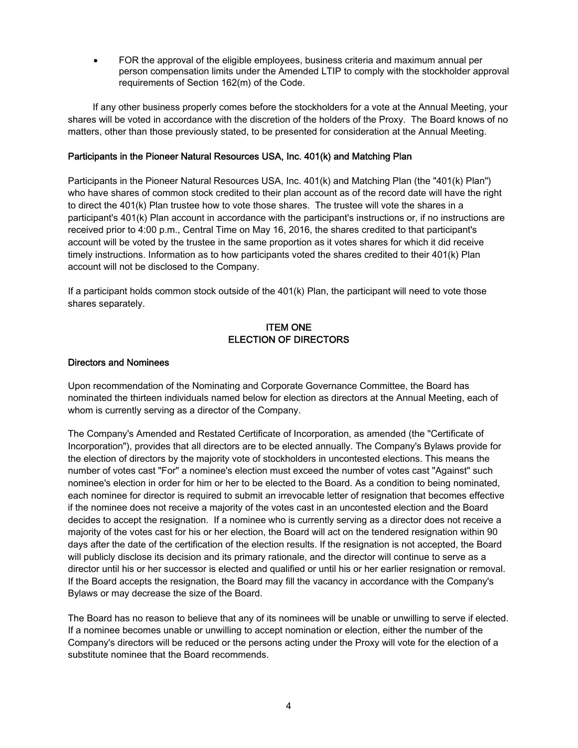FOR the approval of the eligible employees, business criteria and maximum annual per person compensation limits under the Amended LTIP to comply with the stockholder approval requirements of Section 162(m) of the Code.

 If any other business properly comes before the stockholders for a vote at the Annual Meeting, your shares will be voted in accordance with the discretion of the holders of the Proxy. The Board knows of no matters, other than those previously stated, to be presented for consideration at the Annual Meeting.

## Participants in the Pioneer Natural Resources USA, Inc. 401(k) and Matching Plan

Participants in the Pioneer Natural Resources USA, Inc. 401(k) and Matching Plan (the "401(k) Plan") who have shares of common stock credited to their plan account as of the record date will have the right to direct the 401(k) Plan trustee how to vote those shares. The trustee will vote the shares in a participant's 401(k) Plan account in accordance with the participant's instructions or, if no instructions are received prior to 4:00 p.m., Central Time on May 16, 2016, the shares credited to that participant's account will be voted by the trustee in the same proportion as it votes shares for which it did receive timely instructions. Information as to how participants voted the shares credited to their 401(k) Plan account will not be disclosed to the Company.

If a participant holds common stock outside of the 401(k) Plan, the participant will need to vote those shares separately.

## ITEM ONE ELECTION OF DIRECTORS

## Directors and Nominees

Upon recommendation of the Nominating and Corporate Governance Committee, the Board has nominated the thirteen individuals named below for election as directors at the Annual Meeting, each of whom is currently serving as a director of the Company.

The Company's Amended and Restated Certificate of Incorporation, as amended (the "Certificate of Incorporation"), provides that all directors are to be elected annually. The Company's Bylaws provide for the election of directors by the majority vote of stockholders in uncontested elections. This means the number of votes cast "For" a nominee's election must exceed the number of votes cast "Against" such nominee's election in order for him or her to be elected to the Board. As a condition to being nominated, each nominee for director is required to submit an irrevocable letter of resignation that becomes effective if the nominee does not receive a majority of the votes cast in an uncontested election and the Board decides to accept the resignation. If a nominee who is currently serving as a director does not receive a majority of the votes cast for his or her election, the Board will act on the tendered resignation within 90 days after the date of the certification of the election results. If the resignation is not accepted, the Board will publicly disclose its decision and its primary rationale, and the director will continue to serve as a director until his or her successor is elected and qualified or until his or her earlier resignation or removal. If the Board accepts the resignation, the Board may fill the vacancy in accordance with the Company's Bylaws or may decrease the size of the Board.

The Board has no reason to believe that any of its nominees will be unable or unwilling to serve if elected. If a nominee becomes unable or unwilling to accept nomination or election, either the number of the Company's directors will be reduced or the persons acting under the Proxy will vote for the election of a substitute nominee that the Board recommends.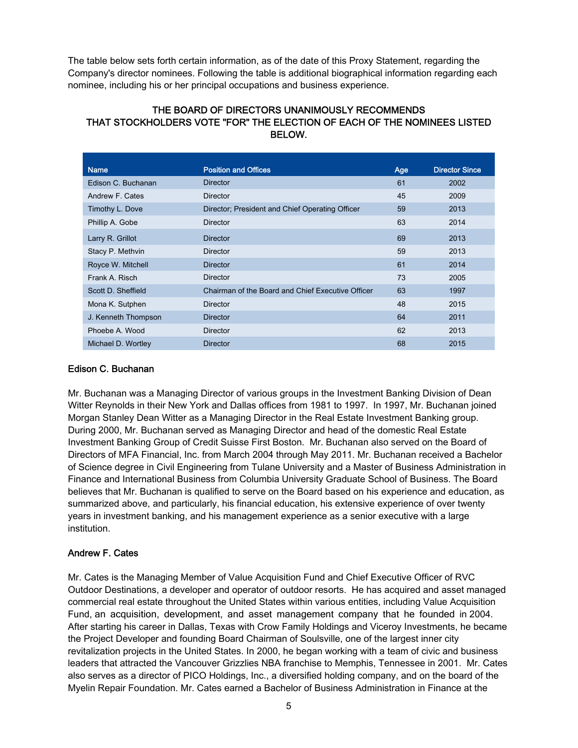The table below sets forth certain information, as of the date of this Proxy Statement, regarding the Company's director nominees. Following the table is additional biographical information regarding each nominee, including his or her principal occupations and business experience.

## THE BOARD OF DIRECTORS UNANIMOUSLY RECOMMENDS THAT STOCKHOLDERS VOTE "FOR" THE ELECTION OF EACH OF THE NOMINEES LISTED BELOW.

| <b>Name</b>         | <b>Position and Offices</b>                       | Age | <b>Director Since</b> |
|---------------------|---------------------------------------------------|-----|-----------------------|
| Edison C. Buchanan  | <b>Director</b>                                   | 61  | 2002                  |
| Andrew F. Cates     | <b>Director</b>                                   | 45  | 2009                  |
| Timothy L. Dove     | Director; President and Chief Operating Officer   | 59  | 2013                  |
| Phillip A. Gobe     | <b>Director</b>                                   | 63  | 2014                  |
| Larry R. Grillot    | <b>Director</b>                                   | 69  | 2013                  |
| Stacy P. Methvin    | <b>Director</b>                                   | 59  | 2013                  |
| Royce W. Mitchell   | <b>Director</b>                                   | 61  | 2014                  |
| Frank A. Risch      | <b>Director</b>                                   | 73  | 2005                  |
| Scott D. Sheffield  | Chairman of the Board and Chief Executive Officer | 63  | 1997                  |
| Mona K. Sutphen     | <b>Director</b>                                   | 48  | 2015                  |
| J. Kenneth Thompson | <b>Director</b>                                   | 64  | 2011                  |
| Phoebe A. Wood      | <b>Director</b>                                   | 62  | 2013                  |
| Michael D. Wortley  | <b>Director</b>                                   | 68  | 2015                  |

## Edison C. Buchanan

Mr. Buchanan was a Managing Director of various groups in the Investment Banking Division of Dean Witter Reynolds in their New York and Dallas offices from 1981 to 1997. In 1997, Mr. Buchanan joined Morgan Stanley Dean Witter as a Managing Director in the Real Estate Investment Banking group. During 2000, Mr. Buchanan served as Managing Director and head of the domestic Real Estate Investment Banking Group of Credit Suisse First Boston. Mr. Buchanan also served on the Board of Directors of MFA Financial, Inc. from March 2004 through May 2011. Mr. Buchanan received a Bachelor of Science degree in Civil Engineering from Tulane University and a Master of Business Administration in Finance and International Business from Columbia University Graduate School of Business. The Board believes that Mr. Buchanan is qualified to serve on the Board based on his experience and education, as summarized above, and particularly, his financial education, his extensive experience of over twenty years in investment banking, and his management experience as a senior executive with a large institution.

## Andrew F. Cates

Mr. Cates is the Managing Member of Value Acquisition Fund and Chief Executive Officer of RVC Outdoor Destinations, a developer and operator of outdoor resorts. He has acquired and asset managed commercial real estate throughout the United States within various entities, including Value Acquisition Fund, an acquisition, development, and asset management company that he founded in 2004. After starting his career in Dallas, Texas with Crow Family Holdings and Viceroy Investments, he became the Project Developer and founding Board Chairman of Soulsville, one of the largest inner city revitalization projects in the United States. In 2000, he began working with a team of civic and business leaders that attracted the Vancouver Grizzlies NBA franchise to Memphis, Tennessee in 2001. Mr. Cates also serves as a director of PICO Holdings, Inc., a diversified holding company, and on the board of the Myelin Repair Foundation. Mr. Cates earned a Bachelor of Business Administration in Finance at the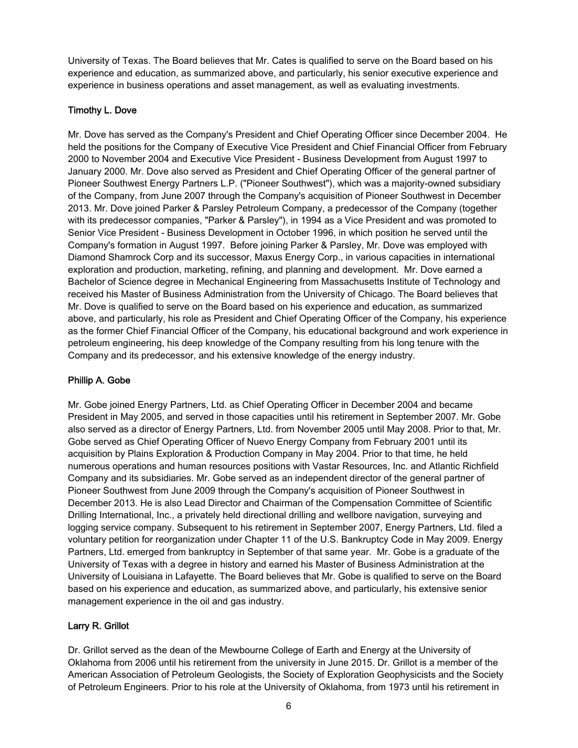University of Texas. The Board believes that Mr. Cates is qualified to serve on the Board based on his experience and education, as summarized above, and particularly, his senior executive experience and experience in business operations and asset management, as well as evaluating investments.

## Timothy L. Dove

Mr. Dove has served as the Company's President and Chief Operating Officer since December 2004. He held the positions for the Company of Executive Vice President and Chief Financial Officer from February 2000 to November 2004 and Executive Vice President - Business Development from August 1997 to January 2000. Mr. Dove also served as President and Chief Operating Officer of the general partner of Pioneer Southwest Energy Partners L.P. ("Pioneer Southwest"), which was a majority-owned subsidiary of the Company, from June 2007 through the Company's acquisition of Pioneer Southwest in December 2013. Mr. Dove joined Parker & Parsley Petroleum Company, a predecessor of the Company (together with its predecessor companies, "Parker & Parsley"), in 1994 as a Vice President and was promoted to Senior Vice President - Business Development in October 1996, in which position he served until the Company's formation in August 1997. Before joining Parker & Parsley, Mr. Dove was employed with Diamond Shamrock Corp and its successor, Maxus Energy Corp., in various capacities in international exploration and production, marketing, refining, and planning and development. Mr. Dove earned a Bachelor of Science degree in Mechanical Engineering from Massachusetts Institute of Technology and received his Master of Business Administration from the University of Chicago. The Board believes that Mr. Dove is qualified to serve on the Board based on his experience and education, as summarized above, and particularly, his role as President and Chief Operating Officer of the Company, his experience as the former Chief Financial Officer of the Company, his educational background and work experience in petroleum engineering, his deep knowledge of the Company resulting from his long tenure with the Company and its predecessor, and his extensive knowledge of the energy industry.

## Phillip A. Gobe

Mr. Gobe joined Energy Partners, Ltd. as Chief Operating Officer in December 2004 and became President in May 2005, and served in those capacities until his retirement in September 2007. Mr. Gobe also served as a director of Energy Partners, Ltd. from November 2005 until May 2008. Prior to that, Mr. Gobe served as Chief Operating Officer of Nuevo Energy Company from February 2001 until its acquisition by Plains Exploration & Production Company in May 2004. Prior to that time, he held numerous operations and human resources positions with Vastar Resources, Inc. and Atlantic Richfield Company and its subsidiaries. Mr. Gobe served as an independent director of the general partner of Pioneer Southwest from June 2009 through the Company's acquisition of Pioneer Southwest in December 2013. He is also Lead Director and Chairman of the Compensation Committee of Scientific Drilling International, Inc., a privately held directional drilling and wellbore navigation, surveying and logging service company. Subsequent to his retirement in September 2007, Energy Partners, Ltd. filed a voluntary petition for reorganization under Chapter 11 of the U.S. Bankruptcy Code in May 2009. Energy Partners, Ltd. emerged from bankruptcy in September of that same year. Mr. Gobe is a graduate of the University of Texas with a degree in history and earned his Master of Business Administration at the University of Louisiana in Lafayette. The Board believes that Mr. Gobe is qualified to serve on the Board based on his experience and education, as summarized above, and particularly, his extensive senior management experience in the oil and gas industry.

## Larry R. Grillot

Dr. Grillot served as the dean of the Mewbourne College of Earth and Energy at the University of Oklahoma from 2006 until his retirement from the university in June 2015. Dr. Grillot is a member of the American Association of Petroleum Geologists, the Society of Exploration Geophysicists and the Society of Petroleum Engineers. Prior to his role at the University of Oklahoma, from 1973 until his retirement in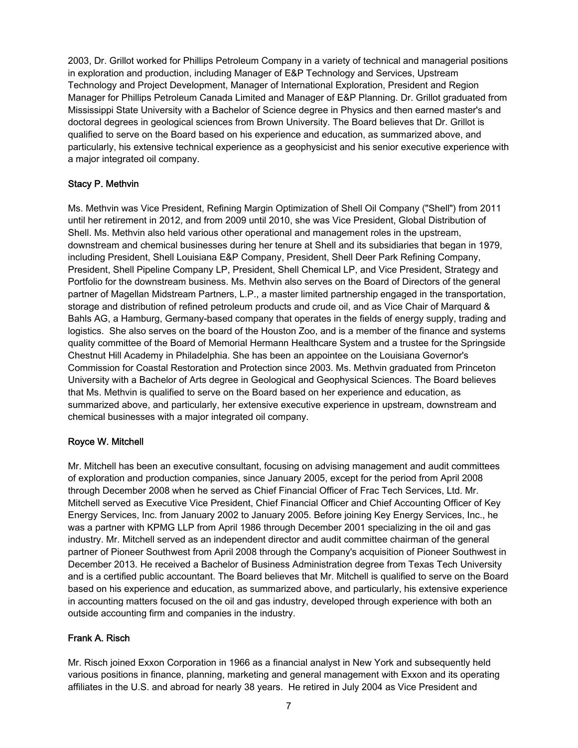2003, Dr. Grillot worked for Phillips Petroleum Company in a variety of technical and managerial positions in exploration and production, including Manager of E&P Technology and Services, Upstream Technology and Project Development, Manager of International Exploration, President and Region Manager for Phillips Petroleum Canada Limited and Manager of E&P Planning. Dr. Grillot graduated from Mississippi State University with a Bachelor of Science degree in Physics and then earned master's and doctoral degrees in geological sciences from Brown University. The Board believes that Dr. Grillot is qualified to serve on the Board based on his experience and education, as summarized above, and particularly, his extensive technical experience as a geophysicist and his senior executive experience with a major integrated oil company.

## Stacy P. Methvin

Ms. Methvin was Vice President, Refining Margin Optimization of Shell Oil Company ("Shell") from 2011 until her retirement in 2012, and from 2009 until 2010, she was Vice President, Global Distribution of Shell. Ms. Methvin also held various other operational and management roles in the upstream, downstream and chemical businesses during her tenure at Shell and its subsidiaries that began in 1979, including President, Shell Louisiana E&P Company, President, Shell Deer Park Refining Company, President, Shell Pipeline Company LP, President, Shell Chemical LP, and Vice President, Strategy and Portfolio for the downstream business. Ms. Methvin also serves on the Board of Directors of the general partner of Magellan Midstream Partners, L.P., a master limited partnership engaged in the transportation, storage and distribution of refined petroleum products and crude oil, and as Vice Chair of Marquard & Bahls AG, a Hamburg, Germany-based company that operates in the fields of energy supply, trading and logistics. She also serves on the board of the Houston Zoo, and is a member of the finance and systems quality committee of the Board of Memorial Hermann Healthcare System and a trustee for the Springside Chestnut Hill Academy in Philadelphia. She has been an appointee on the Louisiana Governor's Commission for Coastal Restoration and Protection since 2003. Ms. Methvin graduated from Princeton University with a Bachelor of Arts degree in Geological and Geophysical Sciences. The Board believes that Ms. Methvin is qualified to serve on the Board based on her experience and education, as summarized above, and particularly, her extensive executive experience in upstream, downstream and chemical businesses with a major integrated oil company.

## Royce W. Mitchell

Mr. Mitchell has been an executive consultant, focusing on advising management and audit committees of exploration and production companies, since January 2005, except for the period from April 2008 through December 2008 when he served as Chief Financial Officer of Frac Tech Services, Ltd. Mr. Mitchell served as Executive Vice President, Chief Financial Officer and Chief Accounting Officer of Key Energy Services, Inc. from January 2002 to January 2005. Before joining Key Energy Services, Inc., he was a partner with KPMG LLP from April 1986 through December 2001 specializing in the oil and gas industry. Mr. Mitchell served as an independent director and audit committee chairman of the general partner of Pioneer Southwest from April 2008 through the Company's acquisition of Pioneer Southwest in December 2013. He received a Bachelor of Business Administration degree from Texas Tech University and is a certified public accountant. The Board believes that Mr. Mitchell is qualified to serve on the Board based on his experience and education, as summarized above, and particularly, his extensive experience in accounting matters focused on the oil and gas industry, developed through experience with both an outside accounting firm and companies in the industry.

## Frank A. Risch

Mr. Risch joined Exxon Corporation in 1966 as a financial analyst in New York and subsequently held various positions in finance, planning, marketing and general management with Exxon and its operating affiliates in the U.S. and abroad for nearly 38 years. He retired in July 2004 as Vice President and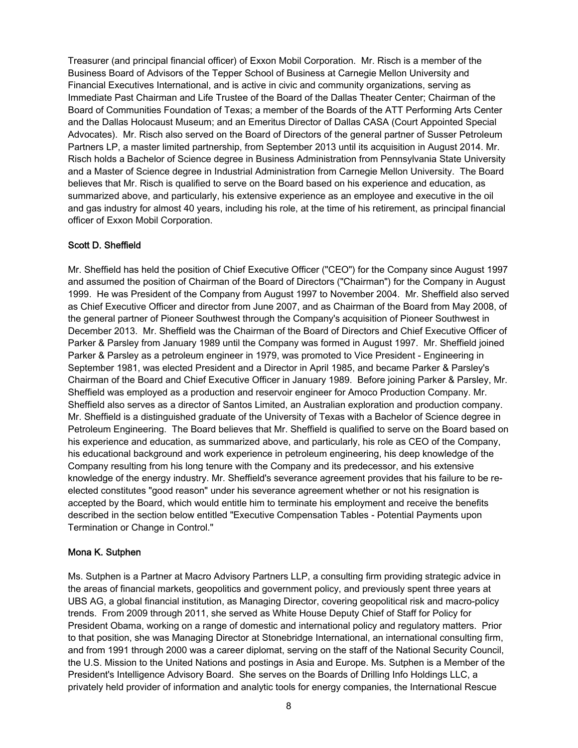Treasurer (and principal financial officer) of Exxon Mobil Corporation. Mr. Risch is a member of the Business Board of Advisors of the Tepper School of Business at Carnegie Mellon University and Financial Executives International, and is active in civic and community organizations, serving as Immediate Past Chairman and Life Trustee of the Board of the Dallas Theater Center; Chairman of the Board of Communities Foundation of Texas; a member of the Boards of the ATT Performing Arts Center and the Dallas Holocaust Museum; and an Emeritus Director of Dallas CASA (Court Appointed Special Advocates). Mr. Risch also served on the Board of Directors of the general partner of Susser Petroleum Partners LP, a master limited partnership, from September 2013 until its acquisition in August 2014. Mr. Risch holds a Bachelor of Science degree in Business Administration from Pennsylvania State University and a Master of Science degree in Industrial Administration from Carnegie Mellon University. The Board believes that Mr. Risch is qualified to serve on the Board based on his experience and education, as summarized above, and particularly, his extensive experience as an employee and executive in the oil and gas industry for almost 40 years, including his role, at the time of his retirement, as principal financial officer of Exxon Mobil Corporation.

#### Scott D. Sheffield

Mr. Sheffield has held the position of Chief Executive Officer ("CEO") for the Company since August 1997 and assumed the position of Chairman of the Board of Directors ("Chairman") for the Company in August 1999. He was President of the Company from August 1997 to November 2004. Mr. Sheffield also served as Chief Executive Officer and director from June 2007, and as Chairman of the Board from May 2008, of the general partner of Pioneer Southwest through the Company's acquisition of Pioneer Southwest in December 2013. Mr. Sheffield was the Chairman of the Board of Directors and Chief Executive Officer of Parker & Parsley from January 1989 until the Company was formed in August 1997. Mr. Sheffield joined Parker & Parsley as a petroleum engineer in 1979, was promoted to Vice President - Engineering in September 1981, was elected President and a Director in April 1985, and became Parker & Parsley's Chairman of the Board and Chief Executive Officer in January 1989. Before joining Parker & Parsley, Mr. Sheffield was employed as a production and reservoir engineer for Amoco Production Company. Mr. Sheffield also serves as a director of Santos Limited, an Australian exploration and production company. Mr. Sheffield is a distinguished graduate of the University of Texas with a Bachelor of Science degree in Petroleum Engineering. The Board believes that Mr. Sheffield is qualified to serve on the Board based on his experience and education, as summarized above, and particularly, his role as CEO of the Company, his educational background and work experience in petroleum engineering, his deep knowledge of the Company resulting from his long tenure with the Company and its predecessor, and his extensive knowledge of the energy industry. Mr. Sheffield's severance agreement provides that his failure to be reelected constitutes "good reason" under his severance agreement whether or not his resignation is accepted by the Board, which would entitle him to terminate his employment and receive the benefits described in the section below entitled "Executive Compensation Tables - Potential Payments upon Termination or Change in Control."

## Mona K. Sutphen

Ms. Sutphen is a Partner at Macro Advisory Partners LLP, a consulting firm providing strategic advice in the areas of financial markets, geopolitics and government policy, and previously spent three years at UBS AG, a global financial institution, as Managing Director, covering geopolitical risk and macro-policy trends. From 2009 through 2011, she served as White House Deputy Chief of Staff for Policy for President Obama, working on a range of domestic and international policy and regulatory matters. Prior to that position, she was Managing Director at Stonebridge International, an international consulting firm, and from 1991 through 2000 was a career diplomat, serving on the staff of the National Security Council, the U.S. Mission to the United Nations and postings in Asia and Europe. Ms. Sutphen is a Member of the President's Intelligence Advisory Board. She serves on the Boards of Drilling Info Holdings LLC, a privately held provider of information and analytic tools for energy companies, the International Rescue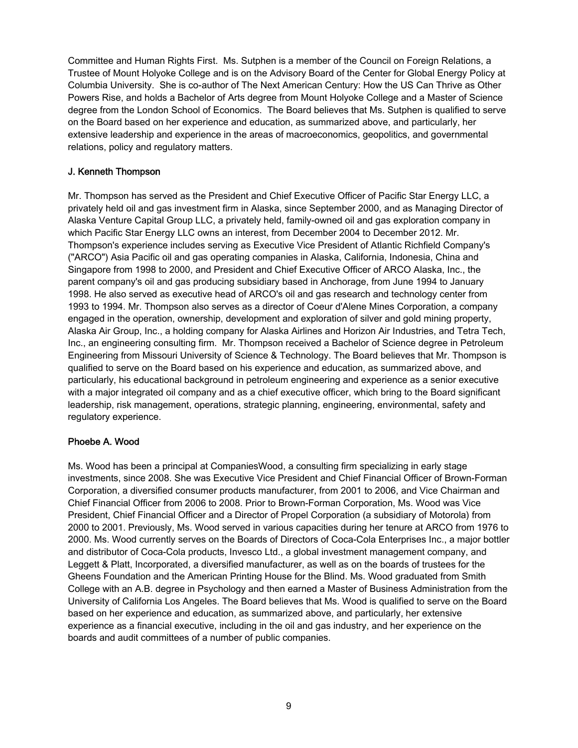Committee and Human Rights First. Ms. Sutphen is a member of the Council on Foreign Relations, a Trustee of Mount Holyoke College and is on the Advisory Board of the Center for Global Energy Policy at Columbia University. She is co-author of The Next American Century: How the US Can Thrive as Other Powers Rise, and holds a Bachelor of Arts degree from Mount Holyoke College and a Master of Science degree from the London School of Economics. The Board believes that Ms. Sutphen is qualified to serve on the Board based on her experience and education, as summarized above, and particularly, her extensive leadership and experience in the areas of macroeconomics, geopolitics, and governmental relations, policy and regulatory matters.

## J. Kenneth Thompson

Mr. Thompson has served as the President and Chief Executive Officer of Pacific Star Energy LLC, a privately held oil and gas investment firm in Alaska, since September 2000, and as Managing Director of Alaska Venture Capital Group LLC, a privately held, family-owned oil and gas exploration company in which Pacific Star Energy LLC owns an interest, from December 2004 to December 2012. Mr. Thompson's experience includes serving as Executive Vice President of Atlantic Richfield Company's ("ARCO") Asia Pacific oil and gas operating companies in Alaska, California, Indonesia, China and Singapore from 1998 to 2000, and President and Chief Executive Officer of ARCO Alaska, Inc., the parent company's oil and gas producing subsidiary based in Anchorage, from June 1994 to January 1998. He also served as executive head of ARCO's oil and gas research and technology center from 1993 to 1994. Mr. Thompson also serves as a director of Coeur d'Alene Mines Corporation, a company engaged in the operation, ownership, development and exploration of silver and gold mining property, Alaska Air Group, Inc., a holding company for Alaska Airlines and Horizon Air Industries, and Tetra Tech, Inc., an engineering consulting firm. Mr. Thompson received a Bachelor of Science degree in Petroleum Engineering from Missouri University of Science & Technology. The Board believes that Mr. Thompson is qualified to serve on the Board based on his experience and education, as summarized above, and particularly, his educational background in petroleum engineering and experience as a senior executive with a major integrated oil company and as a chief executive officer, which bring to the Board significant leadership, risk management, operations, strategic planning, engineering, environmental, safety and regulatory experience.

## Phoebe A. Wood

Ms. Wood has been a principal at CompaniesWood, a consulting firm specializing in early stage investments, since 2008. She was Executive Vice President and Chief Financial Officer of Brown-Forman Corporation, a diversified consumer products manufacturer, from 2001 to 2006, and Vice Chairman and Chief Financial Officer from 2006 to 2008. Prior to Brown-Forman Corporation, Ms. Wood was Vice President, Chief Financial Officer and a Director of Propel Corporation (a subsidiary of Motorola) from 2000 to 2001. Previously, Ms. Wood served in various capacities during her tenure at ARCO from 1976 to 2000. Ms. Wood currently serves on the Boards of Directors of Coca-Cola Enterprises Inc., a major bottler and distributor of Coca-Cola products, Invesco Ltd., a global investment management company, and Leggett & Platt, Incorporated, a diversified manufacturer, as well as on the boards of trustees for the Gheens Foundation and the American Printing House for the Blind. Ms. Wood graduated from Smith College with an A.B. degree in Psychology and then earned a Master of Business Administration from the University of California Los Angeles. The Board believes that Ms. Wood is qualified to serve on the Board based on her experience and education, as summarized above, and particularly, her extensive experience as a financial executive, including in the oil and gas industry, and her experience on the boards and audit committees of a number of public companies.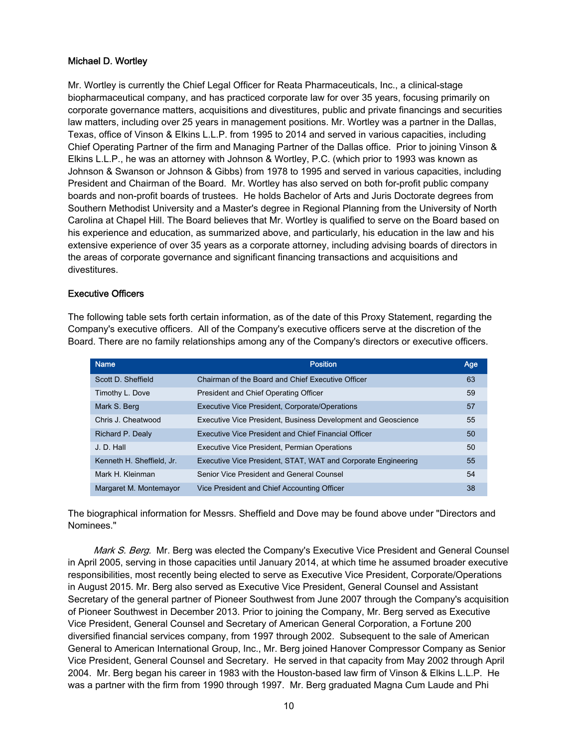#### Michael D. Wortley

Mr. Wortley is currently the Chief Legal Officer for Reata Pharmaceuticals, Inc., a clinical-stage biopharmaceutical company, and has practiced corporate law for over 35 years, focusing primarily on corporate governance matters, acquisitions and divestitures, public and private financings and securities law matters, including over 25 years in management positions. Mr. Wortley was a partner in the Dallas, Texas, office of Vinson & Elkins L.L.P. from 1995 to 2014 and served in various capacities, including Chief Operating Partner of the firm and Managing Partner of the Dallas office. Prior to joining Vinson & Elkins L.L.P., he was an attorney with Johnson & Wortley, P.C. (which prior to 1993 was known as Johnson & Swanson or Johnson & Gibbs) from 1978 to 1995 and served in various capacities, including President and Chairman of the Board. Mr. Wortley has also served on both for-profit public company boards and non-profit boards of trustees. He holds Bachelor of Arts and Juris Doctorate degrees from Southern Methodist University and a Master's degree in Regional Planning from the University of North Carolina at Chapel Hill. The Board believes that Mr. Wortley is qualified to serve on the Board based on his experience and education, as summarized above, and particularly, his education in the law and his extensive experience of over 35 years as a corporate attorney, including advising boards of directors in the areas of corporate governance and significant financing transactions and acquisitions and divestitures.

#### Executive Officers

The following table sets forth certain information, as of the date of this Proxy Statement, regarding the Company's executive officers. All of the Company's executive officers serve at the discretion of the Board. There are no family relationships among any of the Company's directors or executive officers.

| <b>Name</b>               | <b>Position</b>                                               | Age |
|---------------------------|---------------------------------------------------------------|-----|
| Scott D. Sheffield        | Chairman of the Board and Chief Executive Officer             | 63  |
| Timothy L. Dove           | President and Chief Operating Officer                         | 59  |
| Mark S. Berg              | Executive Vice President, Corporate/Operations                | 57  |
| Chris J. Cheatwood        | Executive Vice President, Business Development and Geoscience | 55  |
| Richard P. Dealy          | Executive Vice President and Chief Financial Officer          | 50  |
| J. D. Hall                | Executive Vice President, Permian Operations                  | 50  |
| Kenneth H. Sheffield, Jr. | Executive Vice President, STAT, WAT and Corporate Engineering | 55  |
| Mark H. Kleinman          | Senior Vice President and General Counsel                     | 54  |
| Margaret M. Montemayor    | Vice President and Chief Accounting Officer                   | 38  |

The biographical information for Messrs. Sheffield and Dove may be found above under "Directors and Nominees."

Mark S. Berg. Mr. Berg was elected the Company's Executive Vice President and General Counsel in April 2005, serving in those capacities until January 2014, at which time he assumed broader executive responsibilities, most recently being elected to serve as Executive Vice President, Corporate/Operations in August 2015. Mr. Berg also served as Executive Vice President, General Counsel and Assistant Secretary of the general partner of Pioneer Southwest from June 2007 through the Company's acquisition of Pioneer Southwest in December 2013. Prior to joining the Company, Mr. Berg served as Executive Vice President, General Counsel and Secretary of American General Corporation, a Fortune 200 diversified financial services company, from 1997 through 2002. Subsequent to the sale of American General to American International Group, Inc., Mr. Berg joined Hanover Compressor Company as Senior Vice President, General Counsel and Secretary. He served in that capacity from May 2002 through April 2004. Mr. Berg began his career in 1983 with the Houston-based law firm of Vinson & Elkins L.L.P. He was a partner with the firm from 1990 through 1997. Mr. Berg graduated Magna Cum Laude and Phi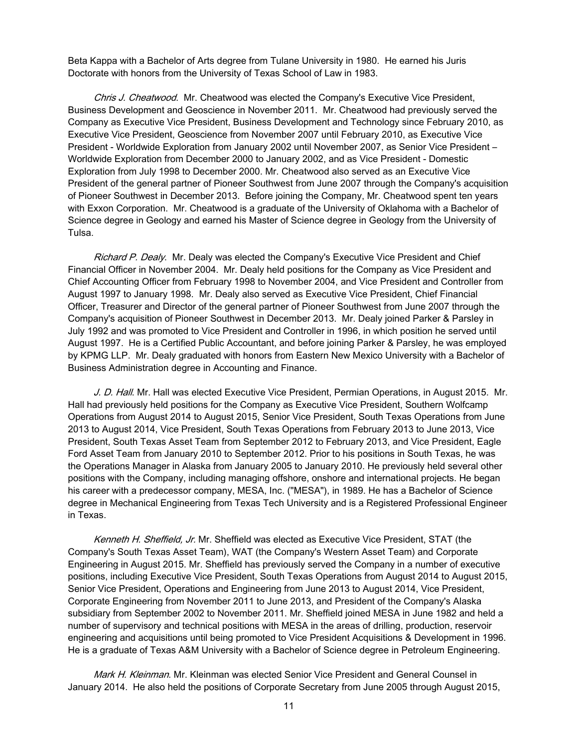Beta Kappa with a Bachelor of Arts degree from Tulane University in 1980. He earned his Juris Doctorate with honors from the University of Texas School of Law in 1983.

Chris J. Cheatwood. Mr. Cheatwood was elected the Company's Executive Vice President, Business Development and Geoscience in November 2011. Mr. Cheatwood had previously served the Company as Executive Vice President, Business Development and Technology since February 2010, as Executive Vice President, Geoscience from November 2007 until February 2010, as Executive Vice President - Worldwide Exploration from January 2002 until November 2007, as Senior Vice President – Worldwide Exploration from December 2000 to January 2002, and as Vice President - Domestic Exploration from July 1998 to December 2000. Mr. Cheatwood also served as an Executive Vice President of the general partner of Pioneer Southwest from June 2007 through the Company's acquisition of Pioneer Southwest in December 2013. Before joining the Company, Mr. Cheatwood spent ten years with Exxon Corporation. Mr. Cheatwood is a graduate of the University of Oklahoma with a Bachelor of Science degree in Geology and earned his Master of Science degree in Geology from the University of Tulsa.

Richard P. Dealy. Mr. Dealy was elected the Company's Executive Vice President and Chief Financial Officer in November 2004. Mr. Dealy held positions for the Company as Vice President and Chief Accounting Officer from February 1998 to November 2004, and Vice President and Controller from August 1997 to January 1998. Mr. Dealy also served as Executive Vice President, Chief Financial Officer, Treasurer and Director of the general partner of Pioneer Southwest from June 2007 through the Company's acquisition of Pioneer Southwest in December 2013. Mr. Dealy joined Parker & Parsley in July 1992 and was promoted to Vice President and Controller in 1996, in which position he served until August 1997. He is a Certified Public Accountant, and before joining Parker & Parsley, he was employed by KPMG LLP. Mr. Dealy graduated with honors from Eastern New Mexico University with a Bachelor of Business Administration degree in Accounting and Finance.

J. D. Hall. Mr. Hall was elected Executive Vice President, Permian Operations, in August 2015. Mr. Hall had previously held positions for the Company as Executive Vice President, Southern Wolfcamp Operations from August 2014 to August 2015, Senior Vice President, South Texas Operations from June 2013 to August 2014, Vice President, South Texas Operations from February 2013 to June 2013, Vice President, South Texas Asset Team from September 2012 to February 2013, and Vice President, Eagle Ford Asset Team from January 2010 to September 2012. Prior to his positions in South Texas, he was the Operations Manager in Alaska from January 2005 to January 2010. He previously held several other positions with the Company, including managing offshore, onshore and international projects. He began his career with a predecessor company, MESA, Inc. ("MESA"), in 1989. He has a Bachelor of Science degree in Mechanical Engineering from Texas Tech University and is a Registered Professional Engineer in Texas.

Kenneth H. Sheffield, Jr. Mr. Sheffield was elected as Executive Vice President, STAT (the Company's South Texas Asset Team), WAT (the Company's Western Asset Team) and Corporate Engineering in August 2015. Mr. Sheffield has previously served the Company in a number of executive positions, including Executive Vice President, South Texas Operations from August 2014 to August 2015, Senior Vice President, Operations and Engineering from June 2013 to August 2014, Vice President, Corporate Engineering from November 2011 to June 2013, and President of the Company's Alaska subsidiary from September 2002 to November 2011. Mr. Sheffield joined MESA in June 1982 and held a number of supervisory and technical positions with MESA in the areas of drilling, production, reservoir engineering and acquisitions until being promoted to Vice President Acquisitions & Development in 1996. He is a graduate of Texas A&M University with a Bachelor of Science degree in Petroleum Engineering.

Mark H. Kleinman. Mr. Kleinman was elected Senior Vice President and General Counsel in January 2014. He also held the positions of Corporate Secretary from June 2005 through August 2015,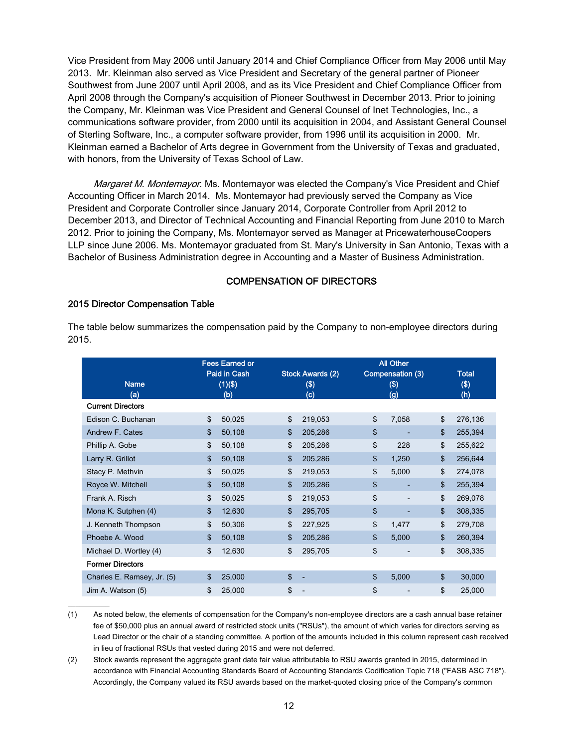Vice President from May 2006 until January 2014 and Chief Compliance Officer from May 2006 until May 2013. Mr. Kleinman also served as Vice President and Secretary of the general partner of Pioneer Southwest from June 2007 until April 2008, and as its Vice President and Chief Compliance Officer from April 2008 through the Company's acquisition of Pioneer Southwest in December 2013. Prior to joining the Company, Mr. Kleinman was Vice President and General Counsel of Inet Technologies, Inc., a communications software provider, from 2000 until its acquisition in 2004, and Assistant General Counsel of Sterling Software, Inc., a computer software provider, from 1996 until its acquisition in 2000. Mr. Kleinman earned a Bachelor of Arts degree in Government from the University of Texas and graduated, with honors, from the University of Texas School of Law.

Margaret M. Montemayor. Ms. Montemayor was elected the Company's Vice President and Chief Accounting Officer in March 2014. Ms. Montemayor had previously served the Company as Vice President and Corporate Controller since January 2014, Corporate Controller from April 2012 to December 2013, and Director of Technical Accounting and Financial Reporting from June 2010 to March 2012. Prior to joining the Company, Ms. Montemayor served as Manager at PricewaterhouseCoopers LLP since June 2006. Ms. Montemayor graduated from St. Mary's University in San Antonio, Texas with a Bachelor of Business Administration degree in Accounting and a Master of Business Administration.

#### COMPENSATION OF DIRECTORS

#### 2015 Director Compensation Table

 $\overline{\phantom{a}}$  , where  $\overline{\phantom{a}}$ 

| The table below summarizes the compensation paid by the Company to non-employee directors during |  |
|--------------------------------------------------------------------------------------------------|--|
| 2015.                                                                                            |  |

|                            | <b>Fees Earned or</b> |                |                         | <b>All Other</b> |                |              |
|----------------------------|-----------------------|----------------|-------------------------|------------------|----------------|--------------|
|                            | Paid in Cash          |                | <b>Stock Awards (2)</b> | Compensation (3) |                | <b>Total</b> |
| <b>Name</b>                | $(1)(\$)$             |                | $(\$)$                  | $($ \$)          |                | \$)          |
| (a)                        | (b)                   |                | (c)                     | (g)              |                | (h)          |
| <b>Current Directors</b>   |                       |                |                         |                  |                |              |
| Edison C. Buchanan         | \$<br>50,025          | \$             | 219,053                 | \$<br>7,058      | \$             | 276,136      |
| Andrew F. Cates            | \$<br>50,108          | \$             | 205,286                 | \$               | \$             | 255,394      |
| Phillip A. Gobe            | \$<br>50,108          | \$             | 205,286                 | \$<br>228        | \$             | 255,622      |
| Larry R. Grillot           | \$<br>50,108          | \$             | 205,286                 | \$<br>1,250      | \$             | 256,644      |
| Stacy P. Methvin           | \$<br>50,025          | \$             | 219,053                 | \$<br>5,000      | \$             | 274,078      |
| Royce W. Mitchell          | \$<br>50,108          | \$             | 205,286                 | \$               | \$             | 255,394      |
| Frank A. Risch             | \$<br>50,025          | \$             | 219,053                 | \$               | \$             | 269,078      |
| Mona K. Sutphen (4)        | \$<br>12,630          | \$             | 295,705                 | \$               | \$             | 308,335      |
| J. Kenneth Thompson        | \$<br>50,306          | \$             | 227,925                 | \$<br>1,477      | \$             | 279,708      |
| Phoebe A. Wood             | \$<br>50,108          | \$             | 205,286                 | \$<br>5,000      | \$             | 260,394      |
| Michael D. Wortley (4)     | \$<br>12,630          | \$             | 295,705                 | \$               | \$             | 308,335      |
| <b>Former Directors</b>    |                       |                |                         |                  |                |              |
| Charles E. Ramsey, Jr. (5) | \$<br>25,000          | $\mathfrak{S}$ |                         | \$<br>5,000      | $\mathfrak{L}$ | 30,000       |
| Jim A. Watson (5)          | \$<br>25,000          | \$             |                         | \$               | \$             | 25,000       |

(1) As noted below, the elements of compensation for the Company's non-employee directors are a cash annual base retainer fee of \$50,000 plus an annual award of restricted stock units ("RSUs"), the amount of which varies for directors serving as Lead Director or the chair of a standing committee. A portion of the amounts included in this column represent cash received in lieu of fractional RSUs that vested during 2015 and were not deferred.

(2) Stock awards represent the aggregate grant date fair value attributable to RSU awards granted in 2015, determined in accordance with Financial Accounting Standards Board of Accounting Standards Codification Topic 718 ("FASB ASC 718"). Accordingly, the Company valued its RSU awards based on the market-quoted closing price of the Company's common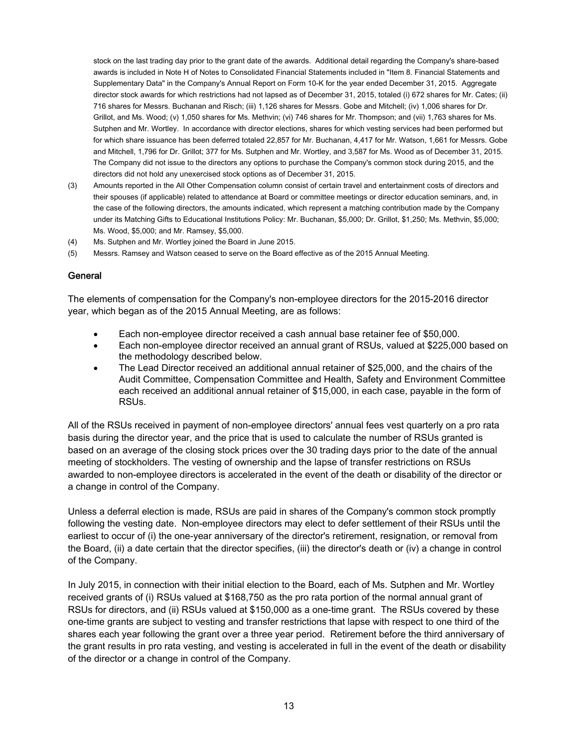stock on the last trading day prior to the grant date of the awards. Additional detail regarding the Company's share-based awards is included in Note H of Notes to Consolidated Financial Statements included in "Item 8. Financial Statements and Supplementary Data" in the Company's Annual Report on Form 10-K for the year ended December 31, 2015. Aggregate director stock awards for which restrictions had not lapsed as of December 31, 2015, totaled (i) 672 shares for Mr. Cates; (ii) 716 shares for Messrs. Buchanan and Risch; (iii) 1,126 shares for Messrs. Gobe and Mitchell; (iv) 1,006 shares for Dr. Grillot, and Ms. Wood; (v) 1,050 shares for Ms. Methvin; (vi) 746 shares for Mr. Thompson; and (vii) 1,763 shares for Ms. Sutphen and Mr. Wortley. In accordance with director elections, shares for which vesting services had been performed but for which share issuance has been deferred totaled 22,857 for Mr. Buchanan, 4,417 for Mr. Watson, 1,661 for Messrs. Gobe and Mitchell, 1,796 for Dr. Grillot; 377 for Ms. Sutphen and Mr. Wortley, and 3,587 for Ms. Wood as of December 31, 2015. The Company did not issue to the directors any options to purchase the Company's common stock during 2015, and the directors did not hold any unexercised stock options as of December 31, 2015.

- (3) Amounts reported in the All Other Compensation column consist of certain travel and entertainment costs of directors and their spouses (if applicable) related to attendance at Board or committee meetings or director education seminars, and, in the case of the following directors, the amounts indicated, which represent a matching contribution made by the Company under its Matching Gifts to Educational Institutions Policy: Mr. Buchanan, \$5,000; Dr. Grillot, \$1,250; Ms. Methvin, \$5,000; Ms. Wood, \$5,000; and Mr. Ramsey, \$5,000.
- (4) Ms. Sutphen and Mr. Wortley joined the Board in June 2015.
- (5) Messrs. Ramsey and Watson ceased to serve on the Board effective as of the 2015 Annual Meeting.

#### **General**

The elements of compensation for the Company's non-employee directors for the 2015-2016 director year, which began as of the 2015 Annual Meeting, are as follows:

- Each non-employee director received a cash annual base retainer fee of \$50,000.
- Each non-employee director received an annual grant of RSUs, valued at \$225,000 based on the methodology described below.
- The Lead Director received an additional annual retainer of \$25,000, and the chairs of the Audit Committee, Compensation Committee and Health, Safety and Environment Committee each received an additional annual retainer of \$15,000, in each case, payable in the form of RSUs.

All of the RSUs received in payment of non-employee directors' annual fees vest quarterly on a pro rata basis during the director year, and the price that is used to calculate the number of RSUs granted is based on an average of the closing stock prices over the 30 trading days prior to the date of the annual meeting of stockholders. The vesting of ownership and the lapse of transfer restrictions on RSUs awarded to non-employee directors is accelerated in the event of the death or disability of the director or a change in control of the Company.

Unless a deferral election is made, RSUs are paid in shares of the Company's common stock promptly following the vesting date. Non-employee directors may elect to defer settlement of their RSUs until the earliest to occur of (i) the one-year anniversary of the director's retirement, resignation, or removal from the Board, (ii) a date certain that the director specifies, (iii) the director's death or (iv) a change in control of the Company.

In July 2015, in connection with their initial election to the Board, each of Ms. Sutphen and Mr. Wortley received grants of (i) RSUs valued at \$168,750 as the pro rata portion of the normal annual grant of RSUs for directors, and (ii) RSUs valued at \$150,000 as a one-time grant. The RSUs covered by these one-time grants are subject to vesting and transfer restrictions that lapse with respect to one third of the shares each year following the grant over a three year period. Retirement before the third anniversary of the grant results in pro rata vesting, and vesting is accelerated in full in the event of the death or disability of the director or a change in control of the Company.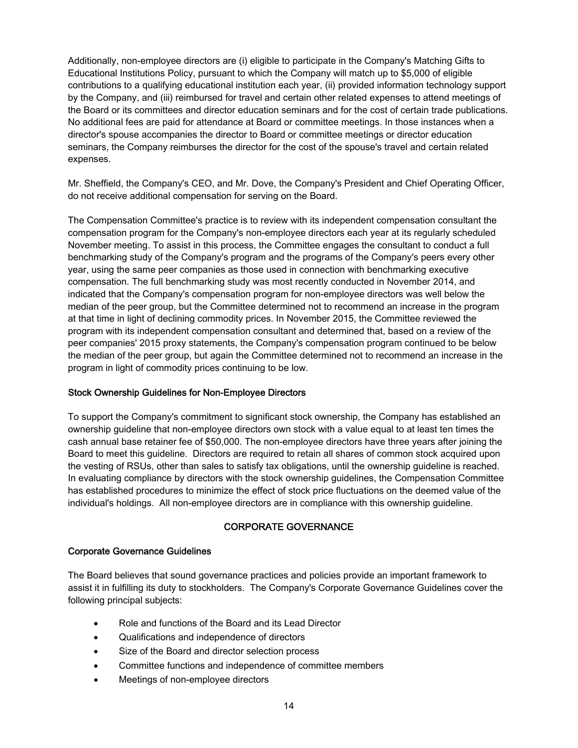Additionally, non-employee directors are (i) eligible to participate in the Company's Matching Gifts to Educational Institutions Policy, pursuant to which the Company will match up to \$5,000 of eligible contributions to a qualifying educational institution each year, (ii) provided information technology support by the Company, and (iii) reimbursed for travel and certain other related expenses to attend meetings of the Board or its committees and director education seminars and for the cost of certain trade publications. No additional fees are paid for attendance at Board or committee meetings. In those instances when a director's spouse accompanies the director to Board or committee meetings or director education seminars, the Company reimburses the director for the cost of the spouse's travel and certain related expenses.

Mr. Sheffield, the Company's CEO, and Mr. Dove, the Company's President and Chief Operating Officer, do not receive additional compensation for serving on the Board.

The Compensation Committee's practice is to review with its independent compensation consultant the compensation program for the Company's non-employee directors each year at its regularly scheduled November meeting. To assist in this process, the Committee engages the consultant to conduct a full benchmarking study of the Company's program and the programs of the Company's peers every other year, using the same peer companies as those used in connection with benchmarking executive compensation. The full benchmarking study was most recently conducted in November 2014, and indicated that the Company's compensation program for non-employee directors was well below the median of the peer group, but the Committee determined not to recommend an increase in the program at that time in light of declining commodity prices. In November 2015, the Committee reviewed the program with its independent compensation consultant and determined that, based on a review of the peer companies' 2015 proxy statements, the Company's compensation program continued to be below the median of the peer group, but again the Committee determined not to recommend an increase in the program in light of commodity prices continuing to be low.

## Stock Ownership Guidelines for Non-Employee Directors

To support the Company's commitment to significant stock ownership, the Company has established an ownership guideline that non-employee directors own stock with a value equal to at least ten times the cash annual base retainer fee of \$50,000. The non-employee directors have three years after joining the Board to meet this guideline. Directors are required to retain all shares of common stock acquired upon the vesting of RSUs, other than sales to satisfy tax obligations, until the ownership guideline is reached. In evaluating compliance by directors with the stock ownership guidelines, the Compensation Committee has established procedures to minimize the effect of stock price fluctuations on the deemed value of the individual's holdings. All non-employee directors are in compliance with this ownership guideline.

## CORPORATE GOVERNANCE

## Corporate Governance Guidelines

The Board believes that sound governance practices and policies provide an important framework to assist it in fulfilling its duty to stockholders. The Company's Corporate Governance Guidelines cover the following principal subjects:

- Role and functions of the Board and its Lead Director
- Qualifications and independence of directors
- Size of the Board and director selection process
- Committee functions and independence of committee members
- Meetings of non-employee directors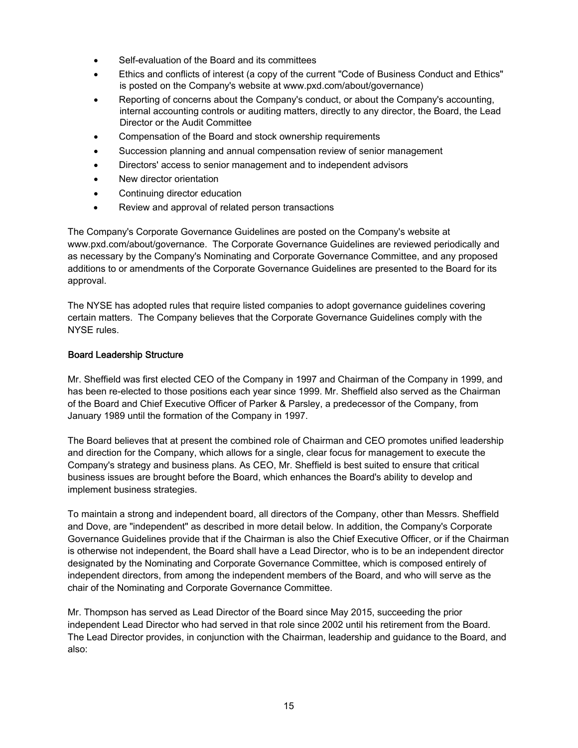- Self-evaluation of the Board and its committees
- Ethics and conflicts of interest (a copy of the current "Code of Business Conduct and Ethics" is posted on the Company's website at www.pxd.com/about/governance)
- Reporting of concerns about the Company's conduct, or about the Company's accounting, internal accounting controls or auditing matters, directly to any director, the Board, the Lead Director or the Audit Committee
- Compensation of the Board and stock ownership requirements
- Succession planning and annual compensation review of senior management
- Directors' access to senior management and to independent advisors
- New director orientation
- Continuing director education
- Review and approval of related person transactions

The Company's Corporate Governance Guidelines are posted on the Company's website at www.pxd.com/about/governance. The Corporate Governance Guidelines are reviewed periodically and as necessary by the Company's Nominating and Corporate Governance Committee, and any proposed additions to or amendments of the Corporate Governance Guidelines are presented to the Board for its approval.

The NYSE has adopted rules that require listed companies to adopt governance guidelines covering certain matters. The Company believes that the Corporate Governance Guidelines comply with the NYSE rules.

## Board Leadership Structure

Mr. Sheffield was first elected CEO of the Company in 1997 and Chairman of the Company in 1999, and has been re-elected to those positions each year since 1999. Mr. Sheffield also served as the Chairman of the Board and Chief Executive Officer of Parker & Parsley, a predecessor of the Company, from January 1989 until the formation of the Company in 1997.

The Board believes that at present the combined role of Chairman and CEO promotes unified leadership and direction for the Company, which allows for a single, clear focus for management to execute the Company's strategy and business plans. As CEO, Mr. Sheffield is best suited to ensure that critical business issues are brought before the Board, which enhances the Board's ability to develop and implement business strategies.

To maintain a strong and independent board, all directors of the Company, other than Messrs. Sheffield and Dove, are "independent" as described in more detail below. In addition, the Company's Corporate Governance Guidelines provide that if the Chairman is also the Chief Executive Officer, or if the Chairman is otherwise not independent, the Board shall have a Lead Director, who is to be an independent director designated by the Nominating and Corporate Governance Committee, which is composed entirely of independent directors, from among the independent members of the Board, and who will serve as the chair of the Nominating and Corporate Governance Committee.

Mr. Thompson has served as Lead Director of the Board since May 2015, succeeding the prior independent Lead Director who had served in that role since 2002 until his retirement from the Board. The Lead Director provides, in conjunction with the Chairman, leadership and guidance to the Board, and also: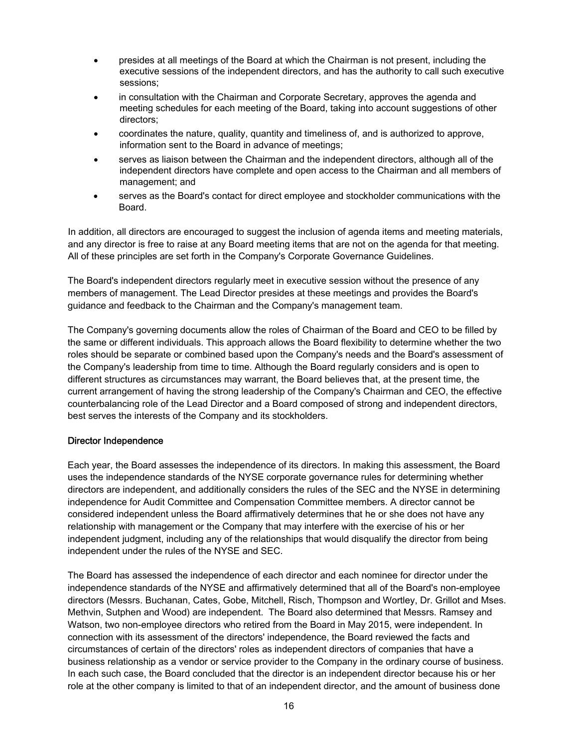- presides at all meetings of the Board at which the Chairman is not present, including the executive sessions of the independent directors, and has the authority to call such executive sessions;
- in consultation with the Chairman and Corporate Secretary, approves the agenda and meeting schedules for each meeting of the Board, taking into account suggestions of other directors;
- coordinates the nature, quality, quantity and timeliness of, and is authorized to approve, information sent to the Board in advance of meetings;
- serves as liaison between the Chairman and the independent directors, although all of the independent directors have complete and open access to the Chairman and all members of management; and
- serves as the Board's contact for direct employee and stockholder communications with the Board.

In addition, all directors are encouraged to suggest the inclusion of agenda items and meeting materials, and any director is free to raise at any Board meeting items that are not on the agenda for that meeting. All of these principles are set forth in the Company's Corporate Governance Guidelines.

The Board's independent directors regularly meet in executive session without the presence of any members of management. The Lead Director presides at these meetings and provides the Board's guidance and feedback to the Chairman and the Company's management team.

The Company's governing documents allow the roles of Chairman of the Board and CEO to be filled by the same or different individuals. This approach allows the Board flexibility to determine whether the two roles should be separate or combined based upon the Company's needs and the Board's assessment of the Company's leadership from time to time. Although the Board regularly considers and is open to different structures as circumstances may warrant, the Board believes that, at the present time, the current arrangement of having the strong leadership of the Company's Chairman and CEO, the effective counterbalancing role of the Lead Director and a Board composed of strong and independent directors, best serves the interests of the Company and its stockholders.

## Director Independence

Each year, the Board assesses the independence of its directors. In making this assessment, the Board uses the independence standards of the NYSE corporate governance rules for determining whether directors are independent, and additionally considers the rules of the SEC and the NYSE in determining independence for Audit Committee and Compensation Committee members. A director cannot be considered independent unless the Board affirmatively determines that he or she does not have any relationship with management or the Company that may interfere with the exercise of his or her independent judgment, including any of the relationships that would disqualify the director from being independent under the rules of the NYSE and SEC.

The Board has assessed the independence of each director and each nominee for director under the independence standards of the NYSE and affirmatively determined that all of the Board's non-employee directors (Messrs. Buchanan, Cates, Gobe, Mitchell, Risch, Thompson and Wortley, Dr. Grillot and Mses. Methvin, Sutphen and Wood) are independent. The Board also determined that Messrs. Ramsey and Watson, two non-employee directors who retired from the Board in May 2015, were independent. In connection with its assessment of the directors' independence, the Board reviewed the facts and circumstances of certain of the directors' roles as independent directors of companies that have a business relationship as a vendor or service provider to the Company in the ordinary course of business. In each such case, the Board concluded that the director is an independent director because his or her role at the other company is limited to that of an independent director, and the amount of business done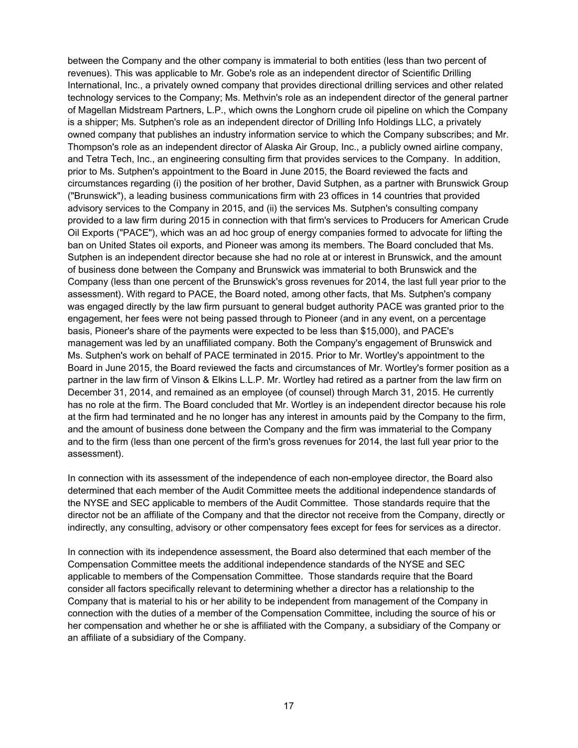between the Company and the other company is immaterial to both entities (less than two percent of revenues). This was applicable to Mr. Gobe's role as an independent director of Scientific Drilling International, Inc., a privately owned company that provides directional drilling services and other related technology services to the Company; Ms. Methvin's role as an independent director of the general partner of Magellan Midstream Partners, L.P., which owns the Longhorn crude oil pipeline on which the Company is a shipper; Ms. Sutphen's role as an independent director of Drilling Info Holdings LLC, a privately owned company that publishes an industry information service to which the Company subscribes; and Mr. Thompson's role as an independent director of Alaska Air Group, Inc., a publicly owned airline company, and Tetra Tech, Inc., an engineering consulting firm that provides services to the Company. In addition, prior to Ms. Sutphen's appointment to the Board in June 2015, the Board reviewed the facts and circumstances regarding (i) the position of her brother, David Sutphen, as a partner with Brunswick Group ("Brunswick"), a leading business communications firm with 23 offices in 14 countries that provided advisory services to the Company in 2015, and (ii) the services Ms. Sutphen's consulting company provided to a law firm during 2015 in connection with that firm's services to Producers for American Crude Oil Exports ("PACE"), which was an ad hoc group of energy companies formed to advocate for lifting the ban on United States oil exports, and Pioneer was among its members. The Board concluded that Ms. Sutphen is an independent director because she had no role at or interest in Brunswick, and the amount of business done between the Company and Brunswick was immaterial to both Brunswick and the Company (less than one percent of the Brunswick's gross revenues for 2014, the last full year prior to the assessment). With regard to PACE, the Board noted, among other facts, that Ms. Sutphen's company was engaged directly by the law firm pursuant to general budget authority PACE was granted prior to the engagement, her fees were not being passed through to Pioneer (and in any event, on a percentage basis, Pioneer's share of the payments were expected to be less than \$15,000), and PACE's management was led by an unaffiliated company. Both the Company's engagement of Brunswick and Ms. Sutphen's work on behalf of PACE terminated in 2015. Prior to Mr. Wortley's appointment to the Board in June 2015, the Board reviewed the facts and circumstances of Mr. Wortley's former position as a partner in the law firm of Vinson & Elkins L.L.P. Mr. Wortley had retired as a partner from the law firm on December 31, 2014, and remained as an employee (of counsel) through March 31, 2015. He currently has no role at the firm. The Board concluded that Mr. Wortley is an independent director because his role at the firm had terminated and he no longer has any interest in amounts paid by the Company to the firm, and the amount of business done between the Company and the firm was immaterial to the Company and to the firm (less than one percent of the firm's gross revenues for 2014, the last full year prior to the assessment).

In connection with its assessment of the independence of each non-employee director, the Board also determined that each member of the Audit Committee meets the additional independence standards of the NYSE and SEC applicable to members of the Audit Committee. Those standards require that the director not be an affiliate of the Company and that the director not receive from the Company, directly or indirectly, any consulting, advisory or other compensatory fees except for fees for services as a director.

In connection with its independence assessment, the Board also determined that each member of the Compensation Committee meets the additional independence standards of the NYSE and SEC applicable to members of the Compensation Committee. Those standards require that the Board consider all factors specifically relevant to determining whether a director has a relationship to the Company that is material to his or her ability to be independent from management of the Company in connection with the duties of a member of the Compensation Committee, including the source of his or her compensation and whether he or she is affiliated with the Company, a subsidiary of the Company or an affiliate of a subsidiary of the Company.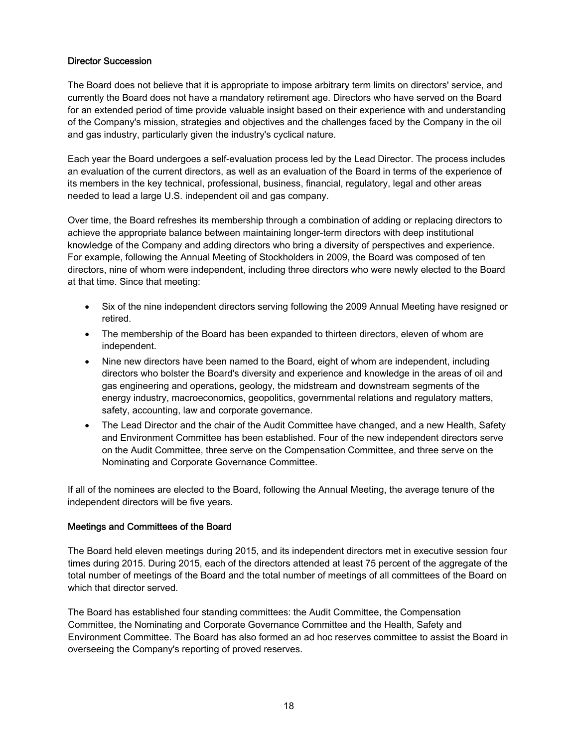#### Director Succession

The Board does not believe that it is appropriate to impose arbitrary term limits on directors' service, and currently the Board does not have a mandatory retirement age. Directors who have served on the Board for an extended period of time provide valuable insight based on their experience with and understanding of the Company's mission, strategies and objectives and the challenges faced by the Company in the oil and gas industry, particularly given the industry's cyclical nature.

Each year the Board undergoes a self-evaluation process led by the Lead Director. The process includes an evaluation of the current directors, as well as an evaluation of the Board in terms of the experience of its members in the key technical, professional, business, financial, regulatory, legal and other areas needed to lead a large U.S. independent oil and gas company.

Over time, the Board refreshes its membership through a combination of adding or replacing directors to achieve the appropriate balance between maintaining longer-term directors with deep institutional knowledge of the Company and adding directors who bring a diversity of perspectives and experience. For example, following the Annual Meeting of Stockholders in 2009, the Board was composed of ten directors, nine of whom were independent, including three directors who were newly elected to the Board at that time. Since that meeting:

- Six of the nine independent directors serving following the 2009 Annual Meeting have resigned or retired.
- The membership of the Board has been expanded to thirteen directors, eleven of whom are independent.
- Nine new directors have been named to the Board, eight of whom are independent, including directors who bolster the Board's diversity and experience and knowledge in the areas of oil and gas engineering and operations, geology, the midstream and downstream segments of the energy industry, macroeconomics, geopolitics, governmental relations and regulatory matters, safety, accounting, law and corporate governance.
- The Lead Director and the chair of the Audit Committee have changed, and a new Health, Safety and Environment Committee has been established. Four of the new independent directors serve on the Audit Committee, three serve on the Compensation Committee, and three serve on the Nominating and Corporate Governance Committee.

If all of the nominees are elected to the Board, following the Annual Meeting, the average tenure of the independent directors will be five years.

#### Meetings and Committees of the Board

The Board held eleven meetings during 2015, and its independent directors met in executive session four times during 2015. During 2015, each of the directors attended at least 75 percent of the aggregate of the total number of meetings of the Board and the total number of meetings of all committees of the Board on which that director served.

The Board has established four standing committees: the Audit Committee, the Compensation Committee, the Nominating and Corporate Governance Committee and the Health, Safety and Environment Committee. The Board has also formed an ad hoc reserves committee to assist the Board in overseeing the Company's reporting of proved reserves.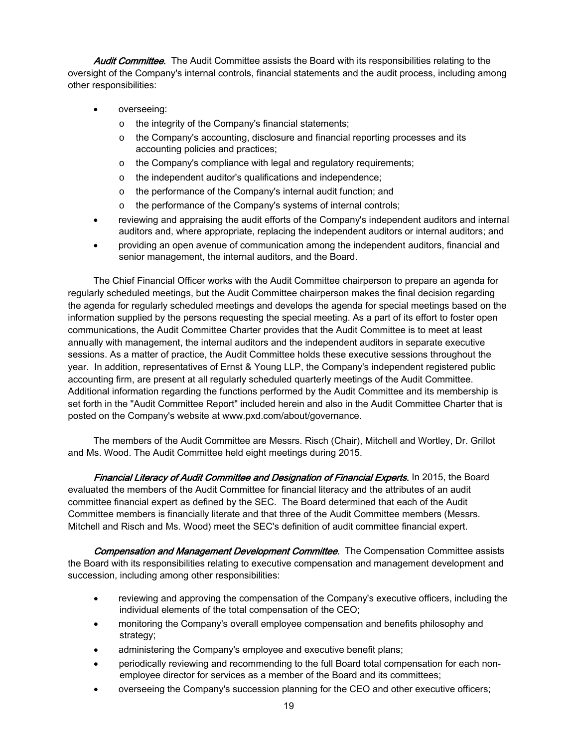**Audit Committee.** The Audit Committee assists the Board with its responsibilities relating to the oversight of the Company's internal controls, financial statements and the audit process, including among other responsibilities:

- overseeing:
	- o the integrity of the Company's financial statements;
	- o the Company's accounting, disclosure and financial reporting processes and its accounting policies and practices;
	- o the Company's compliance with legal and regulatory requirements;
	- o the independent auditor's qualifications and independence;
	- o the performance of the Company's internal audit function; and
	- o the performance of the Company's systems of internal controls;
- reviewing and appraising the audit efforts of the Company's independent auditors and internal auditors and, where appropriate, replacing the independent auditors or internal auditors; and
- providing an open avenue of communication among the independent auditors, financial and senior management, the internal auditors, and the Board.

 The Chief Financial Officer works with the Audit Committee chairperson to prepare an agenda for regularly scheduled meetings, but the Audit Committee chairperson makes the final decision regarding the agenda for regularly scheduled meetings and develops the agenda for special meetings based on the information supplied by the persons requesting the special meeting. As a part of its effort to foster open communications, the Audit Committee Charter provides that the Audit Committee is to meet at least annually with management, the internal auditors and the independent auditors in separate executive sessions. As a matter of practice, the Audit Committee holds these executive sessions throughout the year. In addition, representatives of Ernst & Young LLP, the Company's independent registered public accounting firm, are present at all regularly scheduled quarterly meetings of the Audit Committee. Additional information regarding the functions performed by the Audit Committee and its membership is set forth in the "Audit Committee Report" included herein and also in the Audit Committee Charter that is posted on the Company's website at www.pxd.com/about/governance.

 The members of the Audit Committee are Messrs. Risch (Chair), Mitchell and Wortley, Dr. Grillot and Ms. Wood. The Audit Committee held eight meetings during 2015.

Financial Literacy of Audit Committee and Designation of Financial Experts. In 2015, the Board evaluated the members of the Audit Committee for financial literacy and the attributes of an audit committee financial expert as defined by the SEC. The Board determined that each of the Audit Committee members is financially literate and that three of the Audit Committee members (Messrs. Mitchell and Risch and Ms. Wood) meet the SEC's definition of audit committee financial expert.

Compensation and Management Development Committee. The Compensation Committee assists the Board with its responsibilities relating to executive compensation and management development and succession, including among other responsibilities:

- reviewing and approving the compensation of the Company's executive officers, including the individual elements of the total compensation of the CEO;
- monitoring the Company's overall employee compensation and benefits philosophy and strategy;
- administering the Company's employee and executive benefit plans;
- periodically reviewing and recommending to the full Board total compensation for each nonemployee director for services as a member of the Board and its committees;
- overseeing the Company's succession planning for the CEO and other executive officers;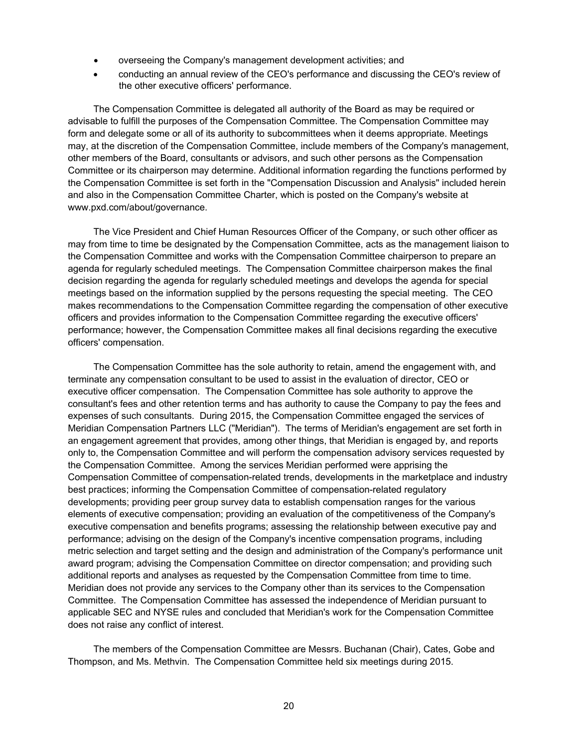- overseeing the Company's management development activities; and
- conducting an annual review of the CEO's performance and discussing the CEO's review of the other executive officers' performance.

 The Compensation Committee is delegated all authority of the Board as may be required or advisable to fulfill the purposes of the Compensation Committee. The Compensation Committee may form and delegate some or all of its authority to subcommittees when it deems appropriate. Meetings may, at the discretion of the Compensation Committee, include members of the Company's management, other members of the Board, consultants or advisors, and such other persons as the Compensation Committee or its chairperson may determine. Additional information regarding the functions performed by the Compensation Committee is set forth in the "Compensation Discussion and Analysis" included herein and also in the Compensation Committee Charter, which is posted on the Company's website at www.pxd.com/about/governance.

 The Vice President and Chief Human Resources Officer of the Company, or such other officer as may from time to time be designated by the Compensation Committee, acts as the management liaison to the Compensation Committee and works with the Compensation Committee chairperson to prepare an agenda for regularly scheduled meetings. The Compensation Committee chairperson makes the final decision regarding the agenda for regularly scheduled meetings and develops the agenda for special meetings based on the information supplied by the persons requesting the special meeting. The CEO makes recommendations to the Compensation Committee regarding the compensation of other executive officers and provides information to the Compensation Committee regarding the executive officers' performance; however, the Compensation Committee makes all final decisions regarding the executive officers' compensation.

 The Compensation Committee has the sole authority to retain, amend the engagement with, and terminate any compensation consultant to be used to assist in the evaluation of director, CEO or executive officer compensation. The Compensation Committee has sole authority to approve the consultant's fees and other retention terms and has authority to cause the Company to pay the fees and expenses of such consultants. During 2015, the Compensation Committee engaged the services of Meridian Compensation Partners LLC ("Meridian"). The terms of Meridian's engagement are set forth in an engagement agreement that provides, among other things, that Meridian is engaged by, and reports only to, the Compensation Committee and will perform the compensation advisory services requested by the Compensation Committee. Among the services Meridian performed were apprising the Compensation Committee of compensation-related trends, developments in the marketplace and industry best practices; informing the Compensation Committee of compensation-related regulatory developments; providing peer group survey data to establish compensation ranges for the various elements of executive compensation; providing an evaluation of the competitiveness of the Company's executive compensation and benefits programs; assessing the relationship between executive pay and performance; advising on the design of the Company's incentive compensation programs, including metric selection and target setting and the design and administration of the Company's performance unit award program; advising the Compensation Committee on director compensation; and providing such additional reports and analyses as requested by the Compensation Committee from time to time. Meridian does not provide any services to the Company other than its services to the Compensation Committee. The Compensation Committee has assessed the independence of Meridian pursuant to applicable SEC and NYSE rules and concluded that Meridian's work for the Compensation Committee does not raise any conflict of interest.

 The members of the Compensation Committee are Messrs. Buchanan (Chair), Cates, Gobe and Thompson, and Ms. Methvin. The Compensation Committee held six meetings during 2015.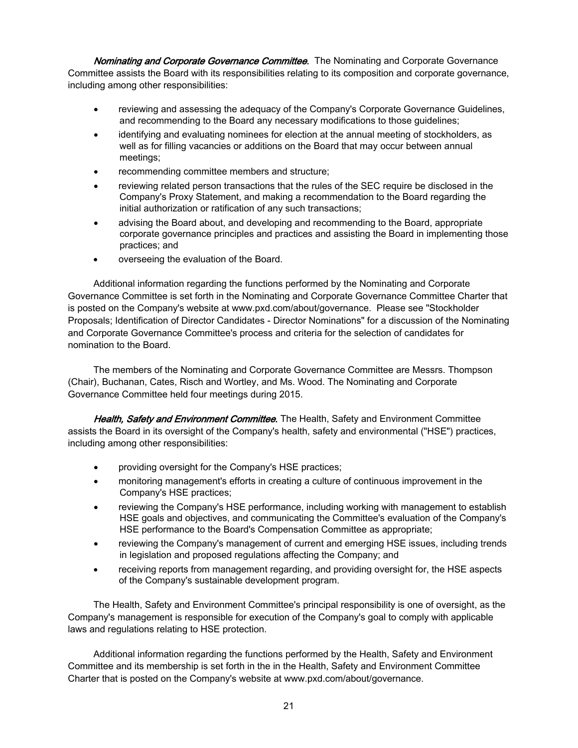Nominating and Corporate Governance Committee. The Nominating and Corporate Governance Committee assists the Board with its responsibilities relating to its composition and corporate governance, including among other responsibilities:

- reviewing and assessing the adequacy of the Company's Corporate Governance Guidelines, and recommending to the Board any necessary modifications to those guidelines;
- identifying and evaluating nominees for election at the annual meeting of stockholders, as well as for filling vacancies or additions on the Board that may occur between annual meetings;
- recommending committee members and structure;
- reviewing related person transactions that the rules of the SEC require be disclosed in the Company's Proxy Statement, and making a recommendation to the Board regarding the initial authorization or ratification of any such transactions;
- advising the Board about, and developing and recommending to the Board, appropriate corporate governance principles and practices and assisting the Board in implementing those practices; and
- overseeing the evaluation of the Board.

 Additional information regarding the functions performed by the Nominating and Corporate Governance Committee is set forth in the Nominating and Corporate Governance Committee Charter that is posted on the Company's website at www.pxd.com/about/governance. Please see "Stockholder Proposals; Identification of Director Candidates - Director Nominations" for a discussion of the Nominating and Corporate Governance Committee's process and criteria for the selection of candidates for nomination to the Board.

 The members of the Nominating and Corporate Governance Committee are Messrs. Thompson (Chair), Buchanan, Cates, Risch and Wortley, and Ms. Wood. The Nominating and Corporate Governance Committee held four meetings during 2015.

Health, Safety and Environment Committee. The Health, Safety and Environment Committee assists the Board in its oversight of the Company's health, safety and environmental ("HSE") practices, including among other responsibilities:

- providing oversight for the Company's HSE practices;
- monitoring management's efforts in creating a culture of continuous improvement in the Company's HSE practices;
- reviewing the Company's HSE performance, including working with management to establish HSE goals and objectives, and communicating the Committee's evaluation of the Company's HSE performance to the Board's Compensation Committee as appropriate;
- reviewing the Company's management of current and emerging HSE issues, including trends in legislation and proposed regulations affecting the Company; and
- receiving reports from management regarding, and providing oversight for, the HSE aspects of the Company's sustainable development program.

 The Health, Safety and Environment Committee's principal responsibility is one of oversight, as the Company's management is responsible for execution of the Company's goal to comply with applicable laws and regulations relating to HSE protection.

 Additional information regarding the functions performed by the Health, Safety and Environment Committee and its membership is set forth in the in the Health, Safety and Environment Committee Charter that is posted on the Company's website at www.pxd.com/about/governance.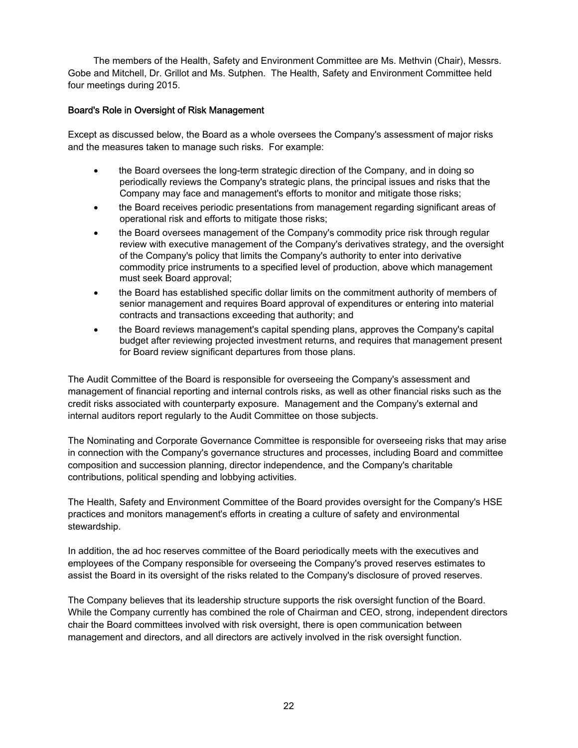The members of the Health, Safety and Environment Committee are Ms. Methvin (Chair), Messrs. Gobe and Mitchell, Dr. Grillot and Ms. Sutphen. The Health, Safety and Environment Committee held four meetings during 2015.

## Board's Role in Oversight of Risk Management

Except as discussed below, the Board as a whole oversees the Company's assessment of major risks and the measures taken to manage such risks. For example:

- the Board oversees the long-term strategic direction of the Company, and in doing so periodically reviews the Company's strategic plans, the principal issues and risks that the Company may face and management's efforts to monitor and mitigate those risks;
- the Board receives periodic presentations from management regarding significant areas of operational risk and efforts to mitigate those risks;
- the Board oversees management of the Company's commodity price risk through regular review with executive management of the Company's derivatives strategy, and the oversight of the Company's policy that limits the Company's authority to enter into derivative commodity price instruments to a specified level of production, above which management must seek Board approval;
- the Board has established specific dollar limits on the commitment authority of members of senior management and requires Board approval of expenditures or entering into material contracts and transactions exceeding that authority; and
- the Board reviews management's capital spending plans, approves the Company's capital budget after reviewing projected investment returns, and requires that management present for Board review significant departures from those plans.

The Audit Committee of the Board is responsible for overseeing the Company's assessment and management of financial reporting and internal controls risks, as well as other financial risks such as the credit risks associated with counterparty exposure. Management and the Company's external and internal auditors report regularly to the Audit Committee on those subjects.

The Nominating and Corporate Governance Committee is responsible for overseeing risks that may arise in connection with the Company's governance structures and processes, including Board and committee composition and succession planning, director independence, and the Company's charitable contributions, political spending and lobbying activities.

The Health, Safety and Environment Committee of the Board provides oversight for the Company's HSE practices and monitors management's efforts in creating a culture of safety and environmental stewardship.

In addition, the ad hoc reserves committee of the Board periodically meets with the executives and employees of the Company responsible for overseeing the Company's proved reserves estimates to assist the Board in its oversight of the risks related to the Company's disclosure of proved reserves.

The Company believes that its leadership structure supports the risk oversight function of the Board. While the Company currently has combined the role of Chairman and CEO, strong, independent directors chair the Board committees involved with risk oversight, there is open communication between management and directors, and all directors are actively involved in the risk oversight function.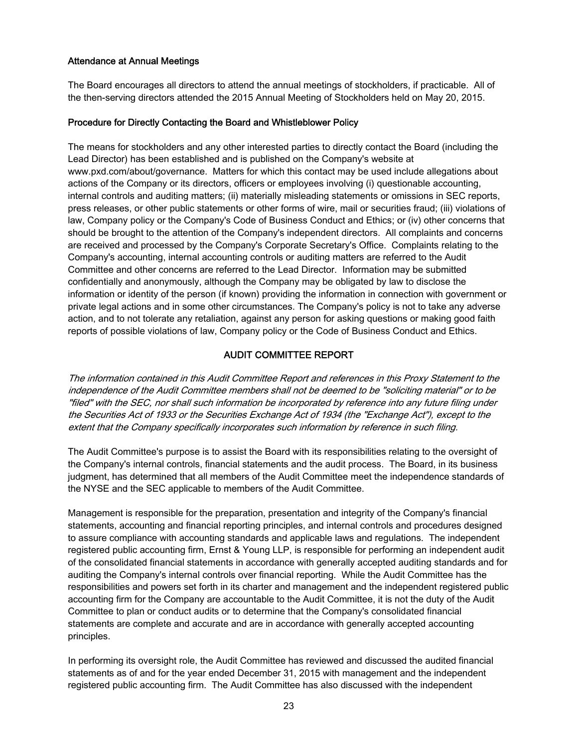## Attendance at Annual Meetings

The Board encourages all directors to attend the annual meetings of stockholders, if practicable. All of the then-serving directors attended the 2015 Annual Meeting of Stockholders held on May 20, 2015.

#### Procedure for Directly Contacting the Board and Whistleblower Policy

The means for stockholders and any other interested parties to directly contact the Board (including the Lead Director) has been established and is published on the Company's website at www.pxd.com/about/governance. Matters for which this contact may be used include allegations about actions of the Company or its directors, officers or employees involving (i) questionable accounting, internal controls and auditing matters; (ii) materially misleading statements or omissions in SEC reports, press releases, or other public statements or other forms of wire, mail or securities fraud; (iii) violations of law, Company policy or the Company's Code of Business Conduct and Ethics; or (iv) other concerns that should be brought to the attention of the Company's independent directors. All complaints and concerns are received and processed by the Company's Corporate Secretary's Office. Complaints relating to the Company's accounting, internal accounting controls or auditing matters are referred to the Audit Committee and other concerns are referred to the Lead Director. Information may be submitted confidentially and anonymously, although the Company may be obligated by law to disclose the information or identity of the person (if known) providing the information in connection with government or private legal actions and in some other circumstances. The Company's policy is not to take any adverse action, and to not tolerate any retaliation, against any person for asking questions or making good faith reports of possible violations of law, Company policy or the Code of Business Conduct and Ethics.

## AUDIT COMMITTEE REPORT

The information contained in this Audit Committee Report and references in this Proxy Statement to the independence of the Audit Committee members shall not be deemed to be "soliciting material" or to be "filed" with the SEC, nor shall such information be incorporated by reference into any future filing under the Securities Act of 1933 or the Securities Exchange Act of 1934 (the "Exchange Act"), except to the extent that the Company specifically incorporates such information by reference in such filing.

The Audit Committee's purpose is to assist the Board with its responsibilities relating to the oversight of the Company's internal controls, financial statements and the audit process. The Board, in its business judgment, has determined that all members of the Audit Committee meet the independence standards of the NYSE and the SEC applicable to members of the Audit Committee.

Management is responsible for the preparation, presentation and integrity of the Company's financial statements, accounting and financial reporting principles, and internal controls and procedures designed to assure compliance with accounting standards and applicable laws and regulations. The independent registered public accounting firm, Ernst & Young LLP, is responsible for performing an independent audit of the consolidated financial statements in accordance with generally accepted auditing standards and for auditing the Company's internal controls over financial reporting. While the Audit Committee has the responsibilities and powers set forth in its charter and management and the independent registered public accounting firm for the Company are accountable to the Audit Committee, it is not the duty of the Audit Committee to plan or conduct audits or to determine that the Company's consolidated financial statements are complete and accurate and are in accordance with generally accepted accounting principles.

In performing its oversight role, the Audit Committee has reviewed and discussed the audited financial statements as of and for the year ended December 31, 2015 with management and the independent registered public accounting firm. The Audit Committee has also discussed with the independent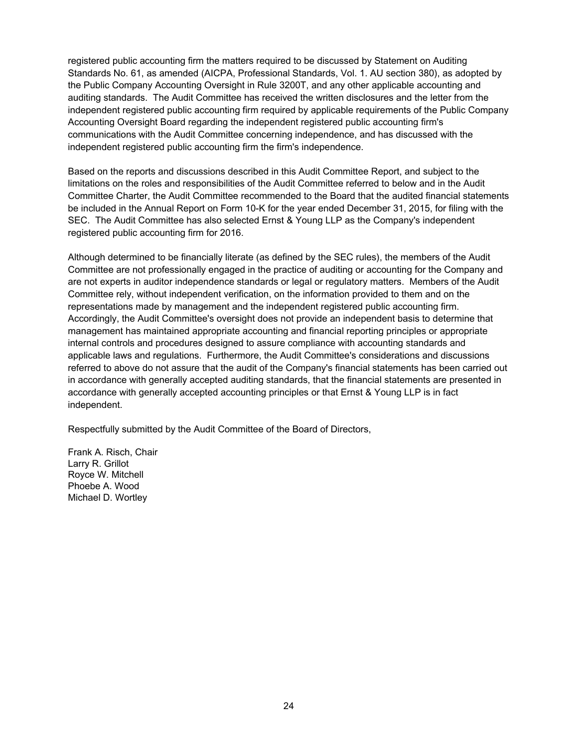registered public accounting firm the matters required to be discussed by Statement on Auditing Standards No. 61, as amended (AICPA, Professional Standards, Vol. 1. AU section 380), as adopted by the Public Company Accounting Oversight in Rule 3200T, and any other applicable accounting and auditing standards. The Audit Committee has received the written disclosures and the letter from the independent registered public accounting firm required by applicable requirements of the Public Company Accounting Oversight Board regarding the independent registered public accounting firm's communications with the Audit Committee concerning independence, and has discussed with the independent registered public accounting firm the firm's independence.

Based on the reports and discussions described in this Audit Committee Report, and subject to the limitations on the roles and responsibilities of the Audit Committee referred to below and in the Audit Committee Charter, the Audit Committee recommended to the Board that the audited financial statements be included in the Annual Report on Form 10-K for the year ended December 31, 2015, for filing with the SEC. The Audit Committee has also selected Ernst & Young LLP as the Company's independent registered public accounting firm for 2016.

Although determined to be financially literate (as defined by the SEC rules), the members of the Audit Committee are not professionally engaged in the practice of auditing or accounting for the Company and are not experts in auditor independence standards or legal or regulatory matters. Members of the Audit Committee rely, without independent verification, on the information provided to them and on the representations made by management and the independent registered public accounting firm. Accordingly, the Audit Committee's oversight does not provide an independent basis to determine that management has maintained appropriate accounting and financial reporting principles or appropriate internal controls and procedures designed to assure compliance with accounting standards and applicable laws and regulations. Furthermore, the Audit Committee's considerations and discussions referred to above do not assure that the audit of the Company's financial statements has been carried out in accordance with generally accepted auditing standards, that the financial statements are presented in accordance with generally accepted accounting principles or that Ernst & Young LLP is in fact independent.

Respectfully submitted by the Audit Committee of the Board of Directors,

Frank A. Risch, Chair Larry R. Grillot Royce W. Mitchell Phoebe A. Wood Michael D. Wortley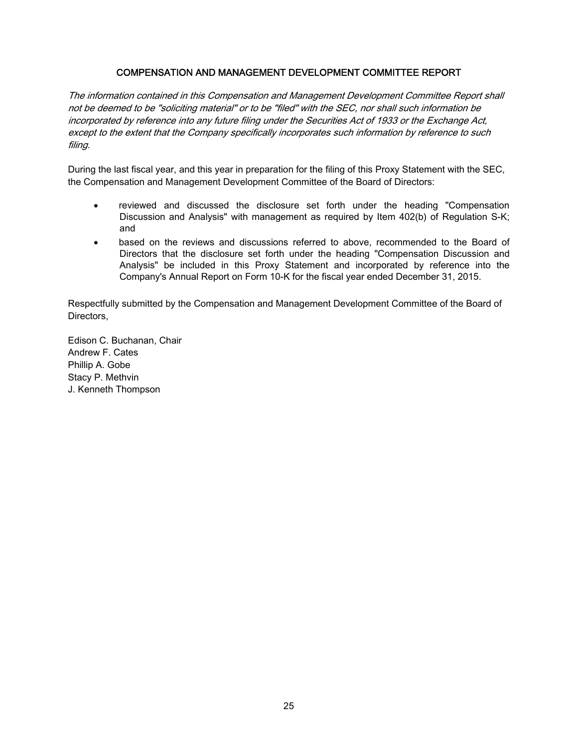## COMPENSATION AND MANAGEMENT DEVELOPMENT COMMITTEE REPORT

The information contained in this Compensation and Management Development Committee Report shall not be deemed to be "soliciting material" or to be "filed" with the SEC, nor shall such information be incorporated by reference into any future filing under the Securities Act of 1933 or the Exchange Act, except to the extent that the Company specifically incorporates such information by reference to such filing.

During the last fiscal year, and this year in preparation for the filing of this Proxy Statement with the SEC, the Compensation and Management Development Committee of the Board of Directors:

- reviewed and discussed the disclosure set forth under the heading "Compensation Discussion and Analysis" with management as required by Item 402(b) of Regulation S-K; and
- based on the reviews and discussions referred to above, recommended to the Board of Directors that the disclosure set forth under the heading "Compensation Discussion and Analysis" be included in this Proxy Statement and incorporated by reference into the Company's Annual Report on Form 10-K for the fiscal year ended December 31, 2015.

Respectfully submitted by the Compensation and Management Development Committee of the Board of Directors,

Edison C. Buchanan, Chair Andrew F. Cates Phillip A. Gobe Stacy P. Methvin J. Kenneth Thompson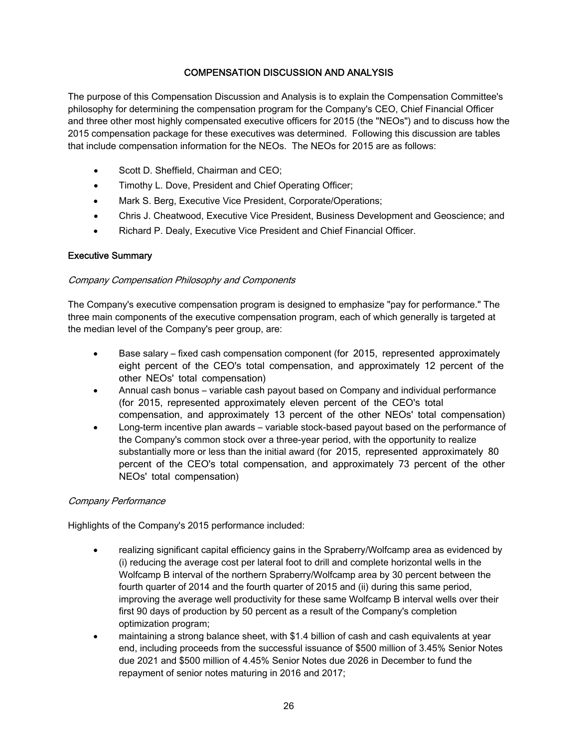## COMPENSATION DISCUSSION AND ANALYSIS

The purpose of this Compensation Discussion and Analysis is to explain the Compensation Committee's philosophy for determining the compensation program for the Company's CEO, Chief Financial Officer and three other most highly compensated executive officers for 2015 (the "NEOs") and to discuss how the 2015 compensation package for these executives was determined. Following this discussion are tables that include compensation information for the NEOs. The NEOs for 2015 are as follows:

- Scott D. Sheffield, Chairman and CEO;
- Timothy L. Dove, President and Chief Operating Officer;
- Mark S. Berg, Executive Vice President, Corporate/Operations;
- Chris J. Cheatwood, Executive Vice President, Business Development and Geoscience; and
- Richard P. Dealy, Executive Vice President and Chief Financial Officer.

## Executive Summary

## Company Compensation Philosophy and Components

The Company's executive compensation program is designed to emphasize "pay for performance." The three main components of the executive compensation program, each of which generally is targeted at the median level of the Company's peer group, are:

- Base salary fixed cash compensation component (for 2015, represented approximately eight percent of the CEO's total compensation, and approximately 12 percent of the other NEOs' total compensation)
- Annual cash bonus variable cash payout based on Company and individual performance (for 2015, represented approximately eleven percent of the CEO's total compensation, and approximately 13 percent of the other NEOs' total compensation)
- Long-term incentive plan awards variable stock-based payout based on the performance of the Company's common stock over a three-year period, with the opportunity to realize substantially more or less than the initial award (for 2015, represented approximately 80 percent of the CEO's total compensation, and approximately 73 percent of the other NEOs' total compensation)

## Company Performance

Highlights of the Company's 2015 performance included:

- realizing significant capital efficiency gains in the Spraberry/Wolfcamp area as evidenced by (i) reducing the average cost per lateral foot to drill and complete horizontal wells in the Wolfcamp B interval of the northern Spraberry/Wolfcamp area by 30 percent between the fourth quarter of 2014 and the fourth quarter of 2015 and (ii) during this same period, improving the average well productivity for these same Wolfcamp B interval wells over their first 90 days of production by 50 percent as a result of the Company's completion optimization program;
- maintaining a strong balance sheet, with \$1.4 billion of cash and cash equivalents at year end, including proceeds from the successful issuance of \$500 million of 3.45% Senior Notes due 2021 and \$500 million of 4.45% Senior Notes due 2026 in December to fund the repayment of senior notes maturing in 2016 and 2017;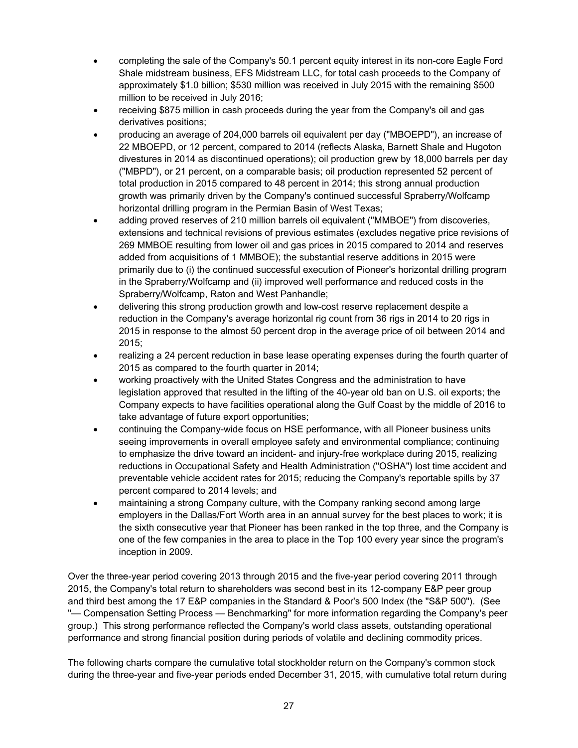- completing the sale of the Company's 50.1 percent equity interest in its non-core Eagle Ford Shale midstream business, EFS Midstream LLC, for total cash proceeds to the Company of approximately \$1.0 billion; \$530 million was received in July 2015 with the remaining \$500 million to be received in July 2016;
- receiving \$875 million in cash proceeds during the year from the Company's oil and gas derivatives positions;
- producing an average of 204,000 barrels oil equivalent per day ("MBOEPD"), an increase of 22 MBOEPD, or 12 percent, compared to 2014 (reflects Alaska, Barnett Shale and Hugoton divestures in 2014 as discontinued operations); oil production grew by 18,000 barrels per day ("MBPD"), or 21 percent, on a comparable basis; oil production represented 52 percent of total production in 2015 compared to 48 percent in 2014; this strong annual production growth was primarily driven by the Company's continued successful Spraberry/Wolfcamp horizontal drilling program in the Permian Basin of West Texas;
- adding proved reserves of 210 million barrels oil equivalent ("MMBOE") from discoveries, extensions and technical revisions of previous estimates (excludes negative price revisions of 269 MMBOE resulting from lower oil and gas prices in 2015 compared to 2014 and reserves added from acquisitions of 1 MMBOE); the substantial reserve additions in 2015 were primarily due to (i) the continued successful execution of Pioneer's horizontal drilling program in the Spraberry/Wolfcamp and (ii) improved well performance and reduced costs in the Spraberry/Wolfcamp, Raton and West Panhandle;
- delivering this strong production growth and low-cost reserve replacement despite a reduction in the Company's average horizontal rig count from 36 rigs in 2014 to 20 rigs in 2015 in response to the almost 50 percent drop in the average price of oil between 2014 and 2015;
- realizing a 24 percent reduction in base lease operating expenses during the fourth quarter of 2015 as compared to the fourth quarter in 2014;
- working proactively with the United States Congress and the administration to have legislation approved that resulted in the lifting of the 40-year old ban on U.S. oil exports; the Company expects to have facilities operational along the Gulf Coast by the middle of 2016 to take advantage of future export opportunities;
- continuing the Company-wide focus on HSE performance, with all Pioneer business units seeing improvements in overall employee safety and environmental compliance; continuing to emphasize the drive toward an incident- and injury-free workplace during 2015, realizing reductions in Occupational Safety and Health Administration ("OSHA") lost time accident and preventable vehicle accident rates for 2015; reducing the Company's reportable spills by 37 percent compared to 2014 levels; and
- maintaining a strong Company culture, with the Company ranking second among large employers in the Dallas/Fort Worth area in an annual survey for the best places to work; it is the sixth consecutive year that Pioneer has been ranked in the top three, and the Company is one of the few companies in the area to place in the Top 100 every year since the program's inception in 2009.

Over the three-year period covering 2013 through 2015 and the five-year period covering 2011 through 2015, the Company's total return to shareholders was second best in its 12-company E&P peer group and third best among the 17 E&P companies in the Standard & Poor's 500 Index (the "S&P 500"). (See "— Compensation Setting Process — Benchmarking" for more information regarding the Company's peer group.) This strong performance reflected the Company's world class assets, outstanding operational performance and strong financial position during periods of volatile and declining commodity prices.

The following charts compare the cumulative total stockholder return on the Company's common stock during the three-year and five-year periods ended December 31, 2015, with cumulative total return during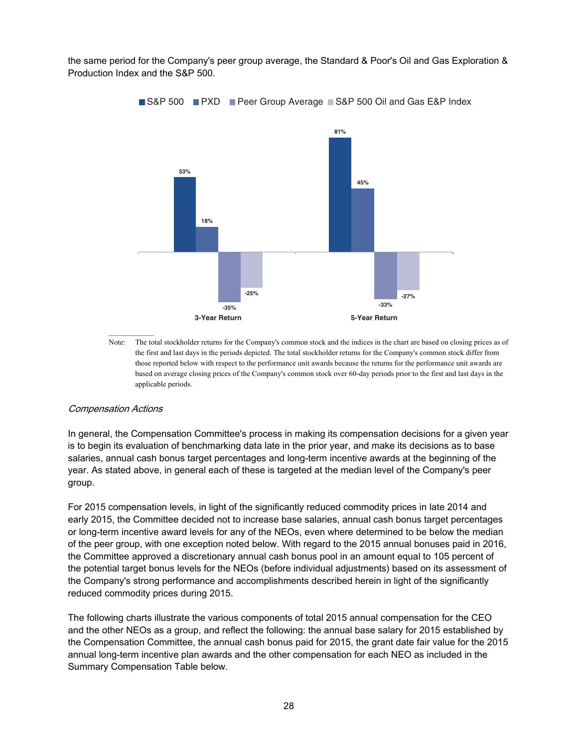the same period for the Company's peer group average, the Standard & Poor's Oil and Gas Exploration & Production Index and the S&P 500.



Note: The total stockholder returns for the Company's common stock and the indices in the chart are based on closing prices as of the first and last days in the periods depicted. The total stockholder returns for the Company's common stock differ from those reported below with respect to the performance unit awards because the returns for the performance unit awards are based on average closing prices of the Company's common stock over 60-day periods prior to the first and last days in the applicable periods.

#### Compensation Actions

In general, the Compensation Committee's process in making its compensation decisions for a given year is to begin its evaluation of benchmarking data late in the prior year, and make its decisions as to base salaries, annual cash bonus target percentages and long-term incentive awards at the beginning of the year. As stated above, in general each of these is targeted at the median level of the Company's peer group.

For 2015 compensation levels, in light of the significantly reduced commodity prices in late 2014 and early 2015, the Committee decided not to increase base salaries, annual cash bonus target percentages or long-term incentive award levels for any of the NEOs, even where determined to be below the median of the peer group, with one exception noted below. With regard to the 2015 annual bonuses paid in 2016, the Committee approved a discretionary annual cash bonus pool in an amount equal to 105 percent of the potential target bonus levels for the NEOs (before individual adjustments) based on its assessment of the Company's strong performance and accomplishments described herein in light of the significantly reduced commodity prices during 2015.

The following charts illustrate the various components of total 2015 annual compensation for the CEO and the other NEOs as a group, and reflect the following: the annual base salary for 2015 established by the Compensation Committee, the annual cash bonus paid for 2015, the grant date fair value for the 2015 annual long-term incentive plan awards and the other compensation for each NEO as included in the Summary Compensation Table below.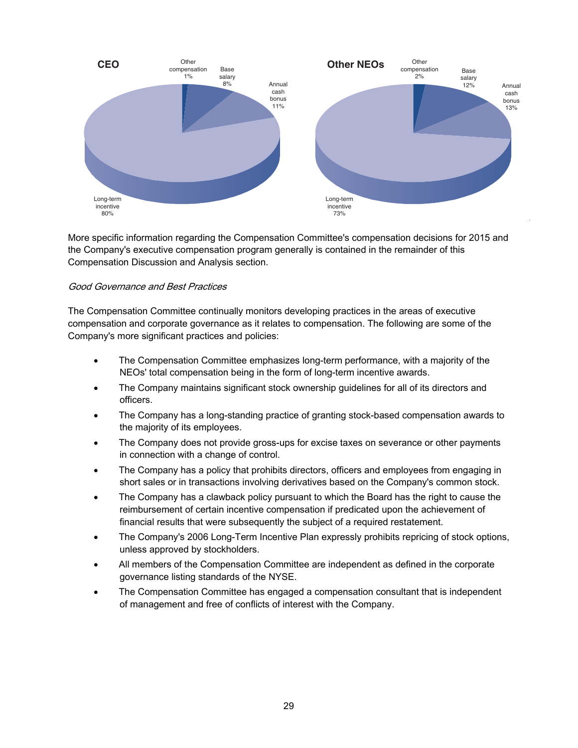

More specific information regarding the Compensation Committee's compensation decisions for 2015 and the Company's executive compensation program generally is contained in the remainder of this Compensation Discussion and Analysis section.

## Good Governance and Best Practices

The Compensation Committee continually monitors developing practices in the areas of executive compensation and corporate governance as it relates to compensation. The following are some of the Company's more significant practices and policies:

- The Compensation Committee emphasizes long-term performance, with a majority of the NEOs' total compensation being in the form of long-term incentive awards.
- The Company maintains significant stock ownership guidelines for all of its directors and officers.
- The Company has a long-standing practice of granting stock-based compensation awards to the majority of its employees.
- The Company does not provide gross-ups for excise taxes on severance or other payments in connection with a change of control.
- The Company has a policy that prohibits directors, officers and employees from engaging in short sales or in transactions involving derivatives based on the Company's common stock.
- The Company has a clawback policy pursuant to which the Board has the right to cause the reimbursement of certain incentive compensation if predicated upon the achievement of financial results that were subsequently the subject of a required restatement.
- The Company's 2006 Long-Term Incentive Plan expressly prohibits repricing of stock options, unless approved by stockholders.
- All members of the Compensation Committee are independent as defined in the corporate governance listing standards of the NYSE.
- The Compensation Committee has engaged a compensation consultant that is independent of management and free of conflicts of interest with the Company.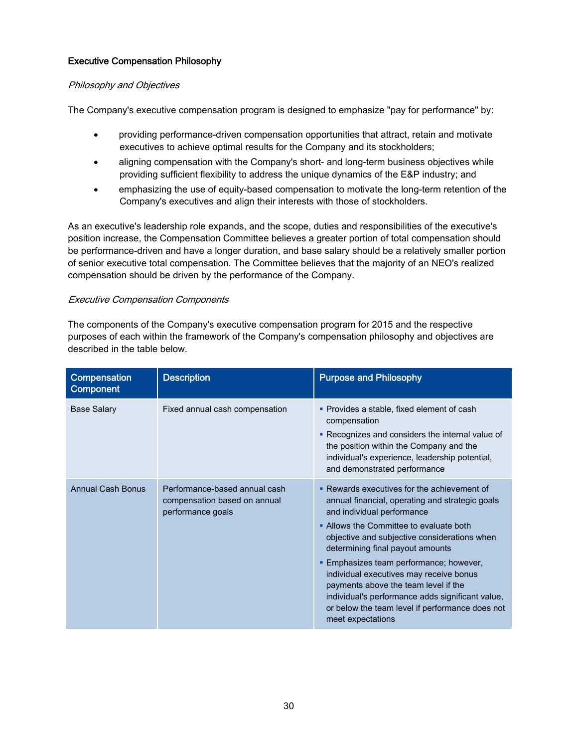## Executive Compensation Philosophy

## Philosophy and Objectives

The Company's executive compensation program is designed to emphasize "pay for performance" by:

- providing performance-driven compensation opportunities that attract, retain and motivate executives to achieve optimal results for the Company and its stockholders;
- aligning compensation with the Company's short- and long-term business objectives while providing sufficient flexibility to address the unique dynamics of the E&P industry; and
- emphasizing the use of equity-based compensation to motivate the long-term retention of the Company's executives and align their interests with those of stockholders.

As an executive's leadership role expands, and the scope, duties and responsibilities of the executive's position increase, the Compensation Committee believes a greater portion of total compensation should be performance-driven and have a longer duration, and base salary should be a relatively smaller portion of senior executive total compensation. The Committee believes that the majority of an NEO's realized compensation should be driven by the performance of the Company.

## Executive Compensation Components

The components of the Company's executive compensation program for 2015 and the respective purposes of each within the framework of the Company's compensation philosophy and objectives are described in the table below.

| Compensation<br><b>Component</b> | <b>Description</b>                                                                 | <b>Purpose and Philosophy</b>                                                                                                                                                                                                                                                                                                                                                                                                                                                                                              |
|----------------------------------|------------------------------------------------------------------------------------|----------------------------------------------------------------------------------------------------------------------------------------------------------------------------------------------------------------------------------------------------------------------------------------------------------------------------------------------------------------------------------------------------------------------------------------------------------------------------------------------------------------------------|
| <b>Base Salary</b>               | Fixed annual cash compensation                                                     | • Provides a stable, fixed element of cash<br>compensation<br>• Recognizes and considers the internal value of<br>the position within the Company and the<br>individual's experience, leadership potential,<br>and demonstrated performance                                                                                                                                                                                                                                                                                |
| <b>Annual Cash Bonus</b>         | Performance-based annual cash<br>compensation based on annual<br>performance goals | • Rewards executives for the achievement of<br>annual financial, operating and strategic goals<br>and individual performance<br>• Allows the Committee to evaluate both<br>objective and subjective considerations when<br>determining final payout amounts<br><b>Emphasizes team performance; however,</b><br>individual executives may receive bonus<br>payments above the team level if the<br>individual's performance adds significant value,<br>or below the team level if performance does not<br>meet expectations |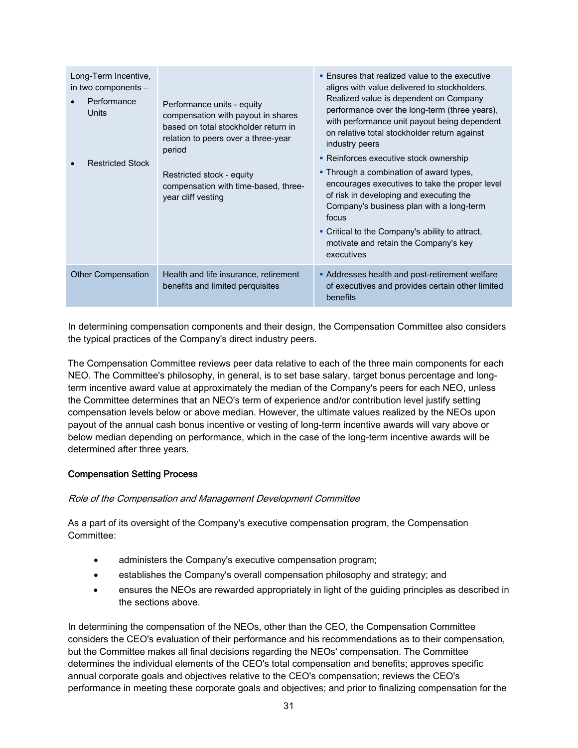| Long-Term Incentive,<br>in two components -<br>Performance<br>Units | Performance units - equity<br>compensation with payout in shares<br>based on total stockholder return in<br>relation to peers over a three-year<br>period | • Ensures that realized value to the executive<br>aligns with value delivered to stockholders.<br>Realized value is dependent on Company<br>performance over the long-term (three years),<br>with performance unit payout being dependent<br>on relative total stockholder return against<br>industry peers                                   |
|---------------------------------------------------------------------|-----------------------------------------------------------------------------------------------------------------------------------------------------------|-----------------------------------------------------------------------------------------------------------------------------------------------------------------------------------------------------------------------------------------------------------------------------------------------------------------------------------------------|
| <b>Restricted Stock</b>                                             | Restricted stock - equity<br>compensation with time-based, three-<br>year cliff vesting                                                                   | • Reinforces executive stock ownership<br>• Through a combination of award types,<br>encourages executives to take the proper level<br>of risk in developing and executing the<br>Company's business plan with a long-term<br>focus<br>• Critical to the Company's ability to attract,<br>motivate and retain the Company's key<br>executives |
| <b>Other Compensation</b>                                           | Health and life insurance, retirement<br>benefits and limited perquisites                                                                                 | Addresses health and post-retirement welfare<br>of executives and provides certain other limited<br>benefits                                                                                                                                                                                                                                  |

In determining compensation components and their design, the Compensation Committee also considers the typical practices of the Company's direct industry peers.

The Compensation Committee reviews peer data relative to each of the three main components for each NEO. The Committee's philosophy, in general, is to set base salary, target bonus percentage and longterm incentive award value at approximately the median of the Company's peers for each NEO, unless the Committee determines that an NEO's term of experience and/or contribution level justify setting compensation levels below or above median. However, the ultimate values realized by the NEOs upon payout of the annual cash bonus incentive or vesting of long-term incentive awards will vary above or below median depending on performance, which in the case of the long-term incentive awards will be determined after three years.

## Compensation Setting Process

Role of the Compensation and Management Development Committee

As a part of its oversight of the Company's executive compensation program, the Compensation Committee:

- administers the Company's executive compensation program;
- establishes the Company's overall compensation philosophy and strategy; and
- ensures the NEOs are rewarded appropriately in light of the guiding principles as described in the sections above.

In determining the compensation of the NEOs, other than the CEO, the Compensation Committee considers the CEO's evaluation of their performance and his recommendations as to their compensation, but the Committee makes all final decisions regarding the NEOs' compensation. The Committee determines the individual elements of the CEO's total compensation and benefits; approves specific annual corporate goals and objectives relative to the CEO's compensation; reviews the CEO's performance in meeting these corporate goals and objectives; and prior to finalizing compensation for the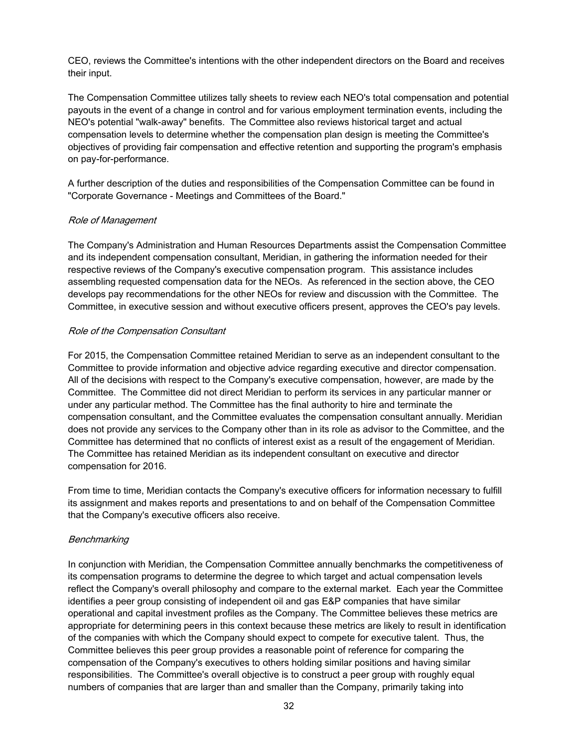CEO, reviews the Committee's intentions with the other independent directors on the Board and receives their input.

The Compensation Committee utilizes tally sheets to review each NEO's total compensation and potential payouts in the event of a change in control and for various employment termination events, including the NEO's potential "walk-away" benefits. The Committee also reviews historical target and actual compensation levels to determine whether the compensation plan design is meeting the Committee's objectives of providing fair compensation and effective retention and supporting the program's emphasis on pay-for-performance.

A further description of the duties and responsibilities of the Compensation Committee can be found in "Corporate Governance - Meetings and Committees of the Board."

## Role of Management

The Company's Administration and Human Resources Departments assist the Compensation Committee and its independent compensation consultant, Meridian, in gathering the information needed for their respective reviews of the Company's executive compensation program. This assistance includes assembling requested compensation data for the NEOs. As referenced in the section above, the CEO develops pay recommendations for the other NEOs for review and discussion with the Committee. The Committee, in executive session and without executive officers present, approves the CEO's pay levels.

#### Role of the Compensation Consultant

For 2015, the Compensation Committee retained Meridian to serve as an independent consultant to the Committee to provide information and objective advice regarding executive and director compensation. All of the decisions with respect to the Company's executive compensation, however, are made by the Committee. The Committee did not direct Meridian to perform its services in any particular manner or under any particular method. The Committee has the final authority to hire and terminate the compensation consultant, and the Committee evaluates the compensation consultant annually. Meridian does not provide any services to the Company other than in its role as advisor to the Committee, and the Committee has determined that no conflicts of interest exist as a result of the engagement of Meridian. The Committee has retained Meridian as its independent consultant on executive and director compensation for 2016.

From time to time, Meridian contacts the Company's executive officers for information necessary to fulfill its assignment and makes reports and presentations to and on behalf of the Compensation Committee that the Company's executive officers also receive.

## **Benchmarking**

In conjunction with Meridian, the Compensation Committee annually benchmarks the competitiveness of its compensation programs to determine the degree to which target and actual compensation levels reflect the Company's overall philosophy and compare to the external market. Each year the Committee identifies a peer group consisting of independent oil and gas E&P companies that have similar operational and capital investment profiles as the Company. The Committee believes these metrics are appropriate for determining peers in this context because these metrics are likely to result in identification of the companies with which the Company should expect to compete for executive talent. Thus, the Committee believes this peer group provides a reasonable point of reference for comparing the compensation of the Company's executives to others holding similar positions and having similar responsibilities. The Committee's overall objective is to construct a peer group with roughly equal numbers of companies that are larger than and smaller than the Company, primarily taking into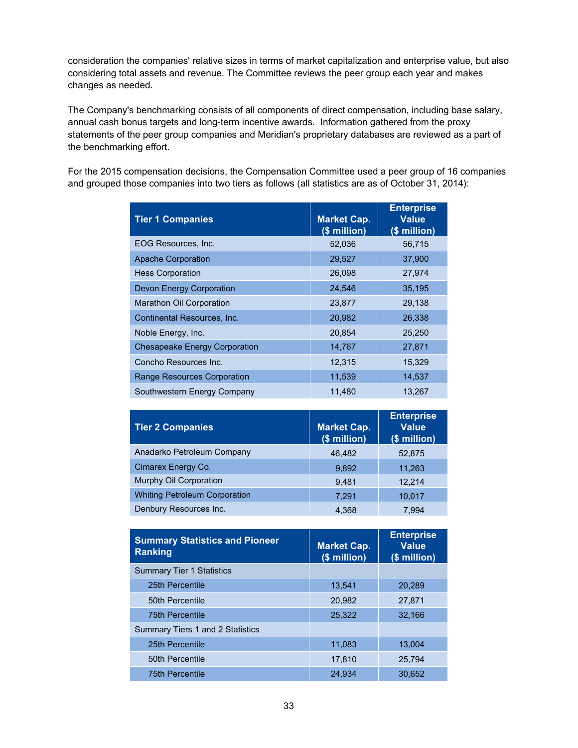consideration the companies' relative sizes in terms of market capitalization and enterprise value, but also considering total assets and revenue. The Committee reviews the peer group each year and makes changes as needed.

The Company's benchmarking consists of all components of direct compensation, including base salary, annual cash bonus targets and long-term incentive awards. Information gathered from the proxy statements of the peer group companies and Meridian's proprietary databases are reviewed as a part of the benchmarking effort.

For the 2015 compensation decisions, the Compensation Committee used a peer group of 16 companies and grouped those companies into two tiers as follows (all statistics are as of October 31, 2014):

| <b>Tier 1 Companies</b>              | <b>Market Cap.</b><br>(\$ million) | <b>Enterprise</b><br><b>Value</b><br>(\$ million) |
|--------------------------------------|------------------------------------|---------------------------------------------------|
| EOG Resources, Inc.                  | 52,036                             | 56,715                                            |
| <b>Apache Corporation</b>            | 29,527                             | 37,900                                            |
| <b>Hess Corporation</b>              | 26,098                             | 27,974                                            |
| <b>Devon Energy Corporation</b>      | 24,546                             | 35,195                                            |
| Marathon Oil Corporation             | 23,877                             | 29,138                                            |
| Continental Resources, Inc.          | 20,982                             | 26,338                                            |
| Noble Energy, Inc.                   | 20,854                             | 25,250                                            |
| <b>Chesapeake Energy Corporation</b> | 14,767                             | 27,871                                            |
| Concho Resources Inc.                | 12,315                             | 15,329                                            |
| Range Resources Corporation          | 11,539                             | 14,537                                            |
| Southwestern Energy Company          | 11,480                             | 13,267                                            |

| <b>Tier 2 Companies</b>              | <b>Market Cap.</b><br>(\$ million) | <b>Enterprise</b><br><b>Value</b><br>(\$ million) |
|--------------------------------------|------------------------------------|---------------------------------------------------|
| Anadarko Petroleum Company           | 46,482                             | 52,875                                            |
| Cimarex Energy Co.                   | 9.892                              | 11,263                                            |
| Murphy Oil Corporation               | 9,481                              | 12,214                                            |
| <b>Whiting Petroleum Corporation</b> | 7.291                              | 10,017                                            |
| Denbury Resources Inc.               | 4,368                              | 7.994                                             |

| <b>Summary Statistics and Pioneer</b><br><b>Ranking</b> | <b>Market Cap.</b><br>$$$ million) | <b>Enterprise</b><br><b>Value</b><br>(\$ million) |
|---------------------------------------------------------|------------------------------------|---------------------------------------------------|
| <b>Summary Tier 1 Statistics</b>                        |                                    |                                                   |
| 25th Percentile                                         | 13,541                             | 20,289                                            |
| 50th Percentile                                         | 20.982                             | 27,871                                            |
| <b>75th Percentile</b>                                  | 25,322                             | 32,166                                            |
| Summary Tiers 1 and 2 Statistics                        |                                    |                                                   |
| 25th Percentile                                         | 11,083                             | 13.004                                            |
| 50th Percentile                                         | 17,810                             | 25,794                                            |
| 75th Percentile                                         | 24.934                             | 30.652                                            |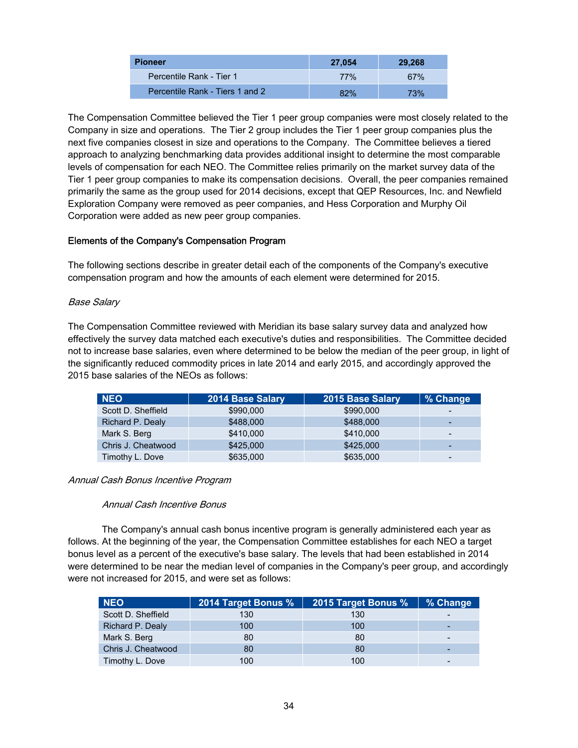| <b>Pioneer</b>                  | 27.054     | 29.268 |
|---------------------------------|------------|--------|
| Percentile Rank - Tier 1        | <b>77%</b> | 67%    |
| Percentile Rank - Tiers 1 and 2 | 82%        | 73%    |

The Compensation Committee believed the Tier 1 peer group companies were most closely related to the Company in size and operations. The Tier 2 group includes the Tier 1 peer group companies plus the next five companies closest in size and operations to the Company. The Committee believes a tiered approach to analyzing benchmarking data provides additional insight to determine the most comparable levels of compensation for each NEO. The Committee relies primarily on the market survey data of the Tier 1 peer group companies to make its compensation decisions. Overall, the peer companies remained primarily the same as the group used for 2014 decisions, except that QEP Resources, Inc. and Newfield Exploration Company were removed as peer companies, and Hess Corporation and Murphy Oil Corporation were added as new peer group companies.

## Elements of the Company's Compensation Program

The following sections describe in greater detail each of the components of the Company's executive compensation program and how the amounts of each element were determined for 2015.

## Base Salary

The Compensation Committee reviewed with Meridian its base salary survey data and analyzed how effectively the survey data matched each executive's duties and responsibilities. The Committee decided not to increase base salaries, even where determined to be below the median of the peer group, in light of the significantly reduced commodity prices in late 2014 and early 2015, and accordingly approved the 2015 base salaries of the NEOs as follows:

| <b>NEO</b>         | 2014 Base Salary | 2015 Base Salary | % Change                 |
|--------------------|------------------|------------------|--------------------------|
| Scott D. Sheffield | \$990,000        | \$990,000        | $\overline{\phantom{0}}$ |
| Richard P. Dealy   | \$488,000        | \$488,000        | $\overline{\phantom{0}}$ |
| Mark S. Berg       | \$410,000        | \$410,000        | $\overline{\phantom{0}}$ |
| Chris J. Cheatwood | \$425,000        | \$425,000        | $\overline{\phantom{0}}$ |
| Timothy L. Dove    | \$635,000        | \$635,000        | $\overline{\phantom{0}}$ |

## Annual Cash Bonus Incentive Program

## Annual Cash Incentive Bonus

 The Company's annual cash bonus incentive program is generally administered each year as follows. At the beginning of the year, the Compensation Committee establishes for each NEO a target bonus level as a percent of the executive's base salary. The levels that had been established in 2014 were determined to be near the median level of companies in the Company's peer group, and accordingly were not increased for 2015, and were set as follows:

| <b>NEO</b>         | 2014 Target Bonus % | 2015 Target Bonus % | % Change |
|--------------------|---------------------|---------------------|----------|
| Scott D. Sheffield | 130                 | 130                 |          |
| Richard P. Dealy   | 100                 | 100                 |          |
| Mark S. Berg       | 80                  | 80                  | -        |
| Chris J. Cheatwood | 80                  | 80                  |          |
| Timothy L. Dove    | 100                 | 100                 |          |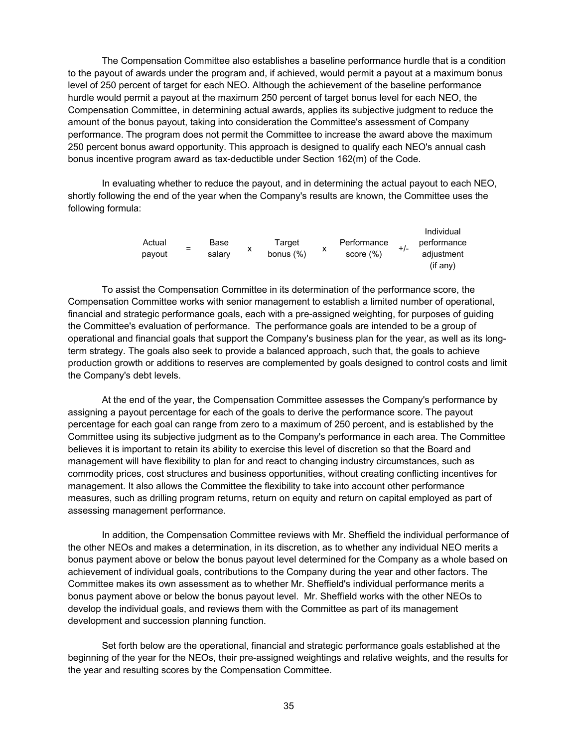The Compensation Committee also establishes a baseline performance hurdle that is a condition to the payout of awards under the program and, if achieved, would permit a payout at a maximum bonus level of 250 percent of target for each NEO. Although the achievement of the baseline performance hurdle would permit a payout at the maximum 250 percent of target bonus level for each NEO, the Compensation Committee, in determining actual awards, applies its subjective judgment to reduce the amount of the bonus payout, taking into consideration the Committee's assessment of Company performance. The program does not permit the Committee to increase the award above the maximum 250 percent bonus award opportunity. This approach is designed to qualify each NEO's annual cash bonus incentive program award as tax-deductible under Section 162(m) of the Code.

 In evaluating whether to reduce the payout, and in determining the actual payout to each NEO, shortly following the end of the year when the Company's results are known, the Committee uses the following formula:

|        |     |        |   |              |   |              |     | Individual     |
|--------|-----|--------|---|--------------|---|--------------|-----|----------------|
| Actual | $=$ | Base   |   | Target       |   | Performance  |     | performance    |
| payout |     | salary | х | bonus $(\%)$ | х | score $(\%)$ | +/- | adjustment     |
|        |     |        |   |              |   |              |     | $($ if any $)$ |

 To assist the Compensation Committee in its determination of the performance score, the Compensation Committee works with senior management to establish a limited number of operational, financial and strategic performance goals, each with a pre-assigned weighting, for purposes of guiding the Committee's evaluation of performance. The performance goals are intended to be a group of operational and financial goals that support the Company's business plan for the year, as well as its longterm strategy. The goals also seek to provide a balanced approach, such that, the goals to achieve production growth or additions to reserves are complemented by goals designed to control costs and limit the Company's debt levels.

 At the end of the year, the Compensation Committee assesses the Company's performance by assigning a payout percentage for each of the goals to derive the performance score. The payout percentage for each goal can range from zero to a maximum of 250 percent, and is established by the Committee using its subjective judgment as to the Company's performance in each area. The Committee believes it is important to retain its ability to exercise this level of discretion so that the Board and management will have flexibility to plan for and react to changing industry circumstances, such as commodity prices, cost structures and business opportunities, without creating conflicting incentives for management. It also allows the Committee the flexibility to take into account other performance measures, such as drilling program returns, return on equity and return on capital employed as part of assessing management performance.

 In addition, the Compensation Committee reviews with Mr. Sheffield the individual performance of the other NEOs and makes a determination, in its discretion, as to whether any individual NEO merits a bonus payment above or below the bonus payout level determined for the Company as a whole based on achievement of individual goals, contributions to the Company during the year and other factors. The Committee makes its own assessment as to whether Mr. Sheffield's individual performance merits a bonus payment above or below the bonus payout level. Mr. Sheffield works with the other NEOs to develop the individual goals, and reviews them with the Committee as part of its management development and succession planning function.

 Set forth below are the operational, financial and strategic performance goals established at the beginning of the year for the NEOs, their pre-assigned weightings and relative weights, and the results for the year and resulting scores by the Compensation Committee.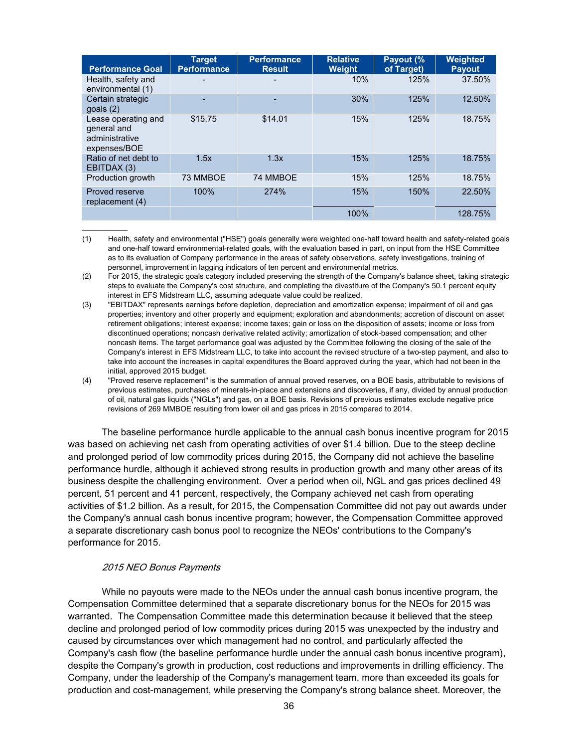| <b>Performance Goal</b>                                              | <b>Target</b><br><b>Performance</b> | <b>Performance</b><br><b>Result</b> | <b>Relative</b><br>Weight | Payout (%<br>of Target) | <b>Weighted</b><br><b>Payout</b> |
|----------------------------------------------------------------------|-------------------------------------|-------------------------------------|---------------------------|-------------------------|----------------------------------|
| Health, safety and<br>environmental (1)                              |                                     |                                     | 10%                       | 125%                    | 37.50%                           |
| Certain strategic<br>goals $(2)$                                     |                                     |                                     | 30%                       | 125%                    | 12.50%                           |
| Lease operating and<br>general and<br>administrative<br>expenses/BOE | \$15.75                             | \$14.01                             | 15%                       | 125%                    | 18.75%                           |
| Ratio of net debt to<br>EBITDAX (3)                                  | 1.5x                                | 1.3x                                | 15%                       | 125%                    | 18.75%                           |
| Production growth                                                    | 73 MMBOE                            | 74 MMBOE                            | 15%                       | 125%                    | 18.75%                           |
| Proved reserve<br>replacement (4)                                    | 100%                                | 274%                                | 15%                       | 150%                    | 22.50%                           |
|                                                                      |                                     |                                     | 100%                      |                         | 128.75%                          |

- (1) Health, safety and environmental ("HSE") goals generally were weighted one-half toward health and safety-related goals and one-half toward environmental-related goals, with the evaluation based in part, on input from the HSE Committee as to its evaluation of Company performance in the areas of safety observations, safety investigations, training of personnel, improvement in lagging indicators of ten percent and environmental metrics.
- (2) For 2015, the strategic goals category included preserving the strength of the Company's balance sheet, taking strategic steps to evaluate the Company's cost structure, and completing the divestiture of the Company's 50.1 percent equity interest in EFS Midstream LLC, assuming adequate value could be realized.
- (3) "EBITDAX" represents earnings before depletion, depreciation and amortization expense; impairment of oil and gas properties; inventory and other property and equipment; exploration and abandonments; accretion of discount on asset retirement obligations; interest expense; income taxes; gain or loss on the disposition of assets; income or loss from discontinued operations; noncash derivative related activity; amortization of stock-based compensation; and other noncash items. The target performance goal was adjusted by the Committee following the closing of the sale of the Company's interest in EFS Midstream LLC, to take into account the revised structure of a two-step payment, and also to take into account the increases in capital expenditures the Board approved during the year, which had not been in the initial, approved 2015 budget.
- (4) "Proved reserve replacement" is the summation of annual proved reserves, on a BOE basis, attributable to revisions of previous estimates, purchases of minerals-in-place and extensions and discoveries, if any, divided by annual production of oil, natural gas liquids ("NGLs") and gas, on a BOE basis. Revisions of previous estimates exclude negative price revisions of 269 MMBOE resulting from lower oil and gas prices in 2015 compared to 2014.

 The baseline performance hurdle applicable to the annual cash bonus incentive program for 2015 was based on achieving net cash from operating activities of over \$1.4 billion. Due to the steep decline and prolonged period of low commodity prices during 2015, the Company did not achieve the baseline performance hurdle, although it achieved strong results in production growth and many other areas of its business despite the challenging environment. Over a period when oil, NGL and gas prices declined 49 percent, 51 percent and 41 percent, respectively, the Company achieved net cash from operating activities of \$1.2 billion. As a result, for 2015, the Compensation Committee did not pay out awards under the Company's annual cash bonus incentive program; however, the Compensation Committee approved a separate discretionary cash bonus pool to recognize the NEOs' contributions to the Company's performance for 2015.

#### 2015 NEO Bonus Payments

 $\overline{\phantom{a}}$  , where  $\overline{\phantom{a}}$ 

 While no payouts were made to the NEOs under the annual cash bonus incentive program, the Compensation Committee determined that a separate discretionary bonus for the NEOs for 2015 was warranted. The Compensation Committee made this determination because it believed that the steep decline and prolonged period of low commodity prices during 2015 was unexpected by the industry and caused by circumstances over which management had no control, and particularly affected the Company's cash flow (the baseline performance hurdle under the annual cash bonus incentive program), despite the Company's growth in production, cost reductions and improvements in drilling efficiency. The Company, under the leadership of the Company's management team, more than exceeded its goals for production and cost-management, while preserving the Company's strong balance sheet. Moreover, the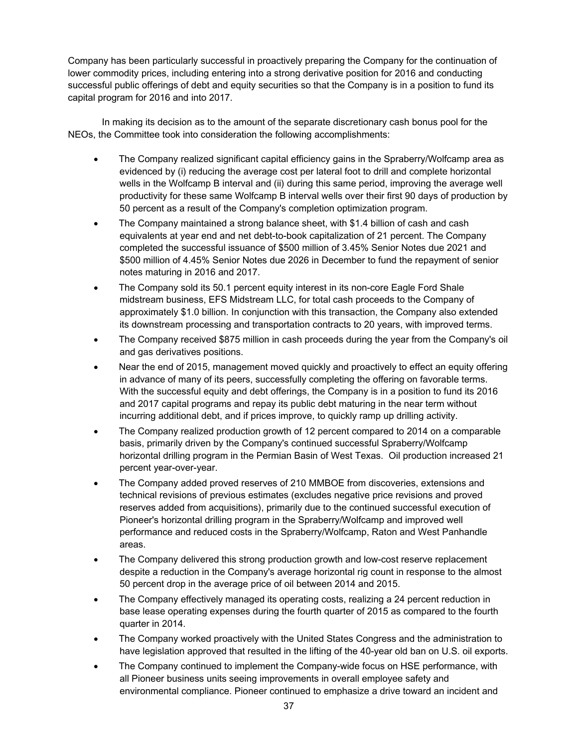Company has been particularly successful in proactively preparing the Company for the continuation of lower commodity prices, including entering into a strong derivative position for 2016 and conducting successful public offerings of debt and equity securities so that the Company is in a position to fund its capital program for 2016 and into 2017.

 In making its decision as to the amount of the separate discretionary cash bonus pool for the NEOs, the Committee took into consideration the following accomplishments:

- The Company realized significant capital efficiency gains in the Spraberry/Wolfcamp area as evidenced by (i) reducing the average cost per lateral foot to drill and complete horizontal wells in the Wolfcamp B interval and (ii) during this same period, improving the average well productivity for these same Wolfcamp B interval wells over their first 90 days of production by 50 percent as a result of the Company's completion optimization program.
- The Company maintained a strong balance sheet, with \$1.4 billion of cash and cash equivalents at year end and net debt-to-book capitalization of 21 percent. The Company completed the successful issuance of \$500 million of 3.45% Senior Notes due 2021 and \$500 million of 4.45% Senior Notes due 2026 in December to fund the repayment of senior notes maturing in 2016 and 2017.
- The Company sold its 50.1 percent equity interest in its non-core Eagle Ford Shale midstream business, EFS Midstream LLC, for total cash proceeds to the Company of approximately \$1.0 billion. In conjunction with this transaction, the Company also extended its downstream processing and transportation contracts to 20 years, with improved terms.
- The Company received \$875 million in cash proceeds during the year from the Company's oil and gas derivatives positions.
- Near the end of 2015, management moved quickly and proactively to effect an equity offering in advance of many of its peers, successfully completing the offering on favorable terms. With the successful equity and debt offerings, the Company is in a position to fund its 2016 and 2017 capital programs and repay its public debt maturing in the near term without incurring additional debt, and if prices improve, to quickly ramp up drilling activity.
- The Company realized production growth of 12 percent compared to 2014 on a comparable basis, primarily driven by the Company's continued successful Spraberry/Wolfcamp horizontal drilling program in the Permian Basin of West Texas. Oil production increased 21 percent year-over-year.
- The Company added proved reserves of 210 MMBOE from discoveries, extensions and technical revisions of previous estimates (excludes negative price revisions and proved reserves added from acquisitions), primarily due to the continued successful execution of Pioneer's horizontal drilling program in the Spraberry/Wolfcamp and improved well performance and reduced costs in the Spraberry/Wolfcamp, Raton and West Panhandle areas.
- The Company delivered this strong production growth and low-cost reserve replacement despite a reduction in the Company's average horizontal rig count in response to the almost 50 percent drop in the average price of oil between 2014 and 2015.
- The Company effectively managed its operating costs, realizing a 24 percent reduction in base lease operating expenses during the fourth quarter of 2015 as compared to the fourth quarter in 2014.
- The Company worked proactively with the United States Congress and the administration to have legislation approved that resulted in the lifting of the 40-year old ban on U.S. oil exports.
- The Company continued to implement the Company-wide focus on HSE performance, with all Pioneer business units seeing improvements in overall employee safety and environmental compliance. Pioneer continued to emphasize a drive toward an incident and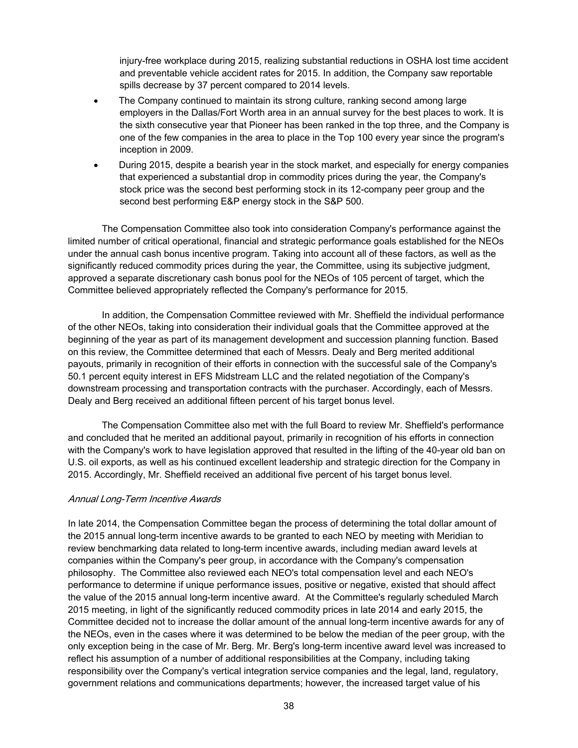injury-free workplace during 2015, realizing substantial reductions in OSHA lost time accident and preventable vehicle accident rates for 2015. In addition, the Company saw reportable spills decrease by 37 percent compared to 2014 levels.

- The Company continued to maintain its strong culture, ranking second among large employers in the Dallas/Fort Worth area in an annual survey for the best places to work. It is the sixth consecutive year that Pioneer has been ranked in the top three, and the Company is one of the few companies in the area to place in the Top 100 every year since the program's inception in 2009.
- During 2015, despite a bearish year in the stock market, and especially for energy companies that experienced a substantial drop in commodity prices during the year, the Company's stock price was the second best performing stock in its 12-company peer group and the second best performing E&P energy stock in the S&P 500.

 The Compensation Committee also took into consideration Company's performance against the limited number of critical operational, financial and strategic performance goals established for the NEOs under the annual cash bonus incentive program. Taking into account all of these factors, as well as the significantly reduced commodity prices during the year, the Committee, using its subjective judgment, approved a separate discretionary cash bonus pool for the NEOs of 105 percent of target, which the Committee believed appropriately reflected the Company's performance for 2015.

In addition, the Compensation Committee reviewed with Mr. Sheffield the individual performance of the other NEOs, taking into consideration their individual goals that the Committee approved at the beginning of the year as part of its management development and succession planning function. Based on this review, the Committee determined that each of Messrs. Dealy and Berg merited additional payouts, primarily in recognition of their efforts in connection with the successful sale of the Company's 50.1 percent equity interest in EFS Midstream LLC and the related negotiation of the Company's downstream processing and transportation contracts with the purchaser. Accordingly, each of Messrs. Dealy and Berg received an additional fifteen percent of his target bonus level.

 The Compensation Committee also met with the full Board to review Mr. Sheffield's performance and concluded that he merited an additional payout, primarily in recognition of his efforts in connection with the Company's work to have legislation approved that resulted in the lifting of the 40-year old ban on U.S. oil exports, as well as his continued excellent leadership and strategic direction for the Company in 2015. Accordingly, Mr. Sheffield received an additional five percent of his target bonus level.

#### Annual Long-Term Incentive Awards

In late 2014, the Compensation Committee began the process of determining the total dollar amount of the 2015 annual long-term incentive awards to be granted to each NEO by meeting with Meridian to review benchmarking data related to long-term incentive awards, including median award levels at companies within the Company's peer group, in accordance with the Company's compensation philosophy. The Committee also reviewed each NEO's total compensation level and each NEO's performance to determine if unique performance issues, positive or negative, existed that should affect the value of the 2015 annual long-term incentive award. At the Committee's regularly scheduled March 2015 meeting, in light of the significantly reduced commodity prices in late 2014 and early 2015, the Committee decided not to increase the dollar amount of the annual long-term incentive awards for any of the NEOs, even in the cases where it was determined to be below the median of the peer group, with the only exception being in the case of Mr. Berg. Mr. Berg's long-term incentive award level was increased to reflect his assumption of a number of additional responsibilities at the Company, including taking responsibility over the Company's vertical integration service companies and the legal, land, regulatory, government relations and communications departments; however, the increased target value of his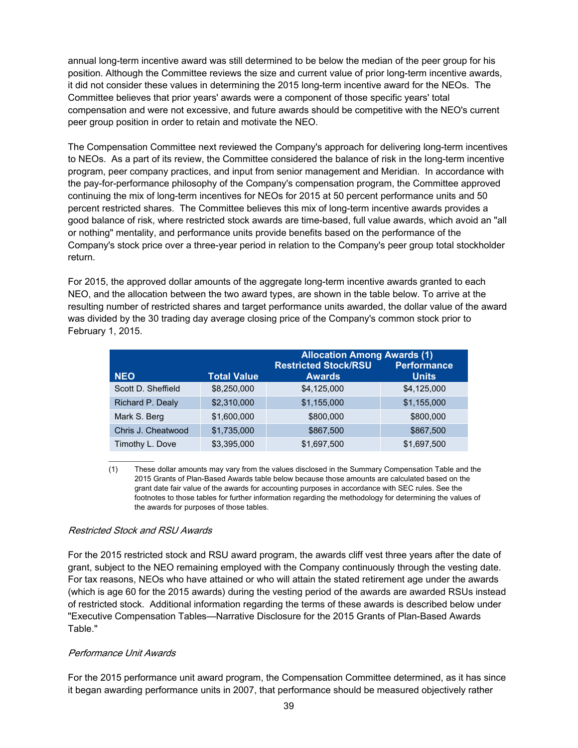annual long-term incentive award was still determined to be below the median of the peer group for his position. Although the Committee reviews the size and current value of prior long-term incentive awards, it did not consider these values in determining the 2015 long-term incentive award for the NEOs. The Committee believes that prior years' awards were a component of those specific years' total compensation and were not excessive, and future awards should be competitive with the NEO's current peer group position in order to retain and motivate the NEO.

The Compensation Committee next reviewed the Company's approach for delivering long-term incentives to NEOs. As a part of its review, the Committee considered the balance of risk in the long-term incentive program, peer company practices, and input from senior management and Meridian. In accordance with the pay-for-performance philosophy of the Company's compensation program, the Committee approved continuing the mix of long-term incentives for NEOs for 2015 at 50 percent performance units and 50 percent restricted shares. The Committee believes this mix of long-term incentive awards provides a good balance of risk, where restricted stock awards are time-based, full value awards, which avoid an "all or nothing" mentality, and performance units provide benefits based on the performance of the Company's stock price over a three-year period in relation to the Company's peer group total stockholder return.

For 2015, the approved dollar amounts of the aggregate long-term incentive awards granted to each NEO, and the allocation between the two award types, are shown in the table below. To arrive at the resulting number of restricted shares and target performance units awarded, the dollar value of the award was divided by the 30 trading day average closing price of the Company's common stock prior to February 1, 2015.

|                    |                    | <b>Allocation Among Awards (1)</b>           |                             |  |  |  |
|--------------------|--------------------|----------------------------------------------|-----------------------------|--|--|--|
| <b>NEO</b>         | <b>Total Value</b> | <b>Restricted Stock/RSU</b><br><b>Awards</b> | Performance<br><b>Units</b> |  |  |  |
| Scott D. Sheffield | \$8,250,000        | \$4,125,000                                  | \$4,125,000                 |  |  |  |
| Richard P. Dealy   | \$2,310,000        | \$1,155,000                                  | \$1,155,000                 |  |  |  |
| Mark S. Berg       | \$1,600,000        | \$800,000                                    | \$800,000                   |  |  |  |
| Chris J. Cheatwood | \$1,735,000        | \$867,500                                    | \$867,500                   |  |  |  |
| Timothy L. Dove    | \$3,395,000        | \$1,697,500                                  | \$1,697,500                 |  |  |  |

(1) These dollar amounts may vary from the values disclosed in the Summary Compensation Table and the 2015 Grants of Plan-Based Awards table below because those amounts are calculated based on the grant date fair value of the awards for accounting purposes in accordance with SEC rules. See the footnotes to those tables for further information regarding the methodology for determining the values of the awards for purposes of those tables.

## Restricted Stock and RSU Awards

\_\_\_\_\_\_\_\_\_\_\_\_

For the 2015 restricted stock and RSU award program, the awards cliff vest three years after the date of grant, subject to the NEO remaining employed with the Company continuously through the vesting date. For tax reasons, NEOs who have attained or who will attain the stated retirement age under the awards (which is age 60 for the 2015 awards) during the vesting period of the awards are awarded RSUs instead of restricted stock. Additional information regarding the terms of these awards is described below under "Executive Compensation Tables—Narrative Disclosure for the 2015 Grants of Plan-Based Awards Table."

#### Performance Unit Awards

For the 2015 performance unit award program, the Compensation Committee determined, as it has since it began awarding performance units in 2007, that performance should be measured objectively rather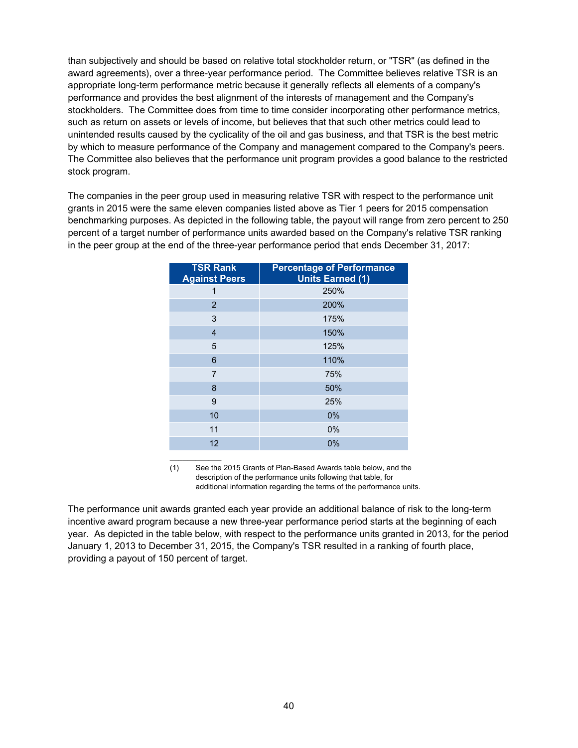than subjectively and should be based on relative total stockholder return, or "TSR" (as defined in the award agreements), over a three-year performance period. The Committee believes relative TSR is an appropriate long-term performance metric because it generally reflects all elements of a company's performance and provides the best alignment of the interests of management and the Company's stockholders. The Committee does from time to time consider incorporating other performance metrics, such as return on assets or levels of income, but believes that that such other metrics could lead to unintended results caused by the cyclicality of the oil and gas business, and that TSR is the best metric by which to measure performance of the Company and management compared to the Company's peers. The Committee also believes that the performance unit program provides a good balance to the restricted stock program.

The companies in the peer group used in measuring relative TSR with respect to the performance unit grants in 2015 were the same eleven companies listed above as Tier 1 peers for 2015 compensation benchmarking purposes. As depicted in the following table, the payout will range from zero percent to 250 percent of a target number of performance units awarded based on the Company's relative TSR ranking in the peer group at the end of the three-year performance period that ends December 31, 2017:

| <b>Percentage of Performance</b><br><b>Units Earned (1)</b> |
|-------------------------------------------------------------|
| 250%                                                        |
| 200%                                                        |
| 175%                                                        |
| 150%                                                        |
| 125%                                                        |
| 110%                                                        |
| 75%                                                         |
| 50%                                                         |
| 25%                                                         |
| 0%                                                          |
| 0%                                                          |
| 0%                                                          |
|                                                             |

(1) See the 2015 Grants of Plan-Based Awards table below, and the description of the performance units following that table, for additional information regarding the terms of the performance units.

\_\_\_\_\_\_\_\_\_\_\_\_

The performance unit awards granted each year provide an additional balance of risk to the long-term incentive award program because a new three-year performance period starts at the beginning of each year. As depicted in the table below, with respect to the performance units granted in 2013, for the period January 1, 2013 to December 31, 2015, the Company's TSR resulted in a ranking of fourth place, providing a payout of 150 percent of target.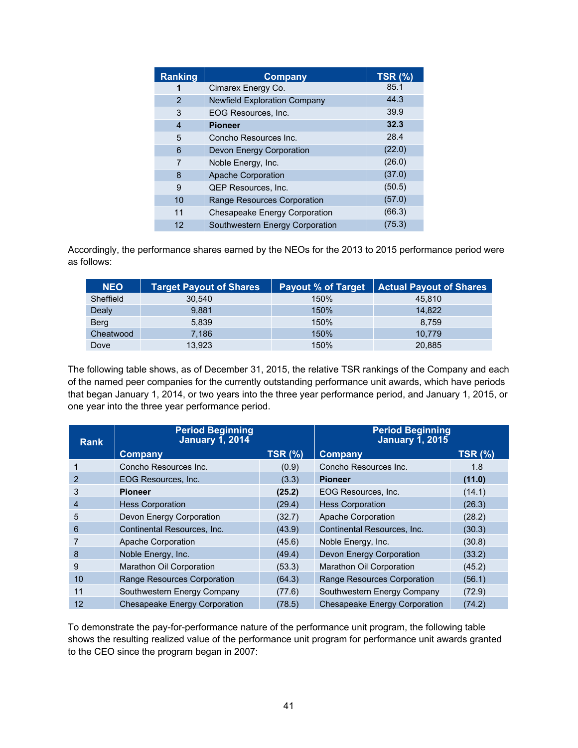| Ranking        | <b>Company</b>                      | <b>TSR (%)</b> |
|----------------|-------------------------------------|----------------|
|                | Cimarex Energy Co.                  | 85.1           |
| $\overline{2}$ | <b>Newfield Exploration Company</b> | 44.3           |
| 3              | EOG Resources, Inc.                 | 39.9           |
| $\overline{4}$ | <b>Pioneer</b>                      | 32.3           |
| 5              | Concho Resources Inc.               | 28.4           |
| 6              | Devon Energy Corporation            | (22.0)         |
|                | Noble Energy, Inc.                  | (26.0)         |
| 8              | <b>Apache Corporation</b>           | (37.0)         |
| 9              | <b>QEP Resources, Inc.</b>          | (50.5)         |
| 10             | Range Resources Corporation         | (57.0)         |
| 11             | Chesapeake Energy Corporation       | (66.3)         |
| 12             | Southwestern Energy Corporation     | (75.3)         |

Accordingly, the performance shares earned by the NEOs for the 2013 to 2015 performance period were as follows:

| <b>NEO</b>  | <b>Target Payout of Shares</b> | <b>Payout % of Target</b> | <b>Actual Payout of Shares</b> |
|-------------|--------------------------------|---------------------------|--------------------------------|
| Sheffield   | 30.540                         | 150%                      | 45.810                         |
| Dealy       | 9.881                          | 150%                      | 14.822                         |
| <b>Berg</b> | 5.839                          | 150%                      | 8.759                          |
| Cheatwood   | 7.186                          | 150%                      | 10.779                         |
| Dove        | 13.923                         | 150%                      | 20,885                         |

The following table shows, as of December 31, 2015, the relative TSR rankings of the Company and each of the named peer companies for the currently outstanding performance unit awards, which have periods that began January 1, 2014, or two years into the three year performance period, and January 1, 2015, or one year into the three year performance period.

| <b>Rank</b> | <b>Period Beginning</b><br><b>January 1, 2014</b> |                | <b>Period Beginning</b><br>January 1, 2015 |                |  |  |
|-------------|---------------------------------------------------|----------------|--------------------------------------------|----------------|--|--|
|             | Company                                           | <b>TSR (%)</b> | <b>Company</b>                             | <b>TSR (%)</b> |  |  |
|             | Concho Resources Inc.                             | (0.9)          | Concho Resources Inc.                      | 1.8            |  |  |
| 2           | EOG Resources, Inc.                               | (3.3)          | <b>Pioneer</b>                             | (11.0)         |  |  |
| 3           | <b>Pioneer</b>                                    | (25.2)         | EOG Resources, Inc.                        | (14.1)         |  |  |
| 4           | <b>Hess Corporation</b>                           | (29.4)         | <b>Hess Corporation</b>                    | (26.3)         |  |  |
| 5           | Devon Energy Corporation                          | (32.7)         | Apache Corporation                         | (28.2)         |  |  |
| 6           | Continental Resources, Inc.                       | (43.9)         | Continental Resources, Inc.                | (30.3)         |  |  |
|             | Apache Corporation                                | (45.6)         | Noble Energy, Inc.                         | (30.8)         |  |  |
| 8           | Noble Energy, Inc.                                | (49.4)         | <b>Devon Energy Corporation</b>            | (33.2)         |  |  |
| 9           | Marathon Oil Corporation                          | (53.3)         | Marathon Oil Corporation                   | (45.2)         |  |  |
| 10          | Range Resources Corporation                       | (64.3)         | Range Resources Corporation                | (56.1)         |  |  |
| 11          | Southwestern Energy Company                       | (77.6)         | Southwestern Energy Company                | (72.9)         |  |  |
| 12          | Chesapeake Energy Corporation                     | (78.5)         | Chesapeake Energy Corporation              | (74.2)         |  |  |

To demonstrate the pay-for-performance nature of the performance unit program, the following table shows the resulting realized value of the performance unit program for performance unit awards granted to the CEO since the program began in 2007: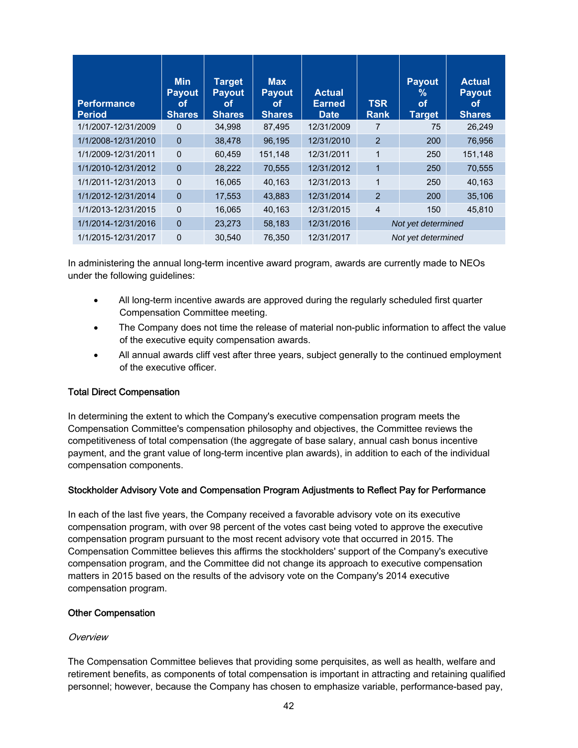| <b>Performance</b><br><b>Period</b> | <b>Min</b><br><b>Payout</b><br>ΟŤ<br><b>Shares</b> | <b>Target</b><br><b>Payout</b><br>0t<br><b>Shares</b> | <b>Max</b><br><b>Payout</b><br>Οf<br><b>Shares</b> | <b>Actual</b><br><b>Earned</b><br><b>Date</b> | <b>TSR</b><br><b>Rank</b> | <b>Payout</b><br>%<br><b>of</b><br><b>Target</b> | <b>Actual</b><br><b>Payout</b><br><b>of</b><br><b>Shares</b> |
|-------------------------------------|----------------------------------------------------|-------------------------------------------------------|----------------------------------------------------|-----------------------------------------------|---------------------------|--------------------------------------------------|--------------------------------------------------------------|
| 1/1/2007-12/31/2009                 | 0                                                  | 34,998                                                | 87,495                                             | 12/31/2009                                    | 7                         | 75                                               | 26,249                                                       |
| 1/1/2008-12/31/2010                 | $\mathbf{0}$                                       | 38,478                                                | 96,195                                             | 12/31/2010                                    | 2                         | 200                                              | 76,956                                                       |
| 1/1/2009-12/31/2011                 | 0                                                  | 60,459                                                | 151,148                                            | 12/31/2011                                    | 1                         | 250                                              | 151,148                                                      |
| 1/1/2010-12/31/2012                 | $\mathbf{0}$                                       | 28,222                                                | 70,555                                             | 12/31/2012                                    | 1                         | 250                                              | 70.555                                                       |
| 1/1/2011-12/31/2013                 | 0                                                  | 16.065                                                | 40.163                                             | 12/31/2013                                    | 1                         | 250                                              | 40.163                                                       |
| 1/1/2012-12/31/2014                 | $\mathbf{0}$                                       | 17,553                                                | 43,883                                             | 12/31/2014                                    | $\overline{2}$            | 200                                              | 35,106                                                       |
| 1/1/2013-12/31/2015                 | 0                                                  | 16,065                                                | 40,163                                             | 12/31/2015                                    | $\overline{4}$            | 150                                              | 45,810                                                       |
| 1/1/2014-12/31/2016                 | $\mathbf{0}$                                       | 23,273                                                | 58,183                                             | 12/31/2016                                    |                           | Not yet determined                               |                                                              |
| 1/1/2015-12/31/2017                 | $\mathbf 0$                                        | 30.540                                                | 76.350                                             | 12/31/2017                                    |                           | Not yet determined                               |                                                              |

In administering the annual long-term incentive award program, awards are currently made to NEOs under the following guidelines:

- All long-term incentive awards are approved during the regularly scheduled first quarter Compensation Committee meeting.
- The Company does not time the release of material non-public information to affect the value of the executive equity compensation awards.
- All annual awards cliff vest after three years, subject generally to the continued employment of the executive officer.

## Total Direct Compensation

In determining the extent to which the Company's executive compensation program meets the Compensation Committee's compensation philosophy and objectives, the Committee reviews the competitiveness of total compensation (the aggregate of base salary, annual cash bonus incentive payment, and the grant value of long-term incentive plan awards), in addition to each of the individual compensation components.

#### Stockholder Advisory Vote and Compensation Program Adjustments to Reflect Pay for Performance

In each of the last five years, the Company received a favorable advisory vote on its executive compensation program, with over 98 percent of the votes cast being voted to approve the executive compensation program pursuant to the most recent advisory vote that occurred in 2015. The Compensation Committee believes this affirms the stockholders' support of the Company's executive compensation program, and the Committee did not change its approach to executive compensation matters in 2015 based on the results of the advisory vote on the Company's 2014 executive compensation program.

## Other Compensation

## **Overview**

The Compensation Committee believes that providing some perquisites, as well as health, welfare and retirement benefits, as components of total compensation is important in attracting and retaining qualified personnel; however, because the Company has chosen to emphasize variable, performance-based pay,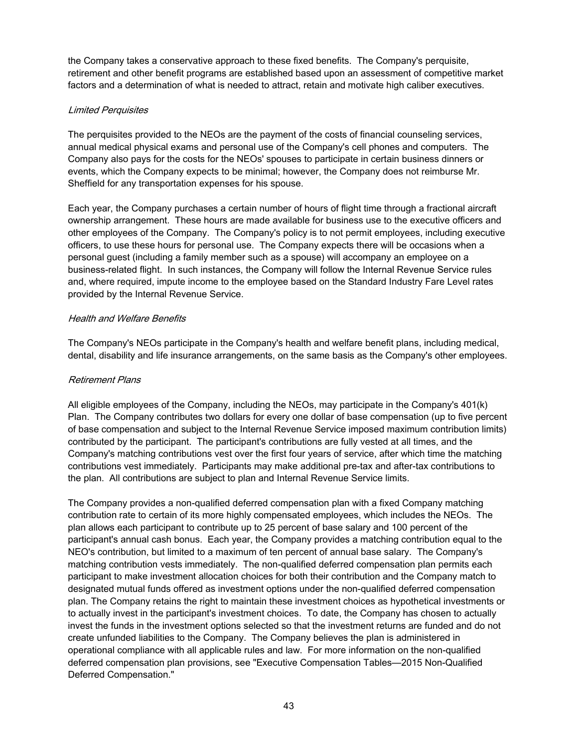the Company takes a conservative approach to these fixed benefits. The Company's perquisite, retirement and other benefit programs are established based upon an assessment of competitive market factors and a determination of what is needed to attract, retain and motivate high caliber executives.

## Limited Perquisites

The perquisites provided to the NEOs are the payment of the costs of financial counseling services, annual medical physical exams and personal use of the Company's cell phones and computers. The Company also pays for the costs for the NEOs' spouses to participate in certain business dinners or events, which the Company expects to be minimal; however, the Company does not reimburse Mr. Sheffield for any transportation expenses for his spouse.

Each year, the Company purchases a certain number of hours of flight time through a fractional aircraft ownership arrangement. These hours are made available for business use to the executive officers and other employees of the Company. The Company's policy is to not permit employees, including executive officers, to use these hours for personal use. The Company expects there will be occasions when a personal guest (including a family member such as a spouse) will accompany an employee on a business-related flight. In such instances, the Company will follow the Internal Revenue Service rules and, where required, impute income to the employee based on the Standard Industry Fare Level rates provided by the Internal Revenue Service.

# Health and Welfare Benefits

The Company's NEOs participate in the Company's health and welfare benefit plans, including medical, dental, disability and life insurance arrangements, on the same basis as the Company's other employees.

# Retirement Plans

All eligible employees of the Company, including the NEOs, may participate in the Company's 401(k) Plan. The Company contributes two dollars for every one dollar of base compensation (up to five percent of base compensation and subject to the Internal Revenue Service imposed maximum contribution limits) contributed by the participant. The participant's contributions are fully vested at all times, and the Company's matching contributions vest over the first four years of service, after which time the matching contributions vest immediately. Participants may make additional pre-tax and after-tax contributions to the plan. All contributions are subject to plan and Internal Revenue Service limits.

The Company provides a non-qualified deferred compensation plan with a fixed Company matching contribution rate to certain of its more highly compensated employees, which includes the NEOs. The plan allows each participant to contribute up to 25 percent of base salary and 100 percent of the participant's annual cash bonus. Each year, the Company provides a matching contribution equal to the NEO's contribution, but limited to a maximum of ten percent of annual base salary. The Company's matching contribution vests immediately. The non-qualified deferred compensation plan permits each participant to make investment allocation choices for both their contribution and the Company match to designated mutual funds offered as investment options under the non-qualified deferred compensation plan. The Company retains the right to maintain these investment choices as hypothetical investments or to actually invest in the participant's investment choices. To date, the Company has chosen to actually invest the funds in the investment options selected so that the investment returns are funded and do not create unfunded liabilities to the Company. The Company believes the plan is administered in operational compliance with all applicable rules and law. For more information on the non-qualified deferred compensation plan provisions, see "Executive Compensation Tables—2015 Non-Qualified Deferred Compensation."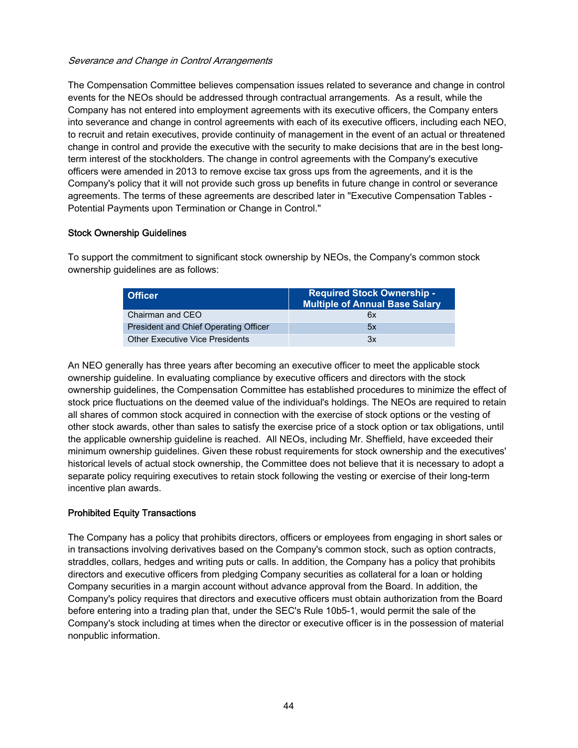### Severance and Change in Control Arrangements

The Compensation Committee believes compensation issues related to severance and change in control events for the NEOs should be addressed through contractual arrangements. As a result, while the Company has not entered into employment agreements with its executive officers, the Company enters into severance and change in control agreements with each of its executive officers, including each NEO, to recruit and retain executives, provide continuity of management in the event of an actual or threatened change in control and provide the executive with the security to make decisions that are in the best longterm interest of the stockholders. The change in control agreements with the Company's executive officers were amended in 2013 to remove excise tax gross ups from the agreements, and it is the Company's policy that it will not provide such gross up benefits in future change in control or severance agreements. The terms of these agreements are described later in "Executive Compensation Tables - Potential Payments upon Termination or Change in Control."

## Stock Ownership Guidelines

To support the commitment to significant stock ownership by NEOs, the Company's common stock ownership guidelines are as follows:

| <b>Officer</b>                         | <b>Required Stock Ownership -</b><br><b>Multiple of Annual Base Salary</b> |
|----------------------------------------|----------------------------------------------------------------------------|
| Chairman and CEO                       | 6x                                                                         |
| President and Chief Operating Officer  | 5x                                                                         |
| <b>Other Executive Vice Presidents</b> | 3x                                                                         |

An NEO generally has three years after becoming an executive officer to meet the applicable stock ownership guideline. In evaluating compliance by executive officers and directors with the stock ownership guidelines, the Compensation Committee has established procedures to minimize the effect of stock price fluctuations on the deemed value of the individual's holdings. The NEOs are required to retain all shares of common stock acquired in connection with the exercise of stock options or the vesting of other stock awards, other than sales to satisfy the exercise price of a stock option or tax obligations, until the applicable ownership guideline is reached. All NEOs, including Mr. Sheffield, have exceeded their minimum ownership guidelines. Given these robust requirements for stock ownership and the executives' historical levels of actual stock ownership, the Committee does not believe that it is necessary to adopt a separate policy requiring executives to retain stock following the vesting or exercise of their long-term incentive plan awards.

## Prohibited Equity Transactions

The Company has a policy that prohibits directors, officers or employees from engaging in short sales or in transactions involving derivatives based on the Company's common stock, such as option contracts, straddles, collars, hedges and writing puts or calls. In addition, the Company has a policy that prohibits directors and executive officers from pledging Company securities as collateral for a loan or holding Company securities in a margin account without advance approval from the Board. In addition, the Company's policy requires that directors and executive officers must obtain authorization from the Board before entering into a trading plan that, under the SEC's Rule 10b5-1, would permit the sale of the Company's stock including at times when the director or executive officer is in the possession of material nonpublic information.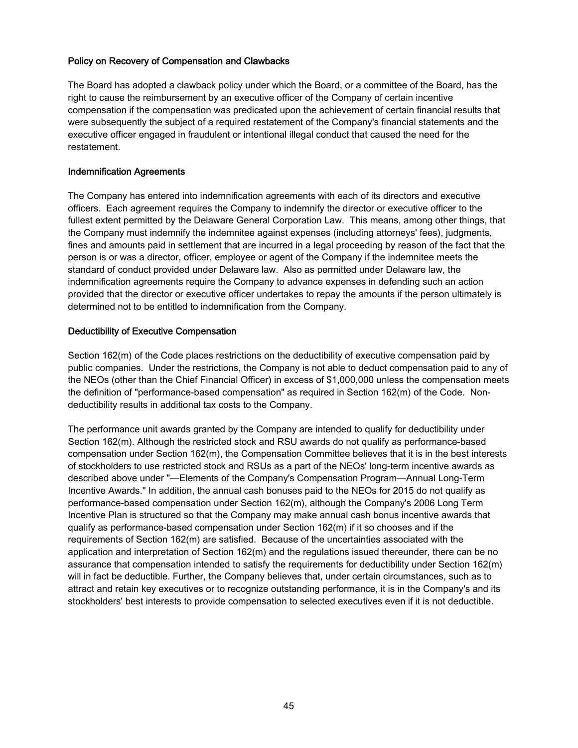### Policy on Recovery of Compensation and Clawbacks

The Board has adopted a clawback policy under which the Board, or a committee of the Board, has the right to cause the reimbursement by an executive officer of the Company of certain incentive compensation if the compensation was predicated upon the achievement of certain financial results that were subsequently the subject of a required restatement of the Company's financial statements and the executive officer engaged in fraudulent or intentional illegal conduct that caused the need for the restatement.

### Indemnification Agreements

The Company has entered into indemnification agreements with each of its directors and executive officers. Each agreement requires the Company to indemnify the director or executive officer to the fullest extent permitted by the Delaware General Corporation Law. This means, among other things, that the Company must indemnify the indemnitee against expenses (including attorneys' fees), judgments, fines and amounts paid in settlement that are incurred in a legal proceeding by reason of the fact that the person is or was a director, officer, employee or agent of the Company if the indemnitee meets the standard of conduct provided under Delaware law. Also as permitted under Delaware law, the indemnification agreements require the Company to advance expenses in defending such an action provided that the director or executive officer undertakes to repay the amounts if the person ultimately is determined not to be entitled to indemnification from the Company.

### Deductibility of Executive Compensation

Section 162(m) of the Code places restrictions on the deductibility of executive compensation paid by public companies. Under the restrictions, the Company is not able to deduct compensation paid to any of the NEOs (other than the Chief Financial Officer) in excess of \$1,000,000 unless the compensation meets the definition of "performance-based compensation" as required in Section 162(m) of the Code. Nondeductibility results in additional tax costs to the Company.

The performance unit awards granted by the Company are intended to qualify for deductibility under Section 162(m). Although the restricted stock and RSU awards do not qualify as performance-based compensation under Section 162(m), the Compensation Committee believes that it is in the best interests of stockholders to use restricted stock and RSUs as a part of the NEOs' long-term incentive awards as described above under "—Elements of the Company's Compensation Program—Annual Long-Term Incentive Awards." In addition, the annual cash bonuses paid to the NEOs for 2015 do not qualify as performance-based compensation under Section 162(m), although the Company's 2006 Long Term Incentive Plan is structured so that the Company may make annual cash bonus incentive awards that qualify as performance-based compensation under Section 162(m) if it so chooses and if the requirements of Section 162(m) are satisfied. Because of the uncertainties associated with the application and interpretation of Section 162(m) and the regulations issued thereunder, there can be no assurance that compensation intended to satisfy the requirements for deductibility under Section 162(m) will in fact be deductible. Further, the Company believes that, under certain circumstances, such as to attract and retain key executives or to recognize outstanding performance, it is in the Company's and its stockholders' best interests to provide compensation to selected executives even if it is not deductible.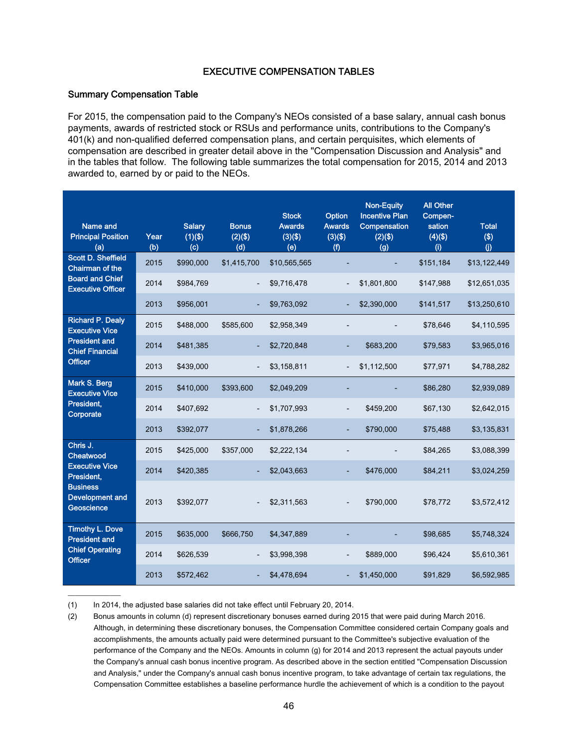### EXECUTIVE COMPENSATION TABLES

#### Summary Compensation Table

For 2015, the compensation paid to the Company's NEOs consisted of a base salary, annual cash bonus payments, awards of restricted stock or RSUs and performance units, contributions to the Company's 401(k) and non-qualified deferred compensation plans, and certain perquisites, which elements of compensation are described in greater detail above in the "Compensation Discussion and Analysis" and in the tables that follow. The following table summarizes the total compensation for 2015, 2014 and 2013 awarded to, earned by or paid to the NEOs.

| Name and<br><b>Principal Position</b><br>(a)       | Year<br>(b) | <b>Salary</b><br>$(1)(\$)$<br>(c) | <b>Bonus</b><br>$(2)(\$)$<br>(d) | <b>Stock</b><br><b>Awards</b><br>$(3)(\$)$<br>(e) | <b>Option</b><br><b>Awards</b><br>$(3)(\$)$<br>(f) | Non-Equity<br><b>Incentive Plan</b><br>Compensation<br>$(2)(\$)$<br>(g) | <b>All Other</b><br>Compen-<br>sation<br>$(4)(\$)$<br>(i) | <b>Total</b><br>$($ \$)<br>$\bf{0}$ |
|----------------------------------------------------|-------------|-----------------------------------|----------------------------------|---------------------------------------------------|----------------------------------------------------|-------------------------------------------------------------------------|-----------------------------------------------------------|-------------------------------------|
| <b>Scott D. Sheffield</b><br>Chairman of the       | 2015        | \$990,000                         | \$1,415,700                      | \$10,565,565                                      |                                                    |                                                                         | \$151,184                                                 | \$13,122,449                        |
| <b>Board and Chief</b><br><b>Executive Officer</b> | 2014        | \$984,769                         | $\overline{\phantom{a}}$         | \$9,716,478                                       |                                                    | \$1,801,800                                                             | \$147,988                                                 | \$12,651,035                        |
|                                                    | 2013        | \$956,001                         |                                  | \$9,763,092                                       |                                                    | \$2,390,000                                                             | \$141,517                                                 | \$13,250,610                        |
| <b>Richard P. Dealy</b><br><b>Executive Vice</b>   | 2015        | \$488,000                         | \$585,600                        | \$2,958,349                                       |                                                    |                                                                         | \$78,646                                                  | \$4,110,595                         |
| <b>President and</b><br><b>Chief Financial</b>     | 2014        | \$481,385                         |                                  | \$2,720,848                                       |                                                    | \$683,200                                                               | \$79,583                                                  | \$3,965,016                         |
| <b>Officer</b>                                     | 2013        | \$439,000                         |                                  | \$3,158,811                                       |                                                    | \$1,112,500                                                             | \$77,971                                                  | \$4,788,282                         |
| Mark S. Berg<br><b>Executive Vice</b>              | 2015        | \$410,000                         | \$393,600                        | \$2,049,209                                       |                                                    |                                                                         | \$86,280                                                  | \$2,939,089                         |
| President.<br>Corporate                            | 2014        | \$407,692                         |                                  | \$1,707,993                                       |                                                    | \$459,200                                                               | \$67,130                                                  | \$2,642,015                         |
|                                                    | 2013        | \$392,077                         |                                  | \$1,878,266                                       | ٠                                                  | \$790,000                                                               | \$75,488                                                  | \$3,135,831                         |
| Chris J.<br>Cheatwood                              | 2015        | \$425,000                         | \$357,000                        | \$2,222,134                                       |                                                    |                                                                         | \$84,265                                                  | \$3,088,399                         |
| <b>Executive Vice</b><br>President,                | 2014        | \$420,385                         |                                  | \$2,043,663                                       |                                                    | \$476,000                                                               | \$84,211                                                  | \$3,024,259                         |
| <b>Business</b><br>Development and<br>Geoscience   | 2013        | \$392,077                         |                                  | \$2,311,563                                       |                                                    | \$790,000                                                               | \$78,772                                                  | \$3,572,412                         |
| <b>Timothy L. Dove</b><br><b>President and</b>     | 2015        | \$635,000                         | \$666,750                        | \$4,347,889                                       |                                                    |                                                                         | \$98,685                                                  | \$5,748,324                         |
| <b>Chief Operating</b><br><b>Officer</b>           | 2014        | \$626,539                         |                                  | \$3,998,398                                       |                                                    | \$889,000                                                               | \$96,424                                                  | \$5,610,361                         |
|                                                    | 2013        | \$572,462                         |                                  | \$4,478,694                                       |                                                    | \$1,450,000                                                             | \$91,829                                                  | \$6,592,985                         |

(1) In 2014, the adjusted base salaries did not take effect until February 20, 2014.

 $\overline{\phantom{a}}$  , where  $\overline{\phantom{a}}$ 

<sup>(2)</sup> Bonus amounts in column (d) represent discretionary bonuses earned during 2015 that were paid during March 2016. Although, in determining these discretionary bonuses, the Compensation Committee considered certain Company goals and accomplishments, the amounts actually paid were determined pursuant to the Committee's subjective evaluation of the performance of the Company and the NEOs. Amounts in column (g) for 2014 and 2013 represent the actual payouts under the Company's annual cash bonus incentive program. As described above in the section entitled "Compensation Discussion and Analysis," under the Company's annual cash bonus incentive program, to take advantage of certain tax regulations, the Compensation Committee establishes a baseline performance hurdle the achievement of which is a condition to the payout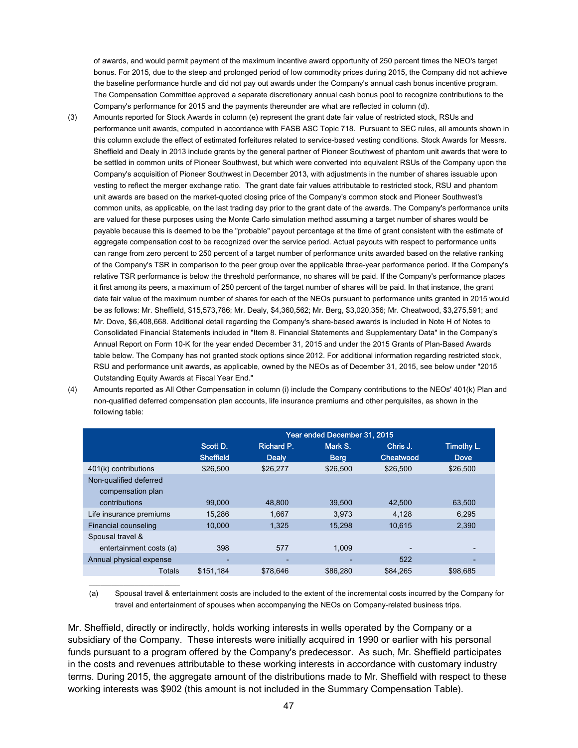of awards, and would permit payment of the maximum incentive award opportunity of 250 percent times the NEO's target bonus. For 2015, due to the steep and prolonged period of low commodity prices during 2015, the Company did not achieve the baseline performance hurdle and did not pay out awards under the Company's annual cash bonus incentive program. The Compensation Committee approved a separate discretionary annual cash bonus pool to recognize contributions to the Company's performance for 2015 and the payments thereunder are what are reflected in column (d).

- (3) Amounts reported for Stock Awards in column (e) represent the grant date fair value of restricted stock, RSUs and performance unit awards, computed in accordance with FASB ASC Topic 718. Pursuant to SEC rules, all amounts shown in this column exclude the effect of estimated forfeitures related to service-based vesting conditions. Stock Awards for Messrs. Sheffield and Dealy in 2013 include grants by the general partner of Pioneer Southwest of phantom unit awards that were to be settled in common units of Pioneer Southwest, but which were converted into equivalent RSUs of the Company upon the Company's acquisition of Pioneer Southwest in December 2013, with adjustments in the number of shares issuable upon vesting to reflect the merger exchange ratio. The grant date fair values attributable to restricted stock, RSU and phantom unit awards are based on the market-quoted closing price of the Company's common stock and Pioneer Southwest's common units, as applicable, on the last trading day prior to the grant date of the awards. The Company's performance units are valued for these purposes using the Monte Carlo simulation method assuming a target number of shares would be payable because this is deemed to be the "probable" payout percentage at the time of grant consistent with the estimate of aggregate compensation cost to be recognized over the service period. Actual payouts with respect to performance units can range from zero percent to 250 percent of a target number of performance units awarded based on the relative ranking of the Company's TSR in comparison to the peer group over the applicable three-year performance period. If the Company's relative TSR performance is below the threshold performance, no shares will be paid. If the Company's performance places it first among its peers, a maximum of 250 percent of the target number of shares will be paid. In that instance, the grant date fair value of the maximum number of shares for each of the NEOs pursuant to performance units granted in 2015 would be as follows: Mr. Sheffield, \$15,573,786; Mr. Dealy, \$4,360,562; Mr. Berg, \$3,020,356; Mr. Cheatwood, \$3,275,591; and Mr. Dove, \$6,408,668. Additional detail regarding the Company's share-based awards is included in Note H of Notes to Consolidated Financial Statements included in "Item 8. Financial Statements and Supplementary Data" in the Company's Annual Report on Form 10-K for the year ended December 31, 2015 and under the 2015 Grants of Plan-Based Awards table below. The Company has not granted stock options since 2012. For additional information regarding restricted stock, RSU and performance unit awards, as applicable, owned by the NEOs as of December 31, 2015, see below under "2015 Outstanding Equity Awards at Fiscal Year End."
- (4) Amounts reported as All Other Compensation in column (i) include the Company contributions to the NEOs' 401(k) Plan and non-qualified deferred compensation plan accounts, life insurance premiums and other perquisites, as shown in the following table:

|                         | Year ended December 31, 2015 |            |             |           |            |  |  |  |
|-------------------------|------------------------------|------------|-------------|-----------|------------|--|--|--|
|                         | Scott D.                     | Richard P. | Mark S.     | Chris J.  | Timothy L. |  |  |  |
|                         | <b>Sheffield</b>             | Dealy      | <b>Berg</b> | Cheatwood | Dove       |  |  |  |
| 401(k) contributions    | \$26,500                     | \$26,277   | \$26,500    | \$26,500  | \$26,500   |  |  |  |
| Non-qualified deferred  |                              |            |             |           |            |  |  |  |
| compensation plan       |                              |            |             |           |            |  |  |  |
| contributions           | 99,000                       | 48.800     | 39.500      | 42.500    | 63,500     |  |  |  |
| Life insurance premiums | 15.286                       | 1.667      | 3.973       | 4.128     | 6,295      |  |  |  |
| Financial counseling    | 10.000                       | 1.325      | 15.298      | 10.615    | 2,390      |  |  |  |
| Spousal travel &        |                              |            |             |           |            |  |  |  |
| entertainment costs (a) | 398                          | 577        | 1.009       |           |            |  |  |  |
| Annual physical expense | ٠                            |            |             | 522       |            |  |  |  |
| Totals                  | \$151.184                    | \$78.646   | \$86,280    | \$84.265  | \$98,685   |  |  |  |

(a) Spousal travel & entertainment costs are included to the extent of the incremental costs incurred by the Company for travel and entertainment of spouses when accompanying the NEOs on Company-related business trips.

\_\_\_\_\_\_\_\_\_\_\_\_\_\_\_\_\_\_\_\_\_\_\_\_

Mr. Sheffield, directly or indirectly, holds working interests in wells operated by the Company or a subsidiary of the Company. These interests were initially acquired in 1990 or earlier with his personal funds pursuant to a program offered by the Company's predecessor. As such, Mr. Sheffield participates in the costs and revenues attributable to these working interests in accordance with customary industry terms. During 2015, the aggregate amount of the distributions made to Mr. Sheffield with respect to these working interests was \$902 (this amount is not included in the Summary Compensation Table).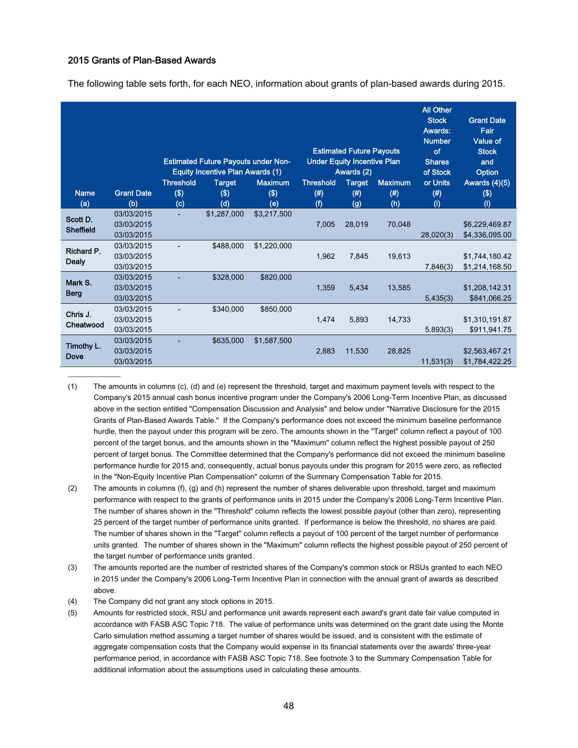#### 2015 Grants of Plan-Based Awards

 $\mathcal{L}=\mathcal{L}$ 

The following table sets forth, for each NEO, information about grants of plan-based awards during 2015.

|                              |                                        |                                  | <b>Estimated Future Payouts under Non-</b><br><b>Equity Incentive Plan Awards (1)</b> |                              | <b>Under Equity Incentive Plan</b>     | <b>Estimated Future Payouts</b><br>Awards (2) |                                    | <b>All Other</b><br><b>Stock</b><br>Awards:<br><b>Number</b><br><b>of</b><br><b>Shares</b><br>of Stock | <b>Grant Date</b><br>Fair<br>Value of<br><b>Stock</b><br>and<br>Option |
|------------------------------|----------------------------------------|----------------------------------|---------------------------------------------------------------------------------------|------------------------------|----------------------------------------|-----------------------------------------------|------------------------------------|--------------------------------------------------------------------------------------------------------|------------------------------------------------------------------------|
| <b>Name</b><br>(a)           | <b>Grant Date</b><br>(b)               | <b>Threshold</b><br>$($)$<br>(c) | <b>Target</b><br>$($)$<br>(d)                                                         | <b>Maximum</b><br>\$)<br>(e) | <b>Threshold</b><br>$($ # $)$<br>( f ) | <b>Target</b><br>$(\#)$<br>(g)                | <b>Maximum</b><br>$($ # $)$<br>(h) | or Units<br>$($ # $)$<br>(i)                                                                           | <b>Awards (4)(5)</b><br>$($ \$)<br>(1)                                 |
| Scott D.<br><b>Sheffield</b> | 03/03/2015<br>03/03/2015<br>03/03/2015 | ÷.                               | \$1,287,000                                                                           | \$3,217,500                  | 7,005                                  | 28,019                                        | 70,048                             | 28,020(3)                                                                                              | \$6,229,469.87<br>\$4,336,095.00                                       |
| Richard P.<br><b>Dealy</b>   | 03/03/2015<br>03/03/2015<br>03/03/2015 |                                  | \$488,000                                                                             | \$1,220,000                  | 1,962                                  | 7,845                                         | 19,613                             | 7,846(3)                                                                                               | \$1,744,180.42<br>\$1,214,168.50                                       |
| Mark S.<br><b>Berg</b>       | 03/03/2015<br>03/03/2015<br>03/03/2015 |                                  | \$328,000                                                                             | \$820,000                    | 1,359                                  | 5,434                                         | 13,585                             | 5,435(3)                                                                                               | \$1,208,142.31<br>\$841,066.25                                         |
| Chris J.<br>Cheatwood        | 03/03/2015<br>03/03/2015<br>03/03/2015 |                                  | \$340,000                                                                             | \$850,000                    | 1,474                                  | 5,893                                         | 14,733                             | 5,893(3)                                                                                               | \$1,310,191.87<br>\$911,941.75                                         |
| Timothy L.<br>Dove           | 03/03/2015<br>03/03/2015<br>03/03/2015 |                                  | \$635,000                                                                             | \$1,587,500                  | 2,883                                  | 11,530                                        | 28,825                             | 11,531(3)                                                                                              | \$2,563,467.21<br>\$1,784,422.25                                       |

(1) The amounts in columns (c), (d) and (e) represent the threshold, target and maximum payment levels with respect to the Company's 2015 annual cash bonus incentive program under the Company's 2006 Long-Term Incentive Plan, as discussed above in the section entitled "Compensation Discussion and Analysis" and below under "Narrative Disclosure for the 2015 Grants of Plan-Based Awards Table." If the Company's performance does not exceed the minimum baseline performance hurdle, then the payout under this program will be zero. The amounts shown in the "Target" column reflect a payout of 100 percent of the target bonus, and the amounts shown in the "Maximum" column reflect the highest possible payout of 250 percent of target bonus. The Committee determined that the Company's performance did not exceed the minimum baseline performance hurdle for 2015 and, consequently, actual bonus payouts under this program for 2015 were zero, as reflected in the "Non-Equity Incentive Plan Compensation" column of the Summary Compensation Table for 2015.

- (2) The amounts in columns (f), (g) and (h) represent the number of shares deliverable upon threshold, target and maximum performance with respect to the grants of performance units in 2015 under the Company's 2006 Long-Term Incentive Plan. The number of shares shown in the "Threshold" column reflects the lowest possible payout (other than zero), representing 25 percent of the target number of performance units granted. If performance is below the threshold, no shares are paid. The number of shares shown in the "Target" column reflects a payout of 100 percent of the target number of performance units granted. The number of shares shown in the "Maximum" column reflects the highest possible payout of 250 percent of the target number of performance units granted.
- (3) The amounts reported are the number of restricted shares of the Company's common stock or RSUs granted to each NEO in 2015 under the Company's 2006 Long-Term Incentive Plan in connection with the annual grant of awards as described above.
- (4) The Company did not grant any stock options in 2015.
- (5) Amounts for restricted stock, RSU and performance unit awards represent each award's grant date fair value computed in accordance with FASB ASC Topic 718. The value of performance units was determined on the grant date using the Monte Carlo simulation method assuming a target number of shares would be issued, and is consistent with the estimate of aggregate compensation costs that the Company would expense in its financial statements over the awards' three-year performance period, in accordance with FASB ASC Topic 718. See footnote 3 to the Summary Compensation Table for additional information about the assumptions used in calculating these amounts.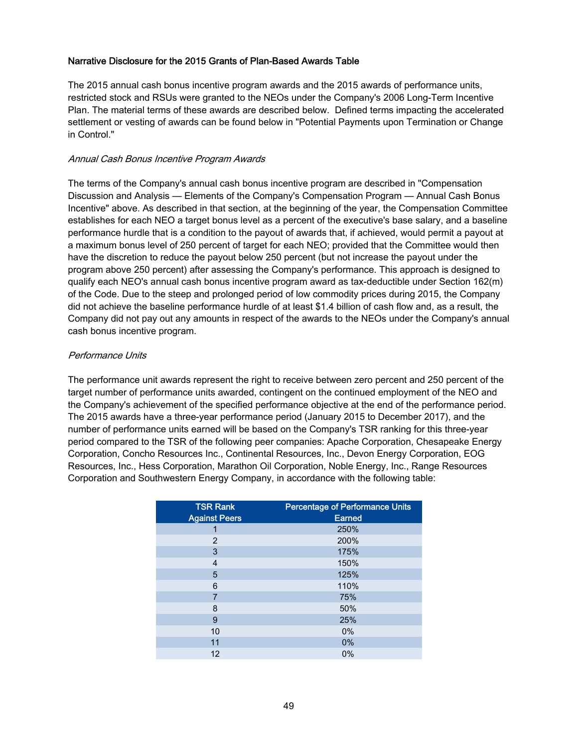### Narrative Disclosure for the 2015 Grants of Plan-Based Awards Table

The 2015 annual cash bonus incentive program awards and the 2015 awards of performance units, restricted stock and RSUs were granted to the NEOs under the Company's 2006 Long-Term Incentive Plan. The material terms of these awards are described below. Defined terms impacting the accelerated settlement or vesting of awards can be found below in "Potential Payments upon Termination or Change in Control."

#### Annual Cash Bonus Incentive Program Awards

The terms of the Company's annual cash bonus incentive program are described in "Compensation Discussion and Analysis — Elements of the Company's Compensation Program — Annual Cash Bonus Incentive" above. As described in that section, at the beginning of the year, the Compensation Committee establishes for each NEO a target bonus level as a percent of the executive's base salary, and a baseline performance hurdle that is a condition to the payout of awards that, if achieved, would permit a payout at a maximum bonus level of 250 percent of target for each NEO; provided that the Committee would then have the discretion to reduce the payout below 250 percent (but not increase the payout under the program above 250 percent) after assessing the Company's performance. This approach is designed to qualify each NEO's annual cash bonus incentive program award as tax-deductible under Section 162(m) of the Code. Due to the steep and prolonged period of low commodity prices during 2015, the Company did not achieve the baseline performance hurdle of at least \$1.4 billion of cash flow and, as a result, the Company did not pay out any amounts in respect of the awards to the NEOs under the Company's annual cash bonus incentive program.

### Performance Units

The performance unit awards represent the right to receive between zero percent and 250 percent of the target number of performance units awarded, contingent on the continued employment of the NEO and the Company's achievement of the specified performance objective at the end of the performance period. The 2015 awards have a three-year performance period (January 2015 to December 2017), and the number of performance units earned will be based on the Company's TSR ranking for this three-year period compared to the TSR of the following peer companies: Apache Corporation, Chesapeake Energy Corporation, Concho Resources Inc., Continental Resources, Inc., Devon Energy Corporation, EOG Resources, Inc., Hess Corporation, Marathon Oil Corporation, Noble Energy, Inc., Range Resources Corporation and Southwestern Energy Company, in accordance with the following table:

| <b>TSR Rank</b><br><b>Against Peers</b> | <b>Percentage of Performance Units</b><br><b>Earned</b> |
|-----------------------------------------|---------------------------------------------------------|
| 1                                       | 250%                                                    |
| 2                                       | 200%                                                    |
| 3                                       | 175%                                                    |
| $\overline{4}$                          | 150%                                                    |
| 5                                       | 125%                                                    |
| 6                                       | 110%                                                    |
| 7                                       | 75%                                                     |
| 8                                       | 50%                                                     |
| 9                                       | 25%                                                     |
| 10                                      | 0%                                                      |
| 11                                      | 0%                                                      |
| 12                                      | 0%                                                      |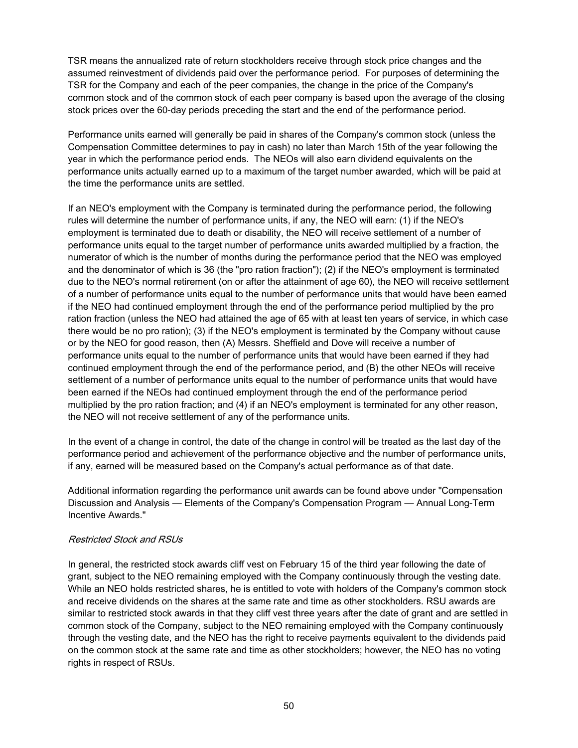TSR means the annualized rate of return stockholders receive through stock price changes and the assumed reinvestment of dividends paid over the performance period. For purposes of determining the TSR for the Company and each of the peer companies, the change in the price of the Company's common stock and of the common stock of each peer company is based upon the average of the closing stock prices over the 60-day periods preceding the start and the end of the performance period.

Performance units earned will generally be paid in shares of the Company's common stock (unless the Compensation Committee determines to pay in cash) no later than March 15th of the year following the year in which the performance period ends. The NEOs will also earn dividend equivalents on the performance units actually earned up to a maximum of the target number awarded, which will be paid at the time the performance units are settled.

If an NEO's employment with the Company is terminated during the performance period, the following rules will determine the number of performance units, if any, the NEO will earn: (1) if the NEO's employment is terminated due to death or disability, the NEO will receive settlement of a number of performance units equal to the target number of performance units awarded multiplied by a fraction, the numerator of which is the number of months during the performance period that the NEO was employed and the denominator of which is 36 (the "pro ration fraction"); (2) if the NEO's employment is terminated due to the NEO's normal retirement (on or after the attainment of age 60), the NEO will receive settlement of a number of performance units equal to the number of performance units that would have been earned if the NEO had continued employment through the end of the performance period multiplied by the pro ration fraction (unless the NEO had attained the age of 65 with at least ten years of service, in which case there would be no pro ration); (3) if the NEO's employment is terminated by the Company without cause or by the NEO for good reason, then (A) Messrs. Sheffield and Dove will receive a number of performance units equal to the number of performance units that would have been earned if they had continued employment through the end of the performance period, and (B) the other NEOs will receive settlement of a number of performance units equal to the number of performance units that would have been earned if the NEOs had continued employment through the end of the performance period multiplied by the pro ration fraction; and (4) if an NEO's employment is terminated for any other reason, the NEO will not receive settlement of any of the performance units.

In the event of a change in control, the date of the change in control will be treated as the last day of the performance period and achievement of the performance objective and the number of performance units, if any, earned will be measured based on the Company's actual performance as of that date.

Additional information regarding the performance unit awards can be found above under "Compensation Discussion and Analysis — Elements of the Company's Compensation Program — Annual Long-Term Incentive Awards."

## Restricted Stock and RSUs

In general, the restricted stock awards cliff vest on February 15 of the third year following the date of grant, subject to the NEO remaining employed with the Company continuously through the vesting date. While an NEO holds restricted shares, he is entitled to vote with holders of the Company's common stock and receive dividends on the shares at the same rate and time as other stockholders. RSU awards are similar to restricted stock awards in that they cliff vest three years after the date of grant and are settled in common stock of the Company, subject to the NEO remaining employed with the Company continuously through the vesting date, and the NEO has the right to receive payments equivalent to the dividends paid on the common stock at the same rate and time as other stockholders; however, the NEO has no voting rights in respect of RSUs.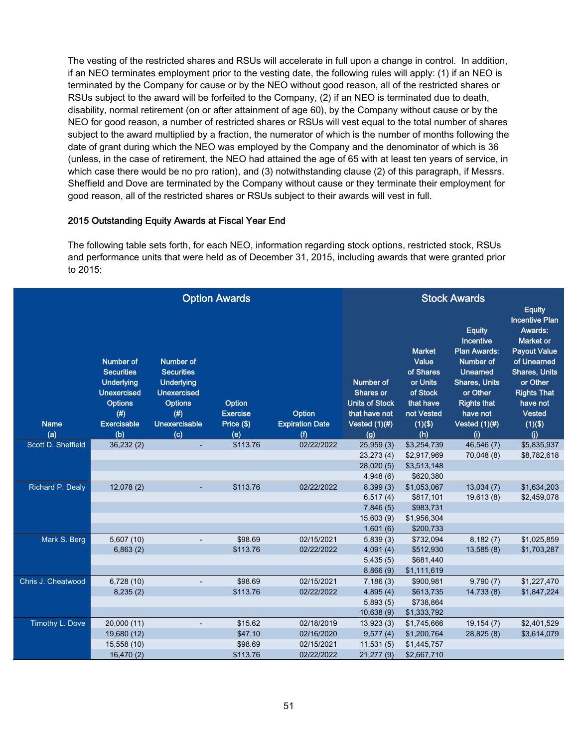The vesting of the restricted shares and RSUs will accelerate in full upon a change in control. In addition, if an NEO terminates employment prior to the vesting date, the following rules will apply: (1) if an NEO is terminated by the Company for cause or by the NEO without good reason, all of the restricted shares or RSUs subject to the award will be forfeited to the Company, (2) if an NEO is terminated due to death, disability, normal retirement (on or after attainment of age 60), by the Company without cause or by the NEO for good reason, a number of restricted shares or RSUs will vest equal to the total number of shares subject to the award multiplied by a fraction, the numerator of which is the number of months following the date of grant during which the NEO was employed by the Company and the denominator of which is 36 (unless, in the case of retirement, the NEO had attained the age of 65 with at least ten years of service, in which case there would be no pro ration), and (3) notwithstanding clause (2) of this paragraph, if Messrs. Sheffield and Dove are terminated by the Company without cause or they terminate their employment for good reason, all of the restricted shares or RSUs subject to their awards will vest in full.

## 2015 Outstanding Equity Awards at Fiscal Year End

The following table sets forth, for each NEO, information regarding stock options, restricted stock, RSUs and performance units that were held as of December 31, 2015, including awards that were granted prior to 2015:

|                    | <b>Option Awards</b>                                                                                                                         |                                                                                                                                                |                                                       |                                         |                                                                                                   | <b>Stock Awards</b>                                                                                        |                                                                                                                                                                                   |                                                                                                                                                                                                                        |  |
|--------------------|----------------------------------------------------------------------------------------------------------------------------------------------|------------------------------------------------------------------------------------------------------------------------------------------------|-------------------------------------------------------|-----------------------------------------|---------------------------------------------------------------------------------------------------|------------------------------------------------------------------------------------------------------------|-----------------------------------------------------------------------------------------------------------------------------------------------------------------------------------|------------------------------------------------------------------------------------------------------------------------------------------------------------------------------------------------------------------------|--|
| <b>Name</b><br>(a) | <b>Number of</b><br><b>Securities</b><br><b>Underlying</b><br><b>Unexercised</b><br><b>Options</b><br>$($ # $)$<br><b>Exercisable</b><br>(b) | <b>Number of</b><br><b>Securities</b><br><b>Underlying</b><br><b>Unexercised</b><br><b>Options</b><br>$($ # $)$<br><b>Unexercisable</b><br>(c) | <b>Option</b><br><b>Exercise</b><br>Price (\$)<br>(e) | Option<br><b>Expiration Date</b><br>(1) | Number of<br><b>Shares or</b><br><b>Units of Stock</b><br>that have not<br>Vested $(1)(#)$<br>(g) | <b>Market</b><br>Value<br>of Shares<br>or Units<br>of Stock<br>that have<br>not Vested<br>$(1)(\$)$<br>(h) | <b>Equity</b><br>Incentive<br><b>Plan Awards:</b><br>Number of<br><b>Unearned</b><br><b>Shares, Units</b><br>or Other<br><b>Rights that</b><br>have not<br>Vested $(1)(#)$<br>(i) | <b>Equity</b><br><b>Incentive Plan</b><br>Awards:<br><b>Market or</b><br><b>Payout Value</b><br>of Unearned<br><b>Shares, Units</b><br>or Other<br><b>Rights That</b><br>have not<br><b>Vested</b><br>$(1)(\$)$<br>(j) |  |
| Scott D. Sheffield | 36,232(2)                                                                                                                                    |                                                                                                                                                | \$113.76                                              | 02/22/2022                              | 25,959(3)                                                                                         | \$3,254,739                                                                                                | 46,546 (7)                                                                                                                                                                        | \$5,835,937                                                                                                                                                                                                            |  |
|                    |                                                                                                                                              |                                                                                                                                                |                                                       |                                         | 23,273 (4)                                                                                        | \$2,917,969                                                                                                | 70,048 (8)                                                                                                                                                                        | \$8,782,618                                                                                                                                                                                                            |  |
|                    |                                                                                                                                              |                                                                                                                                                |                                                       |                                         | 28,020 (5)                                                                                        | \$3,513,148                                                                                                |                                                                                                                                                                                   |                                                                                                                                                                                                                        |  |
|                    |                                                                                                                                              |                                                                                                                                                |                                                       |                                         | 4,948(6)                                                                                          | \$620,380                                                                                                  |                                                                                                                                                                                   |                                                                                                                                                                                                                        |  |
| Richard P. Dealy   | 12,078(2)                                                                                                                                    | $\overline{\phantom{a}}$                                                                                                                       | \$113.76                                              | 02/22/2022                              | 8,399(3)                                                                                          | \$1,053,067                                                                                                | 13,034(7)                                                                                                                                                                         | \$1,634,203                                                                                                                                                                                                            |  |
|                    |                                                                                                                                              |                                                                                                                                                |                                                       |                                         | 6,517(4)                                                                                          | \$817,101                                                                                                  | 19,613(8)                                                                                                                                                                         | \$2,459,078                                                                                                                                                                                                            |  |
|                    |                                                                                                                                              |                                                                                                                                                |                                                       |                                         | 7,846(5)                                                                                          | \$983,731                                                                                                  |                                                                                                                                                                                   |                                                                                                                                                                                                                        |  |
|                    |                                                                                                                                              |                                                                                                                                                |                                                       |                                         | 15,603 (9)                                                                                        | \$1,956,304                                                                                                |                                                                                                                                                                                   |                                                                                                                                                                                                                        |  |
|                    |                                                                                                                                              |                                                                                                                                                |                                                       |                                         | 1,601(6)                                                                                          | \$200,733                                                                                                  |                                                                                                                                                                                   |                                                                                                                                                                                                                        |  |
| Mark S. Berg       | 5,607(10)                                                                                                                                    |                                                                                                                                                | \$98.69                                               | 02/15/2021                              | 5,839(3)                                                                                          | \$732,094                                                                                                  | 8,182(7)                                                                                                                                                                          | \$1,025,859                                                                                                                                                                                                            |  |
|                    | 6,863(2)                                                                                                                                     |                                                                                                                                                | \$113.76                                              | 02/22/2022                              | 4,091(4)                                                                                          | \$512,930                                                                                                  | 13,585(8)                                                                                                                                                                         | \$1,703,287                                                                                                                                                                                                            |  |
|                    |                                                                                                                                              |                                                                                                                                                |                                                       |                                         | 5,435(5)                                                                                          | \$681,440                                                                                                  |                                                                                                                                                                                   |                                                                                                                                                                                                                        |  |
|                    |                                                                                                                                              |                                                                                                                                                |                                                       |                                         | 8,866(9)                                                                                          | \$1,111,619                                                                                                |                                                                                                                                                                                   |                                                                                                                                                                                                                        |  |
| Chris J. Cheatwood | 6,728 (10)                                                                                                                                   |                                                                                                                                                | \$98.69                                               | 02/15/2021                              | 7,186(3)                                                                                          | \$900,981                                                                                                  | 9,790(7)                                                                                                                                                                          | \$1,227,470                                                                                                                                                                                                            |  |
|                    | 8,235(2)                                                                                                                                     |                                                                                                                                                | \$113.76                                              | 02/22/2022                              | 4,895(4)                                                                                          | \$613,735                                                                                                  | 14,733(8)                                                                                                                                                                         | \$1,847,224                                                                                                                                                                                                            |  |
|                    |                                                                                                                                              |                                                                                                                                                |                                                       |                                         | 5,893(5)                                                                                          | \$738,864                                                                                                  |                                                                                                                                                                                   |                                                                                                                                                                                                                        |  |
|                    |                                                                                                                                              |                                                                                                                                                |                                                       |                                         | 10,638 (9)                                                                                        | \$1,333,792                                                                                                |                                                                                                                                                                                   |                                                                                                                                                                                                                        |  |
| Timothy L. Dove    | 20,000 (11)                                                                                                                                  |                                                                                                                                                | \$15.62                                               | 02/18/2019                              | 13,923(3)                                                                                         | \$1,745,666                                                                                                | 19, 154(7)                                                                                                                                                                        | \$2,401,529                                                                                                                                                                                                            |  |
|                    | 19,680 (12)                                                                                                                                  |                                                                                                                                                | \$47.10                                               | 02/16/2020                              | 9,577(4)                                                                                          | \$1,200,764                                                                                                | 28,825(8)                                                                                                                                                                         | \$3,614,079                                                                                                                                                                                                            |  |
|                    | 15,558 (10)                                                                                                                                  |                                                                                                                                                | \$98.69                                               | 02/15/2021                              | 11,531(5)                                                                                         | \$1,445,757                                                                                                |                                                                                                                                                                                   |                                                                                                                                                                                                                        |  |
|                    | 16,470 (2)                                                                                                                                   |                                                                                                                                                | \$113.76                                              | 02/22/2022                              | 21,277 (9)                                                                                        | \$2,667,710                                                                                                |                                                                                                                                                                                   |                                                                                                                                                                                                                        |  |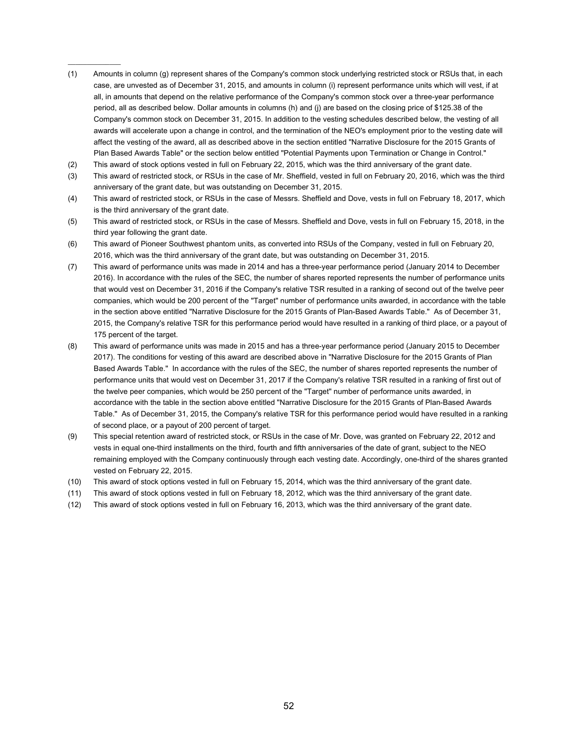- (1) Amounts in column (g) represent shares of the Company's common stock underlying restricted stock or RSUs that, in each case, are unvested as of December 31, 2015, and amounts in column (i) represent performance units which will vest, if at all, in amounts that depend on the relative performance of the Company's common stock over a three-year performance period, all as described below. Dollar amounts in columns (h) and (j) are based on the closing price of \$125.38 of the Company's common stock on December 31, 2015. In addition to the vesting schedules described below, the vesting of all awards will accelerate upon a change in control, and the termination of the NEO's employment prior to the vesting date will affect the vesting of the award, all as described above in the section entitled "Narrative Disclosure for the 2015 Grants of Plan Based Awards Table" or the section below entitled "Potential Payments upon Termination or Change in Control."
- (2) This award of stock options vested in full on February 22, 2015, which was the third anniversary of the grant date.

- (3) This award of restricted stock, or RSUs in the case of Mr. Sheffield, vested in full on February 20, 2016, which was the third anniversary of the grant date, but was outstanding on December 31, 2015.
- (4) This award of restricted stock, or RSUs in the case of Messrs. Sheffield and Dove, vests in full on February 18, 2017, which is the third anniversary of the grant date.
- (5) This award of restricted stock, or RSUs in the case of Messrs. Sheffield and Dove, vests in full on February 15, 2018, in the third year following the grant date.
- (6) This award of Pioneer Southwest phantom units, as converted into RSUs of the Company, vested in full on February 20, 2016, which was the third anniversary of the grant date, but was outstanding on December 31, 2015.
- (7) This award of performance units was made in 2014 and has a three-year performance period (January 2014 to December 2016). In accordance with the rules of the SEC, the number of shares reported represents the number of performance units that would vest on December 31, 2016 if the Company's relative TSR resulted in a ranking of second out of the twelve peer companies, which would be 200 percent of the "Target" number of performance units awarded, in accordance with the table in the section above entitled "Narrative Disclosure for the 2015 Grants of Plan-Based Awards Table." As of December 31, 2015, the Company's relative TSR for this performance period would have resulted in a ranking of third place, or a payout of 175 percent of the target.
- (8) This award of performance units was made in 2015 and has a three-year performance period (January 2015 to December 2017). The conditions for vesting of this award are described above in "Narrative Disclosure for the 2015 Grants of Plan Based Awards Table." In accordance with the rules of the SEC, the number of shares reported represents the number of performance units that would vest on December 31, 2017 if the Company's relative TSR resulted in a ranking of first out of the twelve peer companies, which would be 250 percent of the "Target" number of performance units awarded, in accordance with the table in the section above entitled "Narrative Disclosure for the 2015 Grants of Plan-Based Awards Table." As of December 31, 2015, the Company's relative TSR for this performance period would have resulted in a ranking of second place, or a payout of 200 percent of target.
- (9) This special retention award of restricted stock, or RSUs in the case of Mr. Dove, was granted on February 22, 2012 and vests in equal one-third installments on the third, fourth and fifth anniversaries of the date of grant, subject to the NEO remaining employed with the Company continuously through each vesting date. Accordingly, one-third of the shares granted vested on February 22, 2015.
- (10) This award of stock options vested in full on February 15, 2014, which was the third anniversary of the grant date.
- (11) This award of stock options vested in full on February 18, 2012, which was the third anniversary of the grant date.
- (12) This award of stock options vested in full on February 16, 2013, which was the third anniversary of the grant date.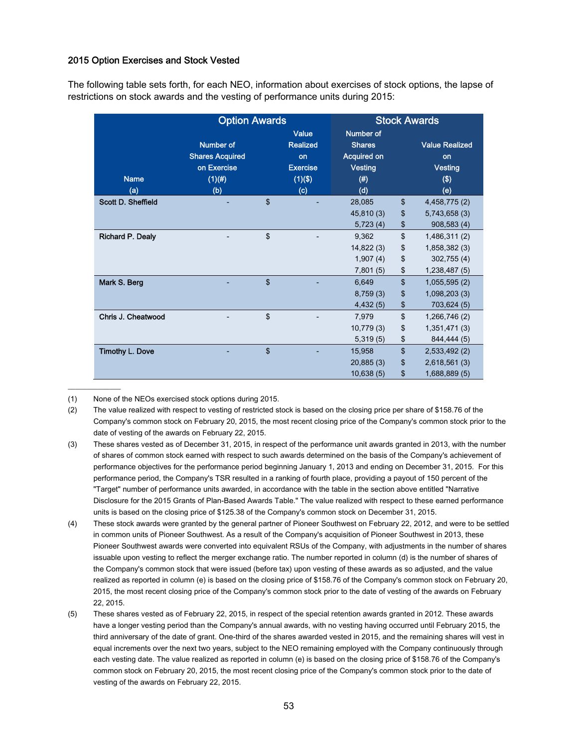### 2015 Option Exercises and Stock Vested

The following table sets forth, for each NEO, information about exercises of stock options, the lapse of restrictions on stock awards and the vesting of performance units during 2015:

|                           | <b>Option Awards</b>                                                       |               |                                                                       | <b>Stock Awards</b>                                                                   |                      |                                                                |
|---------------------------|----------------------------------------------------------------------------|---------------|-----------------------------------------------------------------------|---------------------------------------------------------------------------------------|----------------------|----------------------------------------------------------------|
| <b>Name</b><br>(a)        | <b>Number of</b><br><b>Shares Acquired</b><br>on Exercise<br>(1)(#)<br>(b) |               | Value<br><b>Realized</b><br>on<br><b>Exercise</b><br>$(1)(\$)$<br>(c) | <b>Number of</b><br><b>Shares</b><br><b>Acquired on</b><br><b>Vesting</b><br>#<br>(d) |                      | <b>Value Realized</b><br>on<br><b>Vesting</b><br>(S)<br>(e)    |
| <b>Scott D. Sheffield</b> |                                                                            | \$            |                                                                       | 28,085<br>45,810 (3)<br>5,723(4)                                                      | \$<br>\$<br>\$       | 4,458,775 (2)<br>5,743,658(3)<br>908,583 (4)                   |
| Richard P. Dealy          |                                                                            | $\mathbb{S}$  |                                                                       | 9,362<br>14,822(3)<br>1,907(4)<br>7,801(5)                                            | \$<br>\$<br>\$<br>\$ | 1,486,311 (2)<br>1,858,382 (3)<br>302,755 (4)<br>1,238,487 (5) |
| Mark S. Berg              |                                                                            | $\mathbf{\$}$ |                                                                       | 6,649<br>8,759(3)<br>4,432(5)                                                         | \$<br>\$<br>\$       | 1,055,595 (2)<br>1,098,203 (3)<br>703,624 (5)                  |
| Chris J. Cheatwood        |                                                                            | \$            |                                                                       | 7,979<br>10,779(3)<br>5,319(5)                                                        | \$<br>\$<br>\$       | 1,266,746 (2)<br>1,351,471(3)<br>844,444 (5)                   |
| <b>Timothy L. Dove</b>    |                                                                            | $\mathbb{S}$  |                                                                       | 15,958<br>20,885(3)<br>10,638(5)                                                      | \$<br>\$<br>\$       | 2,533,492 (2)<br>2,618,561 (3)<br>1,688,889 (5)                |

(1) None of the NEOs exercised stock options during 2015.

 $\overline{\phantom{a}}$  , where  $\overline{\phantom{a}}$ 

(2) The value realized with respect to vesting of restricted stock is based on the closing price per share of \$158.76 of the Company's common stock on February 20, 2015, the most recent closing price of the Company's common stock prior to the date of vesting of the awards on February 22, 2015.

- (3) These shares vested as of December 31, 2015, in respect of the performance unit awards granted in 2013, with the number of shares of common stock earned with respect to such awards determined on the basis of the Company's achievement of performance objectives for the performance period beginning January 1, 2013 and ending on December 31, 2015. For this performance period, the Company's TSR resulted in a ranking of fourth place, providing a payout of 150 percent of the "Target" number of performance units awarded, in accordance with the table in the section above entitled "Narrative Disclosure for the 2015 Grants of Plan-Based Awards Table." The value realized with respect to these earned performance units is based on the closing price of \$125.38 of the Company's common stock on December 31, 2015.
- (4) These stock awards were granted by the general partner of Pioneer Southwest on February 22, 2012, and were to be settled in common units of Pioneer Southwest. As a result of the Company's acquisition of Pioneer Southwest in 2013, these Pioneer Southwest awards were converted into equivalent RSUs of the Company, with adjustments in the number of shares issuable upon vesting to reflect the merger exchange ratio. The number reported in column (d) is the number of shares of the Company's common stock that were issued (before tax) upon vesting of these awards as so adjusted, and the value realized as reported in column (e) is based on the closing price of \$158.76 of the Company's common stock on February 20, 2015, the most recent closing price of the Company's common stock prior to the date of vesting of the awards on February 22, 2015.
- (5) These shares vested as of February 22, 2015, in respect of the special retention awards granted in 2012. These awards have a longer vesting period than the Company's annual awards, with no vesting having occurred until February 2015, the third anniversary of the date of grant. One-third of the shares awarded vested in 2015, and the remaining shares will vest in equal increments over the next two years, subject to the NEO remaining employed with the Company continuously through each vesting date. The value realized as reported in column (e) is based on the closing price of \$158.76 of the Company's common stock on February 20, 2015, the most recent closing price of the Company's common stock prior to the date of vesting of the awards on February 22, 2015.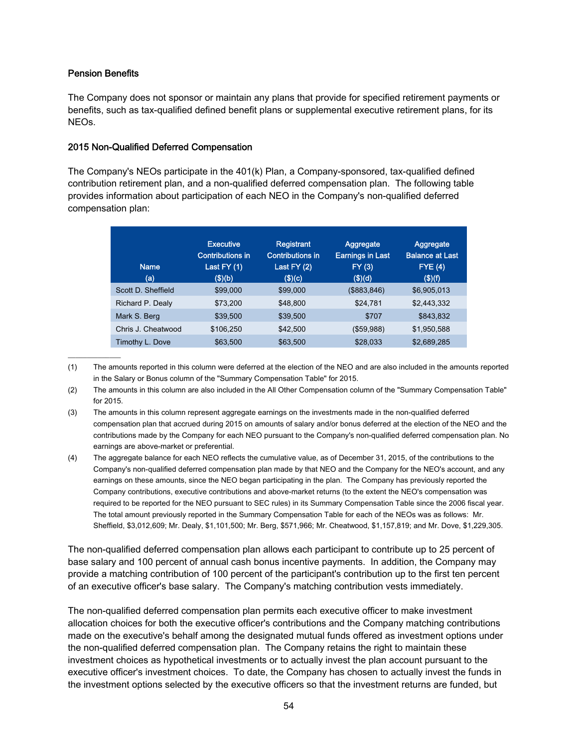## Pension Benefits

 $\mathcal{L}=\mathcal{L}$ 

The Company does not sponsor or maintain any plans that provide for specified retirement payments or benefits, such as tax-qualified defined benefit plans or supplemental executive retirement plans, for its NEOs.

## 2015 Non-Qualified Deferred Compensation

The Company's NEOs participate in the 401(k) Plan, a Company-sponsored, tax-qualified defined contribution retirement plan, and a non-qualified deferred compensation plan. The following table provides information about participation of each NEO in the Company's non-qualified deferred compensation plan:

| <b>Name</b><br>(a) | <b>Executive</b><br><b>Contributions in</b><br>Last $FY(1)$<br>\$)(b) | <b>Registrant</b><br><b>Contributions in</b><br>Last $FY(2)$<br>\$)(c) | Aggregate<br><b>Earnings in Last</b><br>FY(3)<br>(\$)(d) | Aggregate<br><b>Balance at Last</b><br>FYE(4)<br>\$)(f) |
|--------------------|-----------------------------------------------------------------------|------------------------------------------------------------------------|----------------------------------------------------------|---------------------------------------------------------|
| Scott D. Sheffield | \$99,000                                                              | \$99,000                                                               | (\$883, 846)                                             | \$6,905,013                                             |
| Richard P. Dealy   | \$73,200                                                              | \$48,800                                                               | \$24,781                                                 | \$2,443,332                                             |
| Mark S. Berg       | \$39,500                                                              | \$39,500                                                               | \$707                                                    | \$843,832                                               |
| Chris J. Cheatwood | \$106,250                                                             | \$42,500                                                               | (\$59,988)                                               | \$1,950,588                                             |
| Timothy L. Dove    | \$63,500                                                              | \$63,500                                                               | \$28,033                                                 | \$2,689,285                                             |

- (1) The amounts reported in this column were deferred at the election of the NEO and are also included in the amounts reported in the Salary or Bonus column of the "Summary Compensation Table" for 2015.
- (2) The amounts in this column are also included in the All Other Compensation column of the "Summary Compensation Table" for 2015.
- (3) The amounts in this column represent aggregate earnings on the investments made in the non-qualified deferred compensation plan that accrued during 2015 on amounts of salary and/or bonus deferred at the election of the NEO and the contributions made by the Company for each NEO pursuant to the Company's non-qualified deferred compensation plan. No earnings are above-market or preferential.
- (4) The aggregate balance for each NEO reflects the cumulative value, as of December 31, 2015, of the contributions to the Company's non-qualified deferred compensation plan made by that NEO and the Company for the NEO's account, and any earnings on these amounts, since the NEO began participating in the plan. The Company has previously reported the Company contributions, executive contributions and above-market returns (to the extent the NEO's compensation was required to be reported for the NEO pursuant to SEC rules) in its Summary Compensation Table since the 2006 fiscal year. The total amount previously reported in the Summary Compensation Table for each of the NEOs was as follows: Mr. Sheffield, \$3,012,609; Mr. Dealy, \$1,101,500; Mr. Berg, \$571,966; Mr. Cheatwood, \$1,157,819; and Mr. Dove, \$1,229,305.

The non-qualified deferred compensation plan allows each participant to contribute up to 25 percent of base salary and 100 percent of annual cash bonus incentive payments. In addition, the Company may provide a matching contribution of 100 percent of the participant's contribution up to the first ten percent of an executive officer's base salary. The Company's matching contribution vests immediately.

The non-qualified deferred compensation plan permits each executive officer to make investment allocation choices for both the executive officer's contributions and the Company matching contributions made on the executive's behalf among the designated mutual funds offered as investment options under the non-qualified deferred compensation plan. The Company retains the right to maintain these investment choices as hypothetical investments or to actually invest the plan account pursuant to the executive officer's investment choices. To date, the Company has chosen to actually invest the funds in the investment options selected by the executive officers so that the investment returns are funded, but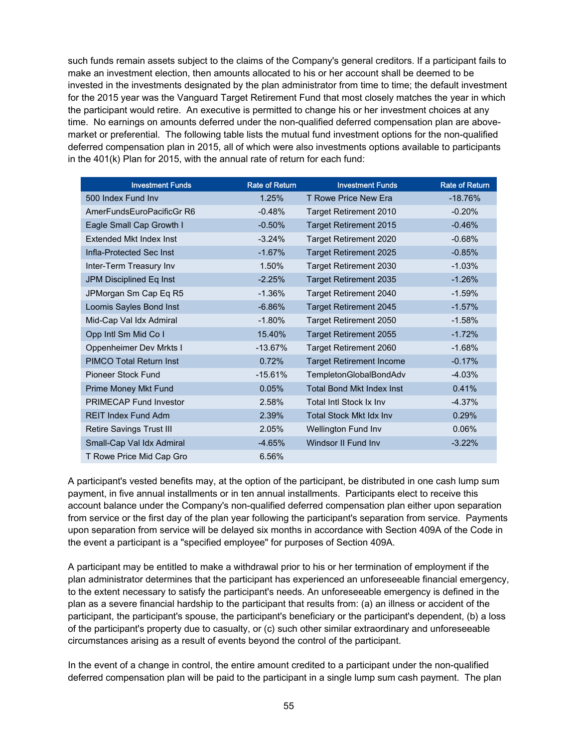such funds remain assets subject to the claims of the Company's general creditors. If a participant fails to make an investment election, then amounts allocated to his or her account shall be deemed to be invested in the investments designated by the plan administrator from time to time; the default investment for the 2015 year was the Vanguard Target Retirement Fund that most closely matches the year in which the participant would retire. An executive is permitted to change his or her investment choices at any time. No earnings on amounts deferred under the non-qualified deferred compensation plan are abovemarket or preferential. The following table lists the mutual fund investment options for the non-qualified deferred compensation plan in 2015, all of which were also investments options available to participants in the 401(k) Plan for 2015, with the annual rate of return for each fund:

| <b>Investment Funds</b>        | <b>Rate of Return</b> | <b>Investment Funds</b>          | <b>Rate of Return</b> |
|--------------------------------|-----------------------|----------------------------------|-----------------------|
| 500 Index Fund Inv             | 1.25%                 | T Rowe Price New Era             | $-18.76%$             |
| AmerFundsEuroPacificGr R6      | $-0.48%$              | Target Retirement 2010           | $-0.20%$              |
| Eagle Small Cap Growth I       | $-0.50%$              | <b>Target Retirement 2015</b>    | $-0.46%$              |
| Extended Mkt Index Inst        | $-3.24%$              | Target Retirement 2020           | $-0.68%$              |
| Infla-Protected Sec Inst       | $-1.67%$              | <b>Target Retirement 2025</b>    | $-0.85%$              |
| Inter-Term Treasury Inv        | 1.50%                 | Target Retirement 2030           | $-1.03%$              |
| JPM Disciplined Eq Inst        | $-2.25%$              | <b>Target Retirement 2035</b>    | $-1.26%$              |
| JPMorgan Sm Cap Eq R5          | $-1.36%$              | Target Retirement 2040           | $-1.59%$              |
| Loomis Sayles Bond Inst        | $-6.86%$              | <b>Target Retirement 2045</b>    | $-1.57%$              |
| Mid-Cap Val Idx Admiral        | $-1.80%$              | Target Retirement 2050           | $-1.58%$              |
| Opp Intl Sm Mid Co I           | 15.40%                | <b>Target Retirement 2055</b>    | $-1.72%$              |
| Oppenheimer Dev Mrkts I        | $-13.67%$             | Target Retirement 2060           | $-1.68%$              |
| <b>PIMCO Total Return Inst</b> | 0.72%                 | <b>Target Retirement Income</b>  | $-0.17%$              |
| <b>Pioneer Stock Fund</b>      | $-15.61%$             | TempletonGlobalBondAdv           | $-4.03%$              |
| Prime Money Mkt Fund           | 0.05%                 | <b>Total Bond Mkt Index Inst</b> | 0.41%                 |
| <b>PRIMECAP Fund Investor</b>  | 2.58%                 | <b>Total Intl Stock Ix Inv</b>   | $-4.37%$              |
| <b>REIT Index Fund Adm</b>     | 2.39%                 | <b>Total Stock Mkt Idx Inv</b>   | 0.29%                 |
| Retire Savings Trust III       | 2.05%                 | Wellington Fund Inv              | 0.06%                 |
| Small-Cap Val Idx Admiral      | $-4.65%$              | Windsor II Fund Inv              | $-3.22%$              |
| T Rowe Price Mid Cap Gro       | 6.56%                 |                                  |                       |

A participant's vested benefits may, at the option of the participant, be distributed in one cash lump sum payment, in five annual installments or in ten annual installments. Participants elect to receive this account balance under the Company's non-qualified deferred compensation plan either upon separation from service or the first day of the plan year following the participant's separation from service. Payments upon separation from service will be delayed six months in accordance with Section 409A of the Code in the event a participant is a "specified employee" for purposes of Section 409A.

A participant may be entitled to make a withdrawal prior to his or her termination of employment if the plan administrator determines that the participant has experienced an unforeseeable financial emergency, to the extent necessary to satisfy the participant's needs. An unforeseeable emergency is defined in the plan as a severe financial hardship to the participant that results from: (a) an illness or accident of the participant, the participant's spouse, the participant's beneficiary or the participant's dependent, (b) a loss of the participant's property due to casualty, or (c) such other similar extraordinary and unforeseeable circumstances arising as a result of events beyond the control of the participant.

In the event of a change in control, the entire amount credited to a participant under the non-qualified deferred compensation plan will be paid to the participant in a single lump sum cash payment. The plan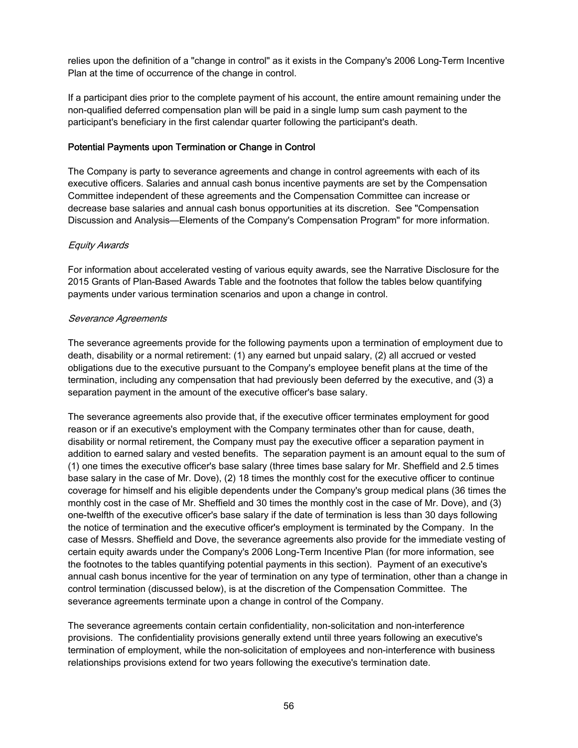relies upon the definition of a "change in control" as it exists in the Company's 2006 Long-Term Incentive Plan at the time of occurrence of the change in control.

If a participant dies prior to the complete payment of his account, the entire amount remaining under the non-qualified deferred compensation plan will be paid in a single lump sum cash payment to the participant's beneficiary in the first calendar quarter following the participant's death.

## Potential Payments upon Termination or Change in Control

The Company is party to severance agreements and change in control agreements with each of its executive officers. Salaries and annual cash bonus incentive payments are set by the Compensation Committee independent of these agreements and the Compensation Committee can increase or decrease base salaries and annual cash bonus opportunities at its discretion. See "Compensation Discussion and Analysis—Elements of the Company's Compensation Program" for more information.

### Equity Awards

For information about accelerated vesting of various equity awards, see the Narrative Disclosure for the 2015 Grants of Plan-Based Awards Table and the footnotes that follow the tables below quantifying payments under various termination scenarios and upon a change in control.

### Severance Agreements

The severance agreements provide for the following payments upon a termination of employment due to death, disability or a normal retirement: (1) any earned but unpaid salary, (2) all accrued or vested obligations due to the executive pursuant to the Company's employee benefit plans at the time of the termination, including any compensation that had previously been deferred by the executive, and (3) a separation payment in the amount of the executive officer's base salary.

The severance agreements also provide that, if the executive officer terminates employment for good reason or if an executive's employment with the Company terminates other than for cause, death, disability or normal retirement, the Company must pay the executive officer a separation payment in addition to earned salary and vested benefits. The separation payment is an amount equal to the sum of (1) one times the executive officer's base salary (three times base salary for Mr. Sheffield and 2.5 times base salary in the case of Mr. Dove), (2) 18 times the monthly cost for the executive officer to continue coverage for himself and his eligible dependents under the Company's group medical plans (36 times the monthly cost in the case of Mr. Sheffield and 30 times the monthly cost in the case of Mr. Dove), and (3) one-twelfth of the executive officer's base salary if the date of termination is less than 30 days following the notice of termination and the executive officer's employment is terminated by the Company. In the case of Messrs. Sheffield and Dove, the severance agreements also provide for the immediate vesting of certain equity awards under the Company's 2006 Long-Term Incentive Plan (for more information, see the footnotes to the tables quantifying potential payments in this section). Payment of an executive's annual cash bonus incentive for the year of termination on any type of termination, other than a change in control termination (discussed below), is at the discretion of the Compensation Committee. The severance agreements terminate upon a change in control of the Company.

The severance agreements contain certain confidentiality, non-solicitation and non-interference provisions. The confidentiality provisions generally extend until three years following an executive's termination of employment, while the non-solicitation of employees and non-interference with business relationships provisions extend for two years following the executive's termination date.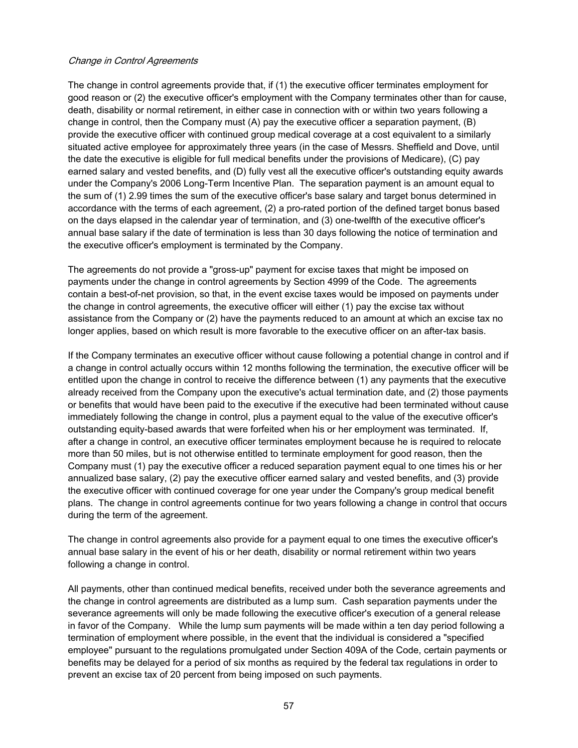### Change in Control Agreements

The change in control agreements provide that, if (1) the executive officer terminates employment for good reason or (2) the executive officer's employment with the Company terminates other than for cause, death, disability or normal retirement, in either case in connection with or within two years following a change in control, then the Company must (A) pay the executive officer a separation payment, (B) provide the executive officer with continued group medical coverage at a cost equivalent to a similarly situated active employee for approximately three years (in the case of Messrs. Sheffield and Dove, until the date the executive is eligible for full medical benefits under the provisions of Medicare), (C) pay earned salary and vested benefits, and (D) fully vest all the executive officer's outstanding equity awards under the Company's 2006 Long-Term Incentive Plan. The separation payment is an amount equal to the sum of (1) 2.99 times the sum of the executive officer's base salary and target bonus determined in accordance with the terms of each agreement, (2) a pro-rated portion of the defined target bonus based on the days elapsed in the calendar year of termination, and (3) one-twelfth of the executive officer's annual base salary if the date of termination is less than 30 days following the notice of termination and the executive officer's employment is terminated by the Company.

The agreements do not provide a "gross-up" payment for excise taxes that might be imposed on payments under the change in control agreements by Section 4999 of the Code. The agreements contain a best-of-net provision, so that, in the event excise taxes would be imposed on payments under the change in control agreements, the executive officer will either (1) pay the excise tax without assistance from the Company or (2) have the payments reduced to an amount at which an excise tax no longer applies, based on which result is more favorable to the executive officer on an after-tax basis.

If the Company terminates an executive officer without cause following a potential change in control and if a change in control actually occurs within 12 months following the termination, the executive officer will be entitled upon the change in control to receive the difference between (1) any payments that the executive already received from the Company upon the executive's actual termination date, and (2) those payments or benefits that would have been paid to the executive if the executive had been terminated without cause immediately following the change in control, plus a payment equal to the value of the executive officer's outstanding equity-based awards that were forfeited when his or her employment was terminated. If, after a change in control, an executive officer terminates employment because he is required to relocate more than 50 miles, but is not otherwise entitled to terminate employment for good reason, then the Company must (1) pay the executive officer a reduced separation payment equal to one times his or her annualized base salary, (2) pay the executive officer earned salary and vested benefits, and (3) provide the executive officer with continued coverage for one year under the Company's group medical benefit plans. The change in control agreements continue for two years following a change in control that occurs during the term of the agreement.

The change in control agreements also provide for a payment equal to one times the executive officer's annual base salary in the event of his or her death, disability or normal retirement within two years following a change in control.

All payments, other than continued medical benefits, received under both the severance agreements and the change in control agreements are distributed as a lump sum. Cash separation payments under the severance agreements will only be made following the executive officer's execution of a general release in favor of the Company. While the lump sum payments will be made within a ten day period following a termination of employment where possible, in the event that the individual is considered a "specified employee" pursuant to the regulations promulgated under Section 409A of the Code, certain payments or benefits may be delayed for a period of six months as required by the federal tax regulations in order to prevent an excise tax of 20 percent from being imposed on such payments.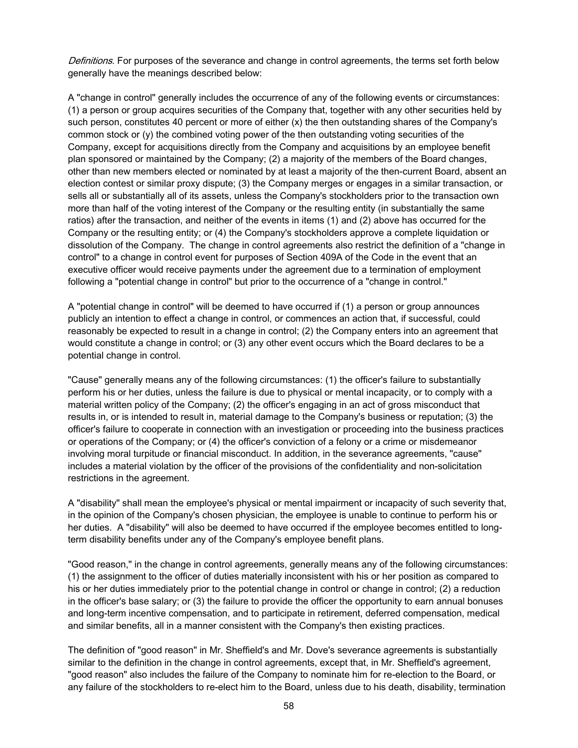Definitions. For purposes of the severance and change in control agreements, the terms set forth below generally have the meanings described below:

A "change in control" generally includes the occurrence of any of the following events or circumstances: (1) a person or group acquires securities of the Company that, together with any other securities held by such person, constitutes 40 percent or more of either (x) the then outstanding shares of the Company's common stock or (y) the combined voting power of the then outstanding voting securities of the Company, except for acquisitions directly from the Company and acquisitions by an employee benefit plan sponsored or maintained by the Company; (2) a majority of the members of the Board changes, other than new members elected or nominated by at least a majority of the then-current Board, absent an election contest or similar proxy dispute; (3) the Company merges or engages in a similar transaction, or sells all or substantially all of its assets, unless the Company's stockholders prior to the transaction own more than half of the voting interest of the Company or the resulting entity (in substantially the same ratios) after the transaction, and neither of the events in items (1) and (2) above has occurred for the Company or the resulting entity; or (4) the Company's stockholders approve a complete liquidation or dissolution of the Company. The change in control agreements also restrict the definition of a "change in control" to a change in control event for purposes of Section 409A of the Code in the event that an executive officer would receive payments under the agreement due to a termination of employment following a "potential change in control" but prior to the occurrence of a "change in control."

A "potential change in control" will be deemed to have occurred if (1) a person or group announces publicly an intention to effect a change in control, or commences an action that, if successful, could reasonably be expected to result in a change in control; (2) the Company enters into an agreement that would constitute a change in control; or (3) any other event occurs which the Board declares to be a potential change in control.

"Cause" generally means any of the following circumstances: (1) the officer's failure to substantially perform his or her duties, unless the failure is due to physical or mental incapacity, or to comply with a material written policy of the Company; (2) the officer's engaging in an act of gross misconduct that results in, or is intended to result in, material damage to the Company's business or reputation; (3) the officer's failure to cooperate in connection with an investigation or proceeding into the business practices or operations of the Company; or (4) the officer's conviction of a felony or a crime or misdemeanor involving moral turpitude or financial misconduct. In addition, in the severance agreements, "cause" includes a material violation by the officer of the provisions of the confidentiality and non-solicitation restrictions in the agreement.

A "disability" shall mean the employee's physical or mental impairment or incapacity of such severity that, in the opinion of the Company's chosen physician, the employee is unable to continue to perform his or her duties. A "disability" will also be deemed to have occurred if the employee becomes entitled to longterm disability benefits under any of the Company's employee benefit plans.

"Good reason," in the change in control agreements, generally means any of the following circumstances: (1) the assignment to the officer of duties materially inconsistent with his or her position as compared to his or her duties immediately prior to the potential change in control or change in control; (2) a reduction in the officer's base salary; or (3) the failure to provide the officer the opportunity to earn annual bonuses and long-term incentive compensation, and to participate in retirement, deferred compensation, medical and similar benefits, all in a manner consistent with the Company's then existing practices.

The definition of "good reason" in Mr. Sheffield's and Mr. Dove's severance agreements is substantially similar to the definition in the change in control agreements, except that, in Mr. Sheffield's agreement, "good reason" also includes the failure of the Company to nominate him for re-election to the Board, or any failure of the stockholders to re-elect him to the Board, unless due to his death, disability, termination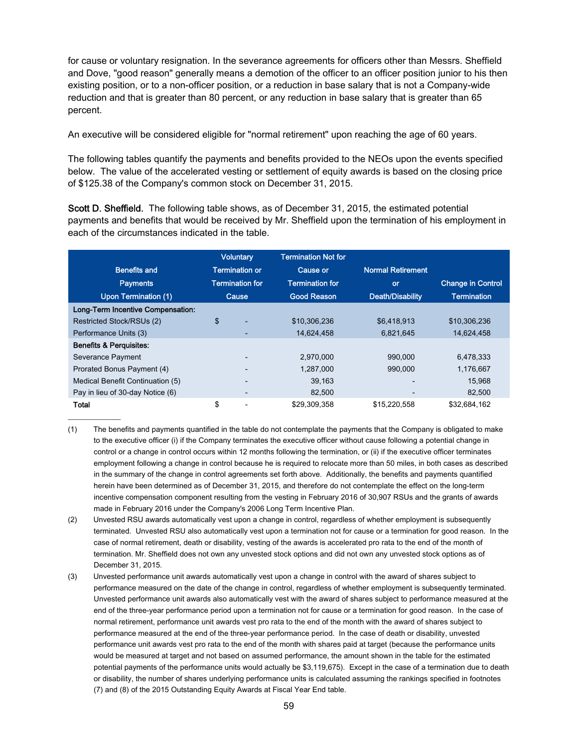for cause or voluntary resignation. In the severance agreements for officers other than Messrs. Sheffield and Dove, "good reason" generally means a demotion of the officer to an officer position junior to his then existing position, or to a non-officer position, or a reduction in base salary that is not a Company-wide reduction and that is greater than 80 percent, or any reduction in base salary that is greater than 65 percent.

An executive will be considered eligible for "normal retirement" upon reaching the age of 60 years.

The following tables quantify the payments and benefits provided to the NEOs upon the events specified below. The value of the accelerated vesting or settlement of equity awards is based on the closing price of \$125.38 of the Company's common stock on December 31, 2015.

Scott D. Sheffield. The following table shows, as of December 31, 2015, the estimated potential payments and benefits that would be received by Mr. Sheffield upon the termination of his employment in each of the circumstances indicated in the table.

|                                    | <b>Voluntary</b>         | <b>Termination Not for</b> |                          |                          |
|------------------------------------|--------------------------|----------------------------|--------------------------|--------------------------|
| <b>Benefits and</b>                | <b>Termination or</b>    | Cause or                   | <b>Normal Retirement</b> |                          |
| <b>Payments</b>                    | <b>Termination for</b>   | <b>Termination for</b>     | or                       | <b>Change in Control</b> |
| Upon Termination (1)               | Cause                    | <b>Good Reason</b>         | Death/Disability         | <b>Termination</b>       |
| Long-Term Incentive Compensation:  |                          |                            |                          |                          |
| Restricted Stock/RSUs (2)          | \$                       | \$10,306,236               | \$6.418.913              | \$10,306,236             |
| Performance Units (3)              |                          | 14,624,458                 | 6,821,645                | 14,624,458               |
| <b>Benefits &amp; Perquisites:</b> |                          |                            |                          |                          |
| Severance Payment                  |                          | 2,970,000                  | 990.000                  | 6,478,333                |
| Prorated Bonus Payment (4)         |                          | 1,287,000                  | 990,000                  | 1,176,667                |
| Medical Benefit Continuation (5)   | $\overline{\phantom{0}}$ | 39.163                     | $\overline{\phantom{0}}$ | 15,968                   |
| Pay in lieu of 30-day Notice (6)   | -                        | 82.500                     | $\overline{\phantom{a}}$ | 82,500                   |
| Total                              | \$                       | \$29.309.358               | \$15.220.558             | \$32.684.162             |

(1) The benefits and payments quantified in the table do not contemplate the payments that the Company is obligated to make to the executive officer (i) if the Company terminates the executive officer without cause following a potential change in control or a change in control occurs within 12 months following the termination, or (ii) if the executive officer terminates employment following a change in control because he is required to relocate more than 50 miles, in both cases as described in the summary of the change in control agreements set forth above. Additionally, the benefits and payments quantified herein have been determined as of December 31, 2015, and therefore do not contemplate the effect on the long-term incentive compensation component resulting from the vesting in February 2016 of 30,907 RSUs and the grants of awards made in February 2016 under the Company's 2006 Long Term Incentive Plan.

- (2) Unvested RSU awards automatically vest upon a change in control, regardless of whether employment is subsequently terminated. Unvested RSU also automatically vest upon a termination not for cause or a termination for good reason. In the case of normal retirement, death or disability, vesting of the awards is accelerated pro rata to the end of the month of termination. Mr. Sheffield does not own any unvested stock options and did not own any unvested stock options as of December 31, 2015.
- (3) Unvested performance unit awards automatically vest upon a change in control with the award of shares subject to performance measured on the date of the change in control, regardless of whether employment is subsequently terminated. Unvested performance unit awards also automatically vest with the award of shares subject to performance measured at the end of the three-year performance period upon a termination not for cause or a termination for good reason. In the case of normal retirement, performance unit awards vest pro rata to the end of the month with the award of shares subject to performance measured at the end of the three-year performance period. In the case of death or disability, unvested performance unit awards vest pro rata to the end of the month with shares paid at target (because the performance units would be measured at target and not based on assumed performance, the amount shown in the table for the estimated potential payments of the performance units would actually be \$3,119,675). Except in the case of a termination due to death or disability, the number of shares underlying performance units is calculated assuming the rankings specified in footnotes (7) and (8) of the 2015 Outstanding Equity Awards at Fiscal Year End table.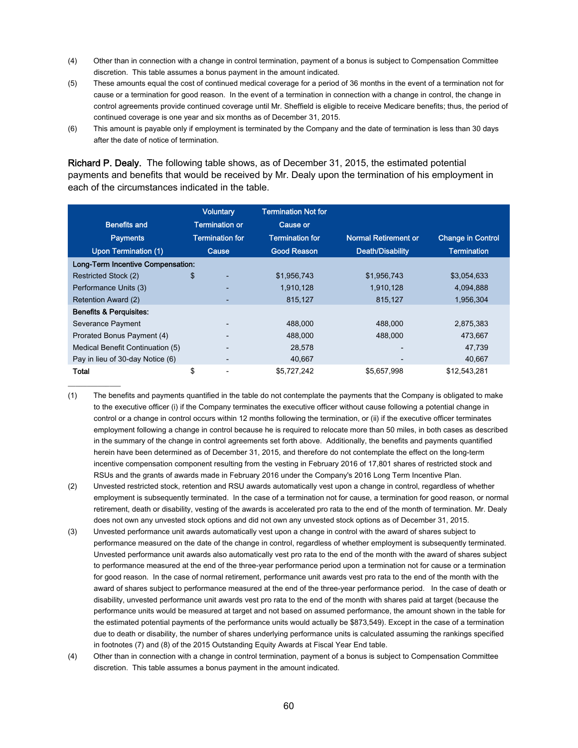- (4) Other than in connection with a change in control termination, payment of a bonus is subject to Compensation Committee discretion. This table assumes a bonus payment in the amount indicated.
- (5) These amounts equal the cost of continued medical coverage for a period of 36 months in the event of a termination not for cause or a termination for good reason. In the event of a termination in connection with a change in control, the change in control agreements provide continued coverage until Mr. Sheffield is eligible to receive Medicare benefits; thus, the period of continued coverage is one year and six months as of December 31, 2015.
- (6) This amount is payable only if employment is terminated by the Company and the date of termination is less than 30 days after the date of notice of termination.

Richard P. Dealy. The following table shows, as of December 31, 2015, the estimated potential payments and benefits that would be received by Mr. Dealy upon the termination of his employment in each of the circumstances indicated in the table.

| <b>Benefits and</b>                | <b>Voluntary</b><br><b>Termination or</b> | <b>Termination Not for</b><br>Cause or |                             |                          |
|------------------------------------|-------------------------------------------|----------------------------------------|-----------------------------|--------------------------|
| <b>Payments</b>                    | <b>Termination for</b>                    | <b>Termination for</b>                 | <b>Normal Retirement or</b> | <b>Change in Control</b> |
| Upon Termination (1)               | Cause                                     | <b>Good Reason</b>                     | <b>Death/Disability</b>     | <b>Termination</b>       |
| Long-Term Incentive Compensation:  |                                           |                                        |                             |                          |
| Restricted Stock (2)               | \$<br>٠                                   | \$1,956,743                            | \$1,956,743                 | \$3,054,633              |
| Performance Units (3)              | $\overline{\phantom{0}}$                  | 1,910,128                              | 1,910,128                   | 4.094.888                |
| Retention Award (2)                |                                           | 815,127                                | 815,127                     | 1,956,304                |
| <b>Benefits &amp; Perquisites:</b> |                                           |                                        |                             |                          |
| Severance Payment                  | $\overline{\phantom{0}}$                  | 488,000                                | 488,000                     | 2,875,383                |
| Prorated Bonus Payment (4)         | $\overline{\phantom{0}}$                  | 488,000                                | 488,000                     | 473.667                  |
| Medical Benefit Continuation (5)   | $\overline{\phantom{0}}$                  | 28,578                                 |                             | 47,739                   |
| Pay in lieu of 30-day Notice (6)   | $\overline{\phantom{0}}$                  | 40,667                                 |                             | 40,667                   |
| Total                              | \$                                        | \$5,727,242                            | \$5,657,998                 | \$12,543,281             |

(1) The benefits and payments quantified in the table do not contemplate the payments that the Company is obligated to make to the executive officer (i) if the Company terminates the executive officer without cause following a potential change in control or a change in control occurs within 12 months following the termination, or (ii) if the executive officer terminates employment following a change in control because he is required to relocate more than 50 miles, in both cases as described in the summary of the change in control agreements set forth above. Additionally, the benefits and payments quantified herein have been determined as of December 31, 2015, and therefore do not contemplate the effect on the long-term incentive compensation component resulting from the vesting in February 2016 of 17,801 shares of restricted stock and RSUs and the grants of awards made in February 2016 under the Company's 2016 Long Term Incentive Plan.

 $\overline{\phantom{a}}$  , where  $\overline{\phantom{a}}$ 

- (2) Unvested restricted stock, retention and RSU awards automatically vest upon a change in control, regardless of whether employment is subsequently terminated. In the case of a termination not for cause, a termination for good reason, or normal retirement, death or disability, vesting of the awards is accelerated pro rata to the end of the month of termination. Mr. Dealy does not own any unvested stock options and did not own any unvested stock options as of December 31, 2015.
- (3) Unvested performance unit awards automatically vest upon a change in control with the award of shares subject to performance measured on the date of the change in control, regardless of whether employment is subsequently terminated. Unvested performance unit awards also automatically vest pro rata to the end of the month with the award of shares subject to performance measured at the end of the three-year performance period upon a termination not for cause or a termination for good reason. In the case of normal retirement, performance unit awards vest pro rata to the end of the month with the award of shares subject to performance measured at the end of the three-year performance period. In the case of death or disability, unvested performance unit awards vest pro rata to the end of the month with shares paid at target (because the performance units would be measured at target and not based on assumed performance, the amount shown in the table for the estimated potential payments of the performance units would actually be \$873,549). Except in the case of a termination due to death or disability, the number of shares underlying performance units is calculated assuming the rankings specified in footnotes (7) and (8) of the 2015 Outstanding Equity Awards at Fiscal Year End table.
- (4) Other than in connection with a change in control termination, payment of a bonus is subject to Compensation Committee discretion. This table assumes a bonus payment in the amount indicated.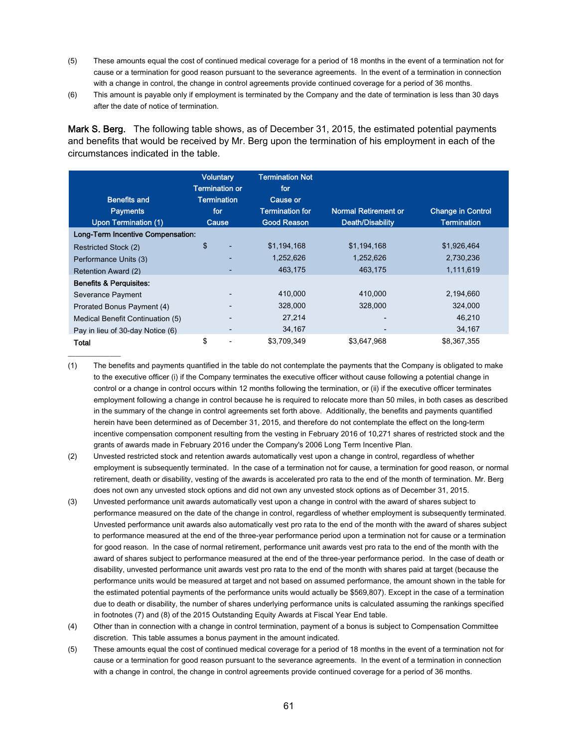- (5) These amounts equal the cost of continued medical coverage for a period of 18 months in the event of a termination not for cause or a termination for good reason pursuant to the severance agreements. In the event of a termination in connection with a change in control, the change in control agreements provide continued coverage for a period of 36 months.
- (6) This amount is payable only if employment is terminated by the Company and the date of termination is less than 30 days after the date of notice of termination.

Mark S. Berg. The following table shows, as of December 31, 2015, the estimated potential payments and benefits that would be received by Mr. Berg upon the termination of his employment in each of the circumstances indicated in the table.

| <b>Benefits and</b><br><b>Payments</b><br>Upon Termination (1) | <b>Voluntary</b><br><b>Termination or</b><br><b>Termination</b><br>for<br>Cause |                          | <b>Termination Not</b><br>for<br>Cause or<br><b>Termination for</b><br><b>Good Reason</b> | Normal Retirement or<br>Death/Disability | <b>Change in Control</b><br><b>Termination</b> |
|----------------------------------------------------------------|---------------------------------------------------------------------------------|--------------------------|-------------------------------------------------------------------------------------------|------------------------------------------|------------------------------------------------|
| Long-Term Incentive Compensation:                              |                                                                                 |                          |                                                                                           |                                          |                                                |
| Restricted Stock (2)                                           | \$                                                                              | $\overline{\phantom{0}}$ | \$1,194,168                                                                               | \$1,194,168                              | \$1,926,464                                    |
| Performance Units (3)                                          |                                                                                 |                          | 1,252,626                                                                                 | 1,252,626                                | 2,730,236                                      |
| Retention Award (2)                                            |                                                                                 |                          | 463,175                                                                                   | 463,175                                  | 1,111,619                                      |
| <b>Benefits &amp; Perquisites:</b>                             |                                                                                 |                          |                                                                                           |                                          |                                                |
| Severance Payment                                              |                                                                                 |                          | 410,000                                                                                   | 410,000                                  | 2,194,660                                      |
| Prorated Bonus Payment (4)                                     |                                                                                 |                          | 328,000                                                                                   | 328,000                                  | 324,000                                        |
| Medical Benefit Continuation (5)                               |                                                                                 |                          | 27,214                                                                                    |                                          | 46,210                                         |
| Pay in lieu of 30-day Notice (6)                               |                                                                                 |                          | 34,167                                                                                    | -                                        | 34,167                                         |
| Total                                                          | \$                                                                              |                          | \$3.709.349                                                                               | \$3.647.968                              | \$8.367.355                                    |

(1) The benefits and payments quantified in the table do not contemplate the payments that the Company is obligated to make to the executive officer (i) if the Company terminates the executive officer without cause following a potential change in control or a change in control occurs within 12 months following the termination, or (ii) if the executive officer terminates employment following a change in control because he is required to relocate more than 50 miles, in both cases as described in the summary of the change in control agreements set forth above. Additionally, the benefits and payments quantified herein have been determined as of December 31, 2015, and therefore do not contemplate the effect on the long-term incentive compensation component resulting from the vesting in February 2016 of 10,271 shares of restricted stock and the grants of awards made in February 2016 under the Company's 2006 Long Term Incentive Plan.

- (2) Unvested restricted stock and retention awards automatically vest upon a change in control, regardless of whether employment is subsequently terminated. In the case of a termination not for cause, a termination for good reason, or normal retirement, death or disability, vesting of the awards is accelerated pro rata to the end of the month of termination. Mr. Berg does not own any unvested stock options and did not own any unvested stock options as of December 31, 2015.
- (3) Unvested performance unit awards automatically vest upon a change in control with the award of shares subject to performance measured on the date of the change in control, regardless of whether employment is subsequently terminated. Unvested performance unit awards also automatically vest pro rata to the end of the month with the award of shares subject to performance measured at the end of the three-year performance period upon a termination not for cause or a termination for good reason. In the case of normal retirement, performance unit awards vest pro rata to the end of the month with the award of shares subject to performance measured at the end of the three-year performance period. In the case of death or disability, unvested performance unit awards vest pro rata to the end of the month with shares paid at target (because the performance units would be measured at target and not based on assumed performance, the amount shown in the table for the estimated potential payments of the performance units would actually be \$569,807). Except in the case of a termination due to death or disability, the number of shares underlying performance units is calculated assuming the rankings specified in footnotes (7) and (8) of the 2015 Outstanding Equity Awards at Fiscal Year End table.
- (4) Other than in connection with a change in control termination, payment of a bonus is subject to Compensation Committee discretion. This table assumes a bonus payment in the amount indicated.
- (5) These amounts equal the cost of continued medical coverage for a period of 18 months in the event of a termination not for cause or a termination for good reason pursuant to the severance agreements. In the event of a termination in connection with a change in control, the change in control agreements provide continued coverage for a period of 36 months.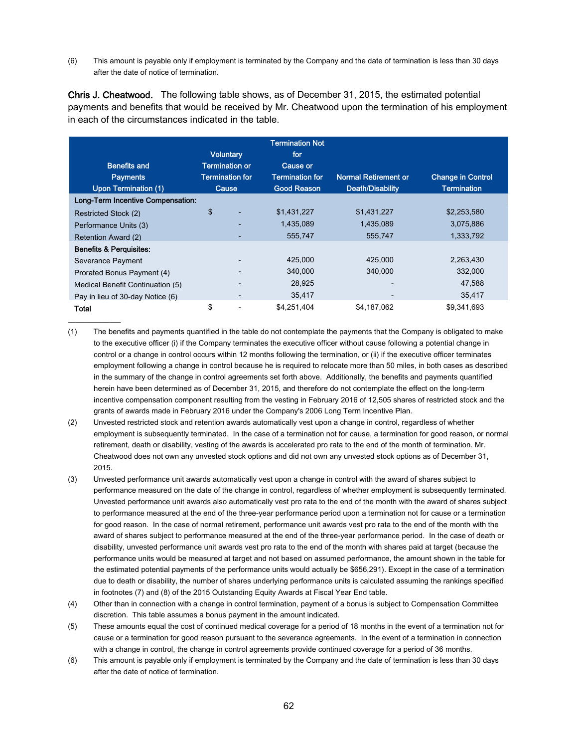(6) This amount is payable only if employment is terminated by the Company and the date of termination is less than 30 days after the date of notice of termination.

Chris J. Cheatwood. The following table shows, as of December 31, 2015, the estimated potential payments and benefits that would be received by Mr. Cheatwood upon the termination of his employment in each of the circumstances indicated in the table.

| <b>Benefits and</b><br><b>Payments</b><br>Upon Termination (1) | <b>Voluntary</b><br><b>Termination or</b><br>Termination for<br>Cause | <b>Termination Not</b><br>for<br>Cause or<br><b>Termination for</b><br><b>Good Reason</b> | Normal Retirement or<br>Death/Disability | <b>Change in Control</b><br><b>Termination</b> |
|----------------------------------------------------------------|-----------------------------------------------------------------------|-------------------------------------------------------------------------------------------|------------------------------------------|------------------------------------------------|
| Long-Term Incentive Compensation:                              |                                                                       |                                                                                           |                                          |                                                |
| Restricted Stock (2)                                           | \$                                                                    | \$1,431,227                                                                               | \$1,431,227                              | \$2,253,580                                    |
| Performance Units (3)                                          |                                                                       | 1,435,089                                                                                 | 1,435,089                                | 3,075,886                                      |
| Retention Award (2)                                            |                                                                       | 555,747                                                                                   | 555,747                                  | 1,333,792                                      |
| <b>Benefits &amp; Perquisites:</b>                             |                                                                       |                                                                                           |                                          |                                                |
| Severance Payment                                              |                                                                       | 425,000                                                                                   | 425.000                                  | 2,263,430                                      |
| Prorated Bonus Payment (4)                                     |                                                                       | 340,000                                                                                   | 340.000                                  | 332,000                                        |
| Medical Benefit Continuation (5)                               |                                                                       | 28,925                                                                                    |                                          | 47,588                                         |
| Pay in lieu of 30-day Notice (6)                               |                                                                       | 35,417                                                                                    |                                          | 35,417                                         |
| Total                                                          | \$                                                                    | \$4,251,404                                                                               | \$4,187,062                              | \$9,341,693                                    |

(1) The benefits and payments quantified in the table do not contemplate the payments that the Company is obligated to make to the executive officer (i) if the Company terminates the executive officer without cause following a potential change in control or a change in control occurs within 12 months following the termination, or (ii) if the executive officer terminates employment following a change in control because he is required to relocate more than 50 miles, in both cases as described in the summary of the change in control agreements set forth above. Additionally, the benefits and payments quantified herein have been determined as of December 31, 2015, and therefore do not contemplate the effect on the long-term incentive compensation component resulting from the vesting in February 2016 of 12,505 shares of restricted stock and the grants of awards made in February 2016 under the Company's 2006 Long Term Incentive Plan.

- (2) Unvested restricted stock and retention awards automatically vest upon a change in control, regardless of whether employment is subsequently terminated. In the case of a termination not for cause, a termination for good reason, or normal retirement, death or disability, vesting of the awards is accelerated pro rata to the end of the month of termination. Mr. Cheatwood does not own any unvested stock options and did not own any unvested stock options as of December 31, 2015.
- (3) Unvested performance unit awards automatically vest upon a change in control with the award of shares subject to performance measured on the date of the change in control, regardless of whether employment is subsequently terminated. Unvested performance unit awards also automatically vest pro rata to the end of the month with the award of shares subject to performance measured at the end of the three-year performance period upon a termination not for cause or a termination for good reason. In the case of normal retirement, performance unit awards vest pro rata to the end of the month with the award of shares subject to performance measured at the end of the three-year performance period. In the case of death or disability, unvested performance unit awards vest pro rata to the end of the month with shares paid at target (because the performance units would be measured at target and not based on assumed performance, the amount shown in the table for the estimated potential payments of the performance units would actually be \$656,291). Except in the case of a termination due to death or disability, the number of shares underlying performance units is calculated assuming the rankings specified in footnotes (7) and (8) of the 2015 Outstanding Equity Awards at Fiscal Year End table.
- (4) Other than in connection with a change in control termination, payment of a bonus is subject to Compensation Committee discretion. This table assumes a bonus payment in the amount indicated.
- (5) These amounts equal the cost of continued medical coverage for a period of 18 months in the event of a termination not for cause or a termination for good reason pursuant to the severance agreements. In the event of a termination in connection with a change in control, the change in control agreements provide continued coverage for a period of 36 months.
- (6) This amount is payable only if employment is terminated by the Company and the date of termination is less than 30 days after the date of notice of termination.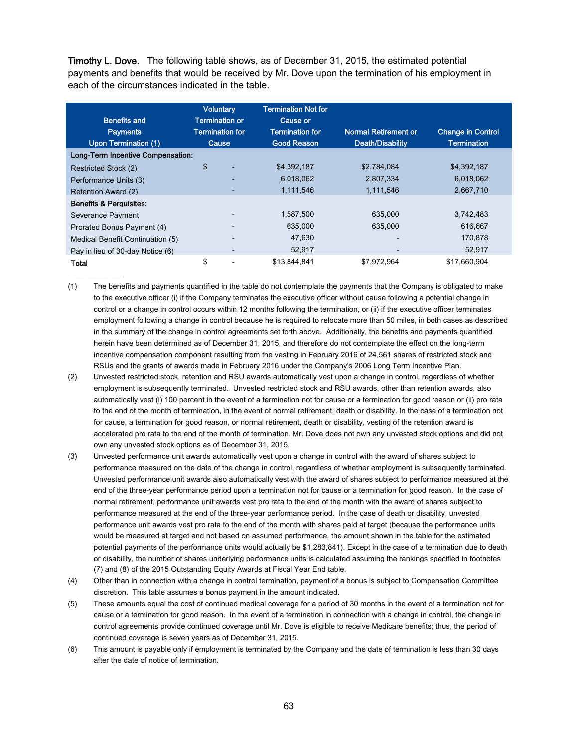Timothy L. Dove. The following table shows, as of December 31, 2015, the estimated potential payments and benefits that would be received by Mr. Dove upon the termination of his employment in each of the circumstances indicated in the table.

| <b>Benefits and</b><br><b>Payments</b> | <b>Voluntary</b><br><b>Termination or</b><br><b>Termination for</b> | <b>Termination Not for</b><br>Cause or<br><b>Termination for</b> | <b>Normal Retirement or</b> | <b>Change in Control</b> |
|----------------------------------------|---------------------------------------------------------------------|------------------------------------------------------------------|-----------------------------|--------------------------|
| Upon Termination (1)                   | Cause                                                               | <b>Good Reason</b>                                               | Death/Disability            | <b>Termination</b>       |
| Long-Term Incentive Compensation:      |                                                                     |                                                                  |                             |                          |
| Restricted Stock (2)                   | \$                                                                  | \$4,392,187                                                      | \$2,784,084                 | \$4,392,187              |
| Performance Units (3)                  | -                                                                   | 6,018,062                                                        | 2,807,334                   | 6,018,062                |
| Retention Award (2)                    |                                                                     | 1,111,546                                                        | 1,111,546                   | 2,667,710                |
| <b>Benefits &amp; Perguisites:</b>     |                                                                     |                                                                  |                             |                          |
| Severance Payment                      |                                                                     | 1,587,500                                                        | 635,000                     | 3,742,483                |
| Prorated Bonus Payment (4)             |                                                                     | 635,000                                                          | 635,000                     | 616,667                  |
| Medical Benefit Continuation (5)       |                                                                     | 47,630                                                           |                             | 170,878                  |
| Pay in lieu of 30-day Notice (6)       |                                                                     | 52,917                                                           | $\overline{\phantom{0}}$    | 52,917                   |
| Total                                  | \$                                                                  | \$13,844,841                                                     | \$7,972,964                 | \$17,660,904             |

(1) The benefits and payments quantified in the table do not contemplate the payments that the Company is obligated to make to the executive officer (i) if the Company terminates the executive officer without cause following a potential change in control or a change in control occurs within 12 months following the termination, or (ii) if the executive officer terminates employment following a change in control because he is required to relocate more than 50 miles, in both cases as described in the summary of the change in control agreements set forth above. Additionally, the benefits and payments quantified herein have been determined as of December 31, 2015, and therefore do not contemplate the effect on the long-term incentive compensation component resulting from the vesting in February 2016 of 24,561 shares of restricted stock and RSUs and the grants of awards made in February 2016 under the Company's 2006 Long Term Incentive Plan.

- (2) Unvested restricted stock, retention and RSU awards automatically vest upon a change in control, regardless of whether employment is subsequently terminated. Unvested restricted stock and RSU awards, other than retention awards, also automatically vest (i) 100 percent in the event of a termination not for cause or a termination for good reason or (ii) pro rata to the end of the month of termination, in the event of normal retirement, death or disability. In the case of a termination not for cause, a termination for good reason, or normal retirement, death or disability, vesting of the retention award is accelerated pro rata to the end of the month of termination. Mr. Dove does not own any unvested stock options and did not own any unvested stock options as of December 31, 2015.
- (3) Unvested performance unit awards automatically vest upon a change in control with the award of shares subject to performance measured on the date of the change in control, regardless of whether employment is subsequently terminated. Unvested performance unit awards also automatically vest with the award of shares subject to performance measured at the end of the three-year performance period upon a termination not for cause or a termination for good reason. In the case of normal retirement, performance unit awards vest pro rata to the end of the month with the award of shares subject to performance measured at the end of the three-year performance period. In the case of death or disability, unvested performance unit awards vest pro rata to the end of the month with shares paid at target (because the performance units would be measured at target and not based on assumed performance, the amount shown in the table for the estimated potential payments of the performance units would actually be \$1,283,841). Except in the case of a termination due to death or disability, the number of shares underlying performance units is calculated assuming the rankings specified in footnotes (7) and (8) of the 2015 Outstanding Equity Awards at Fiscal Year End table.
- (4) Other than in connection with a change in control termination, payment of a bonus is subject to Compensation Committee discretion. This table assumes a bonus payment in the amount indicated.
- (5) These amounts equal the cost of continued medical coverage for a period of 30 months in the event of a termination not for cause or a termination for good reason. In the event of a termination in connection with a change in control, the change in control agreements provide continued coverage until Mr. Dove is eligible to receive Medicare benefits; thus, the period of continued coverage is seven years as of December 31, 2015.
- (6) This amount is payable only if employment is terminated by the Company and the date of termination is less than 30 days after the date of notice of termination.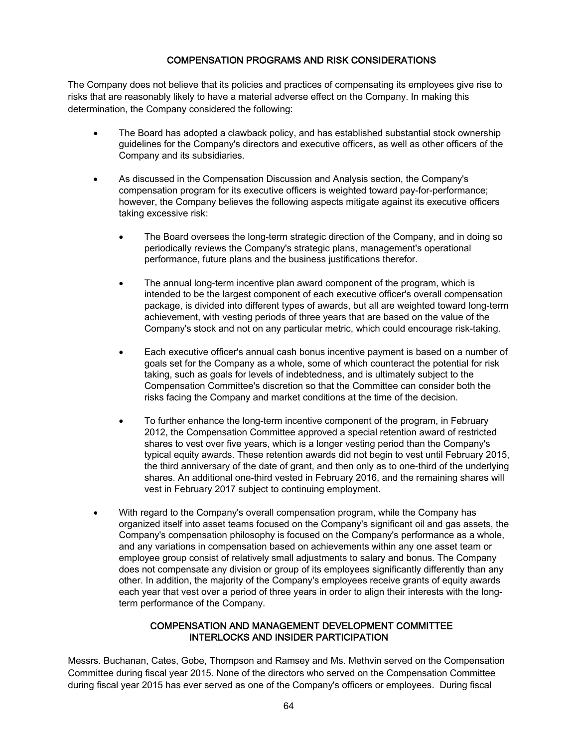# COMPENSATION PROGRAMS AND RISK CONSIDERATIONS

The Company does not believe that its policies and practices of compensating its employees give rise to risks that are reasonably likely to have a material adverse effect on the Company. In making this determination, the Company considered the following:

- The Board has adopted a clawback policy, and has established substantial stock ownership guidelines for the Company's directors and executive officers, as well as other officers of the Company and its subsidiaries.
- As discussed in the Compensation Discussion and Analysis section, the Company's compensation program for its executive officers is weighted toward pay-for-performance; however, the Company believes the following aspects mitigate against its executive officers taking excessive risk:
	- The Board oversees the long-term strategic direction of the Company, and in doing so periodically reviews the Company's strategic plans, management's operational performance, future plans and the business justifications therefor.
	- The annual long-term incentive plan award component of the program, which is intended to be the largest component of each executive officer's overall compensation package, is divided into different types of awards, but all are weighted toward long-term achievement, with vesting periods of three years that are based on the value of the Company's stock and not on any particular metric, which could encourage risk-taking.
	- Each executive officer's annual cash bonus incentive payment is based on a number of goals set for the Company as a whole, some of which counteract the potential for risk taking, such as goals for levels of indebtedness, and is ultimately subject to the Compensation Committee's discretion so that the Committee can consider both the risks facing the Company and market conditions at the time of the decision.
	- To further enhance the long-term incentive component of the program, in February 2012, the Compensation Committee approved a special retention award of restricted shares to vest over five years, which is a longer vesting period than the Company's typical equity awards. These retention awards did not begin to vest until February 2015, the third anniversary of the date of grant, and then only as to one-third of the underlying shares. An additional one-third vested in February 2016, and the remaining shares will vest in February 2017 subject to continuing employment.
- With regard to the Company's overall compensation program, while the Company has organized itself into asset teams focused on the Company's significant oil and gas assets, the Company's compensation philosophy is focused on the Company's performance as a whole, and any variations in compensation based on achievements within any one asset team or employee group consist of relatively small adjustments to salary and bonus. The Company does not compensate any division or group of its employees significantly differently than any other. In addition, the majority of the Company's employees receive grants of equity awards each year that vest over a period of three years in order to align their interests with the longterm performance of the Company.

## COMPENSATION AND MANAGEMENT DEVELOPMENT COMMITTEE INTERLOCKS AND INSIDER PARTICIPATION

Messrs. Buchanan, Cates, Gobe, Thompson and Ramsey and Ms. Methvin served on the Compensation Committee during fiscal year 2015. None of the directors who served on the Compensation Committee during fiscal year 2015 has ever served as one of the Company's officers or employees. During fiscal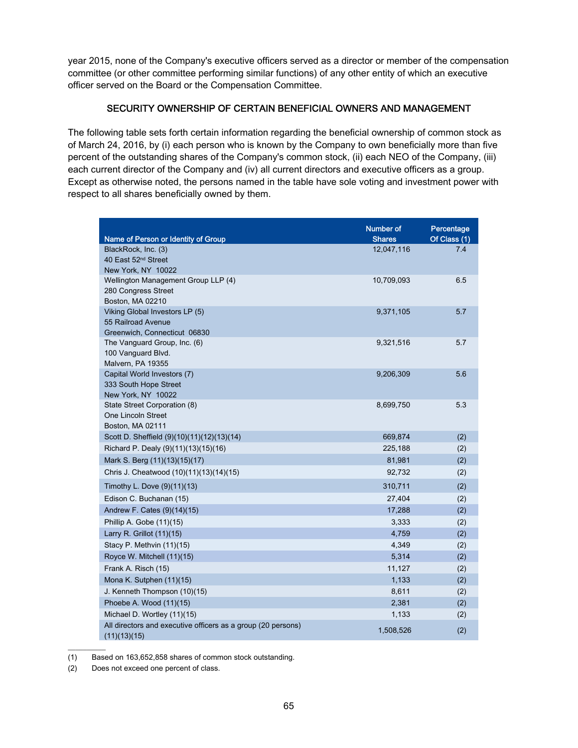year 2015, none of the Company's executive officers served as a director or member of the compensation committee (or other committee performing similar functions) of any other entity of which an executive officer served on the Board or the Compensation Committee.

# SECURITY OWNERSHIP OF CERTAIN BENEFICIAL OWNERS AND MANAGEMENT

The following table sets forth certain information regarding the beneficial ownership of common stock as of March 24, 2016, by (i) each person who is known by the Company to own beneficially more than five percent of the outstanding shares of the Company's common stock, (ii) each NEO of the Company, (iii) each current director of the Company and (iv) all current directors and executive officers as a group. Except as otherwise noted, the persons named in the table have sole voting and investment power with respect to all shares beneficially owned by them.

| Name of Person or Identity of Group                                          | Number of<br><b>Shares</b> | Percentage<br>Of Class (1) |
|------------------------------------------------------------------------------|----------------------------|----------------------------|
| BlackRock, Inc. (3)                                                          | 12,047,116                 | 7.4                        |
| 40 East 52 <sup>nd</sup> Street                                              |                            |                            |
| New York, NY 10022                                                           |                            |                            |
| Wellington Management Group LLP (4)                                          | 10,709,093                 | 6.5                        |
| 280 Congress Street                                                          |                            |                            |
| Boston, MA 02210<br>Viking Global Investors LP (5)                           | 9,371,105                  | 5.7                        |
| 55 Railroad Avenue                                                           |                            |                            |
| Greenwich, Connecticut 06830                                                 |                            |                            |
| The Vanguard Group, Inc. (6)                                                 | 9,321,516                  | 5.7                        |
| 100 Vanguard Blvd.                                                           |                            |                            |
| Malvern, PA 19355                                                            |                            |                            |
| Capital World Investors (7)                                                  | 9,206,309                  | 5.6                        |
| 333 South Hope Street<br>New York, NY 10022                                  |                            |                            |
| State Street Corporation (8)                                                 | 8,699,750                  | 5.3                        |
| <b>One Lincoln Street</b>                                                    |                            |                            |
| Boston, MA 02111                                                             |                            |                            |
| Scott D. Sheffield (9)(10)(11)(12)(13)(14)                                   | 669,874                    | (2)                        |
| Richard P. Dealy (9)(11)(13)(15)(16)                                         | 225,188                    | (2)                        |
| Mark S. Berg (11)(13)(15)(17)                                                | 81,981                     | (2)                        |
| Chris J. Cheatwood (10)(11)(13)(14)(15)                                      | 92,732                     | (2)                        |
| Timothy L. Dove (9)(11)(13)                                                  | 310,711                    | (2)                        |
| Edison C. Buchanan (15)                                                      | 27,404                     | (2)                        |
| Andrew F. Cates (9)(14)(15)                                                  | 17,288                     | (2)                        |
| Phillip A. Gobe (11)(15)                                                     | 3,333                      | (2)                        |
| Larry R. Grillot (11)(15)                                                    | 4,759                      | (2)                        |
| Stacy P. Methvin (11)(15)                                                    | 4,349                      | (2)                        |
| Royce W. Mitchell (11)(15)                                                   | 5,314                      | (2)                        |
| Frank A. Risch (15)                                                          | 11,127                     | (2)                        |
| Mona K. Sutphen (11)(15)                                                     | 1,133                      | (2)                        |
| J. Kenneth Thompson (10)(15)                                                 | 8,611                      | (2)                        |
| Phoebe A. Wood (11)(15)                                                      | 2,381                      | (2)                        |
| Michael D. Wortley (11)(15)                                                  | 1,133                      | (2)                        |
| All directors and executive officers as a group (20 persons)<br>(11)(13)(15) | 1,508,526                  | (2)                        |

<sup>(1)</sup> Based on 163,652,858 shares of common stock outstanding.

 $\overline{\phantom{a}}$ 

<sup>(2)</sup> Does not exceed one percent of class.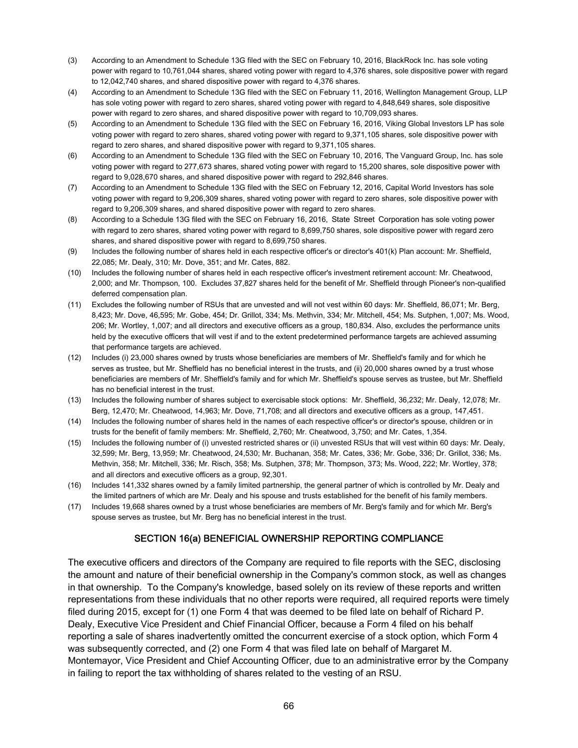- (3) According to an Amendment to Schedule 13G filed with the SEC on February 10, 2016, BlackRock Inc. has sole voting power with regard to 10,761,044 shares, shared voting power with regard to 4,376 shares, sole dispositive power with regard to 12,042,740 shares, and shared dispositive power with regard to 4,376 shares.
- (4) According to an Amendment to Schedule 13G filed with the SEC on February 11, 2016, Wellington Management Group, LLP has sole voting power with regard to zero shares, shared voting power with regard to 4,848,649 shares, sole dispositive power with regard to zero shares, and shared dispositive power with regard to 10,709,093 shares.
- (5) According to an Amendment to Schedule 13G filed with the SEC on February 16, 2016, Viking Global Investors LP has sole voting power with regard to zero shares, shared voting power with regard to 9,371,105 shares, sole dispositive power with regard to zero shares, and shared dispositive power with regard to 9,371,105 shares.
- (6) According to an Amendment to Schedule 13G filed with the SEC on February 10, 2016, The Vanguard Group, Inc. has sole voting power with regard to 277,673 shares, shared voting power with regard to 15,200 shares, sole dispositive power with regard to 9,028,670 shares, and shared dispositive power with regard to 292,846 shares.
- (7) According to an Amendment to Schedule 13G filed with the SEC on February 12, 2016, Capital World Investors has sole voting power with regard to 9,206,309 shares, shared voting power with regard to zero shares, sole dispositive power with regard to 9,206,309 shares, and shared dispositive power with regard to zero shares.
- (8) According to a Schedule 13G filed with the SEC on February 16, 2016, State Street Corporation has sole voting power with regard to zero shares, shared voting power with regard to 8,699,750 shares, sole dispositive power with regard zero shares, and shared dispositive power with regard to 8,699,750 shares.
- (9) Includes the following number of shares held in each respective officer's or director's 401(k) Plan account: Mr. Sheffield, 22,085; Mr. Dealy, 310; Mr. Dove, 351; and Mr. Cates, 882.
- (10) Includes the following number of shares held in each respective officer's investment retirement account: Mr. Cheatwood, 2,000; and Mr. Thompson, 100. Excludes 37,827 shares held for the benefit of Mr. Sheffield through Pioneer's non-qualified deferred compensation plan.
- (11) Excludes the following number of RSUs that are unvested and will not vest within 60 days: Mr. Sheffield, 86,071; Mr. Berg, 8,423; Mr. Dove, 46,595; Mr. Gobe, 454; Dr. Grillot, 334; Ms. Methvin, 334; Mr. Mitchell, 454; Ms. Sutphen, 1,007; Ms. Wood, 206; Mr. Wortley, 1,007; and all directors and executive officers as a group, 180,834. Also, excludes the performance units held by the executive officers that will vest if and to the extent predetermined performance targets are achieved assuming that performance targets are achieved.
- (12) Includes (i) 23,000 shares owned by trusts whose beneficiaries are members of Mr. Sheffield's family and for which he serves as trustee, but Mr. Sheffield has no beneficial interest in the trusts, and (ii) 20,000 shares owned by a trust whose beneficiaries are members of Mr. Sheffield's family and for which Mr. Sheffield's spouse serves as trustee, but Mr. Sheffield has no beneficial interest in the trust.
- (13) Includes the following number of shares subject to exercisable stock options: Mr. Sheffield, 36,232; Mr. Dealy, 12,078; Mr. Berg, 12,470; Mr. Cheatwood, 14,963; Mr. Dove, 71,708; and all directors and executive officers as a group, 147,451.
- (14) Includes the following number of shares held in the names of each respective officer's or director's spouse, children or in trusts for the benefit of family members: Mr. Sheffield, 2,760; Mr. Cheatwood, 3,750; and Mr. Cates, 1,354.
- (15) Includes the following number of (i) unvested restricted shares or (ii) unvested RSUs that will vest within 60 days: Mr. Dealy, 32,599; Mr. Berg, 13,959; Mr. Cheatwood, 24,530; Mr. Buchanan, 358; Mr. Cates, 336; Mr. Gobe, 336; Dr. Grillot, 336; Ms. Methvin, 358; Mr. Mitchell, 336; Mr. Risch, 358; Ms. Sutphen, 378; Mr. Thompson, 373; Ms. Wood, 222; Mr. Wortley, 378; and all directors and executive officers as a group, 92,301.
- (16) Includes 141,332 shares owned by a family limited partnership, the general partner of which is controlled by Mr. Dealy and the limited partners of which are Mr. Dealy and his spouse and trusts established for the benefit of his family members.
- (17) Includes 19,668 shares owned by a trust whose beneficiaries are members of Mr. Berg's family and for which Mr. Berg's spouse serves as trustee, but Mr. Berg has no beneficial interest in the trust.

## SECTION 16(a) BENEFICIAL OWNERSHIP REPORTING COMPLIANCE

The executive officers and directors of the Company are required to file reports with the SEC, disclosing the amount and nature of their beneficial ownership in the Company's common stock, as well as changes in that ownership. To the Company's knowledge, based solely on its review of these reports and written representations from these individuals that no other reports were required, all required reports were timely filed during 2015, except for (1) one Form 4 that was deemed to be filed late on behalf of Richard P. Dealy, Executive Vice President and Chief Financial Officer, because a Form 4 filed on his behalf reporting a sale of shares inadvertently omitted the concurrent exercise of a stock option, which Form 4 was subsequently corrected, and (2) one Form 4 that was filed late on behalf of Margaret M. Montemayor, Vice President and Chief Accounting Officer, due to an administrative error by the Company in failing to report the tax withholding of shares related to the vesting of an RSU.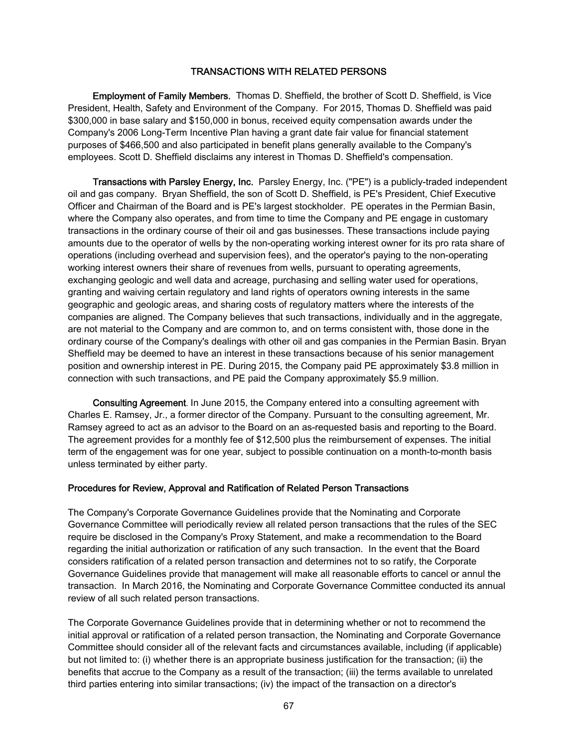## TRANSACTIONS WITH RELATED PERSONS

 Employment of Family Members. Thomas D. Sheffield, the brother of Scott D. Sheffield, is Vice President, Health, Safety and Environment of the Company. For 2015, Thomas D. Sheffield was paid \$300,000 in base salary and \$150,000 in bonus, received equity compensation awards under the Company's 2006 Long-Term Incentive Plan having a grant date fair value for financial statement purposes of \$466,500 and also participated in benefit plans generally available to the Company's employees. Scott D. Sheffield disclaims any interest in Thomas D. Sheffield's compensation.

Transactions with Parsley Energy, Inc. Parsley Energy, Inc. ("PE") is a publicly-traded independent oil and gas company. Bryan Sheffield, the son of Scott D. Sheffield, is PE's President, Chief Executive Officer and Chairman of the Board and is PE's largest stockholder. PE operates in the Permian Basin, where the Company also operates, and from time to time the Company and PE engage in customary transactions in the ordinary course of their oil and gas businesses. These transactions include paying amounts due to the operator of wells by the non-operating working interest owner for its pro rata share of operations (including overhead and supervision fees), and the operator's paying to the non-operating working interest owners their share of revenues from wells, pursuant to operating agreements, exchanging geologic and well data and acreage, purchasing and selling water used for operations, granting and waiving certain regulatory and land rights of operators owning interests in the same geographic and geologic areas, and sharing costs of regulatory matters where the interests of the companies are aligned. The Company believes that such transactions, individually and in the aggregate, are not material to the Company and are common to, and on terms consistent with, those done in the ordinary course of the Company's dealings with other oil and gas companies in the Permian Basin. Bryan Sheffield may be deemed to have an interest in these transactions because of his senior management position and ownership interest in PE. During 2015, the Company paid PE approximately \$3.8 million in connection with such transactions, and PE paid the Company approximately \$5.9 million.

 Consulting Agreement. In June 2015, the Company entered into a consulting agreement with Charles E. Ramsey, Jr., a former director of the Company. Pursuant to the consulting agreement, Mr. Ramsey agreed to act as an advisor to the Board on an as-requested basis and reporting to the Board. The agreement provides for a monthly fee of \$12,500 plus the reimbursement of expenses. The initial term of the engagement was for one year, subject to possible continuation on a month-to-month basis unless terminated by either party.

#### Procedures for Review, Approval and Ratification of Related Person Transactions

The Company's Corporate Governance Guidelines provide that the Nominating and Corporate Governance Committee will periodically review all related person transactions that the rules of the SEC require be disclosed in the Company's Proxy Statement, and make a recommendation to the Board regarding the initial authorization or ratification of any such transaction. In the event that the Board considers ratification of a related person transaction and determines not to so ratify, the Corporate Governance Guidelines provide that management will make all reasonable efforts to cancel or annul the transaction. In March 2016, the Nominating and Corporate Governance Committee conducted its annual review of all such related person transactions.

The Corporate Governance Guidelines provide that in determining whether or not to recommend the initial approval or ratification of a related person transaction, the Nominating and Corporate Governance Committee should consider all of the relevant facts and circumstances available, including (if applicable) but not limited to: (i) whether there is an appropriate business justification for the transaction; (ii) the benefits that accrue to the Company as a result of the transaction; (iii) the terms available to unrelated third parties entering into similar transactions; (iv) the impact of the transaction on a director's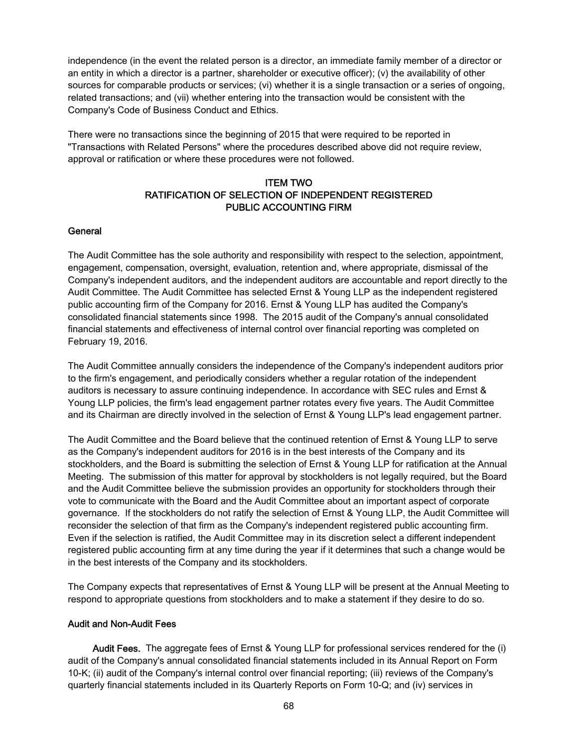independence (in the event the related person is a director, an immediate family member of a director or an entity in which a director is a partner, shareholder or executive officer); (v) the availability of other sources for comparable products or services; (vi) whether it is a single transaction or a series of ongoing, related transactions; and (vii) whether entering into the transaction would be consistent with the Company's Code of Business Conduct and Ethics.

There were no transactions since the beginning of 2015 that were required to be reported in "Transactions with Related Persons" where the procedures described above did not require review, approval or ratification or where these procedures were not followed.

# ITEM TWO RATIFICATION OF SELECTION OF INDEPENDENT REGISTERED PUBLIC ACCOUNTING FIRM

### **General**

The Audit Committee has the sole authority and responsibility with respect to the selection, appointment, engagement, compensation, oversight, evaluation, retention and, where appropriate, dismissal of the Company's independent auditors, and the independent auditors are accountable and report directly to the Audit Committee. The Audit Committee has selected Ernst & Young LLP as the independent registered public accounting firm of the Company for 2016. Ernst & Young LLP has audited the Company's consolidated financial statements since 1998. The 2015 audit of the Company's annual consolidated financial statements and effectiveness of internal control over financial reporting was completed on February 19, 2016.

The Audit Committee annually considers the independence of the Company's independent auditors prior to the firm's engagement, and periodically considers whether a regular rotation of the independent auditors is necessary to assure continuing independence. In accordance with SEC rules and Ernst & Young LLP policies, the firm's lead engagement partner rotates every five years. The Audit Committee and its Chairman are directly involved in the selection of Ernst & Young LLP's lead engagement partner.

The Audit Committee and the Board believe that the continued retention of Ernst & Young LLP to serve as the Company's independent auditors for 2016 is in the best interests of the Company and its stockholders, and the Board is submitting the selection of Ernst & Young LLP for ratification at the Annual Meeting. The submission of this matter for approval by stockholders is not legally required, but the Board and the Audit Committee believe the submission provides an opportunity for stockholders through their vote to communicate with the Board and the Audit Committee about an important aspect of corporate governance. If the stockholders do not ratify the selection of Ernst & Young LLP, the Audit Committee will reconsider the selection of that firm as the Company's independent registered public accounting firm. Even if the selection is ratified, the Audit Committee may in its discretion select a different independent registered public accounting firm at any time during the year if it determines that such a change would be in the best interests of the Company and its stockholders.

The Company expects that representatives of Ernst & Young LLP will be present at the Annual Meeting to respond to appropriate questions from stockholders and to make a statement if they desire to do so.

## Audit and Non-Audit Fees

 Audit Fees. The aggregate fees of Ernst & Young LLP for professional services rendered for the (i) audit of the Company's annual consolidated financial statements included in its Annual Report on Form 10-K; (ii) audit of the Company's internal control over financial reporting; (iii) reviews of the Company's quarterly financial statements included in its Quarterly Reports on Form 10-Q; and (iv) services in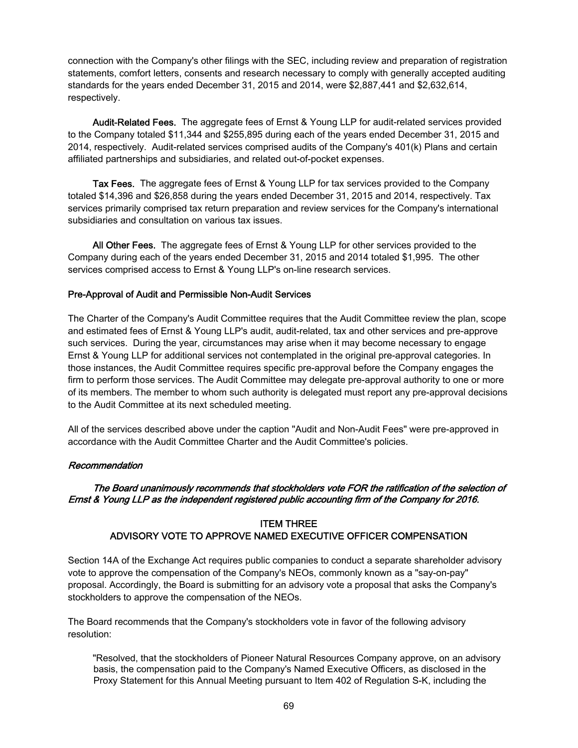connection with the Company's other filings with the SEC, including review and preparation of registration statements, comfort letters, consents and research necessary to comply with generally accepted auditing standards for the years ended December 31, 2015 and 2014, were \$2,887,441 and \$2,632,614, respectively.

 Audit-Related Fees. The aggregate fees of Ernst & Young LLP for audit-related services provided to the Company totaled \$11,344 and \$255,895 during each of the years ended December 31, 2015 and 2014, respectively. Audit-related services comprised audits of the Company's 401(k) Plans and certain affiliated partnerships and subsidiaries, and related out-of-pocket expenses.

Tax Fees. The aggregate fees of Ernst & Young LLP for tax services provided to the Company totaled \$14,396 and \$26,858 during the years ended December 31, 2015 and 2014, respectively. Tax services primarily comprised tax return preparation and review services for the Company's international subsidiaries and consultation on various tax issues.

 All Other Fees. The aggregate fees of Ernst & Young LLP for other services provided to the Company during each of the years ended December 31, 2015 and 2014 totaled \$1,995. The other services comprised access to Ernst & Young LLP's on-line research services.

### Pre-Approval of Audit and Permissible Non-Audit Services

The Charter of the Company's Audit Committee requires that the Audit Committee review the plan, scope and estimated fees of Ernst & Young LLP's audit, audit-related, tax and other services and pre-approve such services. During the year, circumstances may arise when it may become necessary to engage Ernst & Young LLP for additional services not contemplated in the original pre-approval categories. In those instances, the Audit Committee requires specific pre-approval before the Company engages the firm to perform those services. The Audit Committee may delegate pre-approval authority to one or more of its members. The member to whom such authority is delegated must report any pre-approval decisions to the Audit Committee at its next scheduled meeting.

All of the services described above under the caption "Audit and Non-Audit Fees" were pre-approved in accordance with the Audit Committee Charter and the Audit Committee's policies.

#### Recommendation

### The Board unanimously recommends that stockholders vote FOR the ratification of the selection of Ernst & Young LLP as the independent registered public accounting firm of the Company for 2016.

## ITEM THREE ADVISORY VOTE TO APPROVE NAMED EXECUTIVE OFFICER COMPENSATION

Section 14A of the Exchange Act requires public companies to conduct a separate shareholder advisory vote to approve the compensation of the Company's NEOs, commonly known as a "say-on-pay" proposal. Accordingly, the Board is submitting for an advisory vote a proposal that asks the Company's stockholders to approve the compensation of the NEOs.

The Board recommends that the Company's stockholders vote in favor of the following advisory resolution:

"Resolved, that the stockholders of Pioneer Natural Resources Company approve, on an advisory basis, the compensation paid to the Company's Named Executive Officers, as disclosed in the Proxy Statement for this Annual Meeting pursuant to Item 402 of Regulation S-K, including the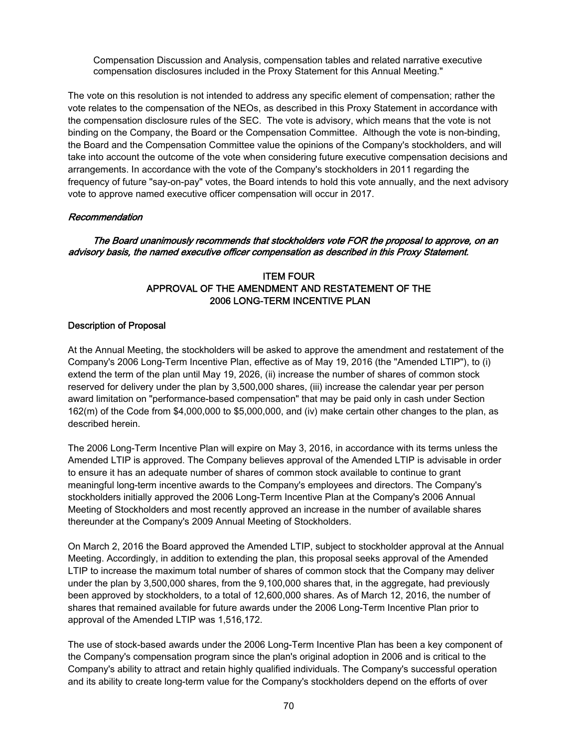Compensation Discussion and Analysis, compensation tables and related narrative executive compensation disclosures included in the Proxy Statement for this Annual Meeting."

The vote on this resolution is not intended to address any specific element of compensation; rather the vote relates to the compensation of the NEOs, as described in this Proxy Statement in accordance with the compensation disclosure rules of the SEC. The vote is advisory, which means that the vote is not binding on the Company, the Board or the Compensation Committee. Although the vote is non-binding, the Board and the Compensation Committee value the opinions of the Company's stockholders, and will take into account the outcome of the vote when considering future executive compensation decisions and arrangements. In accordance with the vote of the Company's stockholders in 2011 regarding the frequency of future "say-on-pay" votes, the Board intends to hold this vote annually, and the next advisory vote to approve named executive officer compensation will occur in 2017.

### Recommendation

### The Board unanimously recommends that stockholders vote FOR the proposal to approve, on an advisory basis, the named executive officer compensation as described in this Proxy Statement.

# ITEM FOUR APPROVAL OF THE AMENDMENT AND RESTATEMENT OF THE 2006 LONG-TERM INCENTIVE PLAN

## Description of Proposal

At the Annual Meeting, the stockholders will be asked to approve the amendment and restatement of the Company's 2006 Long-Term Incentive Plan, effective as of May 19, 2016 (the "Amended LTIP"), to (i) extend the term of the plan until May 19, 2026, (ii) increase the number of shares of common stock reserved for delivery under the plan by 3,500,000 shares, (iii) increase the calendar year per person award limitation on "performance-based compensation" that may be paid only in cash under Section 162(m) of the Code from \$4,000,000 to \$5,000,000, and (iv) make certain other changes to the plan, as described herein.

The 2006 Long-Term Incentive Plan will expire on May 3, 2016, in accordance with its terms unless the Amended LTIP is approved. The Company believes approval of the Amended LTIP is advisable in order to ensure it has an adequate number of shares of common stock available to continue to grant meaningful long-term incentive awards to the Company's employees and directors. The Company's stockholders initially approved the 2006 Long-Term Incentive Plan at the Company's 2006 Annual Meeting of Stockholders and most recently approved an increase in the number of available shares thereunder at the Company's 2009 Annual Meeting of Stockholders.

On March 2, 2016 the Board approved the Amended LTIP, subject to stockholder approval at the Annual Meeting. Accordingly, in addition to extending the plan, this proposal seeks approval of the Amended LTIP to increase the maximum total number of shares of common stock that the Company may deliver under the plan by 3,500,000 shares, from the 9,100,000 shares that, in the aggregate, had previously been approved by stockholders, to a total of 12,600,000 shares. As of March 12, 2016, the number of shares that remained available for future awards under the 2006 Long-Term Incentive Plan prior to approval of the Amended LTIP was 1,516,172.

The use of stock-based awards under the 2006 Long-Term Incentive Plan has been a key component of the Company's compensation program since the plan's original adoption in 2006 and is critical to the Company's ability to attract and retain highly qualified individuals. The Company's successful operation and its ability to create long-term value for the Company's stockholders depend on the efforts of over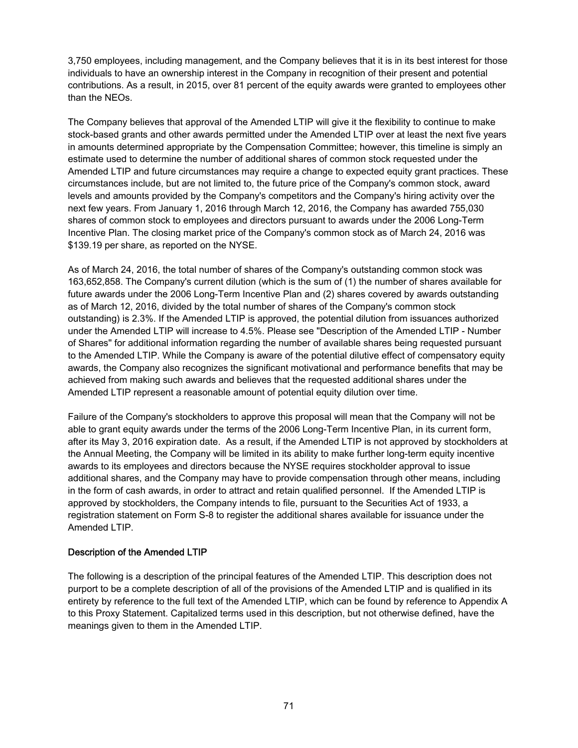3,750 employees, including management, and the Company believes that it is in its best interest for those individuals to have an ownership interest in the Company in recognition of their present and potential contributions. As a result, in 2015, over 81 percent of the equity awards were granted to employees other than the NEOs.

The Company believes that approval of the Amended LTIP will give it the flexibility to continue to make stock-based grants and other awards permitted under the Amended LTIP over at least the next five years in amounts determined appropriate by the Compensation Committee; however, this timeline is simply an estimate used to determine the number of additional shares of common stock requested under the Amended LTIP and future circumstances may require a change to expected equity grant practices. These circumstances include, but are not limited to, the future price of the Company's common stock, award levels and amounts provided by the Company's competitors and the Company's hiring activity over the next few years. From January 1, 2016 through March 12, 2016, the Company has awarded 755,030 shares of common stock to employees and directors pursuant to awards under the 2006 Long-Term Incentive Plan. The closing market price of the Company's common stock as of March 24, 2016 was \$139.19 per share, as reported on the NYSE.

As of March 24, 2016, the total number of shares of the Company's outstanding common stock was 163,652,858. The Company's current dilution (which is the sum of (1) the number of shares available for future awards under the 2006 Long-Term Incentive Plan and (2) shares covered by awards outstanding as of March 12, 2016, divided by the total number of shares of the Company's common stock outstanding) is 2.3%. If the Amended LTIP is approved, the potential dilution from issuances authorized under the Amended LTIP will increase to 4.5%. Please see "Description of the Amended LTIP - Number of Shares" for additional information regarding the number of available shares being requested pursuant to the Amended LTIP. While the Company is aware of the potential dilutive effect of compensatory equity awards, the Company also recognizes the significant motivational and performance benefits that may be achieved from making such awards and believes that the requested additional shares under the Amended LTIP represent a reasonable amount of potential equity dilution over time.

Failure of the Company's stockholders to approve this proposal will mean that the Company will not be able to grant equity awards under the terms of the 2006 Long-Term Incentive Plan, in its current form, after its May 3, 2016 expiration date. As a result, if the Amended LTIP is not approved by stockholders at the Annual Meeting, the Company will be limited in its ability to make further long-term equity incentive awards to its employees and directors because the NYSE requires stockholder approval to issue additional shares, and the Company may have to provide compensation through other means, including in the form of cash awards, in order to attract and retain qualified personnel. If the Amended LTIP is approved by stockholders, the Company intends to file, pursuant to the Securities Act of 1933, a registration statement on Form S-8 to register the additional shares available for issuance under the Amended LTIP.

# Description of the Amended LTIP

The following is a description of the principal features of the Amended LTIP. This description does not purport to be a complete description of all of the provisions of the Amended LTIP and is qualified in its entirety by reference to the full text of the Amended LTIP, which can be found by reference to Appendix A to this Proxy Statement. Capitalized terms used in this description, but not otherwise defined, have the meanings given to them in the Amended LTIP.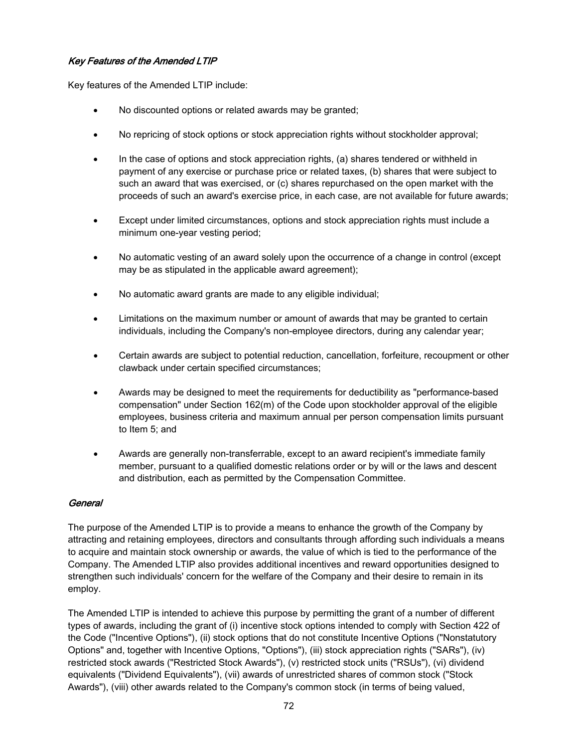# Key Features of the Amended LTIP

Key features of the Amended LTIP include:

- No discounted options or related awards may be granted;
- No repricing of stock options or stock appreciation rights without stockholder approval;
- In the case of options and stock appreciation rights, (a) shares tendered or withheld in payment of any exercise or purchase price or related taxes, (b) shares that were subject to such an award that was exercised, or (c) shares repurchased on the open market with the proceeds of such an award's exercise price, in each case, are not available for future awards;
- Except under limited circumstances, options and stock appreciation rights must include a minimum one-year vesting period;
- No automatic vesting of an award solely upon the occurrence of a change in control (except may be as stipulated in the applicable award agreement);
- No automatic award grants are made to any eligible individual;
- Limitations on the maximum number or amount of awards that may be granted to certain individuals, including the Company's non-employee directors, during any calendar year;
- Certain awards are subject to potential reduction, cancellation, forfeiture, recoupment or other clawback under certain specified circumstances;
- Awards may be designed to meet the requirements for deductibility as "performance-based compensation" under Section 162(m) of the Code upon stockholder approval of the eligible employees, business criteria and maximum annual per person compensation limits pursuant to Item 5; and
- Awards are generally non-transferrable, except to an award recipient's immediate family member, pursuant to a qualified domestic relations order or by will or the laws and descent and distribution, each as permitted by the Compensation Committee.

# General

The purpose of the Amended LTIP is to provide a means to enhance the growth of the Company by attracting and retaining employees, directors and consultants through affording such individuals a means to acquire and maintain stock ownership or awards, the value of which is tied to the performance of the Company. The Amended LTIP also provides additional incentives and reward opportunities designed to strengthen such individuals' concern for the welfare of the Company and their desire to remain in its employ.

The Amended LTIP is intended to achieve this purpose by permitting the grant of a number of different types of awards, including the grant of (i) incentive stock options intended to comply with Section 422 of the Code ("Incentive Options"), (ii) stock options that do not constitute Incentive Options ("Nonstatutory Options" and, together with Incentive Options, "Options"), (iii) stock appreciation rights ("SARs"), (iv) restricted stock awards ("Restricted Stock Awards"), (v) restricted stock units ("RSUs"), (vi) dividend equivalents ("Dividend Equivalents"), (vii) awards of unrestricted shares of common stock ("Stock Awards"), (viii) other awards related to the Company's common stock (in terms of being valued,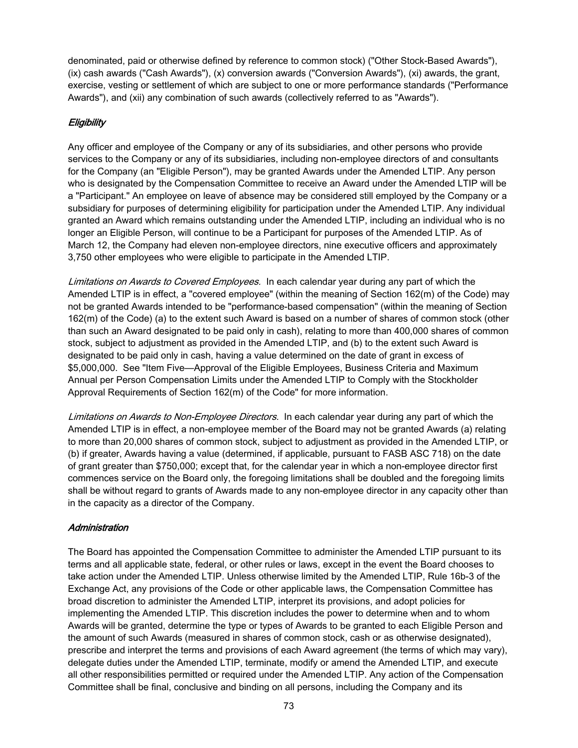denominated, paid or otherwise defined by reference to common stock) ("Other Stock-Based Awards"), (ix) cash awards ("Cash Awards"), (x) conversion awards ("Conversion Awards"), (xi) awards, the grant, exercise, vesting or settlement of which are subject to one or more performance standards ("Performance Awards"), and (xii) any combination of such awards (collectively referred to as "Awards").

# **Eligibility**

Any officer and employee of the Company or any of its subsidiaries, and other persons who provide services to the Company or any of its subsidiaries, including non-employee directors of and consultants for the Company (an "Eligible Person"), may be granted Awards under the Amended LTIP. Any person who is designated by the Compensation Committee to receive an Award under the Amended LTIP will be a "Participant." An employee on leave of absence may be considered still employed by the Company or a subsidiary for purposes of determining eligibility for participation under the Amended LTIP. Any individual granted an Award which remains outstanding under the Amended LTIP, including an individual who is no longer an Eligible Person, will continue to be a Participant for purposes of the Amended LTIP. As of March 12, the Company had eleven non-employee directors, nine executive officers and approximately 3,750 other employees who were eligible to participate in the Amended LTIP.

Limitations on Awards to Covered Employees. In each calendar year during any part of which the Amended LTIP is in effect, a "covered employee" (within the meaning of Section 162(m) of the Code) may not be granted Awards intended to be "performance-based compensation" (within the meaning of Section 162(m) of the Code) (a) to the extent such Award is based on a number of shares of common stock (other than such an Award designated to be paid only in cash), relating to more than 400,000 shares of common stock, subject to adjustment as provided in the Amended LTIP, and (b) to the extent such Award is designated to be paid only in cash, having a value determined on the date of grant in excess of \$5,000,000. See "Item Five—Approval of the Eligible Employees, Business Criteria and Maximum Annual per Person Compensation Limits under the Amended LTIP to Comply with the Stockholder Approval Requirements of Section 162(m) of the Code" for more information.

Limitations on Awards to Non-Employee Directors. In each calendar year during any part of which the Amended LTIP is in effect, a non-employee member of the Board may not be granted Awards (a) relating to more than 20,000 shares of common stock, subject to adjustment as provided in the Amended LTIP, or (b) if greater, Awards having a value (determined, if applicable, pursuant to FASB ASC 718) on the date of grant greater than \$750,000; except that, for the calendar year in which a non-employee director first commences service on the Board only, the foregoing limitations shall be doubled and the foregoing limits shall be without regard to grants of Awards made to any non-employee director in any capacity other than in the capacity as a director of the Company.

# **Administration**

The Board has appointed the Compensation Committee to administer the Amended LTIP pursuant to its terms and all applicable state, federal, or other rules or laws, except in the event the Board chooses to take action under the Amended LTIP. Unless otherwise limited by the Amended LTIP, Rule 16b-3 of the Exchange Act, any provisions of the Code or other applicable laws, the Compensation Committee has broad discretion to administer the Amended LTIP, interpret its provisions, and adopt policies for implementing the Amended LTIP. This discretion includes the power to determine when and to whom Awards will be granted, determine the type or types of Awards to be granted to each Eligible Person and the amount of such Awards (measured in shares of common stock, cash or as otherwise designated), prescribe and interpret the terms and provisions of each Award agreement (the terms of which may vary), delegate duties under the Amended LTIP, terminate, modify or amend the Amended LTIP, and execute all other responsibilities permitted or required under the Amended LTIP. Any action of the Compensation Committee shall be final, conclusive and binding on all persons, including the Company and its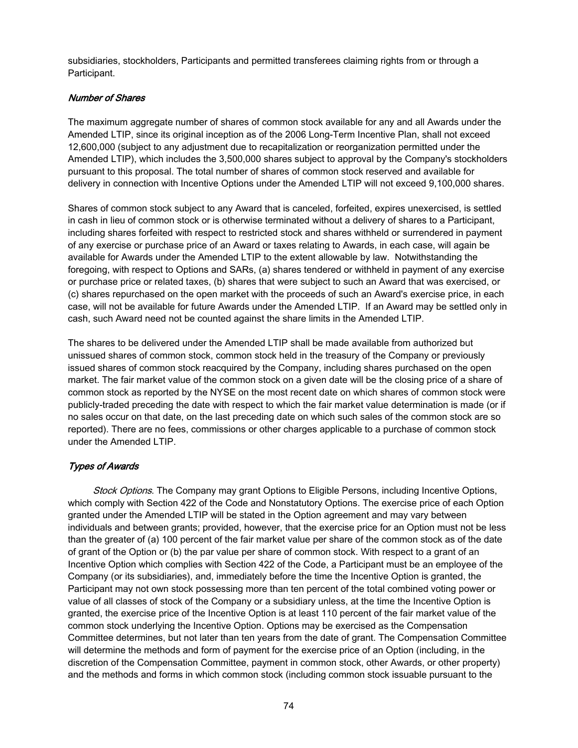subsidiaries, stockholders, Participants and permitted transferees claiming rights from or through a Participant.

# Number of Shares

The maximum aggregate number of shares of common stock available for any and all Awards under the Amended LTIP, since its original inception as of the 2006 Long-Term Incentive Plan, shall not exceed 12,600,000 (subject to any adjustment due to recapitalization or reorganization permitted under the Amended LTIP), which includes the 3,500,000 shares subject to approval by the Company's stockholders pursuant to this proposal. The total number of shares of common stock reserved and available for delivery in connection with Incentive Options under the Amended LTIP will not exceed 9,100,000 shares.

Shares of common stock subject to any Award that is canceled, forfeited, expires unexercised, is settled in cash in lieu of common stock or is otherwise terminated without a delivery of shares to a Participant, including shares forfeited with respect to restricted stock and shares withheld or surrendered in payment of any exercise or purchase price of an Award or taxes relating to Awards, in each case, will again be available for Awards under the Amended LTIP to the extent allowable by law. Notwithstanding the foregoing, with respect to Options and SARs, (a) shares tendered or withheld in payment of any exercise or purchase price or related taxes, (b) shares that were subject to such an Award that was exercised, or (c) shares repurchased on the open market with the proceeds of such an Award's exercise price, in each case, will not be available for future Awards under the Amended LTIP. If an Award may be settled only in cash, such Award need not be counted against the share limits in the Amended LTIP.

The shares to be delivered under the Amended LTIP shall be made available from authorized but unissued shares of common stock, common stock held in the treasury of the Company or previously issued shares of common stock reacquired by the Company, including shares purchased on the open market. The fair market value of the common stock on a given date will be the closing price of a share of common stock as reported by the NYSE on the most recent date on which shares of common stock were publicly-traded preceding the date with respect to which the fair market value determination is made (or if no sales occur on that date, on the last preceding date on which such sales of the common stock are so reported). There are no fees, commissions or other charges applicable to a purchase of common stock under the Amended LTIP.

# Types of Awards

Stock Options. The Company may grant Options to Eligible Persons, including Incentive Options, which comply with Section 422 of the Code and Nonstatutory Options. The exercise price of each Option granted under the Amended LTIP will be stated in the Option agreement and may vary between individuals and between grants; provided, however, that the exercise price for an Option must not be less than the greater of (a) 100 percent of the fair market value per share of the common stock as of the date of grant of the Option or (b) the par value per share of common stock. With respect to a grant of an Incentive Option which complies with Section 422 of the Code, a Participant must be an employee of the Company (or its subsidiaries), and, immediately before the time the Incentive Option is granted, the Participant may not own stock possessing more than ten percent of the total combined voting power or value of all classes of stock of the Company or a subsidiary unless, at the time the Incentive Option is granted, the exercise price of the Incentive Option is at least 110 percent of the fair market value of the common stock underlying the Incentive Option. Options may be exercised as the Compensation Committee determines, but not later than ten years from the date of grant. The Compensation Committee will determine the methods and form of payment for the exercise price of an Option (including, in the discretion of the Compensation Committee, payment in common stock, other Awards, or other property) and the methods and forms in which common stock (including common stock issuable pursuant to the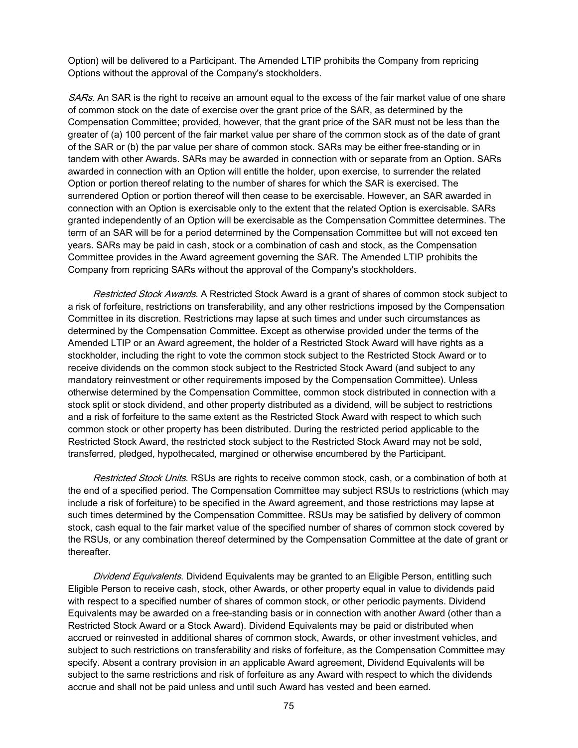Option) will be delivered to a Participant. The Amended LTIP prohibits the Company from repricing Options without the approval of the Company's stockholders.

SARs. An SAR is the right to receive an amount equal to the excess of the fair market value of one share of common stock on the date of exercise over the grant price of the SAR, as determined by the Compensation Committee; provided, however, that the grant price of the SAR must not be less than the greater of (a) 100 percent of the fair market value per share of the common stock as of the date of grant of the SAR or (b) the par value per share of common stock. SARs may be either free-standing or in tandem with other Awards. SARs may be awarded in connection with or separate from an Option. SARs awarded in connection with an Option will entitle the holder, upon exercise, to surrender the related Option or portion thereof relating to the number of shares for which the SAR is exercised. The surrendered Option or portion thereof will then cease to be exercisable. However, an SAR awarded in connection with an Option is exercisable only to the extent that the related Option is exercisable. SARs granted independently of an Option will be exercisable as the Compensation Committee determines. The term of an SAR will be for a period determined by the Compensation Committee but will not exceed ten years. SARs may be paid in cash, stock or a combination of cash and stock, as the Compensation Committee provides in the Award agreement governing the SAR. The Amended LTIP prohibits the Company from repricing SARs without the approval of the Company's stockholders.

Restricted Stock Awards. A Restricted Stock Award is a grant of shares of common stock subject to a risk of forfeiture, restrictions on transferability, and any other restrictions imposed by the Compensation Committee in its discretion. Restrictions may lapse at such times and under such circumstances as determined by the Compensation Committee. Except as otherwise provided under the terms of the Amended LTIP or an Award agreement, the holder of a Restricted Stock Award will have rights as a stockholder, including the right to vote the common stock subject to the Restricted Stock Award or to receive dividends on the common stock subject to the Restricted Stock Award (and subject to any mandatory reinvestment or other requirements imposed by the Compensation Committee). Unless otherwise determined by the Compensation Committee, common stock distributed in connection with a stock split or stock dividend, and other property distributed as a dividend, will be subject to restrictions and a risk of forfeiture to the same extent as the Restricted Stock Award with respect to which such common stock or other property has been distributed. During the restricted period applicable to the Restricted Stock Award, the restricted stock subject to the Restricted Stock Award may not be sold, transferred, pledged, hypothecated, margined or otherwise encumbered by the Participant.

Restricted Stock Units. RSUs are rights to receive common stock, cash, or a combination of both at the end of a specified period. The Compensation Committee may subject RSUs to restrictions (which may include a risk of forfeiture) to be specified in the Award agreement, and those restrictions may lapse at such times determined by the Compensation Committee. RSUs may be satisfied by delivery of common stock, cash equal to the fair market value of the specified number of shares of common stock covered by the RSUs, or any combination thereof determined by the Compensation Committee at the date of grant or thereafter.

Dividend Equivalents. Dividend Equivalents may be granted to an Eligible Person, entitling such Eligible Person to receive cash, stock, other Awards, or other property equal in value to dividends paid with respect to a specified number of shares of common stock, or other periodic payments. Dividend Equivalents may be awarded on a free-standing basis or in connection with another Award (other than a Restricted Stock Award or a Stock Award). Dividend Equivalents may be paid or distributed when accrued or reinvested in additional shares of common stock, Awards, or other investment vehicles, and subject to such restrictions on transferability and risks of forfeiture, as the Compensation Committee may specify. Absent a contrary provision in an applicable Award agreement, Dividend Equivalents will be subject to the same restrictions and risk of forfeiture as any Award with respect to which the dividends accrue and shall not be paid unless and until such Award has vested and been earned.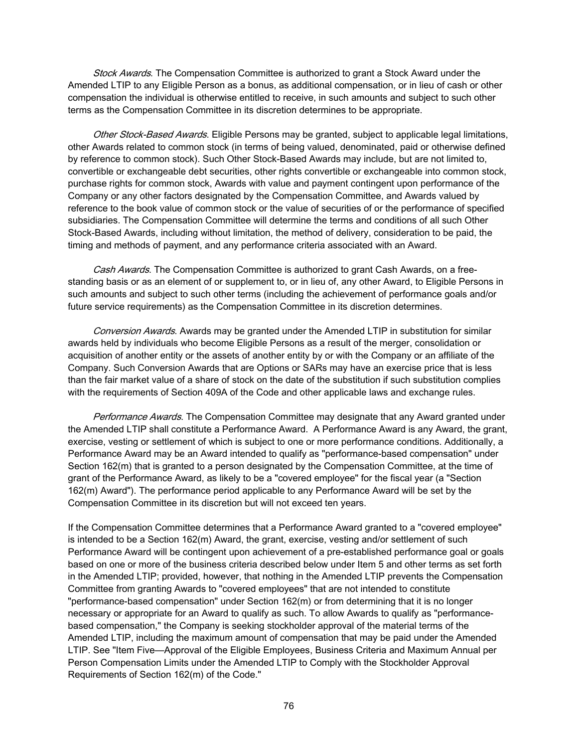Stock Awards. The Compensation Committee is authorized to grant a Stock Award under the Amended LTIP to any Eligible Person as a bonus, as additional compensation, or in lieu of cash or other compensation the individual is otherwise entitled to receive, in such amounts and subject to such other terms as the Compensation Committee in its discretion determines to be appropriate.

Other Stock-Based Awards. Eligible Persons may be granted, subject to applicable legal limitations, other Awards related to common stock (in terms of being valued, denominated, paid or otherwise defined by reference to common stock). Such Other Stock-Based Awards may include, but are not limited to, convertible or exchangeable debt securities, other rights convertible or exchangeable into common stock, purchase rights for common stock, Awards with value and payment contingent upon performance of the Company or any other factors designated by the Compensation Committee, and Awards valued by reference to the book value of common stock or the value of securities of or the performance of specified subsidiaries. The Compensation Committee will determine the terms and conditions of all such Other Stock-Based Awards, including without limitation, the method of delivery, consideration to be paid, the timing and methods of payment, and any performance criteria associated with an Award.

Cash Awards. The Compensation Committee is authorized to grant Cash Awards, on a freestanding basis or as an element of or supplement to, or in lieu of, any other Award, to Eligible Persons in such amounts and subject to such other terms (including the achievement of performance goals and/or future service requirements) as the Compensation Committee in its discretion determines.

Conversion Awards. Awards may be granted under the Amended LTIP in substitution for similar awards held by individuals who become Eligible Persons as a result of the merger, consolidation or acquisition of another entity or the assets of another entity by or with the Company or an affiliate of the Company. Such Conversion Awards that are Options or SARs may have an exercise price that is less than the fair market value of a share of stock on the date of the substitution if such substitution complies with the requirements of Section 409A of the Code and other applicable laws and exchange rules.

Performance Awards. The Compensation Committee may designate that any Award granted under the Amended LTIP shall constitute a Performance Award. A Performance Award is any Award, the grant, exercise, vesting or settlement of which is subject to one or more performance conditions. Additionally, a Performance Award may be an Award intended to qualify as "performance-based compensation" under Section 162(m) that is granted to a person designated by the Compensation Committee, at the time of grant of the Performance Award, as likely to be a "covered employee" for the fiscal year (a "Section 162(m) Award"). The performance period applicable to any Performance Award will be set by the Compensation Committee in its discretion but will not exceed ten years.

If the Compensation Committee determines that a Performance Award granted to a "covered employee" is intended to be a Section 162(m) Award, the grant, exercise, vesting and/or settlement of such Performance Award will be contingent upon achievement of a pre-established performance goal or goals based on one or more of the business criteria described below under Item 5 and other terms as set forth in the Amended LTIP; provided, however, that nothing in the Amended LTIP prevents the Compensation Committee from granting Awards to "covered employees" that are not intended to constitute "performance-based compensation" under Section 162(m) or from determining that it is no longer necessary or appropriate for an Award to qualify as such. To allow Awards to qualify as "performancebased compensation," the Company is seeking stockholder approval of the material terms of the Amended LTIP, including the maximum amount of compensation that may be paid under the Amended LTIP. See "Item Five—Approval of the Eligible Employees, Business Criteria and Maximum Annual per Person Compensation Limits under the Amended LTIP to Comply with the Stockholder Approval Requirements of Section 162(m) of the Code."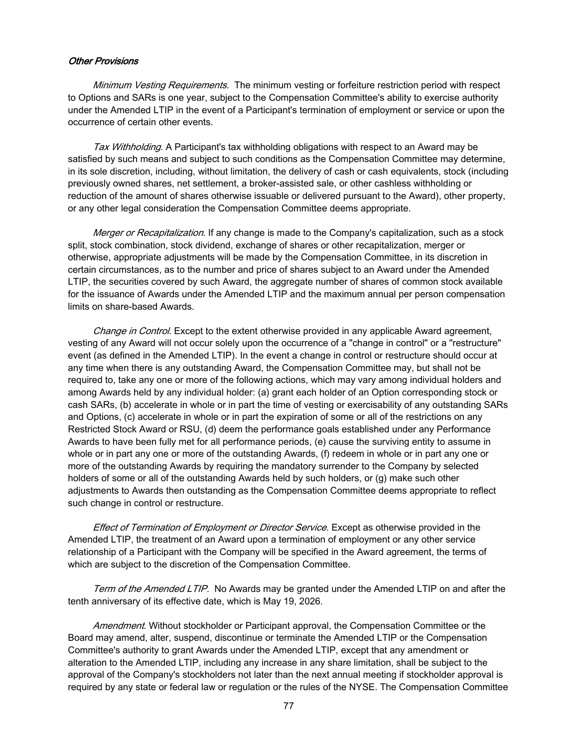#### Other Provisions

Minimum Vesting Requirements. The minimum vesting or forfeiture restriction period with respect to Options and SARs is one year, subject to the Compensation Committee's ability to exercise authority under the Amended LTIP in the event of a Participant's termination of employment or service or upon the occurrence of certain other events.

Tax Withholding. A Participant's tax withholding obligations with respect to an Award may be satisfied by such means and subject to such conditions as the Compensation Committee may determine, in its sole discretion, including, without limitation, the delivery of cash or cash equivalents, stock (including previously owned shares, net settlement, a broker-assisted sale, or other cashless withholding or reduction of the amount of shares otherwise issuable or delivered pursuant to the Award), other property, or any other legal consideration the Compensation Committee deems appropriate.

Merger or Recapitalization. If any change is made to the Company's capitalization, such as a stock split, stock combination, stock dividend, exchange of shares or other recapitalization, merger or otherwise, appropriate adjustments will be made by the Compensation Committee, in its discretion in certain circumstances, as to the number and price of shares subject to an Award under the Amended LTIP, the securities covered by such Award, the aggregate number of shares of common stock available for the issuance of Awards under the Amended LTIP and the maximum annual per person compensation limits on share-based Awards.

Change in Control. Except to the extent otherwise provided in any applicable Award agreement, vesting of any Award will not occur solely upon the occurrence of a "change in control" or a "restructure" event (as defined in the Amended LTIP). In the event a change in control or restructure should occur at any time when there is any outstanding Award, the Compensation Committee may, but shall not be required to, take any one or more of the following actions, which may vary among individual holders and among Awards held by any individual holder: (a) grant each holder of an Option corresponding stock or cash SARs, (b) accelerate in whole or in part the time of vesting or exercisability of any outstanding SARs and Options, (c) accelerate in whole or in part the expiration of some or all of the restrictions on any Restricted Stock Award or RSU, (d) deem the performance goals established under any Performance Awards to have been fully met for all performance periods, (e) cause the surviving entity to assume in whole or in part any one or more of the outstanding Awards, (f) redeem in whole or in part any one or more of the outstanding Awards by requiring the mandatory surrender to the Company by selected holders of some or all of the outstanding Awards held by such holders, or (g) make such other adjustments to Awards then outstanding as the Compensation Committee deems appropriate to reflect such change in control or restructure.

**Effect of Termination of Employment or Director Service. Except as otherwise provided in the** Amended LTIP, the treatment of an Award upon a termination of employment or any other service relationship of a Participant with the Company will be specified in the Award agreement, the terms of which are subject to the discretion of the Compensation Committee.

Term of the Amended LTIP. No Awards may be granted under the Amended LTIP on and after the tenth anniversary of its effective date, which is May 19, 2026.

Amendment. Without stockholder or Participant approval, the Compensation Committee or the Board may amend, alter, suspend, discontinue or terminate the Amended LTIP or the Compensation Committee's authority to grant Awards under the Amended LTIP, except that any amendment or alteration to the Amended LTIP, including any increase in any share limitation, shall be subject to the approval of the Company's stockholders not later than the next annual meeting if stockholder approval is required by any state or federal law or regulation or the rules of the NYSE. The Compensation Committee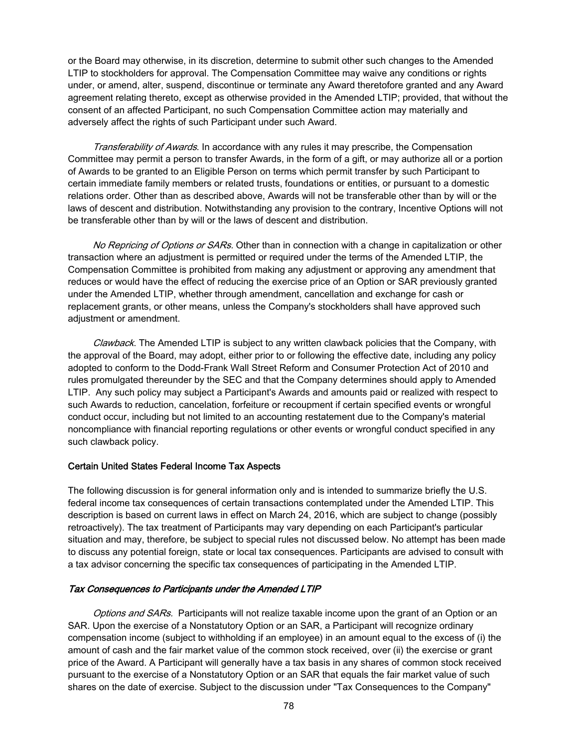or the Board may otherwise, in its discretion, determine to submit other such changes to the Amended LTIP to stockholders for approval. The Compensation Committee may waive any conditions or rights under, or amend, alter, suspend, discontinue or terminate any Award theretofore granted and any Award agreement relating thereto, except as otherwise provided in the Amended LTIP; provided, that without the consent of an affected Participant, no such Compensation Committee action may materially and adversely affect the rights of such Participant under such Award.

Transferability of Awards. In accordance with any rules it may prescribe, the Compensation Committee may permit a person to transfer Awards, in the form of a gift, or may authorize all or a portion of Awards to be granted to an Eligible Person on terms which permit transfer by such Participant to certain immediate family members or related trusts, foundations or entities, or pursuant to a domestic relations order. Other than as described above, Awards will not be transferable other than by will or the laws of descent and distribution. Notwithstanding any provision to the contrary, Incentive Options will not be transferable other than by will or the laws of descent and distribution.

No Repricing of Options or SARs. Other than in connection with a change in capitalization or other transaction where an adjustment is permitted or required under the terms of the Amended LTIP, the Compensation Committee is prohibited from making any adjustment or approving any amendment that reduces or would have the effect of reducing the exercise price of an Option or SAR previously granted under the Amended LTIP, whether through amendment, cancellation and exchange for cash or replacement grants, or other means, unless the Company's stockholders shall have approved such adjustment or amendment.

Clawback. The Amended LTIP is subject to any written clawback policies that the Company, with the approval of the Board, may adopt, either prior to or following the effective date, including any policy adopted to conform to the Dodd-Frank Wall Street Reform and Consumer Protection Act of 2010 and rules promulgated thereunder by the SEC and that the Company determines should apply to Amended LTIP. Any such policy may subject a Participant's Awards and amounts paid or realized with respect to such Awards to reduction, cancelation, forfeiture or recoupment if certain specified events or wrongful conduct occur, including but not limited to an accounting restatement due to the Company's material noncompliance with financial reporting regulations or other events or wrongful conduct specified in any such clawback policy.

#### Certain United States Federal Income Tax Aspects

The following discussion is for general information only and is intended to summarize briefly the U.S. federal income tax consequences of certain transactions contemplated under the Amended LTIP. This description is based on current laws in effect on March 24, 2016, which are subject to change (possibly retroactively). The tax treatment of Participants may vary depending on each Participant's particular situation and may, therefore, be subject to special rules not discussed below. No attempt has been made to discuss any potential foreign, state or local tax consequences. Participants are advised to consult with a tax advisor concerning the specific tax consequences of participating in the Amended LTIP.

# Tax Consequences to Participants under the Amended LTIP

Options and SARs. Participants will not realize taxable income upon the grant of an Option or an SAR. Upon the exercise of a Nonstatutory Option or an SAR, a Participant will recognize ordinary compensation income (subject to withholding if an employee) in an amount equal to the excess of (i) the amount of cash and the fair market value of the common stock received, over (ii) the exercise or grant price of the Award. A Participant will generally have a tax basis in any shares of common stock received pursuant to the exercise of a Nonstatutory Option or an SAR that equals the fair market value of such shares on the date of exercise. Subject to the discussion under "Tax Consequences to the Company"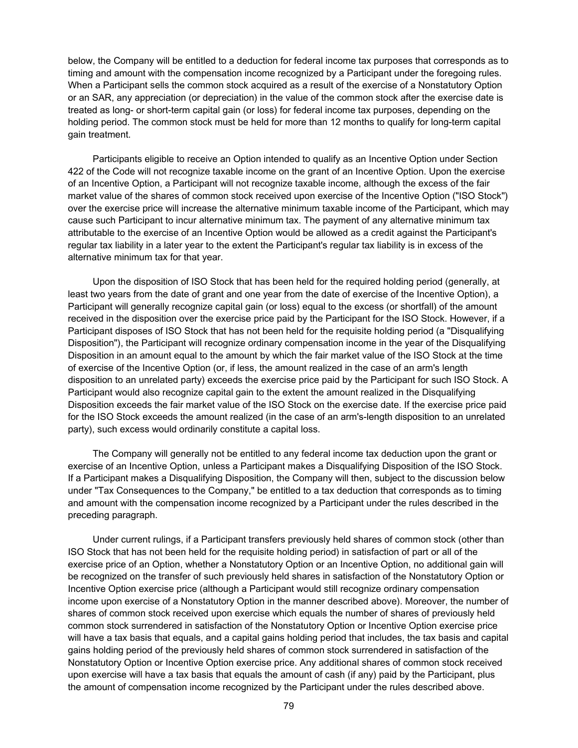below, the Company will be entitled to a deduction for federal income tax purposes that corresponds as to timing and amount with the compensation income recognized by a Participant under the foregoing rules. When a Participant sells the common stock acquired as a result of the exercise of a Nonstatutory Option or an SAR, any appreciation (or depreciation) in the value of the common stock after the exercise date is treated as long- or short-term capital gain (or loss) for federal income tax purposes, depending on the holding period. The common stock must be held for more than 12 months to qualify for long-term capital gain treatment.

 Participants eligible to receive an Option intended to qualify as an Incentive Option under Section 422 of the Code will not recognize taxable income on the grant of an Incentive Option. Upon the exercise of an Incentive Option, a Participant will not recognize taxable income, although the excess of the fair market value of the shares of common stock received upon exercise of the Incentive Option ("ISO Stock") over the exercise price will increase the alternative minimum taxable income of the Participant, which may cause such Participant to incur alternative minimum tax. The payment of any alternative minimum tax attributable to the exercise of an Incentive Option would be allowed as a credit against the Participant's regular tax liability in a later year to the extent the Participant's regular tax liability is in excess of the alternative minimum tax for that year.

 Upon the disposition of ISO Stock that has been held for the required holding period (generally, at least two years from the date of grant and one year from the date of exercise of the Incentive Option), a Participant will generally recognize capital gain (or loss) equal to the excess (or shortfall) of the amount received in the disposition over the exercise price paid by the Participant for the ISO Stock. However, if a Participant disposes of ISO Stock that has not been held for the requisite holding period (a "Disqualifying Disposition"), the Participant will recognize ordinary compensation income in the year of the Disqualifying Disposition in an amount equal to the amount by which the fair market value of the ISO Stock at the time of exercise of the Incentive Option (or, if less, the amount realized in the case of an arm's length disposition to an unrelated party) exceeds the exercise price paid by the Participant for such ISO Stock. A Participant would also recognize capital gain to the extent the amount realized in the Disqualifying Disposition exceeds the fair market value of the ISO Stock on the exercise date. If the exercise price paid for the ISO Stock exceeds the amount realized (in the case of an arm's-length disposition to an unrelated party), such excess would ordinarily constitute a capital loss.

 The Company will generally not be entitled to any federal income tax deduction upon the grant or exercise of an Incentive Option, unless a Participant makes a Disqualifying Disposition of the ISO Stock. If a Participant makes a Disqualifying Disposition, the Company will then, subject to the discussion below under "Tax Consequences to the Company," be entitled to a tax deduction that corresponds as to timing and amount with the compensation income recognized by a Participant under the rules described in the preceding paragraph.

 Under current rulings, if a Participant transfers previously held shares of common stock (other than ISO Stock that has not been held for the requisite holding period) in satisfaction of part or all of the exercise price of an Option, whether a Nonstatutory Option or an Incentive Option, no additional gain will be recognized on the transfer of such previously held shares in satisfaction of the Nonstatutory Option or Incentive Option exercise price (although a Participant would still recognize ordinary compensation income upon exercise of a Nonstatutory Option in the manner described above). Moreover, the number of shares of common stock received upon exercise which equals the number of shares of previously held common stock surrendered in satisfaction of the Nonstatutory Option or Incentive Option exercise price will have a tax basis that equals, and a capital gains holding period that includes, the tax basis and capital gains holding period of the previously held shares of common stock surrendered in satisfaction of the Nonstatutory Option or Incentive Option exercise price. Any additional shares of common stock received upon exercise will have a tax basis that equals the amount of cash (if any) paid by the Participant, plus the amount of compensation income recognized by the Participant under the rules described above.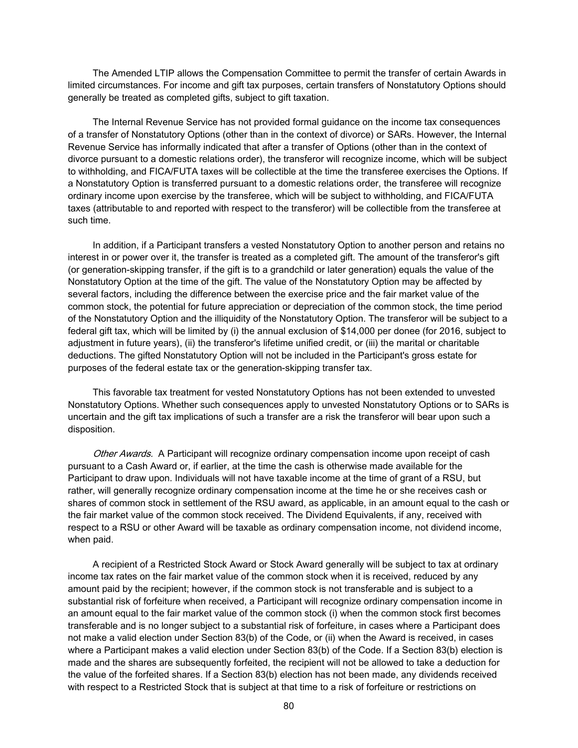The Amended LTIP allows the Compensation Committee to permit the transfer of certain Awards in limited circumstances. For income and gift tax purposes, certain transfers of Nonstatutory Options should generally be treated as completed gifts, subject to gift taxation.

 The Internal Revenue Service has not provided formal guidance on the income tax consequences of a transfer of Nonstatutory Options (other than in the context of divorce) or SARs. However, the Internal Revenue Service has informally indicated that after a transfer of Options (other than in the context of divorce pursuant to a domestic relations order), the transferor will recognize income, which will be subject to withholding, and FICA/FUTA taxes will be collectible at the time the transferee exercises the Options. If a Nonstatutory Option is transferred pursuant to a domestic relations order, the transferee will recognize ordinary income upon exercise by the transferee, which will be subject to withholding, and FICA/FUTA taxes (attributable to and reported with respect to the transferor) will be collectible from the transferee at such time.

 In addition, if a Participant transfers a vested Nonstatutory Option to another person and retains no interest in or power over it, the transfer is treated as a completed gift. The amount of the transferor's gift (or generation-skipping transfer, if the gift is to a grandchild or later generation) equals the value of the Nonstatutory Option at the time of the gift. The value of the Nonstatutory Option may be affected by several factors, including the difference between the exercise price and the fair market value of the common stock, the potential for future appreciation or depreciation of the common stock, the time period of the Nonstatutory Option and the illiquidity of the Nonstatutory Option. The transferor will be subject to a federal gift tax, which will be limited by (i) the annual exclusion of \$14,000 per donee (for 2016, subject to adjustment in future years), (ii) the transferor's lifetime unified credit, or (iii) the marital or charitable deductions. The gifted Nonstatutory Option will not be included in the Participant's gross estate for purposes of the federal estate tax or the generation-skipping transfer tax.

 This favorable tax treatment for vested Nonstatutory Options has not been extended to unvested Nonstatutory Options. Whether such consequences apply to unvested Nonstatutory Options or to SARs is uncertain and the gift tax implications of such a transfer are a risk the transferor will bear upon such a disposition.

Other Awards. A Participant will recognize ordinary compensation income upon receipt of cash pursuant to a Cash Award or, if earlier, at the time the cash is otherwise made available for the Participant to draw upon. Individuals will not have taxable income at the time of grant of a RSU, but rather, will generally recognize ordinary compensation income at the time he or she receives cash or shares of common stock in settlement of the RSU award, as applicable, in an amount equal to the cash or the fair market value of the common stock received. The Dividend Equivalents, if any, received with respect to a RSU or other Award will be taxable as ordinary compensation income, not dividend income, when paid.

 A recipient of a Restricted Stock Award or Stock Award generally will be subject to tax at ordinary income tax rates on the fair market value of the common stock when it is received, reduced by any amount paid by the recipient; however, if the common stock is not transferable and is subject to a substantial risk of forfeiture when received, a Participant will recognize ordinary compensation income in an amount equal to the fair market value of the common stock (i) when the common stock first becomes transferable and is no longer subject to a substantial risk of forfeiture, in cases where a Participant does not make a valid election under Section 83(b) of the Code, or (ii) when the Award is received, in cases where a Participant makes a valid election under Section 83(b) of the Code. If a Section 83(b) election is made and the shares are subsequently forfeited, the recipient will not be allowed to take a deduction for the value of the forfeited shares. If a Section 83(b) election has not been made, any dividends received with respect to a Restricted Stock that is subject at that time to a risk of forfeiture or restrictions on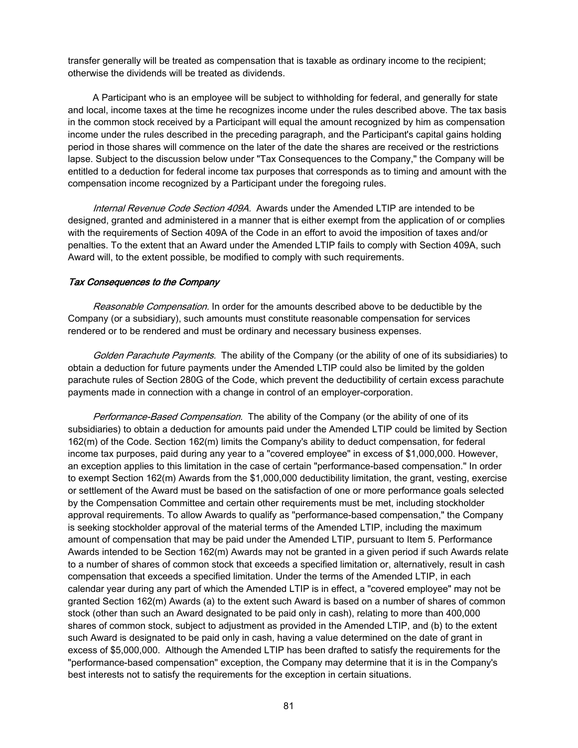transfer generally will be treated as compensation that is taxable as ordinary income to the recipient; otherwise the dividends will be treated as dividends.

 A Participant who is an employee will be subject to withholding for federal, and generally for state and local, income taxes at the time he recognizes income under the rules described above. The tax basis in the common stock received by a Participant will equal the amount recognized by him as compensation income under the rules described in the preceding paragraph, and the Participant's capital gains holding period in those shares will commence on the later of the date the shares are received or the restrictions lapse. Subject to the discussion below under "Tax Consequences to the Company," the Company will be entitled to a deduction for federal income tax purposes that corresponds as to timing and amount with the compensation income recognized by a Participant under the foregoing rules.

 Internal Revenue Code Section 409A. Awards under the Amended LTIP are intended to be designed, granted and administered in a manner that is either exempt from the application of or complies with the requirements of Section 409A of the Code in an effort to avoid the imposition of taxes and/or penalties. To the extent that an Award under the Amended LTIP fails to comply with Section 409A, such Award will, to the extent possible, be modified to comply with such requirements.

#### Tax Consequences to the Company

Reasonable Compensation. In order for the amounts described above to be deductible by the Company (or a subsidiary), such amounts must constitute reasonable compensation for services rendered or to be rendered and must be ordinary and necessary business expenses.

Golden Parachute Payments. The ability of the Company (or the ability of one of its subsidiaries) to obtain a deduction for future payments under the Amended LTIP could also be limited by the golden parachute rules of Section 280G of the Code, which prevent the deductibility of certain excess parachute payments made in connection with a change in control of an employer-corporation.

Performance-Based Compensation. The ability of the Company (or the ability of one of its subsidiaries) to obtain a deduction for amounts paid under the Amended LTIP could be limited by Section 162(m) of the Code. Section 162(m) limits the Company's ability to deduct compensation, for federal income tax purposes, paid during any year to a "covered employee" in excess of \$1,000,000. However, an exception applies to this limitation in the case of certain "performance-based compensation." In order to exempt Section 162(m) Awards from the \$1,000,000 deductibility limitation, the grant, vesting, exercise or settlement of the Award must be based on the satisfaction of one or more performance goals selected by the Compensation Committee and certain other requirements must be met, including stockholder approval requirements. To allow Awards to qualify as "performance-based compensation," the Company is seeking stockholder approval of the material terms of the Amended LTIP, including the maximum amount of compensation that may be paid under the Amended LTIP, pursuant to Item 5. Performance Awards intended to be Section 162(m) Awards may not be granted in a given period if such Awards relate to a number of shares of common stock that exceeds a specified limitation or, alternatively, result in cash compensation that exceeds a specified limitation. Under the terms of the Amended LTIP, in each calendar year during any part of which the Amended LTIP is in effect, a "covered employee" may not be granted Section 162(m) Awards (a) to the extent such Award is based on a number of shares of common stock (other than such an Award designated to be paid only in cash), relating to more than 400,000 shares of common stock, subject to adjustment as provided in the Amended LTIP, and (b) to the extent such Award is designated to be paid only in cash, having a value determined on the date of grant in excess of \$5,000,000. Although the Amended LTIP has been drafted to satisfy the requirements for the "performance-based compensation" exception, the Company may determine that it is in the Company's best interests not to satisfy the requirements for the exception in certain situations.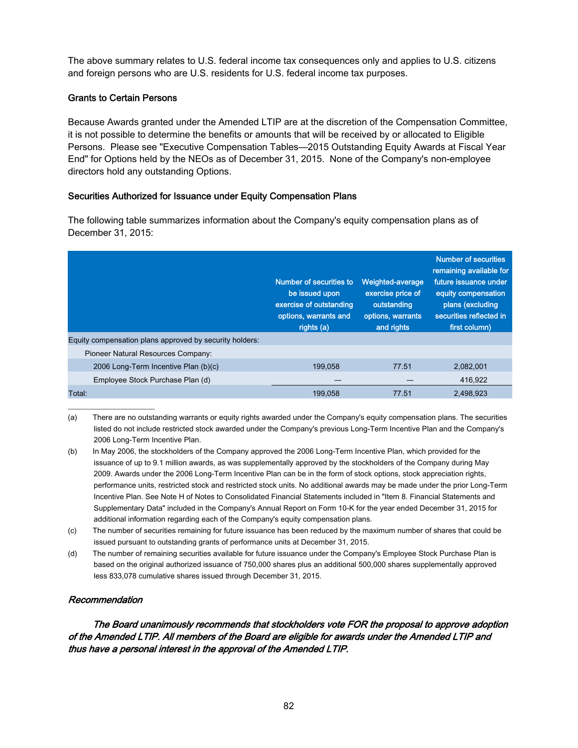The above summary relates to U.S. federal income tax consequences only and applies to U.S. citizens and foreign persons who are U.S. residents for U.S. federal income tax purposes.

# Grants to Certain Persons

Because Awards granted under the Amended LTIP are at the discretion of the Compensation Committee, it is not possible to determine the benefits or amounts that will be received by or allocated to Eligible Persons. Please see "Executive Compensation Tables—2015 Outstanding Equity Awards at Fiscal Year End" for Options held by the NEOs as of December 31, 2015. None of the Company's non-employee directors hold any outstanding Options.

# Securities Authorized for Issuance under Equity Compensation Plans

The following table summarizes information about the Company's equity compensation plans as of December 31, 2015:

|                                                         | Number of securities to<br>be issued upon<br>exercise of outstanding<br>options, warrants and<br>rights (a) | Weighted-average<br>exercise price of<br>outstanding<br>options, warrants<br>and rights | <b>Number of securities</b><br>remaining available for<br>future issuance under<br>equity compensation<br>plans (excluding<br>securities reflected in<br>first column) |
|---------------------------------------------------------|-------------------------------------------------------------------------------------------------------------|-----------------------------------------------------------------------------------------|------------------------------------------------------------------------------------------------------------------------------------------------------------------------|
| Equity compensation plans approved by security holders: |                                                                                                             |                                                                                         |                                                                                                                                                                        |
| Pioneer Natural Resources Company:                      |                                                                                                             |                                                                                         |                                                                                                                                                                        |
| 2006 Long-Term Incentive Plan (b)(c)                    | 199.058                                                                                                     | 77.51                                                                                   | 2.082.001                                                                                                                                                              |
| Employee Stock Purchase Plan (d)                        |                                                                                                             |                                                                                         | 416,922                                                                                                                                                                |
| Total:                                                  | 199.058                                                                                                     | 77.51                                                                                   | 2.498.923                                                                                                                                                              |

(a) There are no outstanding warrants or equity rights awarded under the Company's equity compensation plans. The securities listed do not include restricted stock awarded under the Company's previous Long-Term Incentive Plan and the Company's 2006 Long-Term Incentive Plan.

- (b) In May 2006, the stockholders of the Company approved the 2006 Long-Term Incentive Plan, which provided for the issuance of up to 9.1 million awards, as was supplementally approved by the stockholders of the Company during May 2009. Awards under the 2006 Long-Term Incentive Plan can be in the form of stock options, stock appreciation rights, performance units, restricted stock and restricted stock units. No additional awards may be made under the prior Long-Term Incentive Plan. See Note H of Notes to Consolidated Financial Statements included in "Item 8. Financial Statements and Supplementary Data" included in the Company's Annual Report on Form 10-K for the year ended December 31, 2015 for additional information regarding each of the Company's equity compensation plans.
- (c) The number of securities remaining for future issuance has been reduced by the maximum number of shares that could be issued pursuant to outstanding grants of performance units at December 31, 2015.
- (d) The number of remaining securities available for future issuance under the Company's Employee Stock Purchase Plan is based on the original authorized issuance of 750,000 shares plus an additional 500,000 shares supplementally approved less 833,078 cumulative shares issued through December 31, 2015.

# Recommendation

\_\_\_\_\_\_\_\_\_\_\_\_\_\_\_\_\_\_\_\_\_\_\_

 The Board unanimously recommends that stockholders vote FOR the proposal to approve adoption of the Amended LTIP. All members of the Board are eligible for awards under the Amended LTIP and thus have a personal interest in the approval of the Amended LTIP.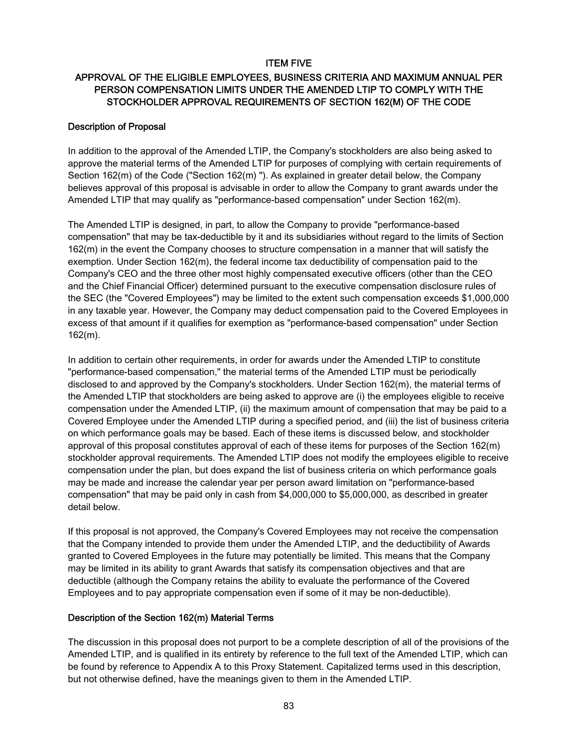# ITEM FIVE

# APPROVAL OF THE ELIGIBLE EMPLOYEES, BUSINESS CRITERIA AND MAXIMUM ANNUAL PER PERSON COMPENSATION LIMITS UNDER THE AMENDED LTIP TO COMPLY WITH THE STOCKHOLDER APPROVAL REQUIREMENTS OF SECTION 162(M) OF THE CODE

#### Description of Proposal

In addition to the approval of the Amended LTIP, the Company's stockholders are also being asked to approve the material terms of the Amended LTIP for purposes of complying with certain requirements of Section 162(m) of the Code ("Section 162(m) "). As explained in greater detail below, the Company believes approval of this proposal is advisable in order to allow the Company to grant awards under the Amended LTIP that may qualify as "performance-based compensation" under Section 162(m).

The Amended LTIP is designed, in part, to allow the Company to provide "performance-based compensation" that may be tax-deductible by it and its subsidiaries without regard to the limits of Section 162(m) in the event the Company chooses to structure compensation in a manner that will satisfy the exemption. Under Section 162(m), the federal income tax deductibility of compensation paid to the Company's CEO and the three other most highly compensated executive officers (other than the CEO and the Chief Financial Officer) determined pursuant to the executive compensation disclosure rules of the SEC (the "Covered Employees") may be limited to the extent such compensation exceeds \$1,000,000 in any taxable year. However, the Company may deduct compensation paid to the Covered Employees in excess of that amount if it qualifies for exemption as "performance-based compensation" under Section 162(m).

In addition to certain other requirements, in order for awards under the Amended LTIP to constitute "performance-based compensation," the material terms of the Amended LTIP must be periodically disclosed to and approved by the Company's stockholders. Under Section 162(m), the material terms of the Amended LTIP that stockholders are being asked to approve are (i) the employees eligible to receive compensation under the Amended LTIP, (ii) the maximum amount of compensation that may be paid to a Covered Employee under the Amended LTIP during a specified period, and (iii) the list of business criteria on which performance goals may be based. Each of these items is discussed below, and stockholder approval of this proposal constitutes approval of each of these items for purposes of the Section 162(m) stockholder approval requirements. The Amended LTIP does not modify the employees eligible to receive compensation under the plan, but does expand the list of business criteria on which performance goals may be made and increase the calendar year per person award limitation on "performance-based compensation" that may be paid only in cash from \$4,000,000 to \$5,000,000, as described in greater detail below.

If this proposal is not approved, the Company's Covered Employees may not receive the compensation that the Company intended to provide them under the Amended LTIP, and the deductibility of Awards granted to Covered Employees in the future may potentially be limited. This means that the Company may be limited in its ability to grant Awards that satisfy its compensation objectives and that are deductible (although the Company retains the ability to evaluate the performance of the Covered Employees and to pay appropriate compensation even if some of it may be non-deductible).

# Description of the Section 162(m) Material Terms

The discussion in this proposal does not purport to be a complete description of all of the provisions of the Amended LTIP, and is qualified in its entirety by reference to the full text of the Amended LTIP, which can be found by reference to Appendix A to this Proxy Statement. Capitalized terms used in this description, but not otherwise defined, have the meanings given to them in the Amended LTIP.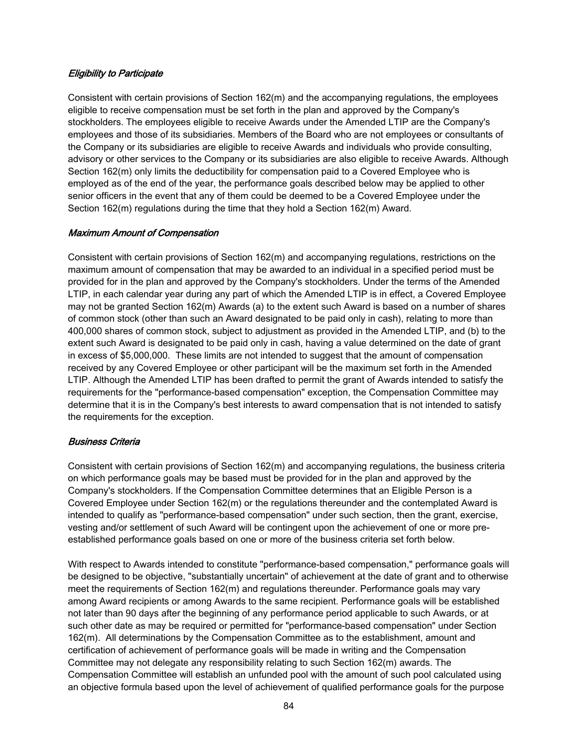# Eligibility to Participate

Consistent with certain provisions of Section 162(m) and the accompanying regulations, the employees eligible to receive compensation must be set forth in the plan and approved by the Company's stockholders. The employees eligible to receive Awards under the Amended LTIP are the Company's employees and those of its subsidiaries. Members of the Board who are not employees or consultants of the Company or its subsidiaries are eligible to receive Awards and individuals who provide consulting, advisory or other services to the Company or its subsidiaries are also eligible to receive Awards. Although Section 162(m) only limits the deductibility for compensation paid to a Covered Employee who is employed as of the end of the year, the performance goals described below may be applied to other senior officers in the event that any of them could be deemed to be a Covered Employee under the Section 162(m) regulations during the time that they hold a Section 162(m) Award.

# Maximum Amount of Compensation

Consistent with certain provisions of Section 162(m) and accompanying regulations, restrictions on the maximum amount of compensation that may be awarded to an individual in a specified period must be provided for in the plan and approved by the Company's stockholders. Under the terms of the Amended LTIP, in each calendar year during any part of which the Amended LTIP is in effect, a Covered Employee may not be granted Section 162(m) Awards (a) to the extent such Award is based on a number of shares of common stock (other than such an Award designated to be paid only in cash), relating to more than 400,000 shares of common stock, subject to adjustment as provided in the Amended LTIP, and (b) to the extent such Award is designated to be paid only in cash, having a value determined on the date of grant in excess of \$5,000,000. These limits are not intended to suggest that the amount of compensation received by any Covered Employee or other participant will be the maximum set forth in the Amended LTIP. Although the Amended LTIP has been drafted to permit the grant of Awards intended to satisfy the requirements for the "performance-based compensation" exception, the Compensation Committee may determine that it is in the Company's best interests to award compensation that is not intended to satisfy the requirements for the exception.

# Business Criteria

Consistent with certain provisions of Section 162(m) and accompanying regulations, the business criteria on which performance goals may be based must be provided for in the plan and approved by the Company's stockholders. If the Compensation Committee determines that an Eligible Person is a Covered Employee under Section 162(m) or the regulations thereunder and the contemplated Award is intended to qualify as "performance-based compensation" under such section, then the grant, exercise, vesting and/or settlement of such Award will be contingent upon the achievement of one or more preestablished performance goals based on one or more of the business criteria set forth below.

With respect to Awards intended to constitute "performance-based compensation," performance goals will be designed to be objective, "substantially uncertain" of achievement at the date of grant and to otherwise meet the requirements of Section 162(m) and regulations thereunder. Performance goals may vary among Award recipients or among Awards to the same recipient. Performance goals will be established not later than 90 days after the beginning of any performance period applicable to such Awards, or at such other date as may be required or permitted for "performance-based compensation" under Section 162(m). All determinations by the Compensation Committee as to the establishment, amount and certification of achievement of performance goals will be made in writing and the Compensation Committee may not delegate any responsibility relating to such Section 162(m) awards. The Compensation Committee will establish an unfunded pool with the amount of such pool calculated using an objective formula based upon the level of achievement of qualified performance goals for the purpose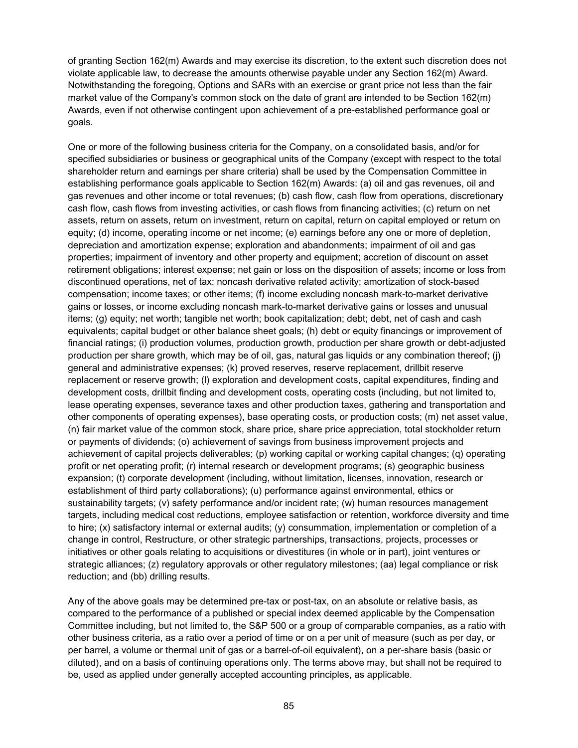of granting Section 162(m) Awards and may exercise its discretion, to the extent such discretion does not violate applicable law, to decrease the amounts otherwise payable under any Section 162(m) Award. Notwithstanding the foregoing, Options and SARs with an exercise or grant price not less than the fair market value of the Company's common stock on the date of grant are intended to be Section 162(m) Awards, even if not otherwise contingent upon achievement of a pre-established performance goal or goals.

One or more of the following business criteria for the Company, on a consolidated basis, and/or for specified subsidiaries or business or geographical units of the Company (except with respect to the total shareholder return and earnings per share criteria) shall be used by the Compensation Committee in establishing performance goals applicable to Section 162(m) Awards: (a) oil and gas revenues, oil and gas revenues and other income or total revenues; (b) cash flow, cash flow from operations, discretionary cash flow, cash flows from investing activities, or cash flows from financing activities; (c) return on net assets, return on assets, return on investment, return on capital, return on capital employed or return on equity; (d) income, operating income or net income; (e) earnings before any one or more of depletion, depreciation and amortization expense; exploration and abandonments; impairment of oil and gas properties; impairment of inventory and other property and equipment; accretion of discount on asset retirement obligations; interest expense; net gain or loss on the disposition of assets; income or loss from discontinued operations, net of tax; noncash derivative related activity; amortization of stock-based compensation; income taxes; or other items; (f) income excluding noncash mark-to-market derivative gains or losses, or income excluding noncash mark-to-market derivative gains or losses and unusual items; (g) equity; net worth; tangible net worth; book capitalization; debt; debt, net of cash and cash equivalents; capital budget or other balance sheet goals; (h) debt or equity financings or improvement of financial ratings; (i) production volumes, production growth, production per share growth or debt-adjusted production per share growth, which may be of oil, gas, natural gas liquids or any combination thereof; (j) general and administrative expenses; (k) proved reserves, reserve replacement, drillbit reserve replacement or reserve growth; (l) exploration and development costs, capital expenditures, finding and development costs, drillbit finding and development costs, operating costs (including, but not limited to, lease operating expenses, severance taxes and other production taxes, gathering and transportation and other components of operating expenses), base operating costs, or production costs; (m) net asset value, (n) fair market value of the common stock, share price, share price appreciation, total stockholder return or payments of dividends; (o) achievement of savings from business improvement projects and achievement of capital projects deliverables; (p) working capital or working capital changes; (q) operating profit or net operating profit; (r) internal research or development programs; (s) geographic business expansion; (t) corporate development (including, without limitation, licenses, innovation, research or establishment of third party collaborations); (u) performance against environmental, ethics or sustainability targets; (v) safety performance and/or incident rate; (w) human resources management targets, including medical cost reductions, employee satisfaction or retention, workforce diversity and time to hire; (x) satisfactory internal or external audits; (y) consummation, implementation or completion of a change in control, Restructure, or other strategic partnerships, transactions, projects, processes or initiatives or other goals relating to acquisitions or divestitures (in whole or in part), joint ventures or strategic alliances; (z) regulatory approvals or other regulatory milestones; (aa) legal compliance or risk reduction; and (bb) drilling results.

Any of the above goals may be determined pre-tax or post-tax, on an absolute or relative basis, as compared to the performance of a published or special index deemed applicable by the Compensation Committee including, but not limited to, the S&P 500 or a group of comparable companies, as a ratio with other business criteria, as a ratio over a period of time or on a per unit of measure (such as per day, or per barrel, a volume or thermal unit of gas or a barrel-of-oil equivalent), on a per-share basis (basic or diluted), and on a basis of continuing operations only. The terms above may, but shall not be required to be, used as applied under generally accepted accounting principles, as applicable.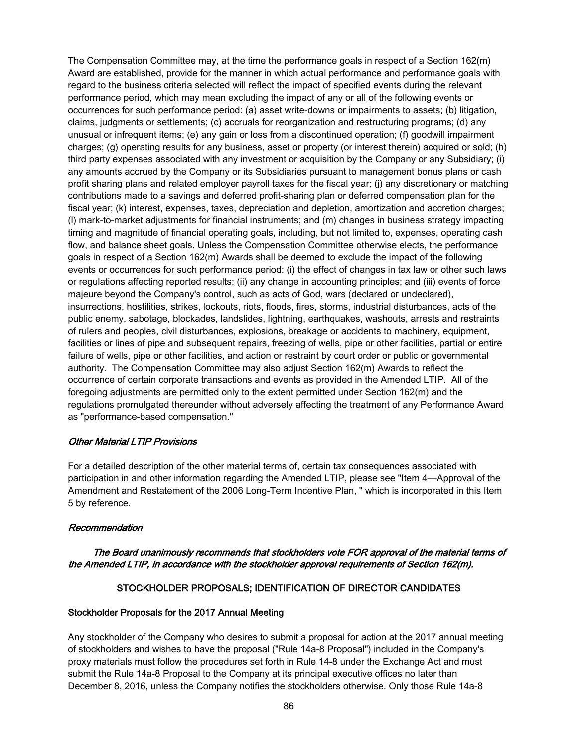The Compensation Committee may, at the time the performance goals in respect of a Section 162(m) Award are established, provide for the manner in which actual performance and performance goals with regard to the business criteria selected will reflect the impact of specified events during the relevant performance period, which may mean excluding the impact of any or all of the following events or occurrences for such performance period: (a) asset write-downs or impairments to assets; (b) litigation, claims, judgments or settlements; (c) accruals for reorganization and restructuring programs; (d) any unusual or infrequent items; (e) any gain or loss from a discontinued operation; (f) goodwill impairment charges; (g) operating results for any business, asset or property (or interest therein) acquired or sold; (h) third party expenses associated with any investment or acquisition by the Company or any Subsidiary; (i) any amounts accrued by the Company or its Subsidiaries pursuant to management bonus plans or cash profit sharing plans and related employer payroll taxes for the fiscal year; (j) any discretionary or matching contributions made to a savings and deferred profit-sharing plan or deferred compensation plan for the fiscal year; (k) interest, expenses, taxes, depreciation and depletion, amortization and accretion charges; (l) mark-to-market adjustments for financial instruments; and (m) changes in business strategy impacting timing and magnitude of financial operating goals, including, but not limited to, expenses, operating cash flow, and balance sheet goals. Unless the Compensation Committee otherwise elects, the performance goals in respect of a Section 162(m) Awards shall be deemed to exclude the impact of the following events or occurrences for such performance period: (i) the effect of changes in tax law or other such laws or regulations affecting reported results; (ii) any change in accounting principles; and (iii) events of force majeure beyond the Company's control, such as acts of God, wars (declared or undeclared), insurrections, hostilities, strikes, lockouts, riots, floods, fires, storms, industrial disturbances, acts of the public enemy, sabotage, blockades, landslides, lightning, earthquakes, washouts, arrests and restraints of rulers and peoples, civil disturbances, explosions, breakage or accidents to machinery, equipment, facilities or lines of pipe and subsequent repairs, freezing of wells, pipe or other facilities, partial or entire failure of wells, pipe or other facilities, and action or restraint by court order or public or governmental authority. The Compensation Committee may also adjust Section 162(m) Awards to reflect the occurrence of certain corporate transactions and events as provided in the Amended LTIP. All of the foregoing adjustments are permitted only to the extent permitted under Section 162(m) and the regulations promulgated thereunder without adversely affecting the treatment of any Performance Award as "performance-based compensation."

# Other Material LTIP Provisions

For a detailed description of the other material terms of, certain tax consequences associated with participation in and other information regarding the Amended LTIP, please see "Item 4—Approval of the Amendment and Restatement of the 2006 Long-Term Incentive Plan, " which is incorporated in this Item 5 by reference.

#### Recommendation

 The Board unanimously recommends that stockholders vote FOR approval of the material terms of the Amended LTIP, in accordance with the stockholder approval requirements of Section 162(m).

# STOCKHOLDER PROPOSALS; IDENTIFICATION OF DIRECTOR CANDIDATES

#### Stockholder Proposals for the 2017 Annual Meeting

Any stockholder of the Company who desires to submit a proposal for action at the 2017 annual meeting of stockholders and wishes to have the proposal ("Rule 14a-8 Proposal") included in the Company's proxy materials must follow the procedures set forth in Rule 14-8 under the Exchange Act and must submit the Rule 14a-8 Proposal to the Company at its principal executive offices no later than December 8, 2016, unless the Company notifies the stockholders otherwise. Only those Rule 14a-8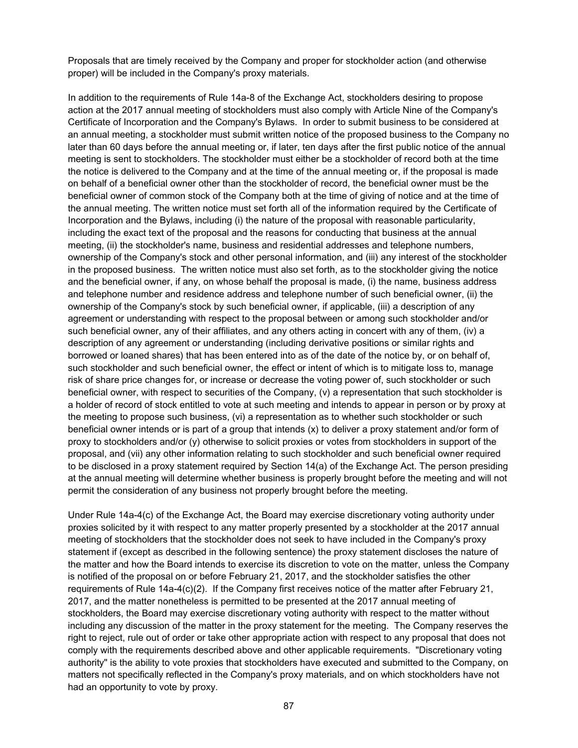Proposals that are timely received by the Company and proper for stockholder action (and otherwise proper) will be included in the Company's proxy materials.

In addition to the requirements of Rule 14a-8 of the Exchange Act, stockholders desiring to propose action at the 2017 annual meeting of stockholders must also comply with Article Nine of the Company's Certificate of Incorporation and the Company's Bylaws. In order to submit business to be considered at an annual meeting, a stockholder must submit written notice of the proposed business to the Company no later than 60 days before the annual meeting or, if later, ten days after the first public notice of the annual meeting is sent to stockholders. The stockholder must either be a stockholder of record both at the time the notice is delivered to the Company and at the time of the annual meeting or, if the proposal is made on behalf of a beneficial owner other than the stockholder of record, the beneficial owner must be the beneficial owner of common stock of the Company both at the time of giving of notice and at the time of the annual meeting. The written notice must set forth all of the information required by the Certificate of Incorporation and the Bylaws, including (i) the nature of the proposal with reasonable particularity, including the exact text of the proposal and the reasons for conducting that business at the annual meeting, (ii) the stockholder's name, business and residential addresses and telephone numbers, ownership of the Company's stock and other personal information, and (iii) any interest of the stockholder in the proposed business. The written notice must also set forth, as to the stockholder giving the notice and the beneficial owner, if any, on whose behalf the proposal is made, (i) the name, business address and telephone number and residence address and telephone number of such beneficial owner, (ii) the ownership of the Company's stock by such beneficial owner, if applicable, (iii) a description of any agreement or understanding with respect to the proposal between or among such stockholder and/or such beneficial owner, any of their affiliates, and any others acting in concert with any of them, (iv) a description of any agreement or understanding (including derivative positions or similar rights and borrowed or loaned shares) that has been entered into as of the date of the notice by, or on behalf of, such stockholder and such beneficial owner, the effect or intent of which is to mitigate loss to, manage risk of share price changes for, or increase or decrease the voting power of, such stockholder or such beneficial owner, with respect to securities of the Company, (v) a representation that such stockholder is a holder of record of stock entitled to vote at such meeting and intends to appear in person or by proxy at the meeting to propose such business, (vi) a representation as to whether such stockholder or such beneficial owner intends or is part of a group that intends (x) to deliver a proxy statement and/or form of proxy to stockholders and/or (y) otherwise to solicit proxies or votes from stockholders in support of the proposal, and (vii) any other information relating to such stockholder and such beneficial owner required to be disclosed in a proxy statement required by Section 14(a) of the Exchange Act. The person presiding at the annual meeting will determine whether business is properly brought before the meeting and will not permit the consideration of any business not properly brought before the meeting.

Under Rule 14a-4(c) of the Exchange Act, the Board may exercise discretionary voting authority under proxies solicited by it with respect to any matter properly presented by a stockholder at the 2017 annual meeting of stockholders that the stockholder does not seek to have included in the Company's proxy statement if (except as described in the following sentence) the proxy statement discloses the nature of the matter and how the Board intends to exercise its discretion to vote on the matter, unless the Company is notified of the proposal on or before February 21, 2017, and the stockholder satisfies the other requirements of Rule 14a-4(c)(2). If the Company first receives notice of the matter after February 21, 2017, and the matter nonetheless is permitted to be presented at the 2017 annual meeting of stockholders, the Board may exercise discretionary voting authority with respect to the matter without including any discussion of the matter in the proxy statement for the meeting. The Company reserves the right to reject, rule out of order or take other appropriate action with respect to any proposal that does not comply with the requirements described above and other applicable requirements. "Discretionary voting authority" is the ability to vote proxies that stockholders have executed and submitted to the Company, on matters not specifically reflected in the Company's proxy materials, and on which stockholders have not had an opportunity to vote by proxy.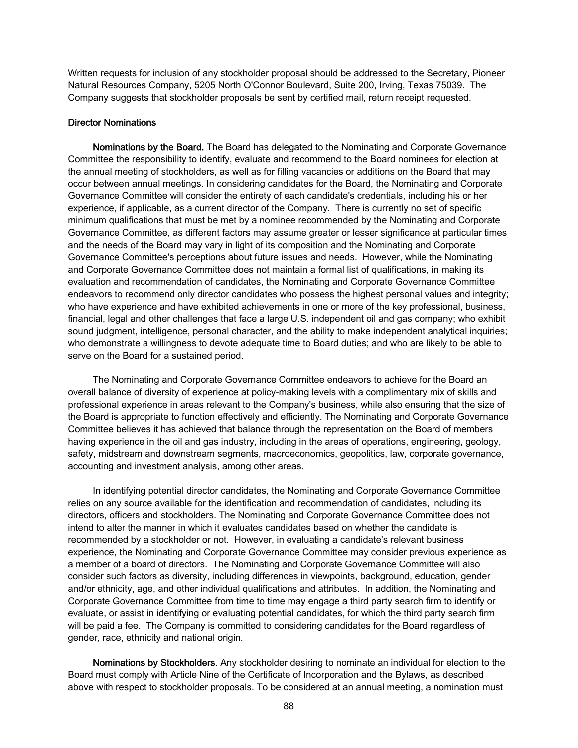Written requests for inclusion of any stockholder proposal should be addressed to the Secretary, Pioneer Natural Resources Company, 5205 North O'Connor Boulevard, Suite 200, Irving, Texas 75039. The Company suggests that stockholder proposals be sent by certified mail, return receipt requested.

#### Director Nominations

Nominations by the Board. The Board has delegated to the Nominating and Corporate Governance Committee the responsibility to identify, evaluate and recommend to the Board nominees for election at the annual meeting of stockholders, as well as for filling vacancies or additions on the Board that may occur between annual meetings. In considering candidates for the Board, the Nominating and Corporate Governance Committee will consider the entirety of each candidate's credentials, including his or her experience, if applicable, as a current director of the Company. There is currently no set of specific minimum qualifications that must be met by a nominee recommended by the Nominating and Corporate Governance Committee, as different factors may assume greater or lesser significance at particular times and the needs of the Board may vary in light of its composition and the Nominating and Corporate Governance Committee's perceptions about future issues and needs. However, while the Nominating and Corporate Governance Committee does not maintain a formal list of qualifications, in making its evaluation and recommendation of candidates, the Nominating and Corporate Governance Committee endeavors to recommend only director candidates who possess the highest personal values and integrity; who have experience and have exhibited achievements in one or more of the key professional, business, financial, legal and other challenges that face a large U.S. independent oil and gas company; who exhibit sound judgment, intelligence, personal character, and the ability to make independent analytical inquiries; who demonstrate a willingness to devote adequate time to Board duties; and who are likely to be able to serve on the Board for a sustained period.

 The Nominating and Corporate Governance Committee endeavors to achieve for the Board an overall balance of diversity of experience at policy-making levels with a complimentary mix of skills and professional experience in areas relevant to the Company's business, while also ensuring that the size of the Board is appropriate to function effectively and efficiently. The Nominating and Corporate Governance Committee believes it has achieved that balance through the representation on the Board of members having experience in the oil and gas industry, including in the areas of operations, engineering, geology, safety, midstream and downstream segments, macroeconomics, geopolitics, law, corporate governance, accounting and investment analysis, among other areas.

 In identifying potential director candidates, the Nominating and Corporate Governance Committee relies on any source available for the identification and recommendation of candidates, including its directors, officers and stockholders. The Nominating and Corporate Governance Committee does not intend to alter the manner in which it evaluates candidates based on whether the candidate is recommended by a stockholder or not. However, in evaluating a candidate's relevant business experience, the Nominating and Corporate Governance Committee may consider previous experience as a member of a board of directors. The Nominating and Corporate Governance Committee will also consider such factors as diversity, including differences in viewpoints, background, education, gender and/or ethnicity, age, and other individual qualifications and attributes. In addition, the Nominating and Corporate Governance Committee from time to time may engage a third party search firm to identify or evaluate, or assist in identifying or evaluating potential candidates, for which the third party search firm will be paid a fee. The Company is committed to considering candidates for the Board regardless of gender, race, ethnicity and national origin.

Nominations by Stockholders. Any stockholder desiring to nominate an individual for election to the Board must comply with Article Nine of the Certificate of Incorporation and the Bylaws, as described above with respect to stockholder proposals. To be considered at an annual meeting, a nomination must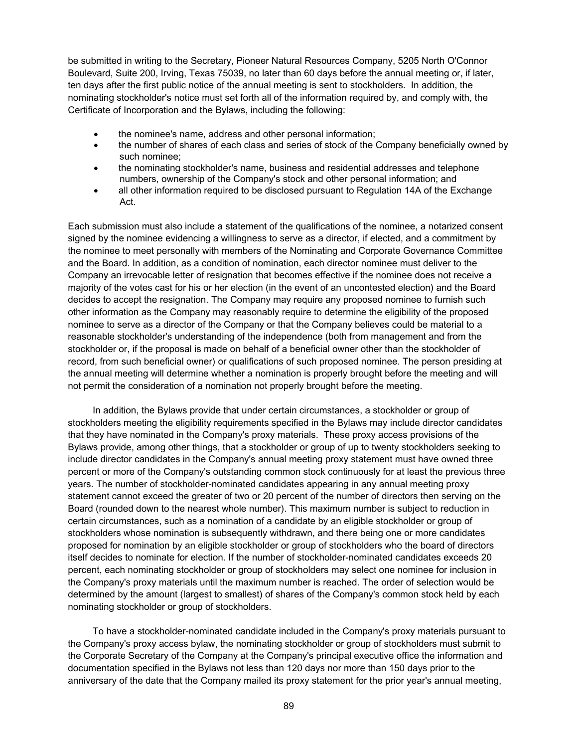be submitted in writing to the Secretary, Pioneer Natural Resources Company, 5205 North O'Connor Boulevard, Suite 200, Irving, Texas 75039, no later than 60 days before the annual meeting or, if later, ten days after the first public notice of the annual meeting is sent to stockholders. In addition, the nominating stockholder's notice must set forth all of the information required by, and comply with, the Certificate of Incorporation and the Bylaws, including the following:

- the nominee's name, address and other personal information;
- the number of shares of each class and series of stock of the Company beneficially owned by such nominee;
- the nominating stockholder's name, business and residential addresses and telephone numbers, ownership of the Company's stock and other personal information; and
- all other information required to be disclosed pursuant to Regulation 14A of the Exchange Act.

Each submission must also include a statement of the qualifications of the nominee, a notarized consent signed by the nominee evidencing a willingness to serve as a director, if elected, and a commitment by the nominee to meet personally with members of the Nominating and Corporate Governance Committee and the Board. In addition, as a condition of nomination, each director nominee must deliver to the Company an irrevocable letter of resignation that becomes effective if the nominee does not receive a majority of the votes cast for his or her election (in the event of an uncontested election) and the Board decides to accept the resignation. The Company may require any proposed nominee to furnish such other information as the Company may reasonably require to determine the eligibility of the proposed nominee to serve as a director of the Company or that the Company believes could be material to a reasonable stockholder's understanding of the independence (both from management and from the stockholder or, if the proposal is made on behalf of a beneficial owner other than the stockholder of record, from such beneficial owner) or qualifications of such proposed nominee. The person presiding at the annual meeting will determine whether a nomination is properly brought before the meeting and will not permit the consideration of a nomination not properly brought before the meeting.

 In addition, the Bylaws provide that under certain circumstances, a stockholder or group of stockholders meeting the eligibility requirements specified in the Bylaws may include director candidates that they have nominated in the Company's proxy materials. These proxy access provisions of the Bylaws provide, among other things, that a stockholder or group of up to twenty stockholders seeking to include director candidates in the Company's annual meeting proxy statement must have owned three percent or more of the Company's outstanding common stock continuously for at least the previous three years. The number of stockholder-nominated candidates appearing in any annual meeting proxy statement cannot exceed the greater of two or 20 percent of the number of directors then serving on the Board (rounded down to the nearest whole number). This maximum number is subject to reduction in certain circumstances, such as a nomination of a candidate by an eligible stockholder or group of stockholders whose nomination is subsequently withdrawn, and there being one or more candidates proposed for nomination by an eligible stockholder or group of stockholders who the board of directors itself decides to nominate for election. If the number of stockholder-nominated candidates exceeds 20 percent, each nominating stockholder or group of stockholders may select one nominee for inclusion in the Company's proxy materials until the maximum number is reached. The order of selection would be determined by the amount (largest to smallest) of shares of the Company's common stock held by each nominating stockholder or group of stockholders.

 To have a stockholder-nominated candidate included in the Company's proxy materials pursuant to the Company's proxy access bylaw, the nominating stockholder or group of stockholders must submit to the Corporate Secretary of the Company at the Company's principal executive office the information and documentation specified in the Bylaws not less than 120 days nor more than 150 days prior to the anniversary of the date that the Company mailed its proxy statement for the prior year's annual meeting,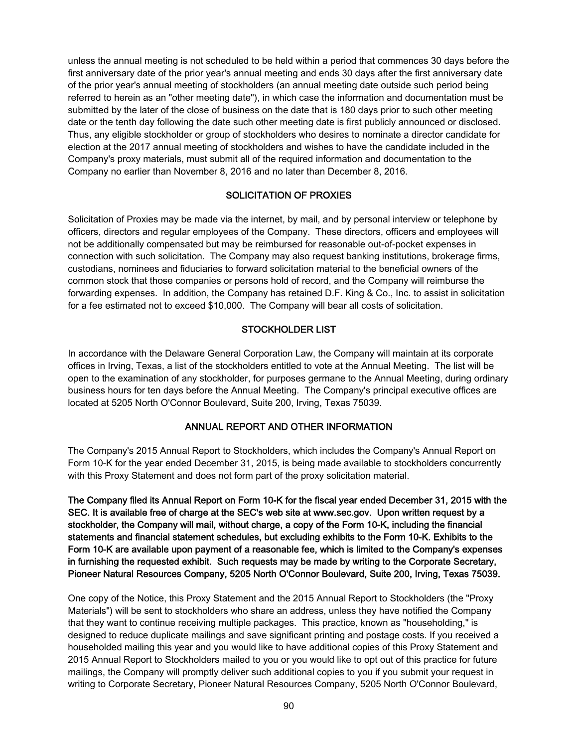unless the annual meeting is not scheduled to be held within a period that commences 30 days before the first anniversary date of the prior year's annual meeting and ends 30 days after the first anniversary date of the prior year's annual meeting of stockholders (an annual meeting date outside such period being referred to herein as an "other meeting date"), in which case the information and documentation must be submitted by the later of the close of business on the date that is 180 days prior to such other meeting date or the tenth day following the date such other meeting date is first publicly announced or disclosed. Thus, any eligible stockholder or group of stockholders who desires to nominate a director candidate for election at the 2017 annual meeting of stockholders and wishes to have the candidate included in the Company's proxy materials, must submit all of the required information and documentation to the Company no earlier than November 8, 2016 and no later than December 8, 2016.

# SOLICITATION OF PROXIES

Solicitation of Proxies may be made via the internet, by mail, and by personal interview or telephone by officers, directors and regular employees of the Company. These directors, officers and employees will not be additionally compensated but may be reimbursed for reasonable out-of-pocket expenses in connection with such solicitation. The Company may also request banking institutions, brokerage firms, custodians, nominees and fiduciaries to forward solicitation material to the beneficial owners of the common stock that those companies or persons hold of record, and the Company will reimburse the forwarding expenses. In addition, the Company has retained D.F. King & Co., Inc. to assist in solicitation for a fee estimated not to exceed \$10,000. The Company will bear all costs of solicitation.

# STOCKHOLDER LIST

In accordance with the Delaware General Corporation Law, the Company will maintain at its corporate offices in Irving, Texas, a list of the stockholders entitled to vote at the Annual Meeting. The list will be open to the examination of any stockholder, for purposes germane to the Annual Meeting, during ordinary business hours for ten days before the Annual Meeting. The Company's principal executive offices are located at 5205 North O'Connor Boulevard, Suite 200, Irving, Texas 75039.

# ANNUAL REPORT AND OTHER INFORMATION

The Company's 2015 Annual Report to Stockholders, which includes the Company's Annual Report on Form 10-K for the year ended December 31, 2015, is being made available to stockholders concurrently with this Proxy Statement and does not form part of the proxy solicitation material.

The Company filed its Annual Report on Form 10-K for the fiscal year ended December 31, 2015 with the SEC. It is available free of charge at the SEC's web site at www.sec.gov. Upon written request by a stockholder, the Company will mail, without charge, a copy of the Form 10-K, including the financial statements and financial statement schedules, but excluding exhibits to the Form 10-K. Exhibits to the Form 10-K are available upon payment of a reasonable fee, which is limited to the Company's expenses in furnishing the requested exhibit. Such requests may be made by writing to the Corporate Secretary, Pioneer Natural Resources Company, 5205 North O'Connor Boulevard, Suite 200, Irving, Texas 75039.

One copy of the Notice, this Proxy Statement and the 2015 Annual Report to Stockholders (the "Proxy Materials") will be sent to stockholders who share an address, unless they have notified the Company that they want to continue receiving multiple packages. This practice, known as "householding," is designed to reduce duplicate mailings and save significant printing and postage costs. If you received a householded mailing this year and you would like to have additional copies of this Proxy Statement and 2015 Annual Report to Stockholders mailed to you or you would like to opt out of this practice for future mailings, the Company will promptly deliver such additional copies to you if you submit your request in writing to Corporate Secretary, Pioneer Natural Resources Company, 5205 North O'Connor Boulevard,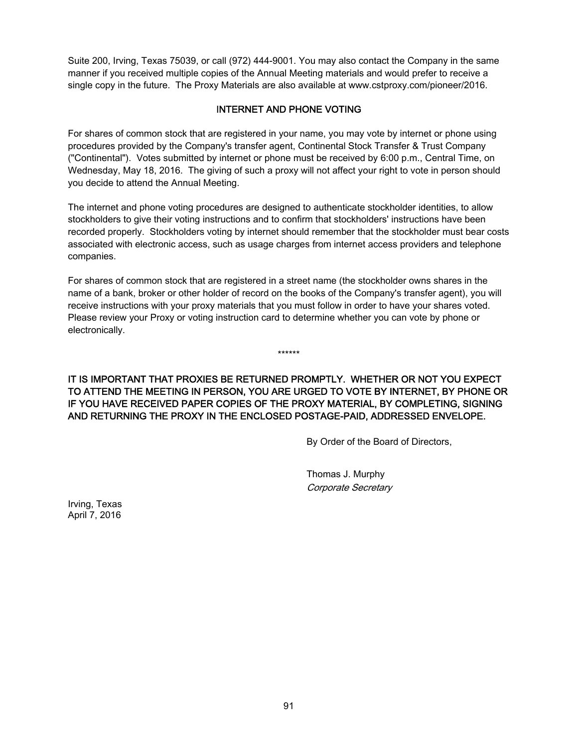Suite 200, Irving, Texas 75039, or call (972) 444-9001. You may also contact the Company in the same manner if you received multiple copies of the Annual Meeting materials and would prefer to receive a single copy in the future. The Proxy Materials are also available at www.cstproxy.com/pioneer/2016.

# INTERNET AND PHONE VOTING

For shares of common stock that are registered in your name, you may vote by internet or phone using procedures provided by the Company's transfer agent, Continental Stock Transfer & Trust Company ("Continental"). Votes submitted by internet or phone must be received by 6:00 p.m., Central Time, on Wednesday, May 18, 2016. The giving of such a proxy will not affect your right to vote in person should you decide to attend the Annual Meeting.

The internet and phone voting procedures are designed to authenticate stockholder identities, to allow stockholders to give their voting instructions and to confirm that stockholders' instructions have been recorded properly. Stockholders voting by internet should remember that the stockholder must bear costs associated with electronic access, such as usage charges from internet access providers and telephone companies.

For shares of common stock that are registered in a street name (the stockholder owns shares in the name of a bank, broker or other holder of record on the books of the Company's transfer agent), you will receive instructions with your proxy materials that you must follow in order to have your shares voted. Please review your Proxy or voting instruction card to determine whether you can vote by phone or electronically.

# IT IS IMPORTANT THAT PROXIES BE RETURNED PROMPTLY. WHETHER OR NOT YOU EXPECT TO ATTEND THE MEETING IN PERSON, YOU ARE URGED TO VOTE BY INTERNET, BY PHONE OR IF YOU HAVE RECEIVED PAPER COPIES OF THE PROXY MATERIAL, BY COMPLETING, SIGNING AND RETURNING THE PROXY IN THE ENCLOSED POSTAGE-PAID, ADDRESSED ENVELOPE.

\*\*\*\*\*\*

By Order of the Board of Directors,

 Thomas J. Murphy Corporate Secretary

Irving, Texas April 7, 2016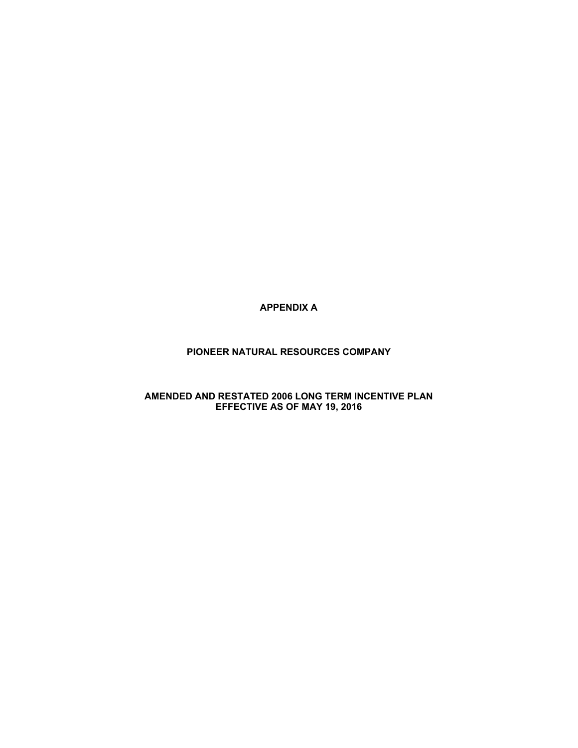**APPENDIX A** 

# **PIONEER NATURAL RESOURCES COMPANY**

# **AMENDED AND RESTATED 2006 LONG TERM INCENTIVE PLAN EFFECTIVE AS OF MAY 19, 2016**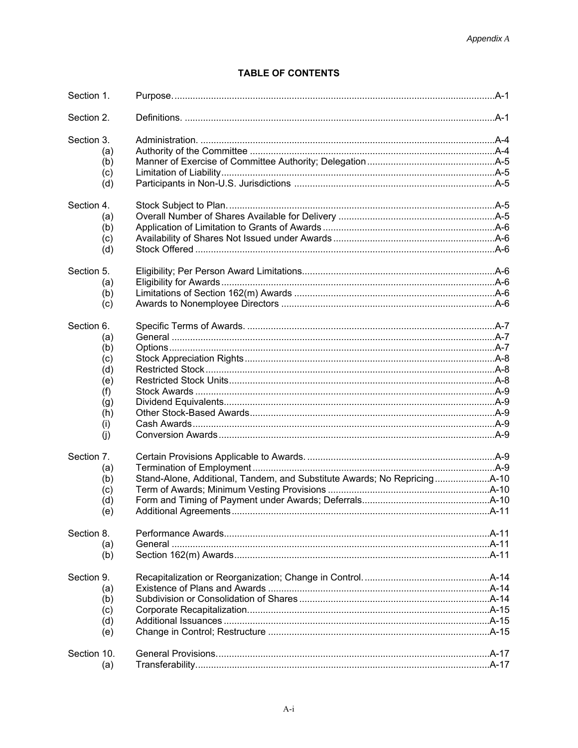# **TABLE OF CONTENTS**

| Section 1.  |                                                                                                                                                                                                                               |  |
|-------------|-------------------------------------------------------------------------------------------------------------------------------------------------------------------------------------------------------------------------------|--|
| Section 2.  |                                                                                                                                                                                                                               |  |
| Section 3.  |                                                                                                                                                                                                                               |  |
| (a)         |                                                                                                                                                                                                                               |  |
|             |                                                                                                                                                                                                                               |  |
| (b)         |                                                                                                                                                                                                                               |  |
| (c)         |                                                                                                                                                                                                                               |  |
| (d)         |                                                                                                                                                                                                                               |  |
| Section 4.  |                                                                                                                                                                                                                               |  |
| (a)         |                                                                                                                                                                                                                               |  |
| (b)         |                                                                                                                                                                                                                               |  |
| (c)         |                                                                                                                                                                                                                               |  |
| (d)         |                                                                                                                                                                                                                               |  |
| Section 5.  |                                                                                                                                                                                                                               |  |
|             |                                                                                                                                                                                                                               |  |
| (a)         |                                                                                                                                                                                                                               |  |
| (b)         |                                                                                                                                                                                                                               |  |
| (c)         |                                                                                                                                                                                                                               |  |
| Section 6.  |                                                                                                                                                                                                                               |  |
| (a)         |                                                                                                                                                                                                                               |  |
| (b)         |                                                                                                                                                                                                                               |  |
| (c)         |                                                                                                                                                                                                                               |  |
|             |                                                                                                                                                                                                                               |  |
| (d)         |                                                                                                                                                                                                                               |  |
| (e)         |                                                                                                                                                                                                                               |  |
| (f)         |                                                                                                                                                                                                                               |  |
| (g)         |                                                                                                                                                                                                                               |  |
| (h)         |                                                                                                                                                                                                                               |  |
| (i)         |                                                                                                                                                                                                                               |  |
| (i)         |                                                                                                                                                                                                                               |  |
| Section 7.  |                                                                                                                                                                                                                               |  |
| (a)         |                                                                                                                                                                                                                               |  |
|             | Stand-Alone, Additional, Tandem, and Substitute Awards; No Repricing                                                                                                                                                          |  |
| (b)         |                                                                                                                                                                                                                               |  |
| (c)         |                                                                                                                                                                                                                               |  |
| (d)         |                                                                                                                                                                                                                               |  |
| (e)         |                                                                                                                                                                                                                               |  |
| Section 8.  |                                                                                                                                                                                                                               |  |
| (a)         |                                                                                                                                                                                                                               |  |
| (b)         |                                                                                                                                                                                                                               |  |
| Section 9.  |                                                                                                                                                                                                                               |  |
|             |                                                                                                                                                                                                                               |  |
| (a)         |                                                                                                                                                                                                                               |  |
| (b)         |                                                                                                                                                                                                                               |  |
| (c)         |                                                                                                                                                                                                                               |  |
| (d)         |                                                                                                                                                                                                                               |  |
| (e)         |                                                                                                                                                                                                                               |  |
| Section 10. | A-17. والمسابق المستنب المستنب المستنب المستنب المستنب المستنب المستنب المستنب المستنب والمستنب والمستنب والمستنب والمستنب والمستنب والمستنب والمستنب والمستنب والمستنب والمستنب والمستنب والمستنب والمستنب والمستنب والمستنب |  |
| (a)         |                                                                                                                                                                                                                               |  |
|             |                                                                                                                                                                                                                               |  |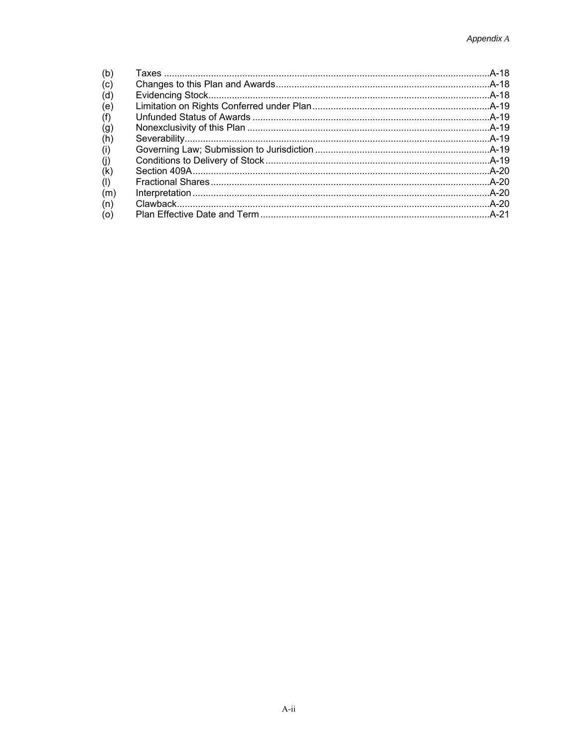| (b) |  |
|-----|--|
| (c) |  |
| (d) |  |
| (e) |  |
| (f) |  |
| (g) |  |
| (h) |  |
| (i) |  |
| (j) |  |
| (k) |  |
| (1) |  |
| (m) |  |
| (n) |  |
| (0) |  |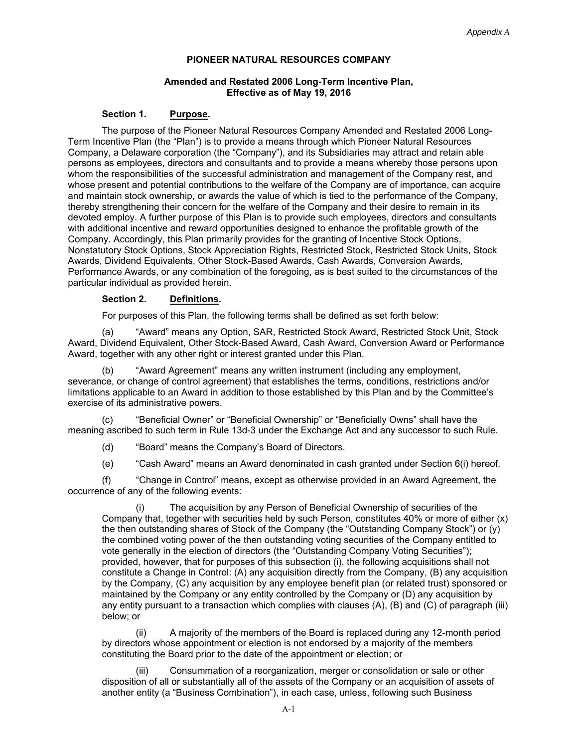### **PIONEER NATURAL RESOURCES COMPANY**

#### **Amended and Restated 2006 Long-Term Incentive Plan, Effective as of May 19, 2016**

# **Section 1. Purpose.**

The purpose of the Pioneer Natural Resources Company Amended and Restated 2006 Long-Term Incentive Plan (the "Plan") is to provide a means through which Pioneer Natural Resources Company, a Delaware corporation (the "Company"), and its Subsidiaries may attract and retain able persons as employees, directors and consultants and to provide a means whereby those persons upon whom the responsibilities of the successful administration and management of the Company rest, and whose present and potential contributions to the welfare of the Company are of importance, can acquire and maintain stock ownership, or awards the value of which is tied to the performance of the Company, thereby strengthening their concern for the welfare of the Company and their desire to remain in its devoted employ. A further purpose of this Plan is to provide such employees, directors and consultants with additional incentive and reward opportunities designed to enhance the profitable growth of the Company. Accordingly, this Plan primarily provides for the granting of Incentive Stock Options, Nonstatutory Stock Options, Stock Appreciation Rights, Restricted Stock, Restricted Stock Units, Stock Awards, Dividend Equivalents, Other Stock-Based Awards, Cash Awards, Conversion Awards, Performance Awards, or any combination of the foregoing, as is best suited to the circumstances of the particular individual as provided herein.

#### **Section 2. Definitions.**

For purposes of this Plan, the following terms shall be defined as set forth below:

(a) "Award" means any Option, SAR, Restricted Stock Award, Restricted Stock Unit, Stock Award, Dividend Equivalent, Other Stock-Based Award, Cash Award, Conversion Award or Performance Award, together with any other right or interest granted under this Plan.

(b) "Award Agreement" means any written instrument (including any employment, severance, or change of control agreement) that establishes the terms, conditions, restrictions and/or limitations applicable to an Award in addition to those established by this Plan and by the Committee's exercise of its administrative powers.

(c) "Beneficial Owner" or "Beneficial Ownership" or "Beneficially Owns" shall have the meaning ascribed to such term in Rule 13d-3 under the Exchange Act and any successor to such Rule.

- (d) "Board" means the Company's Board of Directors.
- (e) "Cash Award" means an Award denominated in cash granted under Section 6(i) hereof.

(f) "Change in Control" means, except as otherwise provided in an Award Agreement, the occurrence of any of the following events:

The acquisition by any Person of Beneficial Ownership of securities of the Company that, together with securities held by such Person, constitutes 40% or more of either (x) the then outstanding shares of Stock of the Company (the "Outstanding Company Stock") or (y) the combined voting power of the then outstanding voting securities of the Company entitled to vote generally in the election of directors (the "Outstanding Company Voting Securities"); provided, however, that for purposes of this subsection (i), the following acquisitions shall not constitute a Change in Control: (A) any acquisition directly from the Company, (B) any acquisition by the Company, (C) any acquisition by any employee benefit plan (or related trust) sponsored or maintained by the Company or any entity controlled by the Company or (D) any acquisition by any entity pursuant to a transaction which complies with clauses (A), (B) and (C) of paragraph (iii) below; or

A majority of the members of the Board is replaced during any 12-month period by directors whose appointment or election is not endorsed by a majority of the members constituting the Board prior to the date of the appointment or election; or

Consummation of a reorganization, merger or consolidation or sale or other disposition of all or substantially all of the assets of the Company or an acquisition of assets of another entity (a "Business Combination"), in each case, unless, following such Business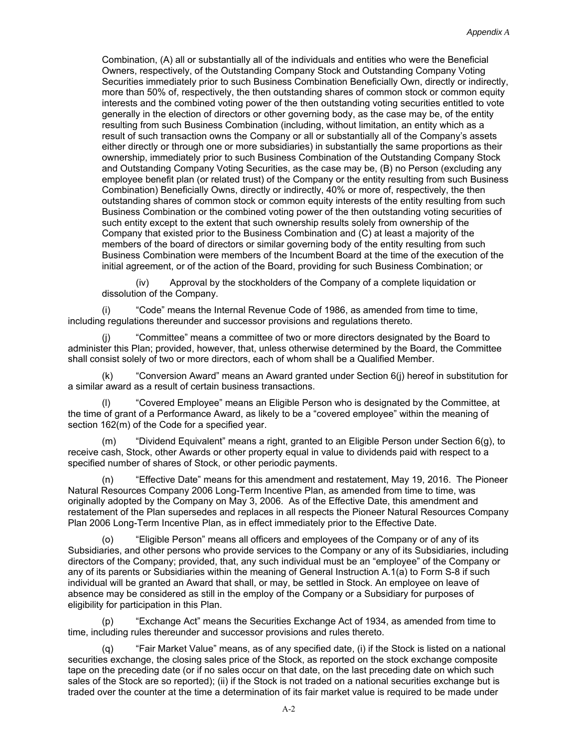Combination, (A) all or substantially all of the individuals and entities who were the Beneficial Owners, respectively, of the Outstanding Company Stock and Outstanding Company Voting Securities immediately prior to such Business Combination Beneficially Own, directly or indirectly, more than 50% of, respectively, the then outstanding shares of common stock or common equity interests and the combined voting power of the then outstanding voting securities entitled to vote generally in the election of directors or other governing body, as the case may be, of the entity resulting from such Business Combination (including, without limitation, an entity which as a result of such transaction owns the Company or all or substantially all of the Company's assets either directly or through one or more subsidiaries) in substantially the same proportions as their ownership, immediately prior to such Business Combination of the Outstanding Company Stock and Outstanding Company Voting Securities, as the case may be, (B) no Person (excluding any employee benefit plan (or related trust) of the Company or the entity resulting from such Business Combination) Beneficially Owns, directly or indirectly, 40% or more of, respectively, the then outstanding shares of common stock or common equity interests of the entity resulting from such Business Combination or the combined voting power of the then outstanding voting securities of such entity except to the extent that such ownership results solely from ownership of the Company that existed prior to the Business Combination and (C) at least a majority of the members of the board of directors or similar governing body of the entity resulting from such Business Combination were members of the Incumbent Board at the time of the execution of the initial agreement, or of the action of the Board, providing for such Business Combination; or

(iv) Approval by the stockholders of the Company of a complete liquidation or dissolution of the Company.

(i) "Code" means the Internal Revenue Code of 1986, as amended from time to time, including regulations thereunder and successor provisions and regulations thereto.

"Committee" means a committee of two or more directors designated by the Board to administer this Plan; provided, however, that, unless otherwise determined by the Board, the Committee shall consist solely of two or more directors, each of whom shall be a Qualified Member.

(k) "Conversion Award" means an Award granted under Section 6(j) hereof in substitution for a similar award as a result of certain business transactions.

"Covered Employee" means an Eligible Person who is designated by the Committee, at the time of grant of a Performance Award, as likely to be a "covered employee" within the meaning of section 162(m) of the Code for a specified year.

(m) "Dividend Equivalent" means a right, granted to an Eligible Person under Section 6(g), to receive cash, Stock, other Awards or other property equal in value to dividends paid with respect to a specified number of shares of Stock, or other periodic payments.

(n) "Effective Date" means for this amendment and restatement, May 19, 2016. The Pioneer Natural Resources Company 2006 Long-Term Incentive Plan, as amended from time to time, was originally adopted by the Company on May 3, 2006. As of the Effective Date, this amendment and restatement of the Plan supersedes and replaces in all respects the Pioneer Natural Resources Company Plan 2006 Long-Term Incentive Plan, as in effect immediately prior to the Effective Date.

(o) "Eligible Person" means all officers and employees of the Company or of any of its Subsidiaries, and other persons who provide services to the Company or any of its Subsidiaries, including directors of the Company; provided, that, any such individual must be an "employee" of the Company or any of its parents or Subsidiaries within the meaning of General Instruction A.1(a) to Form S-8 if such individual will be granted an Award that shall, or may, be settled in Stock. An employee on leave of absence may be considered as still in the employ of the Company or a Subsidiary for purposes of eligibility for participation in this Plan.

(p) "Exchange Act" means the Securities Exchange Act of 1934, as amended from time to time, including rules thereunder and successor provisions and rules thereto.

(q) "Fair Market Value" means, as of any specified date, (i) if the Stock is listed on a national securities exchange, the closing sales price of the Stock, as reported on the stock exchange composite tape on the preceding date (or if no sales occur on that date, on the last preceding date on which such sales of the Stock are so reported); (ii) if the Stock is not traded on a national securities exchange but is traded over the counter at the time a determination of its fair market value is required to be made under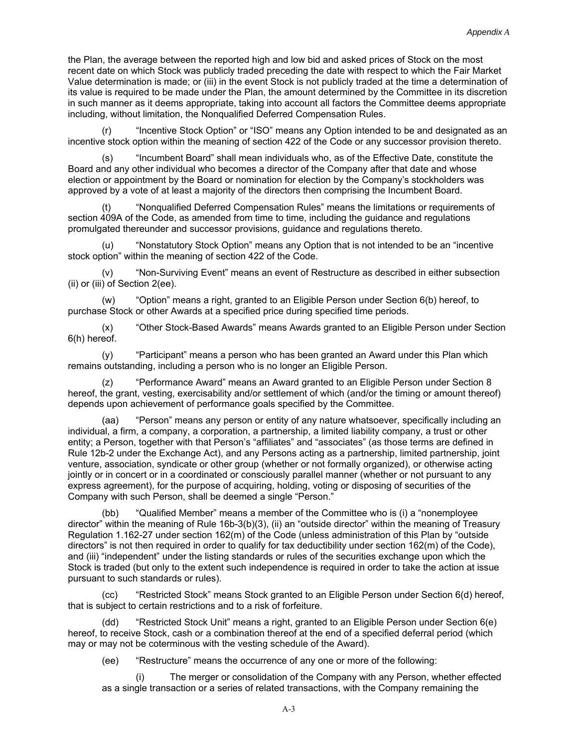the Plan, the average between the reported high and low bid and asked prices of Stock on the most recent date on which Stock was publicly traded preceding the date with respect to which the Fair Market Value determination is made; or (iii) in the event Stock is not publicly traded at the time a determination of its value is required to be made under the Plan, the amount determined by the Committee in its discretion in such manner as it deems appropriate, taking into account all factors the Committee deems appropriate including, without limitation, the Nonqualified Deferred Compensation Rules.

(r) "Incentive Stock Option" or "ISO" means any Option intended to be and designated as an incentive stock option within the meaning of section 422 of the Code or any successor provision thereto.

(s) "Incumbent Board" shall mean individuals who, as of the Effective Date, constitute the Board and any other individual who becomes a director of the Company after that date and whose election or appointment by the Board or nomination for election by the Company's stockholders was approved by a vote of at least a majority of the directors then comprising the Incumbent Board.

(t) "Nonqualified Deferred Compensation Rules" means the limitations or requirements of section 409A of the Code, as amended from time to time, including the guidance and regulations promulgated thereunder and successor provisions, guidance and regulations thereto.

(u) "Nonstatutory Stock Option" means any Option that is not intended to be an "incentive stock option" within the meaning of section 422 of the Code.

(v) "Non-Surviving Event" means an event of Restructure as described in either subsection (ii) or (iii) of Section 2(ee).

(w) "Option" means a right, granted to an Eligible Person under Section 6(b) hereof, to purchase Stock or other Awards at a specified price during specified time periods.

(x) "Other Stock-Based Awards" means Awards granted to an Eligible Person under Section 6(h) hereof.

(y) "Participant" means a person who has been granted an Award under this Plan which remains outstanding, including a person who is no longer an Eligible Person.

(z) "Performance Award" means an Award granted to an Eligible Person under Section 8 hereof, the grant, vesting, exercisability and/or settlement of which (and/or the timing or amount thereof) depends upon achievement of performance goals specified by the Committee.

(aa) "Person" means any person or entity of any nature whatsoever, specifically including an individual, a firm, a company, a corporation, a partnership, a limited liability company, a trust or other entity; a Person, together with that Person's "affiliates" and "associates" (as those terms are defined in Rule 12b-2 under the Exchange Act), and any Persons acting as a partnership, limited partnership, joint venture, association, syndicate or other group (whether or not formally organized), or otherwise acting jointly or in concert or in a coordinated or consciously parallel manner (whether or not pursuant to any express agreement), for the purpose of acquiring, holding, voting or disposing of securities of the Company with such Person, shall be deemed a single "Person."

(bb) "Qualified Member" means a member of the Committee who is (i) a "nonemployee director" within the meaning of Rule 16b-3(b)(3), (ii) an "outside director" within the meaning of Treasury Regulation 1.162-27 under section 162(m) of the Code (unless administration of this Plan by "outside directors" is not then required in order to qualify for tax deductibility under section 162(m) of the Code), and (iii) "independent" under the listing standards or rules of the securities exchange upon which the Stock is traded (but only to the extent such independence is required in order to take the action at issue pursuant to such standards or rules).

(cc) "Restricted Stock" means Stock granted to an Eligible Person under Section 6(d) hereof, that is subject to certain restrictions and to a risk of forfeiture.

(dd) "Restricted Stock Unit" means a right, granted to an Eligible Person under Section 6(e) hereof, to receive Stock, cash or a combination thereof at the end of a specified deferral period (which may or may not be coterminous with the vesting schedule of the Award).

(ee) "Restructure" means the occurrence of any one or more of the following:

(i) The merger or consolidation of the Company with any Person, whether effected as a single transaction or a series of related transactions, with the Company remaining the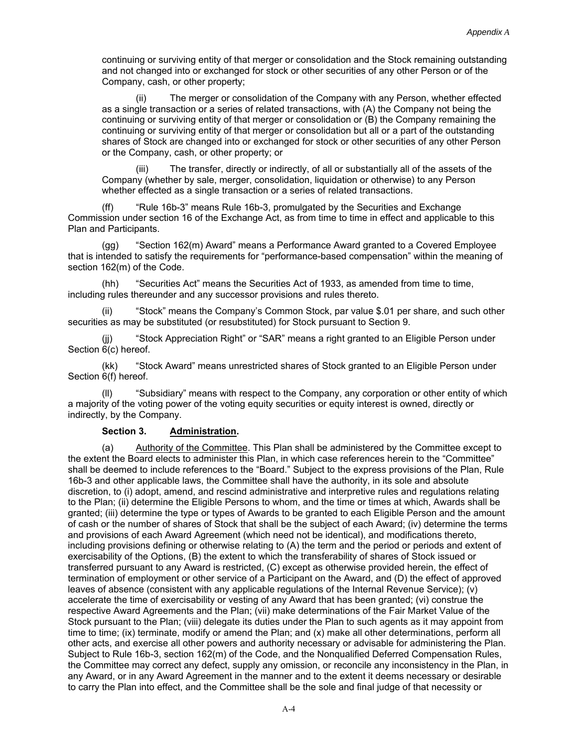continuing or surviving entity of that merger or consolidation and the Stock remaining outstanding and not changed into or exchanged for stock or other securities of any other Person or of the Company, cash, or other property;

The merger or consolidation of the Company with any Person, whether effected as a single transaction or a series of related transactions, with (A) the Company not being the continuing or surviving entity of that merger or consolidation or (B) the Company remaining the continuing or surviving entity of that merger or consolidation but all or a part of the outstanding shares of Stock are changed into or exchanged for stock or other securities of any other Person or the Company, cash, or other property; or

(iii) The transfer, directly or indirectly, of all or substantially all of the assets of the Company (whether by sale, merger, consolidation, liquidation or otherwise) to any Person whether effected as a single transaction or a series of related transactions.

(ff) "Rule 16b-3" means Rule 16b-3, promulgated by the Securities and Exchange Commission under section 16 of the Exchange Act, as from time to time in effect and applicable to this Plan and Participants.

(gg) "Section 162(m) Award" means a Performance Award granted to a Covered Employee that is intended to satisfy the requirements for "performance-based compensation" within the meaning of section 162(m) of the Code.

(hh) "Securities Act" means the Securities Act of 1933, as amended from time to time, including rules thereunder and any successor provisions and rules thereto.

"Stock" means the Company's Common Stock, par value \$.01 per share, and such other securities as may be substituted (or resubstituted) for Stock pursuant to Section 9.

(jj) "Stock Appreciation Right" or "SAR" means a right granted to an Eligible Person under Section 6(c) hereof.

(kk) "Stock Award" means unrestricted shares of Stock granted to an Eligible Person under Section 6(f) hereof.

"Subsidiary" means with respect to the Company, any corporation or other entity of which a majority of the voting power of the voting equity securities or equity interest is owned, directly or indirectly, by the Company.

#### **Section 3. Administration.**

(a) Authority of the Committee. This Plan shall be administered by the Committee except to the extent the Board elects to administer this Plan, in which case references herein to the "Committee" shall be deemed to include references to the "Board." Subject to the express provisions of the Plan, Rule 16b-3 and other applicable laws, the Committee shall have the authority, in its sole and absolute discretion, to (i) adopt, amend, and rescind administrative and interpretive rules and regulations relating to the Plan; (ii) determine the Eligible Persons to whom, and the time or times at which, Awards shall be granted; (iii) determine the type or types of Awards to be granted to each Eligible Person and the amount of cash or the number of shares of Stock that shall be the subject of each Award; (iv) determine the terms and provisions of each Award Agreement (which need not be identical), and modifications thereto, including provisions defining or otherwise relating to (A) the term and the period or periods and extent of exercisability of the Options, (B) the extent to which the transferability of shares of Stock issued or transferred pursuant to any Award is restricted, (C) except as otherwise provided herein, the effect of termination of employment or other service of a Participant on the Award, and (D) the effect of approved leaves of absence (consistent with any applicable regulations of the Internal Revenue Service); (v) accelerate the time of exercisability or vesting of any Award that has been granted; (vi) construe the respective Award Agreements and the Plan; (vii) make determinations of the Fair Market Value of the Stock pursuant to the Plan; (viii) delegate its duties under the Plan to such agents as it may appoint from time to time; (ix) terminate, modify or amend the Plan; and (x) make all other determinations, perform all other acts, and exercise all other powers and authority necessary or advisable for administering the Plan. Subject to Rule 16b-3, section 162(m) of the Code, and the Nonqualified Deferred Compensation Rules, the Committee may correct any defect, supply any omission, or reconcile any inconsistency in the Plan, in any Award, or in any Award Agreement in the manner and to the extent it deems necessary or desirable to carry the Plan into effect, and the Committee shall be the sole and final judge of that necessity or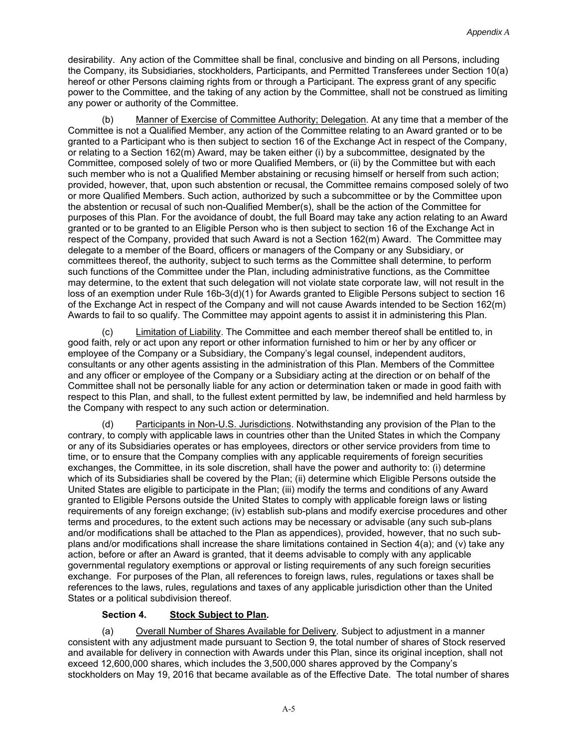desirability. Any action of the Committee shall be final, conclusive and binding on all Persons, including the Company, its Subsidiaries, stockholders, Participants, and Permitted Transferees under Section 10(a) hereof or other Persons claiming rights from or through a Participant. The express grant of any specific power to the Committee, and the taking of any action by the Committee, shall not be construed as limiting any power or authority of the Committee.

(b) Manner of Exercise of Committee Authority; Delegation. At any time that a member of the Committee is not a Qualified Member, any action of the Committee relating to an Award granted or to be granted to a Participant who is then subject to section 16 of the Exchange Act in respect of the Company, or relating to a Section 162(m) Award, may be taken either (i) by a subcommittee, designated by the Committee, composed solely of two or more Qualified Members, or (ii) by the Committee but with each such member who is not a Qualified Member abstaining or recusing himself or herself from such action; provided, however, that, upon such abstention or recusal, the Committee remains composed solely of two or more Qualified Members. Such action, authorized by such a subcommittee or by the Committee upon the abstention or recusal of such non-Qualified Member(s), shall be the action of the Committee for purposes of this Plan. For the avoidance of doubt, the full Board may take any action relating to an Award granted or to be granted to an Eligible Person who is then subject to section 16 of the Exchange Act in respect of the Company, provided that such Award is not a Section 162(m) Award. The Committee may delegate to a member of the Board, officers or managers of the Company or any Subsidiary, or committees thereof, the authority, subject to such terms as the Committee shall determine, to perform such functions of the Committee under the Plan, including administrative functions, as the Committee may determine, to the extent that such delegation will not violate state corporate law, will not result in the loss of an exemption under Rule 16b-3(d)(1) for Awards granted to Eligible Persons subject to section 16 of the Exchange Act in respect of the Company and will not cause Awards intended to be Section 162(m) Awards to fail to so qualify. The Committee may appoint agents to assist it in administering this Plan.

Limitation of Liability. The Committee and each member thereof shall be entitled to, in good faith, rely or act upon any report or other information furnished to him or her by any officer or employee of the Company or a Subsidiary, the Company's legal counsel, independent auditors, consultants or any other agents assisting in the administration of this Plan. Members of the Committee and any officer or employee of the Company or a Subsidiary acting at the direction or on behalf of the Committee shall not be personally liable for any action or determination taken or made in good faith with respect to this Plan, and shall, to the fullest extent permitted by law, be indemnified and held harmless by the Company with respect to any such action or determination.

(d) Participants in Non-U.S. Jurisdictions. Notwithstanding any provision of the Plan to the contrary, to comply with applicable laws in countries other than the United States in which the Company or any of its Subsidiaries operates or has employees, directors or other service providers from time to time, or to ensure that the Company complies with any applicable requirements of foreign securities exchanges, the Committee, in its sole discretion, shall have the power and authority to: (i) determine which of its Subsidiaries shall be covered by the Plan; (ii) determine which Eligible Persons outside the United States are eligible to participate in the Plan; (iii) modify the terms and conditions of any Award granted to Eligible Persons outside the United States to comply with applicable foreign laws or listing requirements of any foreign exchange; (iv) establish sub-plans and modify exercise procedures and other terms and procedures, to the extent such actions may be necessary or advisable (any such sub-plans and/or modifications shall be attached to the Plan as appendices), provided, however, that no such subplans and/or modifications shall increase the share limitations contained in Section 4(a); and (v) take any action, before or after an Award is granted, that it deems advisable to comply with any applicable governmental regulatory exemptions or approval or listing requirements of any such foreign securities exchange. For purposes of the Plan, all references to foreign laws, rules, regulations or taxes shall be references to the laws, rules, regulations and taxes of any applicable jurisdiction other than the United States or a political subdivision thereof.

# **Section 4. Stock Subject to Plan.**

(a) Overall Number of Shares Available for Delivery. Subject to adjustment in a manner consistent with any adjustment made pursuant to Section 9, the total number of shares of Stock reserved and available for delivery in connection with Awards under this Plan, since its original inception, shall not exceed 12,600,000 shares, which includes the 3,500,000 shares approved by the Company's stockholders on May 19, 2016 that became available as of the Effective Date. The total number of shares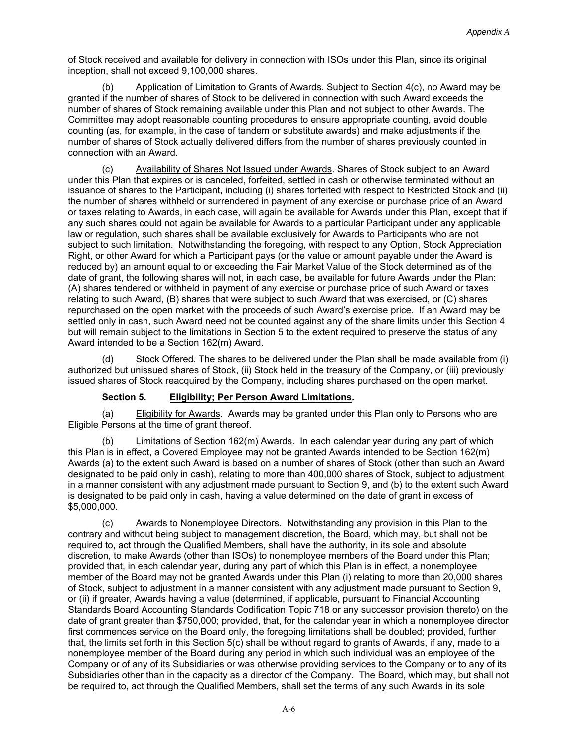of Stock received and available for delivery in connection with ISOs under this Plan, since its original inception, shall not exceed 9,100,000 shares.

(b) Application of Limitation to Grants of Awards. Subject to Section 4(c), no Award may be granted if the number of shares of Stock to be delivered in connection with such Award exceeds the number of shares of Stock remaining available under this Plan and not subject to other Awards. The Committee may adopt reasonable counting procedures to ensure appropriate counting, avoid double counting (as, for example, in the case of tandem or substitute awards) and make adjustments if the number of shares of Stock actually delivered differs from the number of shares previously counted in connection with an Award.

(c) Availability of Shares Not Issued under Awards. Shares of Stock subject to an Award under this Plan that expires or is canceled, forfeited, settled in cash or otherwise terminated without an issuance of shares to the Participant, including (i) shares forfeited with respect to Restricted Stock and (ii) the number of shares withheld or surrendered in payment of any exercise or purchase price of an Award or taxes relating to Awards, in each case, will again be available for Awards under this Plan, except that if any such shares could not again be available for Awards to a particular Participant under any applicable law or regulation, such shares shall be available exclusively for Awards to Participants who are not subject to such limitation. Notwithstanding the foregoing, with respect to any Option, Stock Appreciation Right, or other Award for which a Participant pays (or the value or amount payable under the Award is reduced by) an amount equal to or exceeding the Fair Market Value of the Stock determined as of the date of grant, the following shares will not, in each case, be available for future Awards under the Plan: (A) shares tendered or withheld in payment of any exercise or purchase price of such Award or taxes relating to such Award, (B) shares that were subject to such Award that was exercised, or (C) shares repurchased on the open market with the proceeds of such Award's exercise price. If an Award may be settled only in cash, such Award need not be counted against any of the share limits under this Section 4 but will remain subject to the limitations in Section 5 to the extent required to preserve the status of any Award intended to be a Section 162(m) Award.

(d) Stock Offered. The shares to be delivered under the Plan shall be made available from (i) authorized but unissued shares of Stock, (ii) Stock held in the treasury of the Company, or (iii) previously issued shares of Stock reacquired by the Company, including shares purchased on the open market.

# **Section 5. Eligibility; Per Person Award Limitations.**

(a) Eligibility for Awards. Awards may be granted under this Plan only to Persons who are Eligible Persons at the time of grant thereof.

(b) Limitations of Section 162(m) Awards. In each calendar year during any part of which this Plan is in effect, a Covered Employee may not be granted Awards intended to be Section 162(m) Awards (a) to the extent such Award is based on a number of shares of Stock (other than such an Award designated to be paid only in cash), relating to more than 400,000 shares of Stock, subject to adjustment in a manner consistent with any adjustment made pursuant to Section 9, and (b) to the extent such Award is designated to be paid only in cash, having a value determined on the date of grant in excess of \$5,000,000.

(c) Awards to Nonemployee Directors. Notwithstanding any provision in this Plan to the contrary and without being subject to management discretion, the Board, which may, but shall not be required to, act through the Qualified Members, shall have the authority, in its sole and absolute discretion, to make Awards (other than ISOs) to nonemployee members of the Board under this Plan; provided that, in each calendar year, during any part of which this Plan is in effect, a nonemployee member of the Board may not be granted Awards under this Plan (i) relating to more than 20,000 shares of Stock, subject to adjustment in a manner consistent with any adjustment made pursuant to Section 9, or (ii) if greater, Awards having a value (determined, if applicable, pursuant to Financial Accounting Standards Board Accounting Standards Codification Topic 718 or any successor provision thereto) on the date of grant greater than \$750,000; provided, that, for the calendar year in which a nonemployee director first commences service on the Board only, the foregoing limitations shall be doubled; provided, further that, the limits set forth in this Section 5(c) shall be without regard to grants of Awards, if any, made to a nonemployee member of the Board during any period in which such individual was an employee of the Company or of any of its Subsidiaries or was otherwise providing services to the Company or to any of its Subsidiaries other than in the capacity as a director of the Company. The Board, which may, but shall not be required to, act through the Qualified Members, shall set the terms of any such Awards in its sole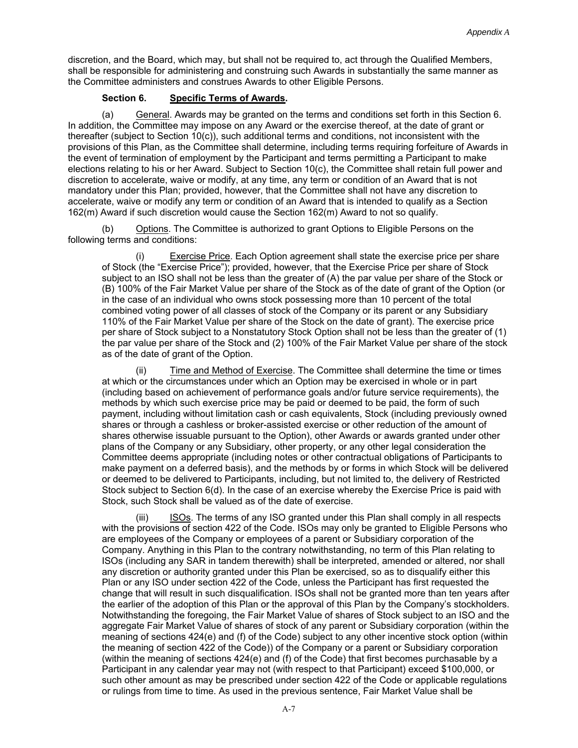discretion, and the Board, which may, but shall not be required to, act through the Qualified Members, shall be responsible for administering and construing such Awards in substantially the same manner as the Committee administers and construes Awards to other Eligible Persons.

# **Section 6. Specific Terms of Awards.**

(a) General. Awards may be granted on the terms and conditions set forth in this Section 6. In addition, the Committee may impose on any Award or the exercise thereof, at the date of grant or thereafter (subject to Section 10(c)), such additional terms and conditions, not inconsistent with the provisions of this Plan, as the Committee shall determine, including terms requiring forfeiture of Awards in the event of termination of employment by the Participant and terms permitting a Participant to make elections relating to his or her Award. Subject to Section 10(c), the Committee shall retain full power and discretion to accelerate, waive or modify, at any time, any term or condition of an Award that is not mandatory under this Plan; provided, however, that the Committee shall not have any discretion to accelerate, waive or modify any term or condition of an Award that is intended to qualify as a Section 162(m) Award if such discretion would cause the Section 162(m) Award to not so qualify.

(b) Options. The Committee is authorized to grant Options to Eligible Persons on the following terms and conditions:

Exercise Price. Each Option agreement shall state the exercise price per share of Stock (the "Exercise Price"); provided, however, that the Exercise Price per share of Stock subject to an ISO shall not be less than the greater of (A) the par value per share of the Stock or (B) 100% of the Fair Market Value per share of the Stock as of the date of grant of the Option (or in the case of an individual who owns stock possessing more than 10 percent of the total combined voting power of all classes of stock of the Company or its parent or any Subsidiary 110% of the Fair Market Value per share of the Stock on the date of grant). The exercise price per share of Stock subject to a Nonstatutory Stock Option shall not be less than the greater of (1) the par value per share of the Stock and (2) 100% of the Fair Market Value per share of the stock as of the date of grant of the Option.

Time and Method of Exercise. The Committee shall determine the time or times at which or the circumstances under which an Option may be exercised in whole or in part (including based on achievement of performance goals and/or future service requirements), the methods by which such exercise price may be paid or deemed to be paid, the form of such payment, including without limitation cash or cash equivalents, Stock (including previously owned shares or through a cashless or broker-assisted exercise or other reduction of the amount of shares otherwise issuable pursuant to the Option), other Awards or awards granted under other plans of the Company or any Subsidiary, other property, or any other legal consideration the Committee deems appropriate (including notes or other contractual obligations of Participants to make payment on a deferred basis), and the methods by or forms in which Stock will be delivered or deemed to be delivered to Participants, including, but not limited to, the delivery of Restricted Stock subject to Section 6(d). In the case of an exercise whereby the Exercise Price is paid with Stock, such Stock shall be valued as of the date of exercise.

(iii) ISOs. The terms of any ISO granted under this Plan shall comply in all respects with the provisions of section 422 of the Code. ISOs may only be granted to Eligible Persons who are employees of the Company or employees of a parent or Subsidiary corporation of the Company. Anything in this Plan to the contrary notwithstanding, no term of this Plan relating to ISOs (including any SAR in tandem therewith) shall be interpreted, amended or altered, nor shall any discretion or authority granted under this Plan be exercised, so as to disqualify either this Plan or any ISO under section 422 of the Code, unless the Participant has first requested the change that will result in such disqualification. ISOs shall not be granted more than ten years after the earlier of the adoption of this Plan or the approval of this Plan by the Company's stockholders. Notwithstanding the foregoing, the Fair Market Value of shares of Stock subject to an ISO and the aggregate Fair Market Value of shares of stock of any parent or Subsidiary corporation (within the meaning of sections 424(e) and (f) of the Code) subject to any other incentive stock option (within the meaning of section 422 of the Code)) of the Company or a parent or Subsidiary corporation (within the meaning of sections 424(e) and (f) of the Code) that first becomes purchasable by a Participant in any calendar year may not (with respect to that Participant) exceed \$100,000, or such other amount as may be prescribed under section 422 of the Code or applicable regulations or rulings from time to time. As used in the previous sentence, Fair Market Value shall be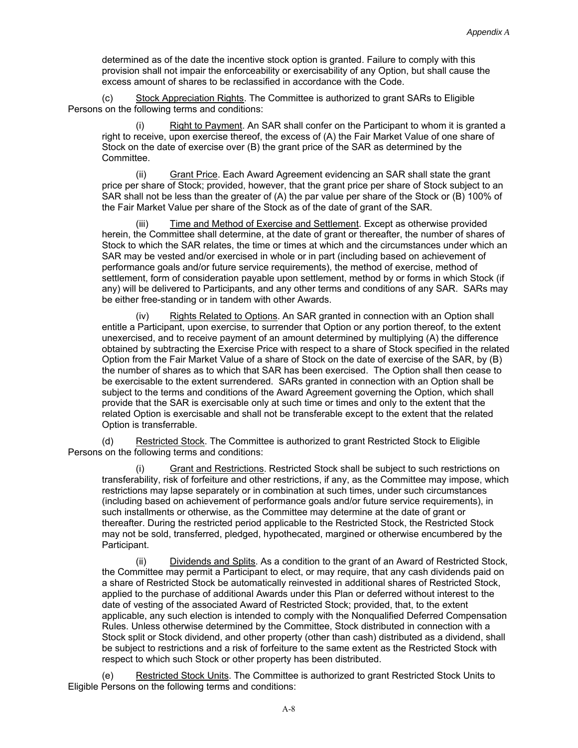determined as of the date the incentive stock option is granted. Failure to comply with this provision shall not impair the enforceability or exercisability of any Option, but shall cause the excess amount of shares to be reclassified in accordance with the Code.

(c) Stock Appreciation Rights. The Committee is authorized to grant SARs to Eligible Persons on the following terms and conditions:

(i) Right to Payment. An SAR shall confer on the Participant to whom it is granted a right to receive, upon exercise thereof, the excess of (A) the Fair Market Value of one share of Stock on the date of exercise over (B) the grant price of the SAR as determined by the Committee.

Grant Price. Each Award Agreement evidencing an SAR shall state the grant price per share of Stock; provided, however, that the grant price per share of Stock subject to an SAR shall not be less than the greater of (A) the par value per share of the Stock or (B) 100% of the Fair Market Value per share of the Stock as of the date of grant of the SAR.

(iii) Time and Method of Exercise and Settlement. Except as otherwise provided herein, the Committee shall determine, at the date of grant or thereafter, the number of shares of Stock to which the SAR relates, the time or times at which and the circumstances under which an SAR may be vested and/or exercised in whole or in part (including based on achievement of performance goals and/or future service requirements), the method of exercise, method of settlement, form of consideration payable upon settlement, method by or forms in which Stock (if any) will be delivered to Participants, and any other terms and conditions of any SAR. SARs may be either free-standing or in tandem with other Awards.

Rights Related to Options. An SAR granted in connection with an Option shall entitle a Participant, upon exercise, to surrender that Option or any portion thereof, to the extent unexercised, and to receive payment of an amount determined by multiplying (A) the difference obtained by subtracting the Exercise Price with respect to a share of Stock specified in the related Option from the Fair Market Value of a share of Stock on the date of exercise of the SAR, by (B) the number of shares as to which that SAR has been exercised. The Option shall then cease to be exercisable to the extent surrendered. SARs granted in connection with an Option shall be subject to the terms and conditions of the Award Agreement governing the Option, which shall provide that the SAR is exercisable only at such time or times and only to the extent that the related Option is exercisable and shall not be transferable except to the extent that the related Option is transferrable.

(d) Restricted Stock. The Committee is authorized to grant Restricted Stock to Eligible Persons on the following terms and conditions:

Grant and Restrictions. Restricted Stock shall be subject to such restrictions on transferability, risk of forfeiture and other restrictions, if any, as the Committee may impose, which restrictions may lapse separately or in combination at such times, under such circumstances (including based on achievement of performance goals and/or future service requirements), in such installments or otherwise, as the Committee may determine at the date of grant or thereafter. During the restricted period applicable to the Restricted Stock, the Restricted Stock may not be sold, transferred, pledged, hypothecated, margined or otherwise encumbered by the Participant.

(ii) Dividends and Splits. As a condition to the grant of an Award of Restricted Stock, the Committee may permit a Participant to elect, or may require, that any cash dividends paid on a share of Restricted Stock be automatically reinvested in additional shares of Restricted Stock, applied to the purchase of additional Awards under this Plan or deferred without interest to the date of vesting of the associated Award of Restricted Stock; provided, that, to the extent applicable, any such election is intended to comply with the Nonqualified Deferred Compensation Rules. Unless otherwise determined by the Committee, Stock distributed in connection with a Stock split or Stock dividend, and other property (other than cash) distributed as a dividend, shall be subject to restrictions and a risk of forfeiture to the same extent as the Restricted Stock with respect to which such Stock or other property has been distributed.

(e) Restricted Stock Units. The Committee is authorized to grant Restricted Stock Units to Eligible Persons on the following terms and conditions: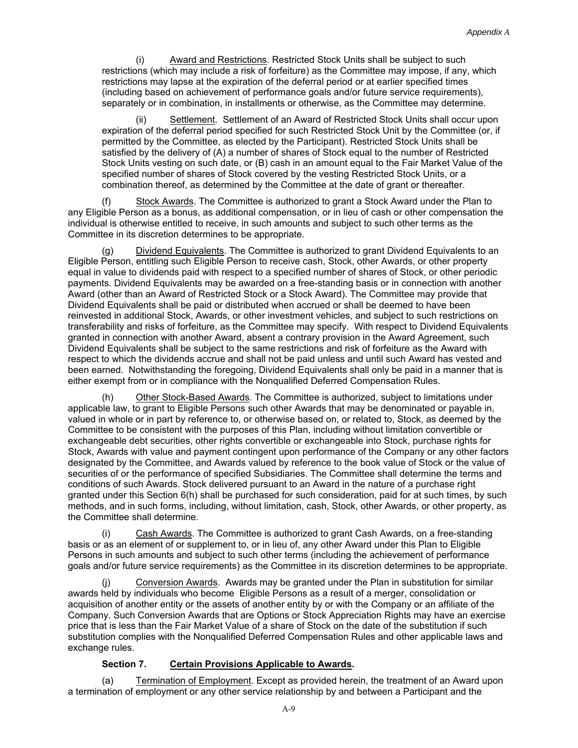Award and Restrictions. Restricted Stock Units shall be subject to such restrictions (which may include a risk of forfeiture) as the Committee may impose, if any, which restrictions may lapse at the expiration of the deferral period or at earlier specified times (including based on achievement of performance goals and/or future service requirements), separately or in combination, in installments or otherwise, as the Committee may determine.

(ii) Settlement. Settlement of an Award of Restricted Stock Units shall occur upon expiration of the deferral period specified for such Restricted Stock Unit by the Committee (or, if permitted by the Committee, as elected by the Participant). Restricted Stock Units shall be satisfied by the delivery of (A) a number of shares of Stock equal to the number of Restricted Stock Units vesting on such date, or (B) cash in an amount equal to the Fair Market Value of the specified number of shares of Stock covered by the vesting Restricted Stock Units, or a combination thereof, as determined by the Committee at the date of grant or thereafter.

Stock Awards. The Committee is authorized to grant a Stock Award under the Plan to any Eligible Person as a bonus, as additional compensation, or in lieu of cash or other compensation the individual is otherwise entitled to receive, in such amounts and subject to such other terms as the Committee in its discretion determines to be appropriate.

(g) Dividend Equivalents. The Committee is authorized to grant Dividend Equivalents to an Eligible Person, entitling such Eligible Person to receive cash, Stock, other Awards, or other property equal in value to dividends paid with respect to a specified number of shares of Stock, or other periodic payments. Dividend Equivalents may be awarded on a free-standing basis or in connection with another Award (other than an Award of Restricted Stock or a Stock Award). The Committee may provide that Dividend Equivalents shall be paid or distributed when accrued or shall be deemed to have been reinvested in additional Stock, Awards, or other investment vehicles, and subject to such restrictions on transferability and risks of forfeiture, as the Committee may specify. With respect to Dividend Equivalents granted in connection with another Award, absent a contrary provision in the Award Agreement, such Dividend Equivalents shall be subject to the same restrictions and risk of forfeiture as the Award with respect to which the dividends accrue and shall not be paid unless and until such Award has vested and been earned. Notwithstanding the foregoing, Dividend Equivalents shall only be paid in a manner that is either exempt from or in compliance with the Nonqualified Deferred Compensation Rules.

(h) Other Stock-Based Awards. The Committee is authorized, subject to limitations under applicable law, to grant to Eligible Persons such other Awards that may be denominated or payable in, valued in whole or in part by reference to, or otherwise based on, or related to, Stock, as deemed by the Committee to be consistent with the purposes of this Plan, including without limitation convertible or exchangeable debt securities, other rights convertible or exchangeable into Stock, purchase rights for Stock, Awards with value and payment contingent upon performance of the Company or any other factors designated by the Committee, and Awards valued by reference to the book value of Stock or the value of securities of or the performance of specified Subsidiaries. The Committee shall determine the terms and conditions of such Awards. Stock delivered pursuant to an Award in the nature of a purchase right granted under this Section 6(h) shall be purchased for such consideration, paid for at such times, by such methods, and in such forms, including, without limitation, cash, Stock, other Awards, or other property, as the Committee shall determine.

Cash Awards. The Committee is authorized to grant Cash Awards, on a free-standing basis or as an element of or supplement to, or in lieu of, any other Award under this Plan to Eligible Persons in such amounts and subject to such other terms (including the achievement of performance goals and/or future service requirements) as the Committee in its discretion determines to be appropriate.

(j) Conversion Awards. Awards may be granted under the Plan in substitution for similar awards held by individuals who become Eligible Persons as a result of a merger, consolidation or acquisition of another entity or the assets of another entity by or with the Company or an affiliate of the Company. Such Conversion Awards that are Options or Stock Appreciation Rights may have an exercise price that is less than the Fair Market Value of a share of Stock on the date of the substitution if such substitution complies with the Nonqualified Deferred Compensation Rules and other applicable laws and exchange rules.

#### **Section 7. Certain Provisions Applicable to Awards.**

(a) Termination of Employment. Except as provided herein, the treatment of an Award upon a termination of employment or any other service relationship by and between a Participant and the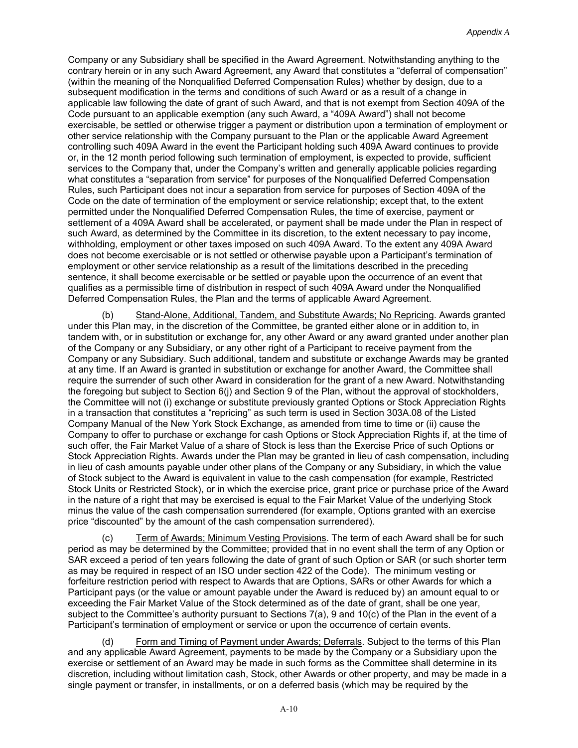Company or any Subsidiary shall be specified in the Award Agreement. Notwithstanding anything to the contrary herein or in any such Award Agreement, any Award that constitutes a "deferral of compensation" (within the meaning of the Nonqualified Deferred Compensation Rules) whether by design, due to a subsequent modification in the terms and conditions of such Award or as a result of a change in applicable law following the date of grant of such Award, and that is not exempt from Section 409A of the Code pursuant to an applicable exemption (any such Award, a "409A Award") shall not become exercisable, be settled or otherwise trigger a payment or distribution upon a termination of employment or other service relationship with the Company pursuant to the Plan or the applicable Award Agreement controlling such 409A Award in the event the Participant holding such 409A Award continues to provide or, in the 12 month period following such termination of employment, is expected to provide, sufficient services to the Company that, under the Company's written and generally applicable policies regarding what constitutes a "separation from service" for purposes of the Nonqualified Deferred Compensation Rules, such Participant does not incur a separation from service for purposes of Section 409A of the Code on the date of termination of the employment or service relationship; except that, to the extent permitted under the Nonqualified Deferred Compensation Rules, the time of exercise, payment or settlement of a 409A Award shall be accelerated, or payment shall be made under the Plan in respect of such Award, as determined by the Committee in its discretion, to the extent necessary to pay income, withholding, employment or other taxes imposed on such 409A Award. To the extent any 409A Award does not become exercisable or is not settled or otherwise payable upon a Participant's termination of employment or other service relationship as a result of the limitations described in the preceding sentence, it shall become exercisable or be settled or payable upon the occurrence of an event that qualifies as a permissible time of distribution in respect of such 409A Award under the Nonqualified Deferred Compensation Rules, the Plan and the terms of applicable Award Agreement.

(b) Stand-Alone, Additional, Tandem, and Substitute Awards; No Repricing. Awards granted under this Plan may, in the discretion of the Committee, be granted either alone or in addition to, in tandem with, or in substitution or exchange for, any other Award or any award granted under another plan of the Company or any Subsidiary, or any other right of a Participant to receive payment from the Company or any Subsidiary. Such additional, tandem and substitute or exchange Awards may be granted at any time. If an Award is granted in substitution or exchange for another Award, the Committee shall require the surrender of such other Award in consideration for the grant of a new Award. Notwithstanding the foregoing but subject to Section 6(j) and Section 9 of the Plan, without the approval of stockholders, the Committee will not (i) exchange or substitute previously granted Options or Stock Appreciation Rights in a transaction that constitutes a "repricing" as such term is used in Section 303A.08 of the Listed Company Manual of the New York Stock Exchange, as amended from time to time or (ii) cause the Company to offer to purchase or exchange for cash Options or Stock Appreciation Rights if, at the time of such offer, the Fair Market Value of a share of Stock is less than the Exercise Price of such Options or Stock Appreciation Rights. Awards under the Plan may be granted in lieu of cash compensation, including in lieu of cash amounts payable under other plans of the Company or any Subsidiary, in which the value of Stock subject to the Award is equivalent in value to the cash compensation (for example, Restricted Stock Units or Restricted Stock), or in which the exercise price, grant price or purchase price of the Award in the nature of a right that may be exercised is equal to the Fair Market Value of the underlying Stock minus the value of the cash compensation surrendered (for example, Options granted with an exercise price "discounted" by the amount of the cash compensation surrendered).

(c) Term of Awards; Minimum Vesting Provisions. The term of each Award shall be for such period as may be determined by the Committee; provided that in no event shall the term of any Option or SAR exceed a period of ten years following the date of grant of such Option or SAR (or such shorter term as may be required in respect of an ISO under section 422 of the Code). The minimum vesting or forfeiture restriction period with respect to Awards that are Options, SARs or other Awards for which a Participant pays (or the value or amount payable under the Award is reduced by) an amount equal to or exceeding the Fair Market Value of the Stock determined as of the date of grant, shall be one year, subject to the Committee's authority pursuant to Sections 7(a), 9 and 10(c) of the Plan in the event of a Participant's termination of employment or service or upon the occurrence of certain events.

(d) Form and Timing of Payment under Awards; Deferrals. Subject to the terms of this Plan and any applicable Award Agreement, payments to be made by the Company or a Subsidiary upon the exercise or settlement of an Award may be made in such forms as the Committee shall determine in its discretion, including without limitation cash, Stock, other Awards or other property, and may be made in a single payment or transfer, in installments, or on a deferred basis (which may be required by the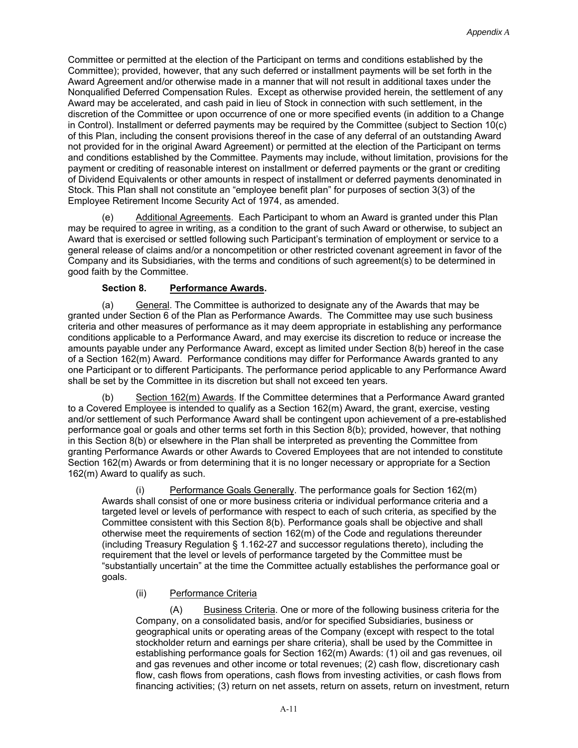Committee or permitted at the election of the Participant on terms and conditions established by the Committee); provided, however, that any such deferred or installment payments will be set forth in the Award Agreement and/or otherwise made in a manner that will not result in additional taxes under the Nonqualified Deferred Compensation Rules. Except as otherwise provided herein, the settlement of any Award may be accelerated, and cash paid in lieu of Stock in connection with such settlement, in the discretion of the Committee or upon occurrence of one or more specified events (in addition to a Change in Control). Installment or deferred payments may be required by the Committee (subject to Section 10(c) of this Plan, including the consent provisions thereof in the case of any deferral of an outstanding Award not provided for in the original Award Agreement) or permitted at the election of the Participant on terms and conditions established by the Committee. Payments may include, without limitation, provisions for the payment or crediting of reasonable interest on installment or deferred payments or the grant or crediting of Dividend Equivalents or other amounts in respect of installment or deferred payments denominated in Stock. This Plan shall not constitute an "employee benefit plan" for purposes of section 3(3) of the Employee Retirement Income Security Act of 1974, as amended.

(e) Additional Agreements. Each Participant to whom an Award is granted under this Plan may be required to agree in writing, as a condition to the grant of such Award or otherwise, to subject an Award that is exercised or settled following such Participant's termination of employment or service to a general release of claims and/or a noncompetition or other restricted covenant agreement in favor of the Company and its Subsidiaries, with the terms and conditions of such agreement(s) to be determined in good faith by the Committee.

# **Section 8. Performance Awards.**

(a) General. The Committee is authorized to designate any of the Awards that may be granted under Section 6 of the Plan as Performance Awards. The Committee may use such business criteria and other measures of performance as it may deem appropriate in establishing any performance conditions applicable to a Performance Award, and may exercise its discretion to reduce or increase the amounts payable under any Performance Award, except as limited under Section 8(b) hereof in the case of a Section 162(m) Award. Performance conditions may differ for Performance Awards granted to any one Participant or to different Participants. The performance period applicable to any Performance Award shall be set by the Committee in its discretion but shall not exceed ten years.

(b) Section 162(m) Awards. If the Committee determines that a Performance Award granted to a Covered Employee is intended to qualify as a Section 162(m) Award, the grant, exercise, vesting and/or settlement of such Performance Award shall be contingent upon achievement of a pre-established performance goal or goals and other terms set forth in this Section 8(b); provided, however, that nothing in this Section 8(b) or elsewhere in the Plan shall be interpreted as preventing the Committee from granting Performance Awards or other Awards to Covered Employees that are not intended to constitute Section 162(m) Awards or from determining that it is no longer necessary or appropriate for a Section 162(m) Award to qualify as such.

Performance Goals Generally. The performance goals for Section 162(m) Awards shall consist of one or more business criteria or individual performance criteria and a targeted level or levels of performance with respect to each of such criteria, as specified by the Committee consistent with this Section 8(b). Performance goals shall be objective and shall otherwise meet the requirements of section 162(m) of the Code and regulations thereunder (including Treasury Regulation § 1.162-27 and successor regulations thereto), including the requirement that the level or levels of performance targeted by the Committee must be "substantially uncertain" at the time the Committee actually establishes the performance goal or goals.

# (ii) Performance Criteria

(A) Business Criteria. One or more of the following business criteria for the Company, on a consolidated basis, and/or for specified Subsidiaries, business or geographical units or operating areas of the Company (except with respect to the total stockholder return and earnings per share criteria), shall be used by the Committee in establishing performance goals for Section 162(m) Awards: (1) oil and gas revenues, oil and gas revenues and other income or total revenues; (2) cash flow, discretionary cash flow, cash flows from operations, cash flows from investing activities, or cash flows from financing activities; (3) return on net assets, return on assets, return on investment, return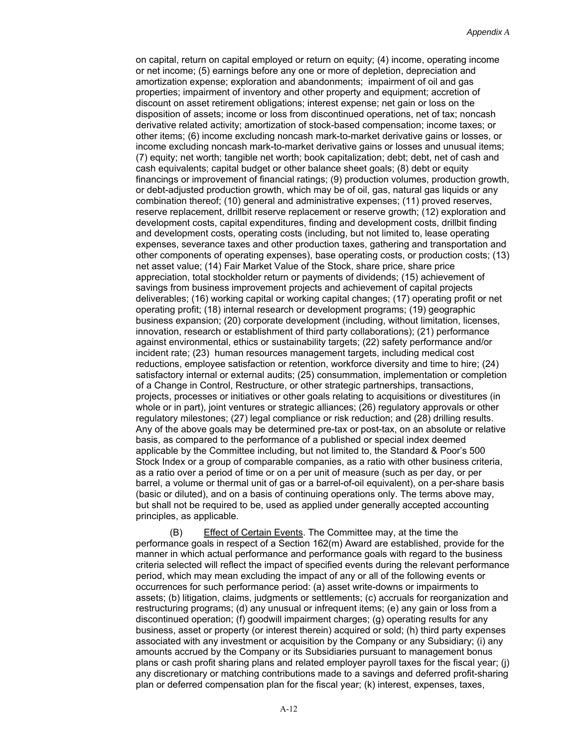on capital, return on capital employed or return on equity; (4) income, operating income or net income; (5) earnings before any one or more of depletion, depreciation and amortization expense; exploration and abandonments; impairment of oil and gas properties; impairment of inventory and other property and equipment; accretion of discount on asset retirement obligations; interest expense; net gain or loss on the disposition of assets; income or loss from discontinued operations, net of tax; noncash derivative related activity; amortization of stock-based compensation; income taxes; or other items; (6) income excluding noncash mark-to-market derivative gains or losses, or income excluding noncash mark-to-market derivative gains or losses and unusual items; (7) equity; net worth; tangible net worth; book capitalization; debt; debt, net of cash and cash equivalents; capital budget or other balance sheet goals; (8) debt or equity financings or improvement of financial ratings; (9) production volumes, production growth, or debt-adjusted production growth, which may be of oil, gas, natural gas liquids or any combination thereof; (10) general and administrative expenses; (11) proved reserves, reserve replacement, drillbit reserve replacement or reserve growth; (12) exploration and development costs, capital expenditures, finding and development costs, drillbit finding and development costs, operating costs (including, but not limited to, lease operating expenses, severance taxes and other production taxes, gathering and transportation and other components of operating expenses), base operating costs, or production costs; (13) net asset value; (14) Fair Market Value of the Stock, share price, share price appreciation, total stockholder return or payments of dividends; (15) achievement of savings from business improvement projects and achievement of capital projects deliverables; (16) working capital or working capital changes; (17) operating profit or net operating profit; (18) internal research or development programs; (19) geographic business expansion; (20) corporate development (including, without limitation, licenses, innovation, research or establishment of third party collaborations); (21) performance against environmental, ethics or sustainability targets; (22) safety performance and/or incident rate; (23) human resources management targets, including medical cost reductions, employee satisfaction or retention, workforce diversity and time to hire; (24) satisfactory internal or external audits; (25) consummation, implementation or completion of a Change in Control, Restructure, or other strategic partnerships, transactions, projects, processes or initiatives or other goals relating to acquisitions or divestitures (in whole or in part), joint ventures or strategic alliances; (26) regulatory approvals or other regulatory milestones; (27) legal compliance or risk reduction; and (28) drilling results. Any of the above goals may be determined pre-tax or post-tax, on an absolute or relative basis, as compared to the performance of a published or special index deemed applicable by the Committee including, but not limited to, the Standard & Poor's 500 Stock Index or a group of comparable companies, as a ratio with other business criteria, as a ratio over a period of time or on a per unit of measure (such as per day, or per barrel, a volume or thermal unit of gas or a barrel-of-oil equivalent), on a per-share basis (basic or diluted), and on a basis of continuing operations only. The terms above may, but shall not be required to be, used as applied under generally accepted accounting principles, as applicable.

(B) Effect of Certain Events. The Committee may, at the time the performance goals in respect of a Section 162(m) Award are established, provide for the manner in which actual performance and performance goals with regard to the business criteria selected will reflect the impact of specified events during the relevant performance period, which may mean excluding the impact of any or all of the following events or occurrences for such performance period: (a) asset write-downs or impairments to assets; (b) litigation, claims, judgments or settlements; (c) accruals for reorganization and restructuring programs; (d) any unusual or infrequent items; (e) any gain or loss from a discontinued operation; (f) goodwill impairment charges; (g) operating results for any business, asset or property (or interest therein) acquired or sold; (h) third party expenses associated with any investment or acquisition by the Company or any Subsidiary; (i) any amounts accrued by the Company or its Subsidiaries pursuant to management bonus plans or cash profit sharing plans and related employer payroll taxes for the fiscal year; (j) any discretionary or matching contributions made to a savings and deferred profit-sharing plan or deferred compensation plan for the fiscal year; (k) interest, expenses, taxes,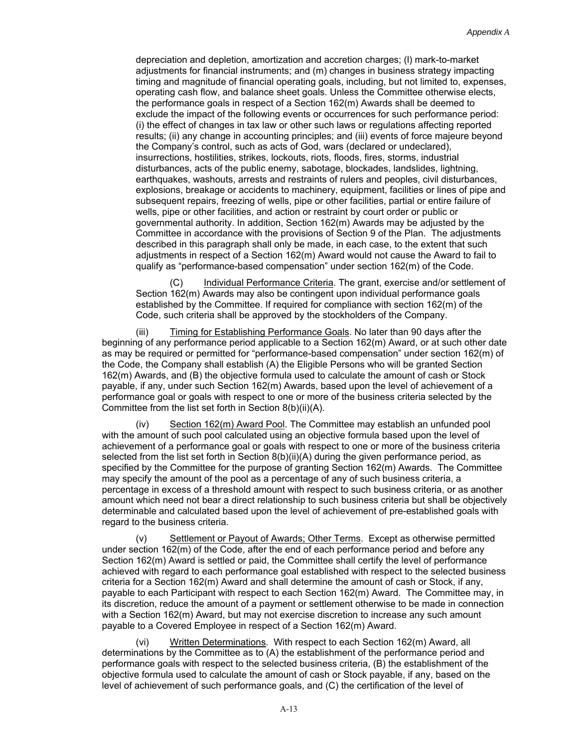depreciation and depletion, amortization and accretion charges; (l) mark-to-market adjustments for financial instruments; and (m) changes in business strategy impacting timing and magnitude of financial operating goals, including, but not limited to, expenses, operating cash flow, and balance sheet goals. Unless the Committee otherwise elects, the performance goals in respect of a Section 162(m) Awards shall be deemed to exclude the impact of the following events or occurrences for such performance period: (i) the effect of changes in tax law or other such laws or regulations affecting reported results; (ii) any change in accounting principles; and (iii) events of force majeure beyond the Company's control, such as acts of God, wars (declared or undeclared), insurrections, hostilities, strikes, lockouts, riots, floods, fires, storms, industrial disturbances, acts of the public enemy, sabotage, blockades, landslides, lightning, earthquakes, washouts, arrests and restraints of rulers and peoples, civil disturbances, explosions, breakage or accidents to machinery, equipment, facilities or lines of pipe and subsequent repairs, freezing of wells, pipe or other facilities, partial or entire failure of wells, pipe or other facilities, and action or restraint by court order or public or governmental authority. In addition, Section 162(m) Awards may be adjusted by the Committee in accordance with the provisions of Section 9 of the Plan. The adjustments described in this paragraph shall only be made, in each case, to the extent that such adjustments in respect of a Section 162(m) Award would not cause the Award to fail to qualify as "performance-based compensation" under section 162(m) of the Code.

(C) Individual Performance Criteria. The grant, exercise and/or settlement of Section 162(m) Awards may also be contingent upon individual performance goals established by the Committee. If required for compliance with section 162(m) of the Code, such criteria shall be approved by the stockholders of the Company.

Timing for Establishing Performance Goals. No later than 90 days after the beginning of any performance period applicable to a Section 162(m) Award, or at such other date as may be required or permitted for "performance-based compensation" under section 162(m) of the Code, the Company shall establish (A) the Eligible Persons who will be granted Section 162(m) Awards, and (B) the objective formula used to calculate the amount of cash or Stock payable, if any, under such Section 162(m) Awards, based upon the level of achievement of a performance goal or goals with respect to one or more of the business criteria selected by the Committee from the list set forth in Section 8(b)(ii)(A).

(iv) Section 162(m) Award Pool. The Committee may establish an unfunded pool with the amount of such pool calculated using an objective formula based upon the level of achievement of a performance goal or goals with respect to one or more of the business criteria selected from the list set forth in Section 8(b)(ii)(A) during the given performance period, as specified by the Committee for the purpose of granting Section 162(m) Awards. The Committee may specify the amount of the pool as a percentage of any of such business criteria, a percentage in excess of a threshold amount with respect to such business criteria, or as another amount which need not bear a direct relationship to such business criteria but shall be objectively determinable and calculated based upon the level of achievement of pre-established goals with regard to the business criteria.

(v) Settlement or Payout of Awards; Other Terms. Except as otherwise permitted under section 162(m) of the Code, after the end of each performance period and before any Section 162(m) Award is settled or paid, the Committee shall certify the level of performance achieved with regard to each performance goal established with respect to the selected business criteria for a Section 162(m) Award and shall determine the amount of cash or Stock, if any, payable to each Participant with respect to each Section 162(m) Award. The Committee may, in its discretion, reduce the amount of a payment or settlement otherwise to be made in connection with a Section 162(m) Award, but may not exercise discretion to increase any such amount payable to a Covered Employee in respect of a Section 162(m) Award.

(vi) Written Determinations. With respect to each Section 162(m) Award, all determinations by the Committee as to (A) the establishment of the performance period and performance goals with respect to the selected business criteria, (B) the establishment of the objective formula used to calculate the amount of cash or Stock payable, if any, based on the level of achievement of such performance goals, and (C) the certification of the level of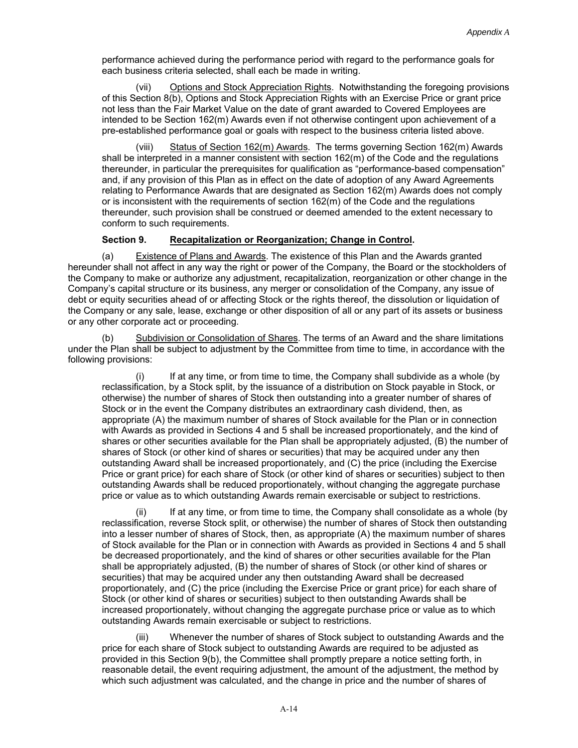performance achieved during the performance period with regard to the performance goals for each business criteria selected, shall each be made in writing.

(vii) Options and Stock Appreciation Rights. Notwithstanding the foregoing provisions of this Section 8(b), Options and Stock Appreciation Rights with an Exercise Price or grant price not less than the Fair Market Value on the date of grant awarded to Covered Employees are intended to be Section 162(m) Awards even if not otherwise contingent upon achievement of a pre-established performance goal or goals with respect to the business criteria listed above.

(viii) Status of Section 162(m) Awards. The terms governing Section 162(m) Awards shall be interpreted in a manner consistent with section 162(m) of the Code and the regulations thereunder, in particular the prerequisites for qualification as "performance-based compensation" and, if any provision of this Plan as in effect on the date of adoption of any Award Agreements relating to Performance Awards that are designated as Section 162(m) Awards does not comply or is inconsistent with the requirements of section 162(m) of the Code and the regulations thereunder, such provision shall be construed or deemed amended to the extent necessary to conform to such requirements.

## **Section 9. Recapitalization or Reorganization; Change in Control.**

(a) Existence of Plans and Awards. The existence of this Plan and the Awards granted hereunder shall not affect in any way the right or power of the Company, the Board or the stockholders of the Company to make or authorize any adjustment, recapitalization, reorganization or other change in the Company's capital structure or its business, any merger or consolidation of the Company, any issue of debt or equity securities ahead of or affecting Stock or the rights thereof, the dissolution or liquidation of the Company or any sale, lease, exchange or other disposition of all or any part of its assets or business or any other corporate act or proceeding.

(b) Subdivision or Consolidation of Shares. The terms of an Award and the share limitations under the Plan shall be subject to adjustment by the Committee from time to time, in accordance with the following provisions:

If at any time, or from time to time, the Company shall subdivide as a whole (by reclassification, by a Stock split, by the issuance of a distribution on Stock payable in Stock, or otherwise) the number of shares of Stock then outstanding into a greater number of shares of Stock or in the event the Company distributes an extraordinary cash dividend, then, as appropriate (A) the maximum number of shares of Stock available for the Plan or in connection with Awards as provided in Sections 4 and 5 shall be increased proportionately, and the kind of shares or other securities available for the Plan shall be appropriately adjusted, (B) the number of shares of Stock (or other kind of shares or securities) that may be acquired under any then outstanding Award shall be increased proportionately, and (C) the price (including the Exercise Price or grant price) for each share of Stock (or other kind of shares or securities) subject to then outstanding Awards shall be reduced proportionately, without changing the aggregate purchase price or value as to which outstanding Awards remain exercisable or subject to restrictions.

If at any time, or from time to time, the Company shall consolidate as a whole (by reclassification, reverse Stock split, or otherwise) the number of shares of Stock then outstanding into a lesser number of shares of Stock, then, as appropriate (A) the maximum number of shares of Stock available for the Plan or in connection with Awards as provided in Sections 4 and 5 shall be decreased proportionately, and the kind of shares or other securities available for the Plan shall be appropriately adjusted, (B) the number of shares of Stock (or other kind of shares or securities) that may be acquired under any then outstanding Award shall be decreased proportionately, and (C) the price (including the Exercise Price or grant price) for each share of Stock (or other kind of shares or securities) subject to then outstanding Awards shall be increased proportionately, without changing the aggregate purchase price or value as to which outstanding Awards remain exercisable or subject to restrictions.

(iii) Whenever the number of shares of Stock subject to outstanding Awards and the price for each share of Stock subject to outstanding Awards are required to be adjusted as provided in this Section 9(b), the Committee shall promptly prepare a notice setting forth, in reasonable detail, the event requiring adjustment, the amount of the adjustment, the method by which such adjustment was calculated, and the change in price and the number of shares of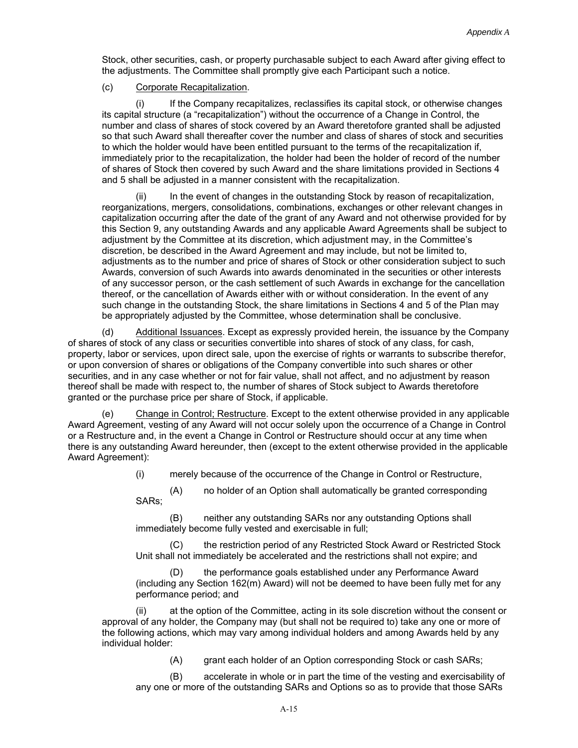Stock, other securities, cash, or property purchasable subject to each Award after giving effect to the adjustments. The Committee shall promptly give each Participant such a notice.

## (c) Corporate Recapitalization.

(i) If the Company recapitalizes, reclassifies its capital stock, or otherwise changes its capital structure (a "recapitalization") without the occurrence of a Change in Control, the number and class of shares of stock covered by an Award theretofore granted shall be adjusted so that such Award shall thereafter cover the number and class of shares of stock and securities to which the holder would have been entitled pursuant to the terms of the recapitalization if, immediately prior to the recapitalization, the holder had been the holder of record of the number of shares of Stock then covered by such Award and the share limitations provided in Sections 4 and 5 shall be adjusted in a manner consistent with the recapitalization.

In the event of changes in the outstanding Stock by reason of recapitalization, reorganizations, mergers, consolidations, combinations, exchanges or other relevant changes in capitalization occurring after the date of the grant of any Award and not otherwise provided for by this Section 9, any outstanding Awards and any applicable Award Agreements shall be subject to adjustment by the Committee at its discretion, which adjustment may, in the Committee's discretion, be described in the Award Agreement and may include, but not be limited to, adjustments as to the number and price of shares of Stock or other consideration subject to such Awards, conversion of such Awards into awards denominated in the securities or other interests of any successor person, or the cash settlement of such Awards in exchange for the cancellation thereof, or the cancellation of Awards either with or without consideration. In the event of any such change in the outstanding Stock, the share limitations in Sections 4 and 5 of the Plan may be appropriately adjusted by the Committee, whose determination shall be conclusive.

(d) Additional Issuances. Except as expressly provided herein, the issuance by the Company of shares of stock of any class or securities convertible into shares of stock of any class, for cash, property, labor or services, upon direct sale, upon the exercise of rights or warrants to subscribe therefor, or upon conversion of shares or obligations of the Company convertible into such shares or other securities, and in any case whether or not for fair value, shall not affect, and no adjustment by reason thereof shall be made with respect to, the number of shares of Stock subject to Awards theretofore granted or the purchase price per share of Stock, if applicable.

(e) Change in Control; Restructure. Except to the extent otherwise provided in any applicable Award Agreement, vesting of any Award will not occur solely upon the occurrence of a Change in Control or a Restructure and, in the event a Change in Control or Restructure should occur at any time when there is any outstanding Award hereunder, then (except to the extent otherwise provided in the applicable Award Agreement):

(i) merely because of the occurrence of the Change in Control or Restructure,

(A) no holder of an Option shall automatically be granted corresponding SARs;

(B) neither any outstanding SARs nor any outstanding Options shall immediately become fully vested and exercisable in full;

(C) the restriction period of any Restricted Stock Award or Restricted Stock Unit shall not immediately be accelerated and the restrictions shall not expire; and

the performance goals established under any Performance Award (including any Section 162(m) Award) will not be deemed to have been fully met for any performance period; and

at the option of the Committee, acting in its sole discretion without the consent or approval of any holder, the Company may (but shall not be required to) take any one or more of the following actions, which may vary among individual holders and among Awards held by any individual holder:

(A) grant each holder of an Option corresponding Stock or cash SARs;

(B) accelerate in whole or in part the time of the vesting and exercisability of any one or more of the outstanding SARs and Options so as to provide that those SARs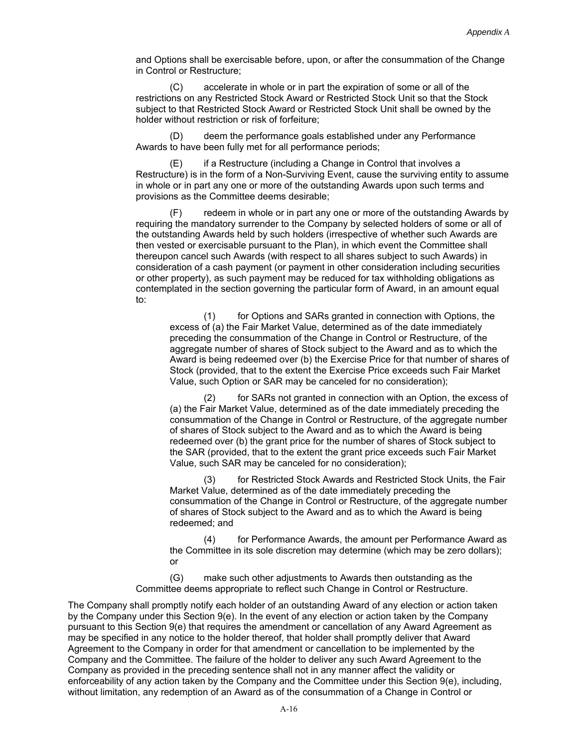and Options shall be exercisable before, upon, or after the consummation of the Change in Control or Restructure;

(C) accelerate in whole or in part the expiration of some or all of the restrictions on any Restricted Stock Award or Restricted Stock Unit so that the Stock subject to that Restricted Stock Award or Restricted Stock Unit shall be owned by the holder without restriction or risk of forfeiture;

(D) deem the performance goals established under any Performance Awards to have been fully met for all performance periods;

 $(E)$  if a Restructure (including a Change in Control that involves a Restructure) is in the form of a Non-Surviving Event, cause the surviving entity to assume in whole or in part any one or more of the outstanding Awards upon such terms and provisions as the Committee deems desirable;

(F) redeem in whole or in part any one or more of the outstanding Awards by requiring the mandatory surrender to the Company by selected holders of some or all of the outstanding Awards held by such holders (irrespective of whether such Awards are then vested or exercisable pursuant to the Plan), in which event the Committee shall thereupon cancel such Awards (with respect to all shares subject to such Awards) in consideration of a cash payment (or payment in other consideration including securities or other property), as such payment may be reduced for tax withholding obligations as contemplated in the section governing the particular form of Award, in an amount equal to:

(1) for Options and SARs granted in connection with Options, the excess of (a) the Fair Market Value, determined as of the date immediately preceding the consummation of the Change in Control or Restructure, of the aggregate number of shares of Stock subject to the Award and as to which the Award is being redeemed over (b) the Exercise Price for that number of shares of Stock (provided, that to the extent the Exercise Price exceeds such Fair Market Value, such Option or SAR may be canceled for no consideration);

(2) for SARs not granted in connection with an Option, the excess of (a) the Fair Market Value, determined as of the date immediately preceding the consummation of the Change in Control or Restructure, of the aggregate number of shares of Stock subject to the Award and as to which the Award is being redeemed over (b) the grant price for the number of shares of Stock subject to the SAR (provided, that to the extent the grant price exceeds such Fair Market Value, such SAR may be canceled for no consideration);

(3) for Restricted Stock Awards and Restricted Stock Units, the Fair Market Value, determined as of the date immediately preceding the consummation of the Change in Control or Restructure, of the aggregate number of shares of Stock subject to the Award and as to which the Award is being redeemed; and

(4) for Performance Awards, the amount per Performance Award as the Committee in its sole discretion may determine (which may be zero dollars); or

(G) make such other adjustments to Awards then outstanding as the Committee deems appropriate to reflect such Change in Control or Restructure.

The Company shall promptly notify each holder of an outstanding Award of any election or action taken by the Company under this Section 9(e). In the event of any election or action taken by the Company pursuant to this Section 9(e) that requires the amendment or cancellation of any Award Agreement as may be specified in any notice to the holder thereof, that holder shall promptly deliver that Award Agreement to the Company in order for that amendment or cancellation to be implemented by the Company and the Committee. The failure of the holder to deliver any such Award Agreement to the Company as provided in the preceding sentence shall not in any manner affect the validity or enforceability of any action taken by the Company and the Committee under this Section 9(e), including, without limitation, any redemption of an Award as of the consummation of a Change in Control or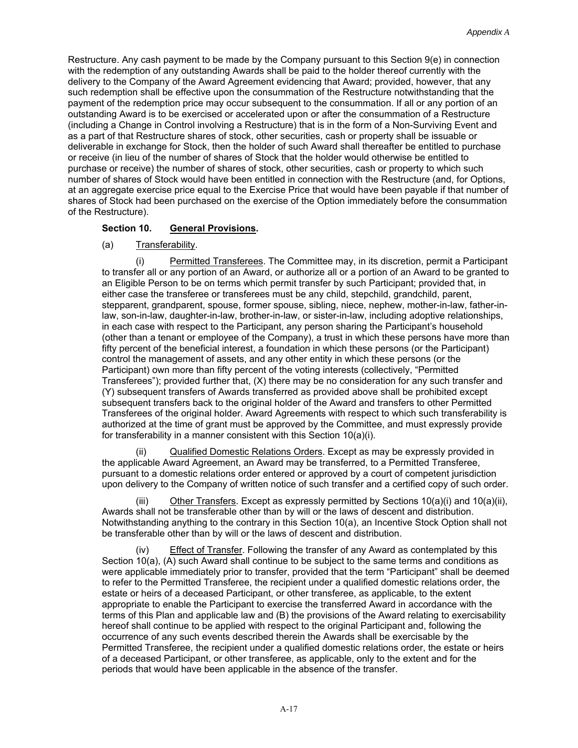Restructure. Any cash payment to be made by the Company pursuant to this Section 9(e) in connection with the redemption of any outstanding Awards shall be paid to the holder thereof currently with the delivery to the Company of the Award Agreement evidencing that Award; provided, however, that any such redemption shall be effective upon the consummation of the Restructure notwithstanding that the payment of the redemption price may occur subsequent to the consummation. If all or any portion of an outstanding Award is to be exercised or accelerated upon or after the consummation of a Restructure (including a Change in Control involving a Restructure) that is in the form of a Non-Surviving Event and as a part of that Restructure shares of stock, other securities, cash or property shall be issuable or deliverable in exchange for Stock, then the holder of such Award shall thereafter be entitled to purchase or receive (in lieu of the number of shares of Stock that the holder would otherwise be entitled to purchase or receive) the number of shares of stock, other securities, cash or property to which such number of shares of Stock would have been entitled in connection with the Restructure (and, for Options, at an aggregate exercise price equal to the Exercise Price that would have been payable if that number of shares of Stock had been purchased on the exercise of the Option immediately before the consummation of the Restructure).

## **Section 10. General Provisions.**

(a) Transferability.

(i) Permitted Transferees. The Committee may, in its discretion, permit a Participant to transfer all or any portion of an Award, or authorize all or a portion of an Award to be granted to an Eligible Person to be on terms which permit transfer by such Participant; provided that, in either case the transferee or transferees must be any child, stepchild, grandchild, parent, stepparent, grandparent, spouse, former spouse, sibling, niece, nephew, mother-in-law, father-inlaw, son-in-law, daughter-in-law, brother-in-law, or sister-in-law, including adoptive relationships, in each case with respect to the Participant, any person sharing the Participant's household (other than a tenant or employee of the Company), a trust in which these persons have more than fifty percent of the beneficial interest, a foundation in which these persons (or the Participant) control the management of assets, and any other entity in which these persons (or the Participant) own more than fifty percent of the voting interests (collectively, "Permitted Transferees"); provided further that, (X) there may be no consideration for any such transfer and (Y) subsequent transfers of Awards transferred as provided above shall be prohibited except subsequent transfers back to the original holder of the Award and transfers to other Permitted Transferees of the original holder. Award Agreements with respect to which such transferability is authorized at the time of grant must be approved by the Committee, and must expressly provide for transferability in a manner consistent with this Section 10(a)(i).

Qualified Domestic Relations Orders. Except as may be expressly provided in the applicable Award Agreement, an Award may be transferred, to a Permitted Transferee, pursuant to a domestic relations order entered or approved by a court of competent jurisdiction upon delivery to the Company of written notice of such transfer and a certified copy of such order.

(iii) Other Transfers. Except as expressly permitted by Sections  $10(a)(i)$  and  $10(a)(ii)$ . Awards shall not be transferable other than by will or the laws of descent and distribution. Notwithstanding anything to the contrary in this Section 10(a), an Incentive Stock Option shall not be transferable other than by will or the laws of descent and distribution.

(iv) Effect of Transfer. Following the transfer of any Award as contemplated by this Section 10(a), (A) such Award shall continue to be subject to the same terms and conditions as were applicable immediately prior to transfer, provided that the term "Participant" shall be deemed to refer to the Permitted Transferee, the recipient under a qualified domestic relations order, the estate or heirs of a deceased Participant, or other transferee, as applicable, to the extent appropriate to enable the Participant to exercise the transferred Award in accordance with the terms of this Plan and applicable law and (B) the provisions of the Award relating to exercisability hereof shall continue to be applied with respect to the original Participant and, following the occurrence of any such events described therein the Awards shall be exercisable by the Permitted Transferee, the recipient under a qualified domestic relations order, the estate or heirs of a deceased Participant, or other transferee, as applicable, only to the extent and for the periods that would have been applicable in the absence of the transfer.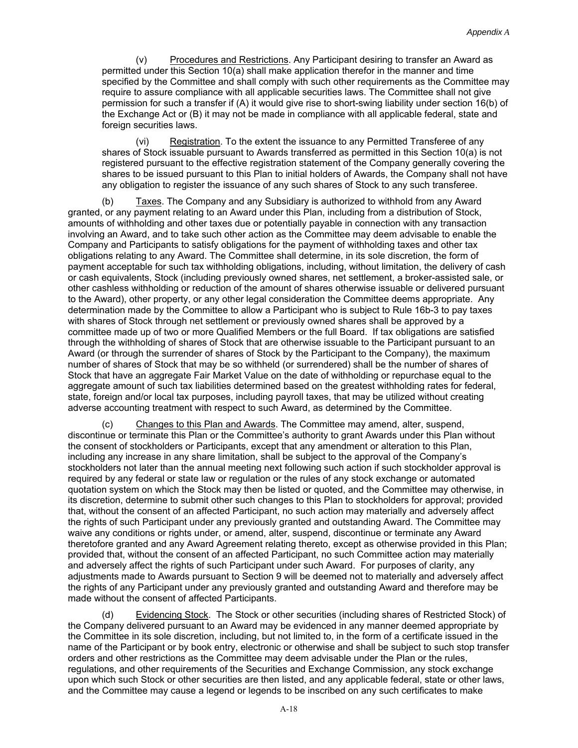(v) Procedures and Restrictions. Any Participant desiring to transfer an Award as permitted under this Section 10(a) shall make application therefor in the manner and time specified by the Committee and shall comply with such other requirements as the Committee may require to assure compliance with all applicable securities laws. The Committee shall not give permission for such a transfer if (A) it would give rise to short-swing liability under section 16(b) of the Exchange Act or (B) it may not be made in compliance with all applicable federal, state and foreign securities laws.

(vi) Registration. To the extent the issuance to any Permitted Transferee of any shares of Stock issuable pursuant to Awards transferred as permitted in this Section 10(a) is not registered pursuant to the effective registration statement of the Company generally covering the shares to be issued pursuant to this Plan to initial holders of Awards, the Company shall not have any obligation to register the issuance of any such shares of Stock to any such transferee.

(b) Taxes. The Company and any Subsidiary is authorized to withhold from any Award granted, or any payment relating to an Award under this Plan, including from a distribution of Stock, amounts of withholding and other taxes due or potentially payable in connection with any transaction involving an Award, and to take such other action as the Committee may deem advisable to enable the Company and Participants to satisfy obligations for the payment of withholding taxes and other tax obligations relating to any Award. The Committee shall determine, in its sole discretion, the form of payment acceptable for such tax withholding obligations, including, without limitation, the delivery of cash or cash equivalents, Stock (including previously owned shares, net settlement, a broker-assisted sale, or other cashless withholding or reduction of the amount of shares otherwise issuable or delivered pursuant to the Award), other property, or any other legal consideration the Committee deems appropriate. Any determination made by the Committee to allow a Participant who is subject to Rule 16b-3 to pay taxes with shares of Stock through net settlement or previously owned shares shall be approved by a committee made up of two or more Qualified Members or the full Board. If tax obligations are satisfied through the withholding of shares of Stock that are otherwise issuable to the Participant pursuant to an Award (or through the surrender of shares of Stock by the Participant to the Company), the maximum number of shares of Stock that may be so withheld (or surrendered) shall be the number of shares of Stock that have an aggregate Fair Market Value on the date of withholding or repurchase equal to the aggregate amount of such tax liabilities determined based on the greatest withholding rates for federal, state, foreign and/or local tax purposes, including payroll taxes, that may be utilized without creating adverse accounting treatment with respect to such Award, as determined by the Committee.

(c) Changes to this Plan and Awards. The Committee may amend, alter, suspend, discontinue or terminate this Plan or the Committee's authority to grant Awards under this Plan without the consent of stockholders or Participants, except that any amendment or alteration to this Plan, including any increase in any share limitation, shall be subject to the approval of the Company's stockholders not later than the annual meeting next following such action if such stockholder approval is required by any federal or state law or regulation or the rules of any stock exchange or automated quotation system on which the Stock may then be listed or quoted, and the Committee may otherwise, in its discretion, determine to submit other such changes to this Plan to stockholders for approval; provided that, without the consent of an affected Participant, no such action may materially and adversely affect the rights of such Participant under any previously granted and outstanding Award. The Committee may waive any conditions or rights under, or amend, alter, suspend, discontinue or terminate any Award theretofore granted and any Award Agreement relating thereto, except as otherwise provided in this Plan; provided that, without the consent of an affected Participant, no such Committee action may materially and adversely affect the rights of such Participant under such Award. For purposes of clarity, any adjustments made to Awards pursuant to Section 9 will be deemed not to materially and adversely affect the rights of any Participant under any previously granted and outstanding Award and therefore may be made without the consent of affected Participants.

(d) Evidencing Stock. The Stock or other securities (including shares of Restricted Stock) of the Company delivered pursuant to an Award may be evidenced in any manner deemed appropriate by the Committee in its sole discretion, including, but not limited to, in the form of a certificate issued in the name of the Participant or by book entry, electronic or otherwise and shall be subject to such stop transfer orders and other restrictions as the Committee may deem advisable under the Plan or the rules, regulations, and other requirements of the Securities and Exchange Commission, any stock exchange upon which such Stock or other securities are then listed, and any applicable federal, state or other laws, and the Committee may cause a legend or legends to be inscribed on any such certificates to make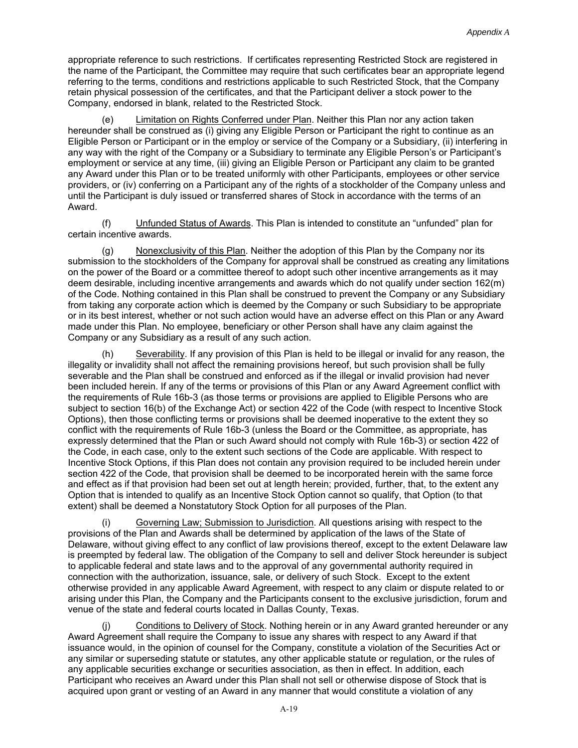appropriate reference to such restrictions. If certificates representing Restricted Stock are registered in the name of the Participant, the Committee may require that such certificates bear an appropriate legend referring to the terms, conditions and restrictions applicable to such Restricted Stock, that the Company retain physical possession of the certificates, and that the Participant deliver a stock power to the Company, endorsed in blank, related to the Restricted Stock.

(e) Limitation on Rights Conferred under Plan. Neither this Plan nor any action taken hereunder shall be construed as (i) giving any Eligible Person or Participant the right to continue as an Eligible Person or Participant or in the employ or service of the Company or a Subsidiary, (ii) interfering in any way with the right of the Company or a Subsidiary to terminate any Eligible Person's or Participant's employment or service at any time, (iii) giving an Eligible Person or Participant any claim to be granted any Award under this Plan or to be treated uniformly with other Participants, employees or other service providers, or (iv) conferring on a Participant any of the rights of a stockholder of the Company unless and until the Participant is duly issued or transferred shares of Stock in accordance with the terms of an Award.

(f) Unfunded Status of Awards. This Plan is intended to constitute an "unfunded" plan for certain incentive awards.

(g) Nonexclusivity of this Plan. Neither the adoption of this Plan by the Company nor its submission to the stockholders of the Company for approval shall be construed as creating any limitations on the power of the Board or a committee thereof to adopt such other incentive arrangements as it may deem desirable, including incentive arrangements and awards which do not qualify under section 162(m) of the Code. Nothing contained in this Plan shall be construed to prevent the Company or any Subsidiary from taking any corporate action which is deemed by the Company or such Subsidiary to be appropriate or in its best interest, whether or not such action would have an adverse effect on this Plan or any Award made under this Plan. No employee, beneficiary or other Person shall have any claim against the Company or any Subsidiary as a result of any such action.

Severability. If any provision of this Plan is held to be illegal or invalid for any reason, the illegality or invalidity shall not affect the remaining provisions hereof, but such provision shall be fully severable and the Plan shall be construed and enforced as if the illegal or invalid provision had never been included herein. If any of the terms or provisions of this Plan or any Award Agreement conflict with the requirements of Rule 16b-3 (as those terms or provisions are applied to Eligible Persons who are subject to section 16(b) of the Exchange Act) or section 422 of the Code (with respect to Incentive Stock Options), then those conflicting terms or provisions shall be deemed inoperative to the extent they so conflict with the requirements of Rule 16b-3 (unless the Board or the Committee, as appropriate, has expressly determined that the Plan or such Award should not comply with Rule 16b-3) or section 422 of the Code, in each case, only to the extent such sections of the Code are applicable. With respect to Incentive Stock Options, if this Plan does not contain any provision required to be included herein under section 422 of the Code, that provision shall be deemed to be incorporated herein with the same force and effect as if that provision had been set out at length herein; provided, further, that, to the extent any Option that is intended to qualify as an Incentive Stock Option cannot so qualify, that Option (to that extent) shall be deemed a Nonstatutory Stock Option for all purposes of the Plan.

(i) Governing Law; Submission to Jurisdiction. All questions arising with respect to the provisions of the Plan and Awards shall be determined by application of the laws of the State of Delaware, without giving effect to any conflict of law provisions thereof, except to the extent Delaware law is preempted by federal law. The obligation of the Company to sell and deliver Stock hereunder is subject to applicable federal and state laws and to the approval of any governmental authority required in connection with the authorization, issuance, sale, or delivery of such Stock. Except to the extent otherwise provided in any applicable Award Agreement, with respect to any claim or dispute related to or arising under this Plan, the Company and the Participants consent to the exclusive jurisdiction, forum and venue of the state and federal courts located in Dallas County, Texas.

(j) Conditions to Delivery of Stock. Nothing herein or in any Award granted hereunder or any Award Agreement shall require the Company to issue any shares with respect to any Award if that issuance would, in the opinion of counsel for the Company, constitute a violation of the Securities Act or any similar or superseding statute or statutes, any other applicable statute or regulation, or the rules of any applicable securities exchange or securities association, as then in effect. In addition, each Participant who receives an Award under this Plan shall not sell or otherwise dispose of Stock that is acquired upon grant or vesting of an Award in any manner that would constitute a violation of any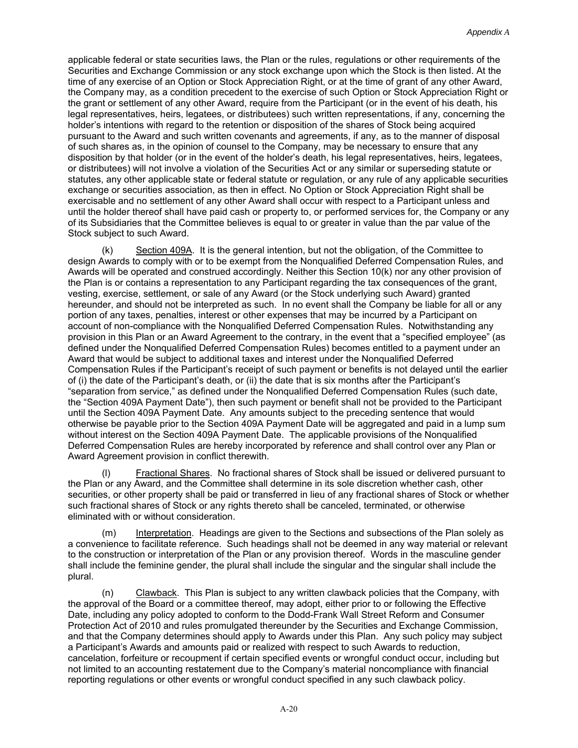applicable federal or state securities laws, the Plan or the rules, regulations or other requirements of the Securities and Exchange Commission or any stock exchange upon which the Stock is then listed. At the time of any exercise of an Option or Stock Appreciation Right, or at the time of grant of any other Award, the Company may, as a condition precedent to the exercise of such Option or Stock Appreciation Right or the grant or settlement of any other Award, require from the Participant (or in the event of his death, his legal representatives, heirs, legatees, or distributees) such written representations, if any, concerning the holder's intentions with regard to the retention or disposition of the shares of Stock being acquired pursuant to the Award and such written covenants and agreements, if any, as to the manner of disposal of such shares as, in the opinion of counsel to the Company, may be necessary to ensure that any disposition by that holder (or in the event of the holder's death, his legal representatives, heirs, legatees, or distributees) will not involve a violation of the Securities Act or any similar or superseding statute or statutes, any other applicable state or federal statute or regulation, or any rule of any applicable securities exchange or securities association, as then in effect. No Option or Stock Appreciation Right shall be exercisable and no settlement of any other Award shall occur with respect to a Participant unless and until the holder thereof shall have paid cash or property to, or performed services for, the Company or any of its Subsidiaries that the Committee believes is equal to or greater in value than the par value of the Stock subject to such Award.

(k) Section 409A. It is the general intention, but not the obligation, of the Committee to design Awards to comply with or to be exempt from the Nonqualified Deferred Compensation Rules, and Awards will be operated and construed accordingly. Neither this Section 10(k) nor any other provision of the Plan is or contains a representation to any Participant regarding the tax consequences of the grant, vesting, exercise, settlement, or sale of any Award (or the Stock underlying such Award) granted hereunder, and should not be interpreted as such. In no event shall the Company be liable for all or any portion of any taxes, penalties, interest or other expenses that may be incurred by a Participant on account of non-compliance with the Nonqualified Deferred Compensation Rules. Notwithstanding any provision in this Plan or an Award Agreement to the contrary, in the event that a "specified employee" (as defined under the Nonqualified Deferred Compensation Rules) becomes entitled to a payment under an Award that would be subject to additional taxes and interest under the Nonqualified Deferred Compensation Rules if the Participant's receipt of such payment or benefits is not delayed until the earlier of (i) the date of the Participant's death, or (ii) the date that is six months after the Participant's "separation from service," as defined under the Nonqualified Deferred Compensation Rules (such date, the "Section 409A Payment Date"), then such payment or benefit shall not be provided to the Participant until the Section 409A Payment Date. Any amounts subject to the preceding sentence that would otherwise be payable prior to the Section 409A Payment Date will be aggregated and paid in a lump sum without interest on the Section 409A Payment Date. The applicable provisions of the Nonqualified Deferred Compensation Rules are hereby incorporated by reference and shall control over any Plan or Award Agreement provision in conflict therewith.

Fractional Shares. No fractional shares of Stock shall be issued or delivered pursuant to the Plan or any Award, and the Committee shall determine in its sole discretion whether cash, other securities, or other property shall be paid or transferred in lieu of any fractional shares of Stock or whether such fractional shares of Stock or any rights thereto shall be canceled, terminated, or otherwise eliminated with or without consideration.

(m) Interpretation. Headings are given to the Sections and subsections of the Plan solely as a convenience to facilitate reference. Such headings shall not be deemed in any way material or relevant to the construction or interpretation of the Plan or any provision thereof. Words in the masculine gender shall include the feminine gender, the plural shall include the singular and the singular shall include the plural.

(n) Clawback. This Plan is subject to any written clawback policies that the Company, with the approval of the Board or a committee thereof, may adopt, either prior to or following the Effective Date, including any policy adopted to conform to the Dodd-Frank Wall Street Reform and Consumer Protection Act of 2010 and rules promulgated thereunder by the Securities and Exchange Commission, and that the Company determines should apply to Awards under this Plan. Any such policy may subject a Participant's Awards and amounts paid or realized with respect to such Awards to reduction, cancelation, forfeiture or recoupment if certain specified events or wrongful conduct occur, including but not limited to an accounting restatement due to the Company's material noncompliance with financial reporting regulations or other events or wrongful conduct specified in any such clawback policy.